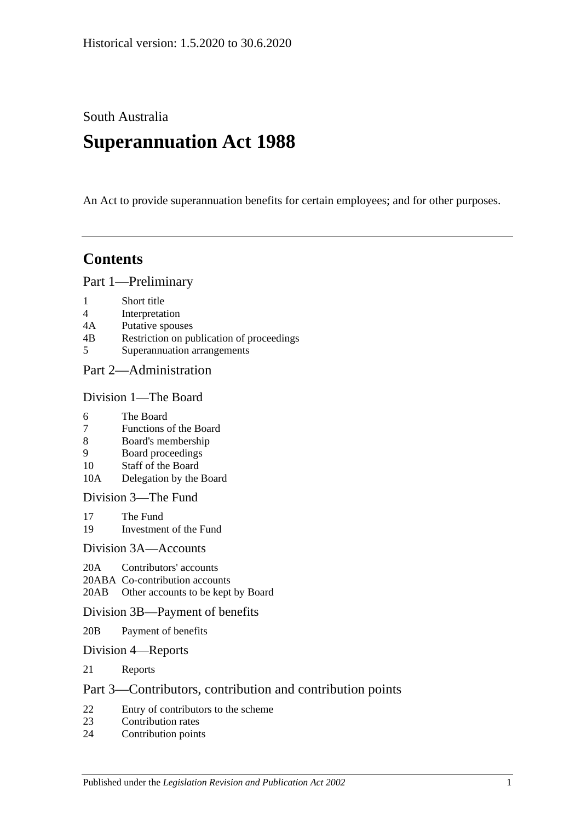South Australia

# **Superannuation Act 1988**

An Act to provide superannuation benefits for certain employees; and for other purposes.

## **Contents**

[Part 1—Preliminary](#page-6-0)

- 1 [Short title](#page-6-1)
- 4 [Interpretation](#page-6-2)
- 4A [Putative spouses](#page-14-0)
- 4B [Restriction on publication of proceedings](#page-15-0)
- 5 [Superannuation arrangements](#page-16-0)

#### [Part 2—Administration](#page-18-0)

#### [Division 1—The Board](#page-18-1)

- 6 [The Board](#page-18-2)
- 7 [Functions of the Board](#page-18-3)
- 8 [Board's membership](#page-18-4)
- 9 [Board proceedings](#page-19-0)
- 10 [Staff of the Board](#page-19-1)
- 10A [Delegation by the Board](#page-20-0)

[Division 3—The Fund](#page-20-1)

- 17 [The Fund](#page-20-2)
- 19 [Investment of the Fund](#page-21-0)

#### [Division 3A—Accounts](#page-21-1)

- 20A [Contributors' accounts](#page-21-2)
- 20ABA [Co-contribution accounts](#page-22-0)
- 20AB [Other accounts to be kept by Board](#page-23-0)

#### [Division 3B—Payment of benefits](#page-23-1)

- 20B [Payment of benefits](#page-23-2)
- [Division 4—Reports](#page-23-3)
- 21 [Reports](#page-23-4)

#### [Part 3—Contributors, contribution and contribution points](#page-24-0)

- 22 [Entry of contributors to the scheme](#page-24-1)<br>23 Contribution rates
- [Contribution rates](#page-26-0)
- 24 [Contribution points](#page-28-0)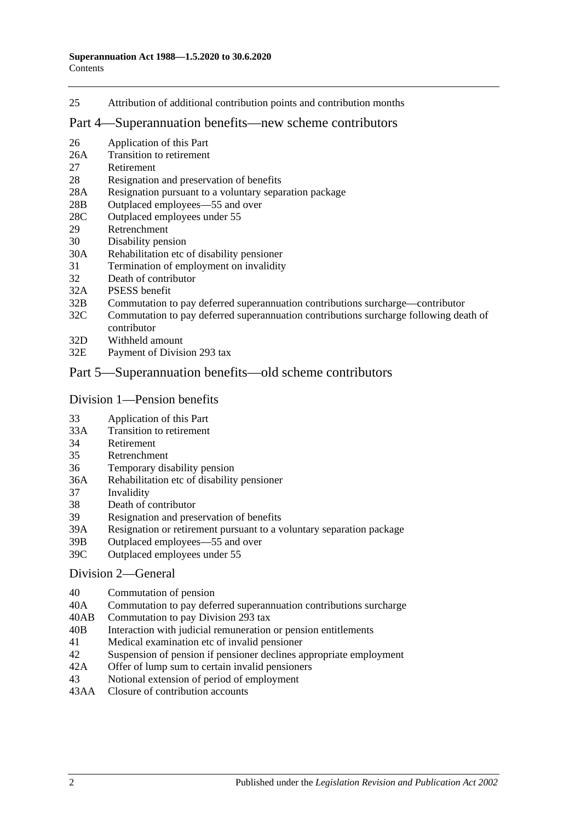25 [Attribution of additional contribution points and contribution months](#page-29-0)

#### [Part 4—Superannuation benefits—new scheme contributors](#page-30-0)

- 26 [Application of this Part](#page-30-1)
- 26A [Transition to retirement](#page-30-2)
- 27 [Retirement](#page-33-0)
- 28 [Resignation and preservation of benefits](#page-34-0)
- 28A [Resignation pursuant to a voluntary separation package](#page-38-0)
- 28B [Outplaced employees—55 and over](#page-39-0)
- 28C [Outplaced employees under 55](#page-39-1)
- 29 [Retrenchment](#page-40-0)
- 30 [Disability pension](#page-41-0)
- 30A [Rehabilitation etc of disability pensioner](#page-42-0)
- 31 [Termination of employment on invalidity](#page-42-1)
- 32 [Death of contributor](#page-45-0)
- 32A [PSESS benefit](#page-50-0)
- 32B [Commutation to pay deferred superannuation contributions surcharge—contributor](#page-51-0)
- 32C [Commutation to pay deferred superannuation contributions surcharge following death of](#page-52-0)  [contributor](#page-52-0)
- 32D [Withheld amount](#page-54-0)
- 32E [Payment of Division](#page-54-1) 293 tax

#### [Part 5—Superannuation benefits—old scheme contributors](#page-56-0)

#### [Division 1—Pension benefits](#page-56-1)

- 33 [Application of this Part](#page-56-2)
- 33A [Transition to retirement](#page-56-3)
- 34 [Retirement](#page-59-0)
- 35 [Retrenchment](#page-61-0)
- 36 [Temporary disability pension](#page-63-0)
- 36A [Rehabilitation etc of disability pensioner](#page-64-0)
- 37 [Invalidity](#page-65-0)
- 38 [Death of contributor](#page-68-0)
- 39 [Resignation and preservation of benefits](#page-71-0)
- 39A [Resignation or retirement pursuant to a voluntary separation package](#page-77-0)
- 39B [Outplaced employees—55 and over](#page-79-0)
- 39C [Outplaced employees under 55](#page-80-0)

#### [Division 2—General](#page-81-0)

- 40 [Commutation of pension](#page-81-1)
- 40A [Commutation to pay deferred superannuation contributions surcharge](#page-81-2)
- 40AB [Commutation to pay Division](#page-82-0) 293 tax
- 40B [Interaction with judicial remuneration or pension entitlements](#page-83-0)
- 41 [Medical examination etc of invalid pensioner](#page-84-0)
- 42 [Suspension of pension if pensioner declines appropriate employment](#page-84-1)<br>42A Offer of lump sum to certain invalid pensioners
- [Offer of lump sum to certain invalid pensioners](#page-85-0)
- 43 [Notional extension of period of employment](#page-85-1)
- 43AA [Closure of contribution accounts](#page-86-0)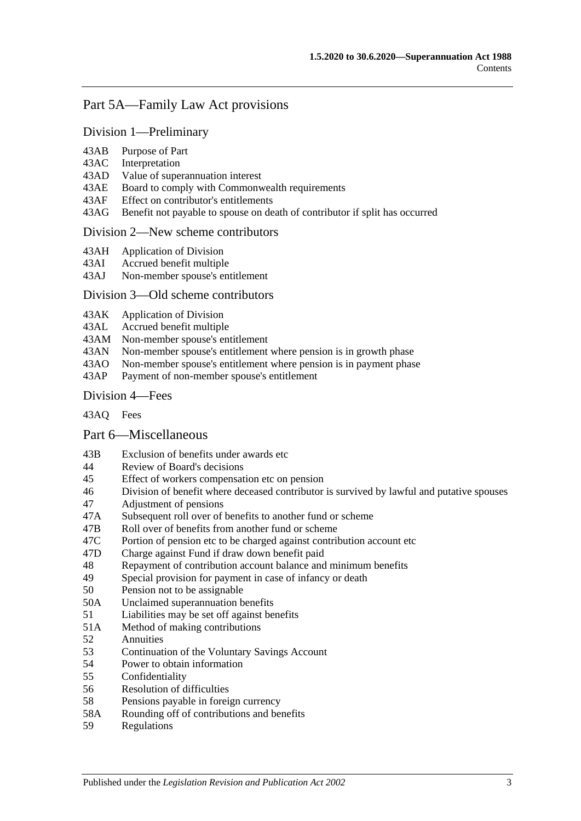## [Part 5A—Family Law Act provisions](#page-88-0)

#### [Division 1—Preliminary](#page-88-1)

- 43AB [Purpose of Part](#page-88-2)
- 43AC [Interpretation](#page-88-3)
- 43AD [Value of superannuation interest](#page-89-0)
- 43AE [Board to comply with Commonwealth requirements](#page-89-1)
- 43AF [Effect on contributor's entitlements](#page-89-2)
- 43AG [Benefit not payable to spouse on death of contributor if split has occurred](#page-90-0)

#### [Division 2—New scheme contributors](#page-90-1)

- 43AH [Application of Division](#page-90-2)
- 43AI [Accrued benefit multiple](#page-90-3)
- 43AJ [Non-member spouse's entitlement](#page-91-0)

#### [Division 3—Old scheme contributors](#page-91-1)

- 43AK [Application of Division](#page-91-2)
- 43AL [Accrued benefit multiple](#page-91-3)
- 43AM [Non-member spouse's entitlement](#page-92-0)<br>43AN Non-member spouse's entitlement
- 43AN [Non-member spouse's entitlement where pension is in growth phase](#page-92-1)<br>43AO Non-member spouse's entitlement where pension is in payment phase
- [Non-member spouse's entitlement where pension is in payment phase](#page-92-2)
- 43AP [Payment of non-member spouse's entitlement](#page-94-0)

#### [Division 4—Fees](#page-94-1)

[43AQ](#page-94-2) Fees

#### [Part 6—Miscellaneous](#page-96-0)

- 43B [Exclusion of benefits under awards etc](#page-96-1)
- 44 [Review of Board's decisions](#page-96-2)
- 45 [Effect of workers compensation etc on pension](#page-96-3)
- 46 [Division of benefit where deceased contributor is](#page-98-0) survived by lawful and putative spouses
- 47 [Adjustment of pensions](#page-99-0)
- 47A [Subsequent roll over of benefits to another fund or scheme](#page-100-0)
- 47B [Roll over of benefits from another fund or scheme](#page-100-1)<br>47C Portion of pension etc to be charged against contril
- [Portion of pension etc to be charged against contribution account etc](#page-100-2)
- 47D [Charge against Fund if draw down benefit paid](#page-100-3)
- 48 [Repayment of contribution account balance and minimum](#page-100-4) benefits
- 49 [Special provision for payment in case of infancy or death](#page-102-0)
- 50 [Pension not to be assignable](#page-102-1)
- 50A [Unclaimed superannuation benefits](#page-102-2)
- 51 [Liabilities may be set off against benefits](#page-102-3)
- 51A [Method of making contributions](#page-102-4)
- 52 [Annuities](#page-103-0)
- 53 [Continuation of the Voluntary Savings Account](#page-103-1)
- 54 [Power to obtain information](#page-103-2)
- 55 [Confidentiality](#page-104-0)
- 56 [Resolution of difficulties](#page-104-1)
- 58 [Pensions payable in foreign currency](#page-105-0)
- 58A [Rounding off of contributions and benefits](#page-105-1)
- 59 [Regulations](#page-105-2)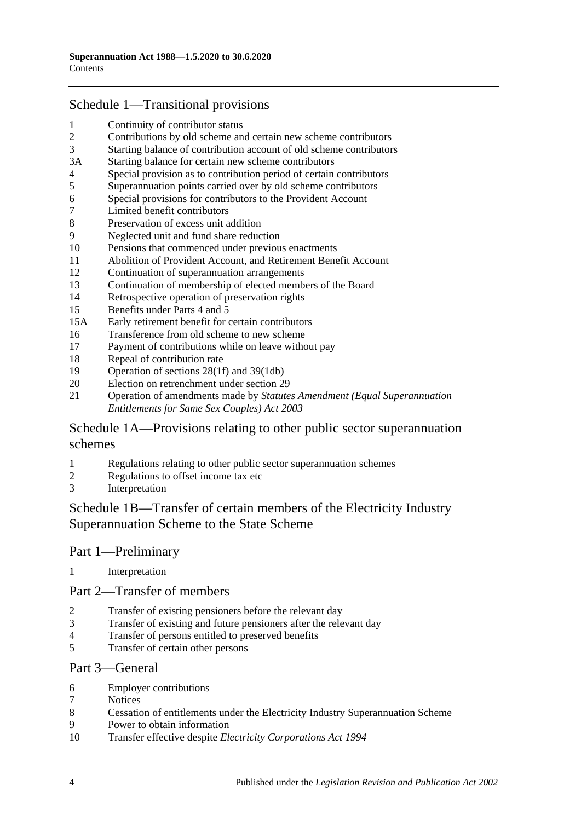## [Schedule 1—Transitional provisions](#page-108-0)

- [Continuity of contributor status](#page-108-1)<br>2 Contributions by old scheme an
- [Contributions by old scheme and certain new scheme contributors](#page-108-2)
- [Starting balance of contribution account of old scheme contributors](#page-109-0)
- 3A [Starting balance for certain new scheme contributors](#page-109-1)
- [Special provision as to contribution period of certain contributors](#page-109-2)
- [Superannuation points carried over by old scheme contributors](#page-110-0)
- [Special provisions for contributors to the](#page-111-0) Provident Account
- [Limited benefit contributors](#page-112-0)
- [Preservation of excess unit addition](#page-113-0)
- [Neglected unit and fund share reduction](#page-113-1)
- [Pensions that commenced under previous enactments](#page-113-2)
- [Abolition of Provident Account, and Retirement Benefit Account](#page-114-0)
- [Continuation of superannuation arrangements](#page-114-1)
- [Continuation of membership of elected members of the Board](#page-114-2)
- [Retrospective operation of preservation rights](#page-114-3)
- [Benefits under Parts 4](#page-114-4) and [5](#page-114-4)
- 15A [Early retirement benefit for certain contributors](#page-115-0)
- [Transference from old scheme to new scheme](#page-116-0)
- [Payment of contributions while on leave without pay](#page-117-0)
- [Repeal of contribution rate](#page-117-1)
- [Operation of sections](#page-118-0) 28(1f) and [39\(1db\)](#page-118-0)
- [Election on retrenchment under section](#page-118-1) 29
- Operation of amendments made by *[Statutes Amendment \(Equal Superannuation](#page-118-2)  [Entitlements for Same Sex Couples\) Act 2003](#page-118-2)*

### [Schedule 1A—Provisions relating to other public sector superannuation](#page-118-3)  [schemes](#page-118-3)

- [Regulations relating to other public sector superannuation schemes](#page-118-4)<br>2 Regulations to offset income tax etc
- [Regulations to offset income tax etc](#page-119-0)
- [Interpretation](#page-119-1)

## [Schedule 1B—Transfer of certain members of the Electricity Industry](#page-119-2)  [Superannuation Scheme to the State Scheme](#page-119-2)

#### Part 1—Preliminary

[Interpretation](#page-119-3)

#### Part 2—Transfer of members

- [Transfer of existing pensioners before the relevant day](#page-120-0)
- [Transfer of existing and future pensioners after the relevant day](#page-121-0)
- [Transfer of persons entitled to preserved benefits](#page-123-0)<br>5 Transfer of certain other persons
- [Transfer of certain other persons](#page-125-0)

#### Part 3—General

- [Employer contributions](#page-126-0)
- [Notices](#page-127-0)
- [Cessation of entitlements under the Electricity Industry Superannuation Scheme](#page-127-1)
- [Power to obtain information](#page-127-2)
- Transfer effective despite *[Electricity Corporations Act](#page-127-3) 1994*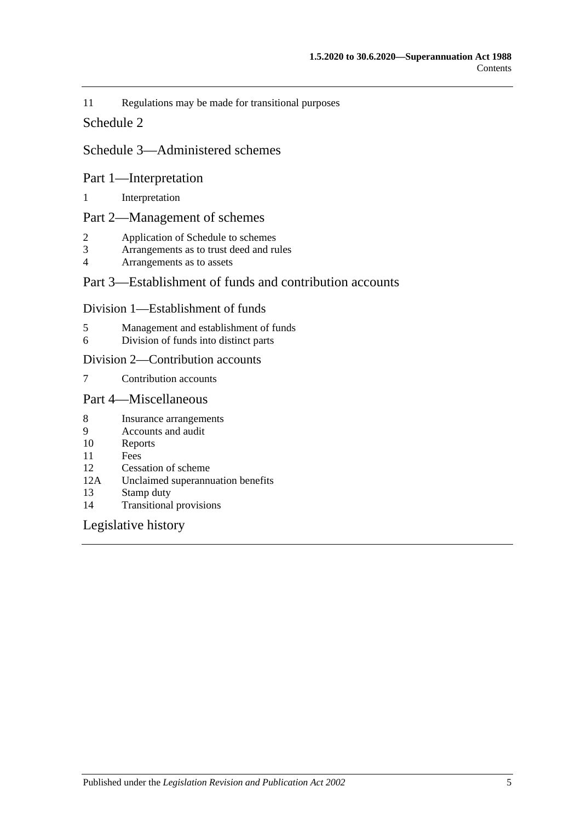11 [Regulations may be made for transitional purposes](#page-127-4)

#### [Schedule 2](#page-128-0)

#### [Schedule 3—Administered schemes](#page-132-0)

#### Part 1—Interpretation

1 [Interpretation](#page-132-1)

#### Part 2—Management of schemes

- 2 [Application of Schedule to schemes](#page-133-0)
- 3 [Arrangements as to trust deed and rules](#page-134-0)<br>4 Arrangements as to assets
- [Arrangements as to assets](#page-135-0)

#### Part 3—Establishment of funds and contribution accounts

#### Division 1—Establishment of funds

- 5 [Management and establishment of funds](#page-135-1)
- 6 [Division of funds into distinct parts](#page-136-0)

#### Division 2—Contribution accounts

7 [Contribution accounts](#page-137-0)

#### Part 4—Miscellaneous

- 8 [Insurance arrangements](#page-137-1)
- 9 [Accounts and audit](#page-138-0)<br>10 Reports
- **[Reports](#page-138-1)**
- 11 [Fees](#page-138-2)
- 12 [Cessation of scheme](#page-139-0)
- 12A [Unclaimed superannuation benefits](#page-139-1)
- 13 [Stamp duty](#page-139-2)
- 14 [Transitional provisions](#page-139-3)

#### [Legislative history](#page-140-0)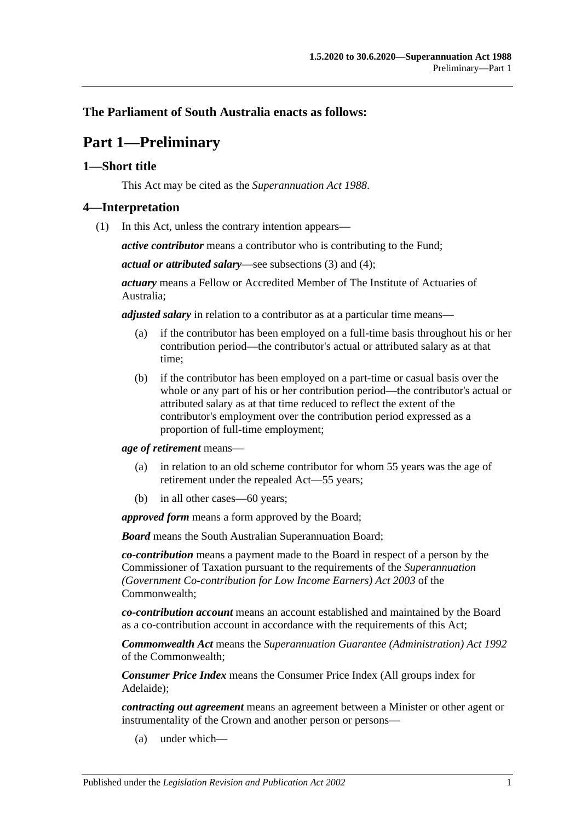### <span id="page-6-0"></span>**The Parliament of South Australia enacts as follows:**

## **Part 1—Preliminary**

#### <span id="page-6-1"></span>**1—Short title**

This Act may be cited as the *Superannuation Act 1988*.

#### <span id="page-6-3"></span><span id="page-6-2"></span>**4—Interpretation**

(1) In this Act, unless the contrary intention appears—

*active contributor* means a contributor who is contributing to the Fund;

*actual or attributed salary*—see [subsections](#page-11-0) (3) and [\(4\);](#page-11-1)

*actuary* means a Fellow or Accredited Member of The Institute of Actuaries of Australia;

*adjusted salary* in relation to a contributor as at a particular time means—

- (a) if the contributor has been employed on a full-time basis throughout his or her contribution period—the contributor's actual or attributed salary as at that time;
- (b) if the contributor has been employed on a part-time or casual basis over the whole or any part of his or her contribution period—the contributor's actual or attributed salary as at that time reduced to reflect the extent of the contributor's employment over the contribution period expressed as a proportion of full-time employment;

*age of retirement* means—

- (a) in relation to an old scheme contributor for whom 55 years was the age of retirement under the repealed Act—55 years;
- (b) in all other cases—60 years;

*approved form* means a form approved by the Board;

*Board* means the South Australian Superannuation Board;

*co-contribution* means a payment made to the Board in respect of a person by the Commissioner of Taxation pursuant to the requirements of the *Superannuation (Government Co-contribution for Low Income Earners) Act 2003* of the Commonwealth;

*co-contribution account* means an account established and maintained by the Board as a co-contribution account in accordance with the requirements of this Act;

*Commonwealth Act* means the *Superannuation Guarantee (Administration) Act 1992* of the Commonwealth;

*Consumer Price Index* means the Consumer Price Index (All groups index for Adelaide);

*contracting out agreement* means an agreement between a Minister or other agent or instrumentality of the Crown and another person or persons—

(a) under which—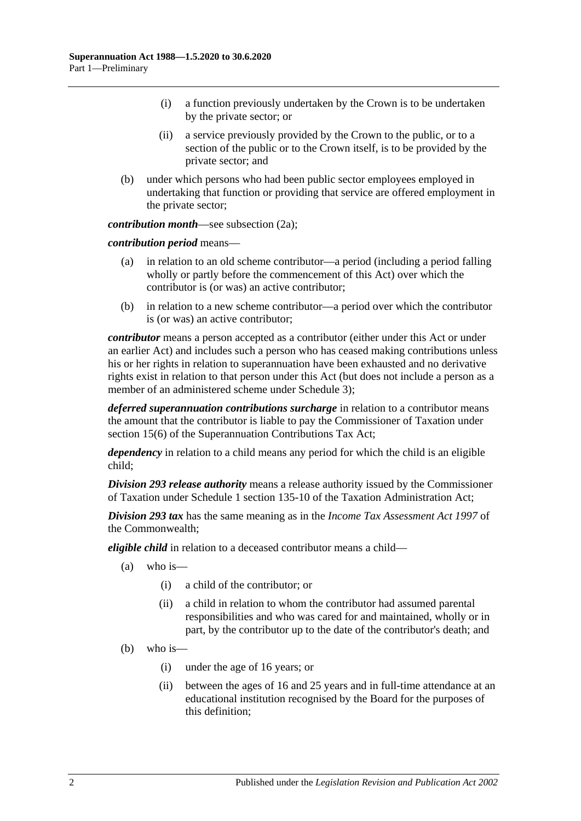- (i) a function previously undertaken by the Crown is to be undertaken by the private sector; or
- (ii) a service previously provided by the Crown to the public, or to a section of the public or to the Crown itself, is to be provided by the private sector; and
- (b) under which persons who had been public sector employees employed in undertaking that function or providing that service are offered employment in the private sector;

*contribution month—see [subsection](#page-11-2) (2a)*;

*contribution period* means—

- (a) in relation to an old scheme contributor—a period (including a period falling wholly or partly before the commencement of this Act) over which the contributor is (or was) an active contributor;
- (b) in relation to a new scheme contributor—a period over which the contributor is (or was) an active contributor;

*contributor* means a person accepted as a contributor (either under this Act or under an earlier Act) and includes such a person who has ceased making contributions unless his or her rights in relation to superannuation have been exhausted and no derivative rights exist in relation to that person under this Act (but does not include a person as a member of an administered scheme under [Schedule](#page-132-0) 3);

*deferred superannuation contributions surcharge* in relation to a contributor means the amount that the contributor is liable to pay the Commissioner of Taxation under section 15(6) of the Superannuation Contributions Tax Act;

*dependency* in relation to a child means any period for which the child is an eligible child;

*Division 293 release authority* means a release authority issued by the Commissioner of Taxation under Schedule 1 section 135-10 of the Taxation Administration Act;

*Division 293 tax* has the same meaning as in the *Income Tax Assessment Act 1997* of the Commonwealth;

*eligible child* in relation to a deceased contributor means a child—

- (a) who is—
	- (i) a child of the contributor; or
	- (ii) a child in relation to whom the contributor had assumed parental responsibilities and who was cared for and maintained, wholly or in part, by the contributor up to the date of the contributor's death; and
- (b) who is—
	- (i) under the age of 16 years; or
	- (ii) between the ages of 16 and 25 years and in full-time attendance at an educational institution recognised by the Board for the purposes of this definition;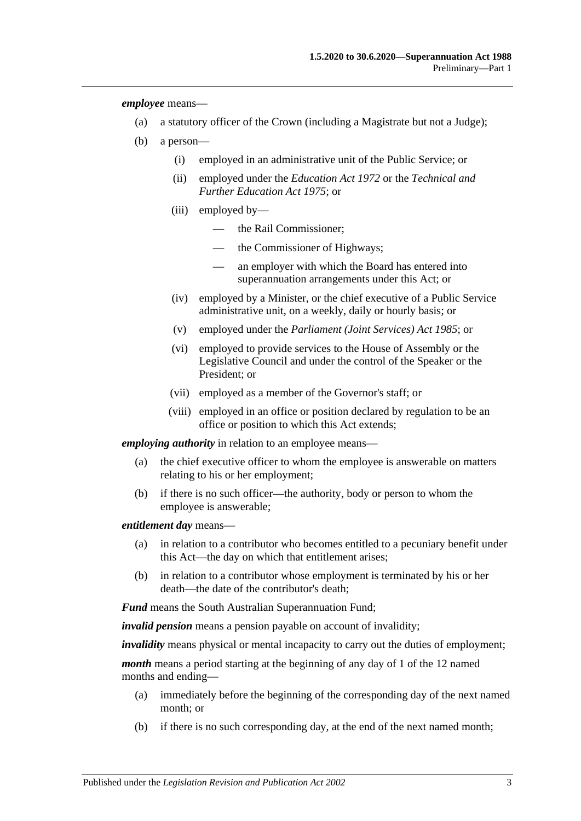*employee* means—

- (a) a statutory officer of the Crown (including a Magistrate but not a Judge);
- (b) a person—
	- (i) employed in an administrative unit of the Public Service; or
	- (ii) employed under the *[Education Act](http://www.legislation.sa.gov.au/index.aspx?action=legref&type=act&legtitle=Education%20Act%201972) 1972* or the *[Technical and](http://www.legislation.sa.gov.au/index.aspx?action=legref&type=act&legtitle=Technical%20and%20Further%20Education%20Act%201975)  [Further Education Act](http://www.legislation.sa.gov.au/index.aspx?action=legref&type=act&legtitle=Technical%20and%20Further%20Education%20Act%201975) 1975*; or
	- (iii) employed by
		- the Rail Commissioner;
		- the Commissioner of Highways;
		- an employer with which the Board has entered into superannuation arrangements under this Act; or
	- (iv) employed by a Minister, or the chief executive of a Public Service administrative unit, on a weekly, daily or hourly basis; or
	- (v) employed under the *[Parliament \(Joint Services\) Act](http://www.legislation.sa.gov.au/index.aspx?action=legref&type=act&legtitle=Parliament%20(Joint%20Services)%20Act%201985) 1985*; or
	- (vi) employed to provide services to the House of Assembly or the Legislative Council and under the control of the Speaker or the President; or
	- (vii) employed as a member of the Governor's staff; or
	- (viii) employed in an office or position declared by regulation to be an office or position to which this Act extends;

*employing authority* in relation to an employee means—

- (a) the chief executive officer to whom the employee is answerable on matters relating to his or her employment;
- (b) if there is no such officer—the authority, body or person to whom the employee is answerable;

*entitlement day* means—

- (a) in relation to a contributor who becomes entitled to a pecuniary benefit under this Act—the day on which that entitlement arises;
- (b) in relation to a contributor whose employment is terminated by his or her death—the date of the contributor's death;

*Fund* means the South Australian Superannuation Fund;

*invalid pension* means a pension payable on account of invalidity;

*invalidity* means physical or mental incapacity to carry out the duties of employment;

*month* means a period starting at the beginning of any day of 1 of the 12 named months and ending—

- (a) immediately before the beginning of the corresponding day of the next named month; or
- (b) if there is no such corresponding day, at the end of the next named month;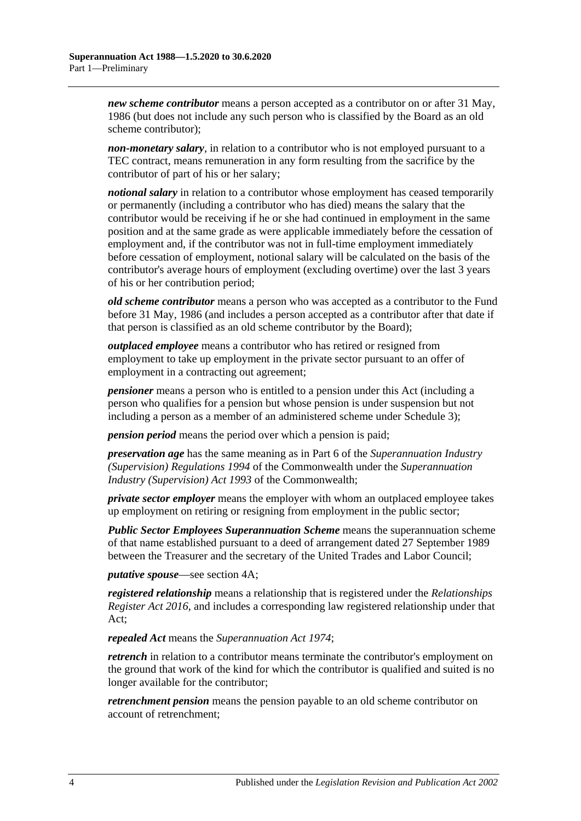*new scheme contributor* means a person accepted as a contributor on or after 31 May, 1986 (but does not include any such person who is classified by the Board as an old scheme contributor);

*non-monetary salary*, in relation to a contributor who is not employed pursuant to a TEC contract, means remuneration in any form resulting from the sacrifice by the contributor of part of his or her salary;

*notional salary* in relation to a contributor whose employment has ceased temporarily or permanently (including a contributor who has died) means the salary that the contributor would be receiving if he or she had continued in employment in the same position and at the same grade as were applicable immediately before the cessation of employment and, if the contributor was not in full-time employment immediately before cessation of employment, notional salary will be calculated on the basis of the contributor's average hours of employment (excluding overtime) over the last 3 years of his or her contribution period;

*old scheme contributor* means a person who was accepted as a contributor to the Fund before 31 May, 1986 (and includes a person accepted as a contributor after that date if that person is classified as an old scheme contributor by the Board);

*outplaced employee* means a contributor who has retired or resigned from employment to take up employment in the private sector pursuant to an offer of employment in a contracting out agreement;

*pensioner* means a person who is entitled to a pension under this Act (including a person who qualifies for a pension but whose pension is under suspension but not including a person as a member of an administered scheme under [Schedule 3\)](#page-132-0);

*pension period* means the period over which a pension is paid;

*preservation age* has the same meaning as in Part 6 of the *Superannuation Industry (Supervision) Regulations 1994* of the Commonwealth under the *Superannuation Industry (Supervision) Act 1993* of the Commonwealth;

*private sector employer* means the employer with whom an outplaced employee takes up employment on retiring or resigning from employment in the public sector;

*Public Sector Employees Superannuation Scheme* means the superannuation scheme of that name established pursuant to a deed of arrangement dated 27 September 1989 between the Treasurer and the secretary of the United Trades and Labor Council;

*putative spouse*—see [section](#page-14-0) 4A;

*registered relationship* means a relationship that is registered under the *[Relationships](http://www.legislation.sa.gov.au/index.aspx?action=legref&type=act&legtitle=Relationships%20Register%20Act%202016)  [Register Act](http://www.legislation.sa.gov.au/index.aspx?action=legref&type=act&legtitle=Relationships%20Register%20Act%202016) 2016*, and includes a corresponding law registered relationship under that Act;

*repealed Act* means the *[Superannuation Act](http://www.legislation.sa.gov.au/index.aspx?action=legref&type=act&legtitle=Superannuation%20Act%201974) 1974*;

*retrench* in relation to a contributor means terminate the contributor's employment on the ground that work of the kind for which the contributor is qualified and suited is no longer available for the contributor;

*retrenchment pension* means the pension payable to an old scheme contributor on account of retrenchment;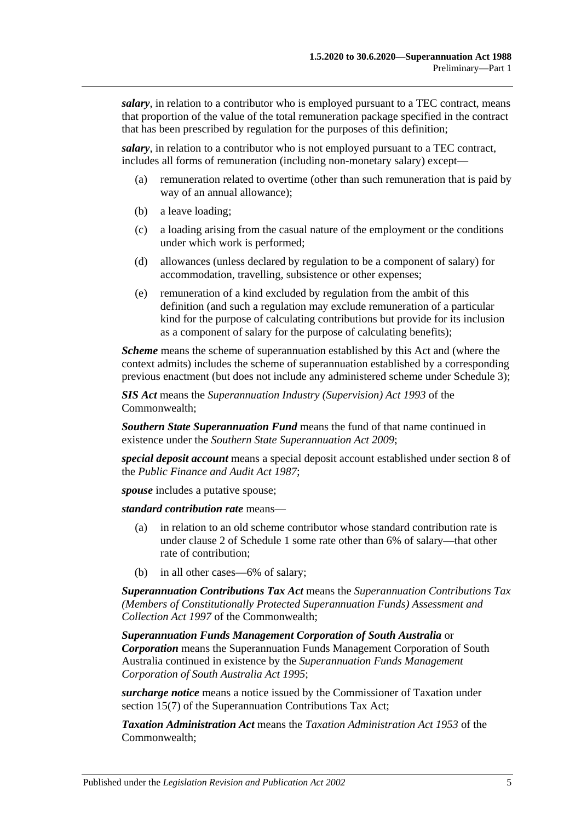*salary*, in relation to a contributor who is employed pursuant to a TEC contract, means that proportion of the value of the total remuneration package specified in the contract that has been prescribed by regulation for the purposes of this definition;

*salary*, in relation to a contributor who is not employed pursuant to a TEC contract, includes all forms of remuneration (including non-monetary salary) except—

- (a) remuneration related to overtime (other than such remuneration that is paid by way of an annual allowance);
- (b) a leave loading;
- (c) a loading arising from the casual nature of the employment or the conditions under which work is performed;
- (d) allowances (unless declared by regulation to be a component of salary) for accommodation, travelling, subsistence or other expenses;
- (e) remuneration of a kind excluded by regulation from the ambit of this definition (and such a regulation may exclude remuneration of a particular kind for the purpose of calculating contributions but provide for its inclusion as a component of salary for the purpose of calculating benefits);

*Scheme* means the scheme of superannuation established by this Act and (where the context admits) includes the scheme of superannuation established by a corresponding previous enactment (but does not include any administered scheme under [Schedule 3\)](#page-132-0);

*SIS Act* means the *Superannuation Industry (Supervision) Act 1993* of the Commonwealth;

*Southern State Superannuation Fund* means the fund of that name continued in existence under the *[Southern State Superannuation Act](http://www.legislation.sa.gov.au/index.aspx?action=legref&type=act&legtitle=Southern%20State%20Superannuation%20Act%202009) 2009*;

*special deposit account* means a special deposit account established under section 8 of the *[Public Finance and Audit Act](http://www.legislation.sa.gov.au/index.aspx?action=legref&type=act&legtitle=Public%20Finance%20and%20Audit%20Act%201987) 1987*;

*spouse* includes a putative spouse:

*standard contribution rate* means—

- (a) in relation to an old scheme contributor whose standard contribution rate is under [clause](#page-108-2) 2 of [Schedule 1](#page-108-0) some rate other than 6% of salary—that other rate of contribution;
- (b) in all other cases—6% of salary;

*Superannuation Contributions Tax Act* means the *Superannuation Contributions Tax (Members of Constitutionally Protected Superannuation Funds) Assessment and Collection Act 1997* of the Commonwealth;

*Superannuation Funds Management Corporation of South Australia* or *Corporation* means the Superannuation Funds Management Corporation of South Australia continued in existence by the *[Superannuation Funds Management](http://www.legislation.sa.gov.au/index.aspx?action=legref&type=act&legtitle=Superannuation%20Funds%20Management%20Corporation%20of%20South%20Australia%20Act%201995)  [Corporation of South Australia Act](http://www.legislation.sa.gov.au/index.aspx?action=legref&type=act&legtitle=Superannuation%20Funds%20Management%20Corporation%20of%20South%20Australia%20Act%201995) 1995*;

*surcharge notice* means a notice issued by the Commissioner of Taxation under section 15(7) of the Superannuation Contributions Tax Act:

*Taxation Administration Act* means the *Taxation Administration Act 1953* of the Commonwealth;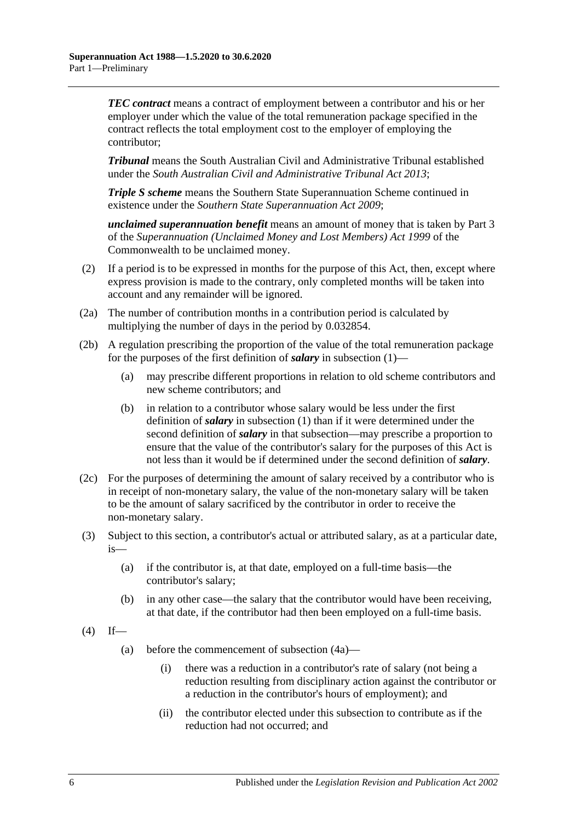*TEC contract* means a contract of employment between a contributor and his or her employer under which the value of the total remuneration package specified in the contract reflects the total employment cost to the employer of employing the contributor;

*Tribunal* means the South Australian Civil and Administrative Tribunal established under the *[South Australian Civil and Administrative Tribunal Act](http://www.legislation.sa.gov.au/index.aspx?action=legref&type=act&legtitle=South%20Australian%20Civil%20and%20Administrative%20Tribunal%20Act%202013) 2013*;

*Triple S scheme* means the Southern State Superannuation Scheme continued in existence under the *[Southern State Superannuation Act](http://www.legislation.sa.gov.au/index.aspx?action=legref&type=act&legtitle=Southern%20State%20Superannuation%20Act%202009) 2009*;

*unclaimed superannuation benefit* means an amount of money that is taken by Part 3 of the *Superannuation (Unclaimed Money and Lost Members) Act 1999* of the Commonwealth to be unclaimed money.

- (2) If a period is to be expressed in months for the purpose of this Act, then, except where express provision is made to the contrary, only completed months will be taken into account and any remainder will be ignored.
- <span id="page-11-2"></span>(2a) The number of contribution months in a contribution period is calculated by multiplying the number of days in the period by 0.032854.
- (2b) A regulation prescribing the proportion of the value of the total remuneration package for the purposes of the first definition of *salary* in [subsection](#page-6-3) (1)—
	- (a) may prescribe different proportions in relation to old scheme contributors and new scheme contributors; and
	- (b) in relation to a contributor whose salary would be less under the first definition of *salary* in [subsection](#page-6-3) (1) than if it were determined under the second definition of *salary* in that subsection—may prescribe a proportion to ensure that the value of the contributor's salary for the purposes of this Act is not less than it would be if determined under the second definition of *salary*.
- (2c) For the purposes of determining the amount of salary received by a contributor who is in receipt of non-monetary salary, the value of the non-monetary salary will be taken to be the amount of salary sacrificed by the contributor in order to receive the non-monetary salary.
- <span id="page-11-0"></span>(3) Subject to this section, a contributor's actual or attributed salary, as at a particular date, is—
	- (a) if the contributor is, at that date, employed on a full-time basis—the contributor's salary;
	- (b) in any other case—the salary that the contributor would have been receiving, at that date, if the contributor had then been employed on a full-time basis.
- <span id="page-11-1"></span> $(4)$  If—
	- (a) before the commencement of [subsection](#page-12-0) (4a)—
		- (i) there was a reduction in a contributor's rate of salary (not being a reduction resulting from disciplinary action against the contributor or a reduction in the contributor's hours of employment); and
		- (ii) the contributor elected under this subsection to contribute as if the reduction had not occurred; and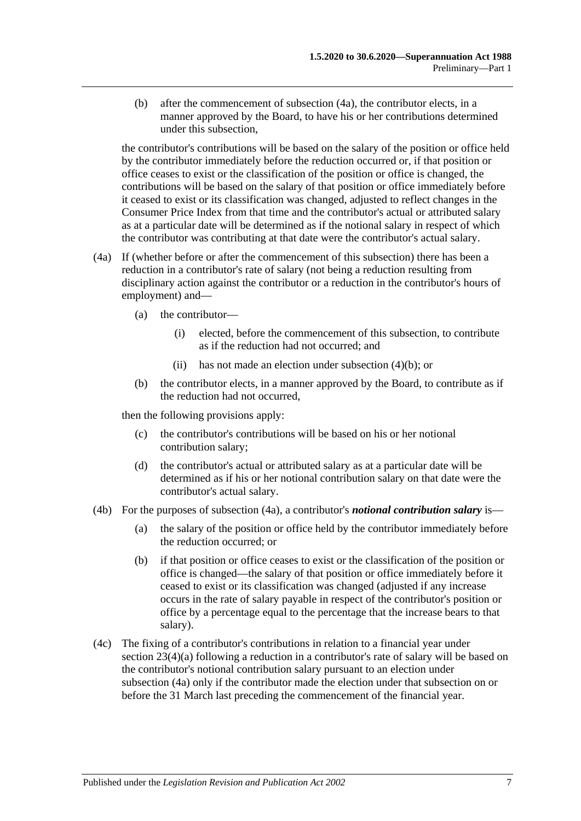<span id="page-12-1"></span>(b) after the commencement of [subsection](#page-12-0) (4a), the contributor elects, in a manner approved by the Board, to have his or her contributions determined under this subsection,

the contributor's contributions will be based on the salary of the position or office held by the contributor immediately before the reduction occurred or, if that position or office ceases to exist or the classification of the position or office is changed, the contributions will be based on the salary of that position or office immediately before it ceased to exist or its classification was changed, adjusted to reflect changes in the Consumer Price Index from that time and the contributor's actual or attributed salary as at a particular date will be determined as if the notional salary in respect of which the contributor was contributing at that date were the contributor's actual salary.

- <span id="page-12-0"></span>(4a) If (whether before or after the commencement of this subsection) there has been a reduction in a contributor's rate of salary (not being a reduction resulting from disciplinary action against the contributor or a reduction in the contributor's hours of employment) and—
	- (a) the contributor—
		- (i) elected, before the commencement of this subsection, to contribute as if the reduction had not occurred; and
		- (ii) has not made an election under [subsection](#page-12-1) (4)(b); or
	- (b) the contributor elects, in a manner approved by the Board, to contribute as if the reduction had not occurred,

then the following provisions apply:

- (c) the contributor's contributions will be based on his or her notional contribution salary;
- (d) the contributor's actual or attributed salary as at a particular date will be determined as if his or her notional contribution salary on that date were the contributor's actual salary.
- (4b) For the purposes of [subsection](#page-12-0) (4a), a contributor's *notional contribution salary* is—
	- (a) the salary of the position or office held by the contributor immediately before the reduction occurred; or
	- (b) if that position or office ceases to exist or the classification of the position or office is changed—the salary of that position or office immediately before it ceased to exist or its classification was changed (adjusted if any increase occurs in the rate of salary payable in respect of the contributor's position or office by a percentage equal to the percentage that the increase bears to that salary).
- (4c) The fixing of a contributor's contributions in relation to a financial year under section [23\(4\)\(a\)](#page-27-0) following a reduction in a contributor's rate of salary will be based on the contributor's notional contribution salary pursuant to an election under [subsection](#page-12-0) (4a) only if the contributor made the election under that subsection on or before the 31 March last preceding the commencement of the financial year.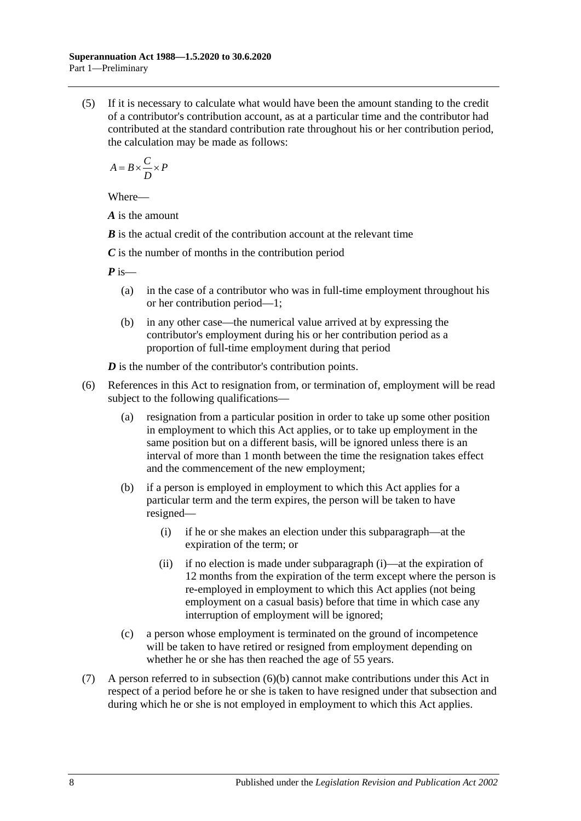(5) If it is necessary to calculate what would have been the amount standing to the credit of a contributor's contribution account, as at a particular time and the contributor had contributed at the standard contribution rate throughout his or her contribution period, the calculation may be made as follows:

$$
A = B \times \frac{C}{D} \times P
$$

Where—

*A* is the amount

*B* is the actual credit of the contribution account at the relevant time

*C* is the number of months in the contribution period

*P* is—

- (a) in the case of a contributor who was in full-time employment throughout his or her contribution period—1;
- (b) in any other case—the numerical value arrived at by expressing the contributor's employment during his or her contribution period as a proportion of full-time employment during that period

*D* is the number of the contributor's contribution points.

- <span id="page-13-1"></span><span id="page-13-0"></span>(6) References in this Act to resignation from, or termination of, employment will be read subject to the following qualifications—
	- (a) resignation from a particular position in order to take up some other position in employment to which this Act applies, or to take up employment in the same position but on a different basis, will be ignored unless there is an interval of more than 1 month between the time the resignation takes effect and the commencement of the new employment;
	- (b) if a person is employed in employment to which this Act applies for a particular term and the term expires, the person will be taken to have resigned—
		- (i) if he or she makes an election under this subparagraph—at the expiration of the term; or
		- (ii) if no election is made under [subparagraph](#page-13-0) (i)—at the expiration of 12 months from the expiration of the term except where the person is re-employed in employment to which this Act applies (not being employment on a casual basis) before that time in which case any interruption of employment will be ignored;
	- (c) a person whose employment is terminated on the ground of incompetence will be taken to have retired or resigned from employment depending on whether he or she has then reached the age of 55 years.
- (7) A person referred to in [subsection](#page-13-1) (6)(b) cannot make contributions under this Act in respect of a period before he or she is taken to have resigned under that subsection and during which he or she is not employed in employment to which this Act applies.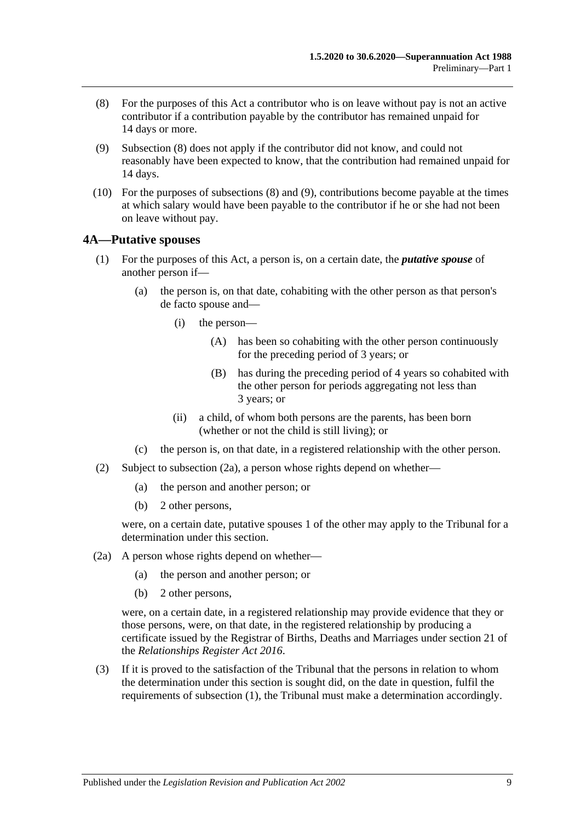- <span id="page-14-1"></span>(8) For the purposes of this Act a contributor who is on leave without pay is not an active contributor if a contribution payable by the contributor has remained unpaid for 14 days or more.
- <span id="page-14-2"></span>(9) [Subsection](#page-14-1) (8) does not apply if the contributor did not know, and could not reasonably have been expected to know, that the contribution had remained unpaid for 14 days.
- (10) For the purposes of [subsections](#page-14-1) (8) and [\(9\),](#page-14-2) contributions become payable at the times at which salary would have been payable to the contributor if he or she had not been on leave without pay.

#### <span id="page-14-4"></span><span id="page-14-0"></span>**4A—Putative spouses**

- (1) For the purposes of this Act, a person is, on a certain date, the *putative spouse* of another person if—
	- (a) the person is, on that date, cohabiting with the other person as that person's de facto spouse and—
		- (i) the person—
			- (A) has been so cohabiting with the other person continuously for the preceding period of 3 years; or
			- (B) has during the preceding period of 4 years so cohabited with the other person for periods aggregating not less than 3 years; or
		- (ii) a child, of whom both persons are the parents, has been born (whether or not the child is still living); or
	- (c) the person is, on that date, in a registered relationship with the other person.
- (2) Subject to [subsection](#page-14-3) (2a), a person whose rights depend on whether—
	- (a) the person and another person; or
	- (b) 2 other persons,

were, on a certain date, putative spouses 1 of the other may apply to the Tribunal for a determination under this section.

- <span id="page-14-3"></span>(2a) A person whose rights depend on whether—
	- (a) the person and another person; or
		- (b) 2 other persons,

were, on a certain date, in a registered relationship may provide evidence that they or those persons, were, on that date, in the registered relationship by producing a certificate issued by the Registrar of Births, Deaths and Marriages under section 21 of the *[Relationships Register Act](http://www.legislation.sa.gov.au/index.aspx?action=legref&type=act&legtitle=Relationships%20Register%20Act%202016) 2016*.

(3) If it is proved to the satisfaction of the Tribunal that the persons in relation to whom the determination under this section is sought did, on the date in question, fulfil the requirements of [subsection](#page-14-4) (1), the Tribunal must make a determination accordingly.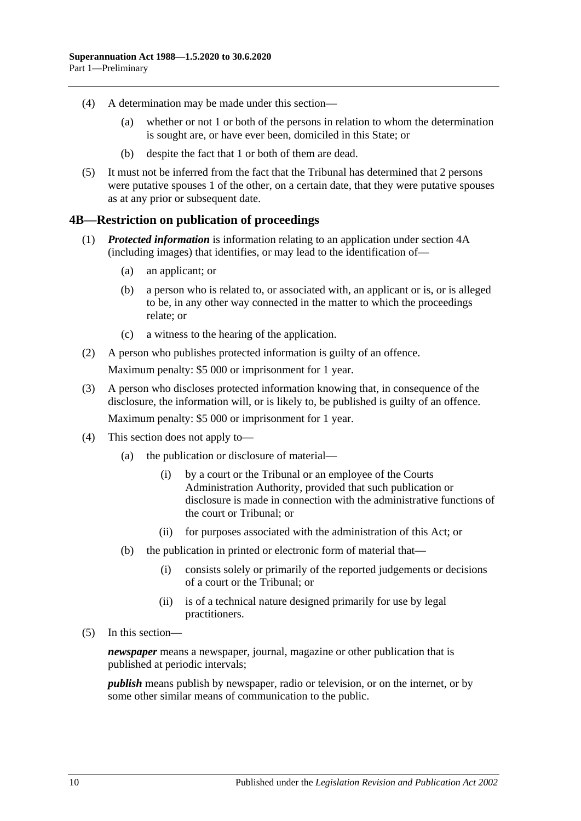- (4) A determination may be made under this section—
	- (a) whether or not 1 or both of the persons in relation to whom the determination is sought are, or have ever been, domiciled in this State; or
	- (b) despite the fact that 1 or both of them are dead.
- (5) It must not be inferred from the fact that the Tribunal has determined that 2 persons were putative spouses 1 of the other, on a certain date, that they were putative spouses as at any prior or subsequent date.

#### <span id="page-15-0"></span>**4B—Restriction on publication of proceedings**

- (1) *Protected information* is information relating to an application under [section](#page-14-0) 4A (including images) that identifies, or may lead to the identification of—
	- (a) an applicant; or
	- (b) a person who is related to, or associated with, an applicant or is, or is alleged to be, in any other way connected in the matter to which the proceedings relate; or
	- (c) a witness to the hearing of the application.
- (2) A person who publishes protected information is guilty of an offence. Maximum penalty: \$5 000 or imprisonment for 1 year.
- (3) A person who discloses protected information knowing that, in consequence of the disclosure, the information will, or is likely to, be published is guilty of an offence. Maximum penalty: \$5 000 or imprisonment for 1 year.
- (4) This section does not apply to—
	- (a) the publication or disclosure of material—
		- (i) by a court or the Tribunal or an employee of the Courts Administration Authority, provided that such publication or disclosure is made in connection with the administrative functions of the court or Tribunal; or
		- (ii) for purposes associated with the administration of this Act; or
	- (b) the publication in printed or electronic form of material that—
		- (i) consists solely or primarily of the reported judgements or decisions of a court or the Tribunal; or
		- (ii) is of a technical nature designed primarily for use by legal practitioners.
- (5) In this section—

*newspaper* means a newspaper, journal, magazine or other publication that is published at periodic intervals;

*publish* means publish by newspaper, radio or television, or on the internet, or by some other similar means of communication to the public.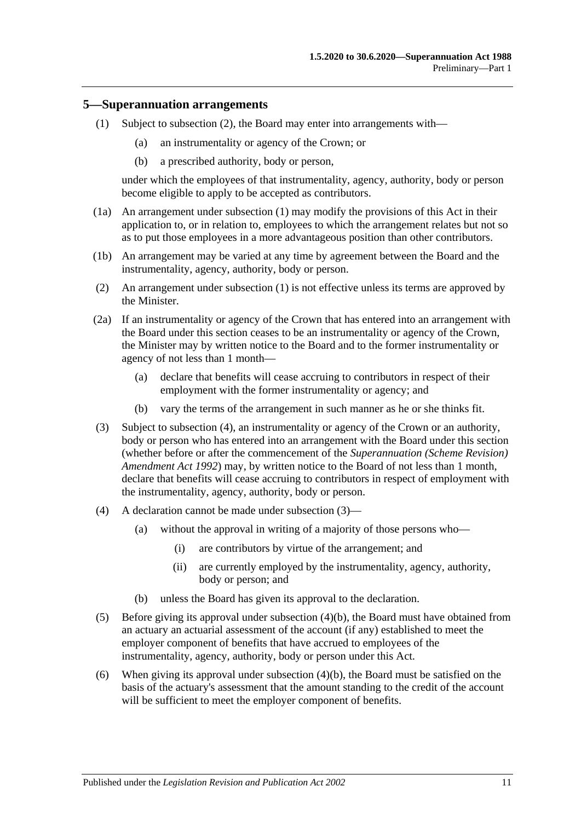#### <span id="page-16-2"></span><span id="page-16-0"></span>**5—Superannuation arrangements**

- (1) Subject to [subsection](#page-16-1) (2), the Board may enter into arrangements with—
	- (a) an instrumentality or agency of the Crown; or
	- (b) a prescribed authority, body or person,

under which the employees of that instrumentality, agency, authority, body or person become eligible to apply to be accepted as contributors.

- (1a) An arrangement under [subsection](#page-16-2) (1) may modify the provisions of this Act in their application to, or in relation to, employees to which the arrangement relates but not so as to put those employees in a more advantageous position than other contributors.
- (1b) An arrangement may be varied at any time by agreement between the Board and the instrumentality, agency, authority, body or person.
- <span id="page-16-1"></span>(2) An arrangement under [subsection](#page-16-2) (1) is not effective unless its terms are approved by the Minister.
- <span id="page-16-6"></span>(2a) If an instrumentality or agency of the Crown that has entered into an arrangement with the Board under this section ceases to be an instrumentality or agency of the Crown, the Minister may by written notice to the Board and to the former instrumentality or agency of not less than 1 month—
	- (a) declare that benefits will cease accruing to contributors in respect of their employment with the former instrumentality or agency; and
	- (b) vary the terms of the arrangement in such manner as he or she thinks fit.
- <span id="page-16-4"></span>(3) Subject to [subsection](#page-16-3) (4), an instrumentality or agency of the Crown or an authority, body or person who has entered into an arrangement with the Board under this section (whether before or after the commencement of the *[Superannuation \(Scheme Revision\)](http://www.legislation.sa.gov.au/index.aspx?action=legref&type=act&legtitle=Superannuation%20(Scheme%20Revision)%20Amendment%20Act%201992)  [Amendment](http://www.legislation.sa.gov.au/index.aspx?action=legref&type=act&legtitle=Superannuation%20(Scheme%20Revision)%20Amendment%20Act%201992) Act 1992*) may, by written notice to the Board of not less than 1 month, declare that benefits will cease accruing to contributors in respect of employment with the instrumentality, agency, authority, body or person.
- <span id="page-16-3"></span>(4) A declaration cannot be made under [subsection](#page-16-4) (3)—
	- (a) without the approval in writing of a majority of those persons who—
		- (i) are contributors by virtue of the arrangement; and
		- (ii) are currently employed by the instrumentality, agency, authority, body or person; and
	- (b) unless the Board has given its approval to the declaration.
- <span id="page-16-5"></span>(5) Before giving its approval under [subsection](#page-16-5) (4)(b), the Board must have obtained from an actuary an actuarial assessment of the account (if any) established to meet the employer component of benefits that have accrued to employees of the instrumentality, agency, authority, body or person under this Act.
- (6) When giving its approval under [subsection](#page-16-5) (4)(b), the Board must be satisfied on the basis of the actuary's assessment that the amount standing to the credit of the account will be sufficient to meet the employer component of benefits.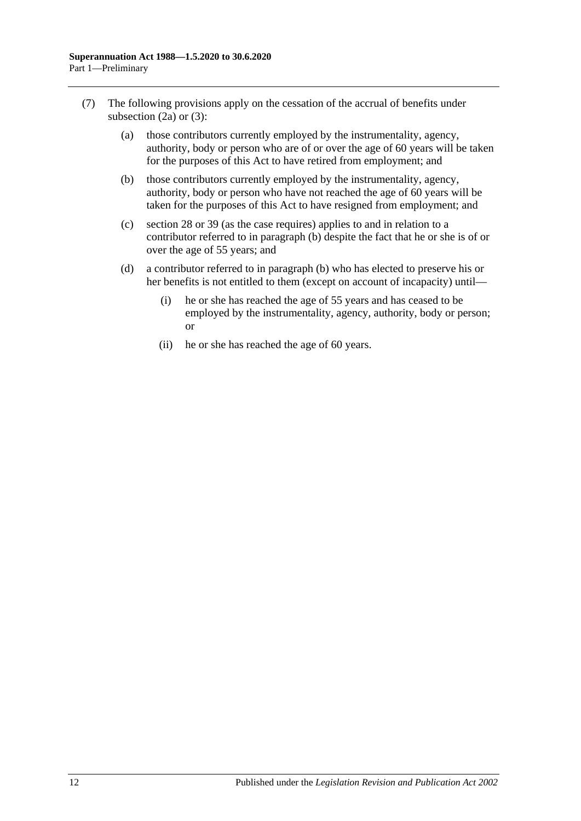- <span id="page-17-0"></span>(7) The following provisions apply on the cessation of the accrual of benefits under [subsection](#page-16-6)  $(2a)$  or  $(3)$ :
	- (a) those contributors currently employed by the instrumentality, agency, authority, body or person who are of or over the age of 60 years will be taken for the purposes of this Act to have retired from employment; and
	- (b) those contributors currently employed by the instrumentality, agency, authority, body or person who have not reached the age of 60 years will be taken for the purposes of this Act to have resigned from employment; and
	- (c) [section](#page-34-0) 28 or [39](#page-71-0) (as the case requires) applies to and in relation to a contributor referred to in [paragraph](#page-17-0) (b) despite the fact that he or she is of or over the age of 55 years; and
	- (d) a contributor referred to in [paragraph](#page-17-0) (b) who has elected to preserve his or her benefits is not entitled to them (except on account of incapacity) until—
		- (i) he or she has reached the age of 55 years and has ceased to be employed by the instrumentality, agency, authority, body or person; or
		- (ii) he or she has reached the age of 60 years.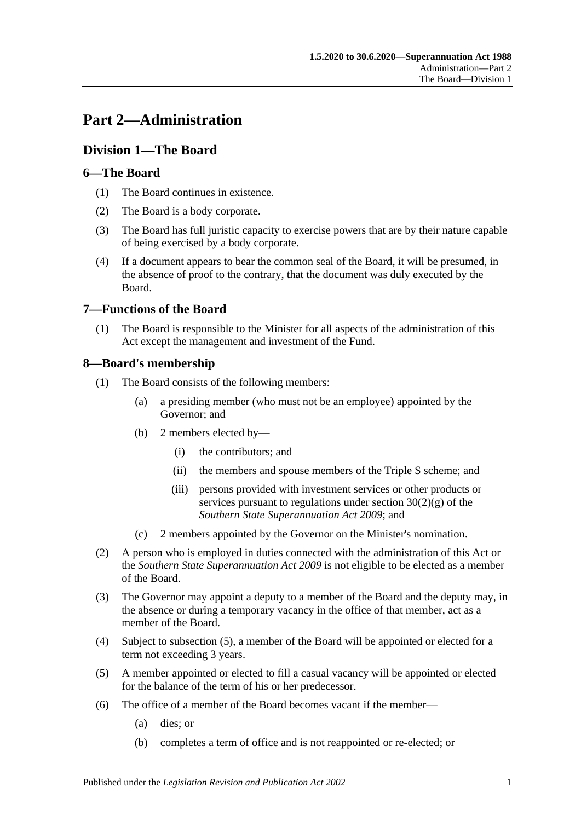## <span id="page-18-0"></span>**Part 2—Administration**

## <span id="page-18-1"></span>**Division 1—The Board**

## <span id="page-18-2"></span>**6—The Board**

- (1) The Board continues in existence.
- (2) The Board is a body corporate.
- (3) The Board has full juristic capacity to exercise powers that are by their nature capable of being exercised by a body corporate.
- (4) If a document appears to bear the common seal of the Board, it will be presumed, in the absence of proof to the contrary, that the document was duly executed by the Board.

## <span id="page-18-3"></span>**7—Functions of the Board**

(1) The Board is responsible to the Minister for all aspects of the administration of this Act except the management and investment of the Fund.

## <span id="page-18-4"></span>**8—Board's membership**

- (1) The Board consists of the following members:
	- (a) a presiding member (who must not be an employee) appointed by the Governor; and
	- (b) 2 members elected by—
		- (i) the contributors; and
		- (ii) the members and spouse members of the Triple S scheme; and
		- (iii) persons provided with investment services or other products or services pursuant to regulations under section  $30(2)(g)$  of the *[Southern State Superannuation Act](http://www.legislation.sa.gov.au/index.aspx?action=legref&type=act&legtitle=Southern%20State%20Superannuation%20Act%202009) 2009*; and
	- (c) 2 members appointed by the Governor on the Minister's nomination.
- (2) A person who is employed in duties connected with the administration of this Act or the *[Southern State Superannuation Act](http://www.legislation.sa.gov.au/index.aspx?action=legref&type=act&legtitle=Southern%20State%20Superannuation%20Act%202009) 2009* is not eligible to be elected as a member of the Board.
- (3) The Governor may appoint a deputy to a member of the Board and the deputy may, in the absence or during a temporary vacancy in the office of that member, act as a member of the Board.
- (4) Subject to [subsection](#page-18-5) (5), a member of the Board will be appointed or elected for a term not exceeding 3 years.
- <span id="page-18-5"></span>(5) A member appointed or elected to fill a casual vacancy will be appointed or elected for the balance of the term of his or her predecessor.
- (6) The office of a member of the Board becomes vacant if the member—
	- (a) dies; or
	- (b) completes a term of office and is not reappointed or re-elected; or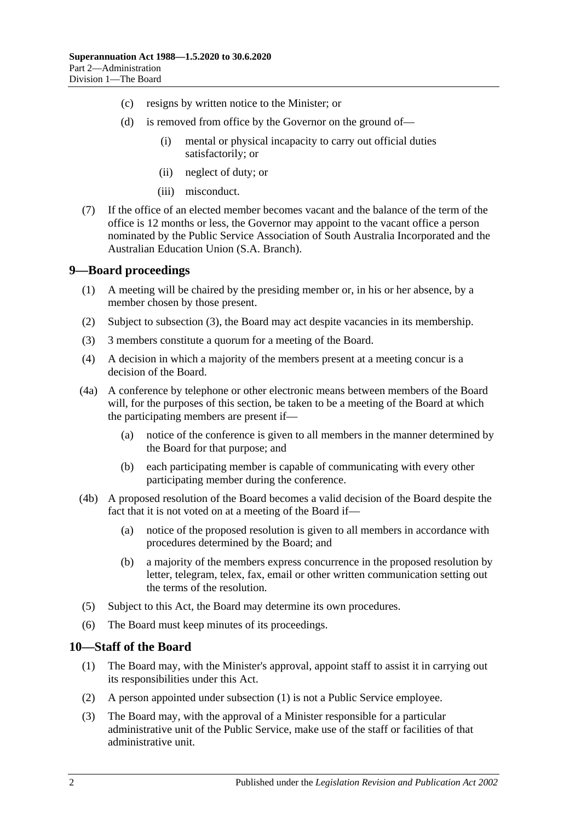- (c) resigns by written notice to the Minister; or
- (d) is removed from office by the Governor on the ground of—
	- (i) mental or physical incapacity to carry out official duties satisfactorily; or
	- (ii) neglect of duty; or
	- (iii) misconduct.
- (7) If the office of an elected member becomes vacant and the balance of the term of the office is 12 months or less, the Governor may appoint to the vacant office a person nominated by the Public Service Association of South Australia Incorporated and the Australian Education Union (S.A. Branch).

#### <span id="page-19-0"></span>**9—Board proceedings**

- (1) A meeting will be chaired by the presiding member or, in his or her absence, by a member chosen by those present.
- (2) Subject to [subsection](#page-19-2) (3), the Board may act despite vacancies in its membership.
- <span id="page-19-2"></span>(3) 3 members constitute a quorum for a meeting of the Board.
- (4) A decision in which a majority of the members present at a meeting concur is a decision of the Board.
- (4a) A conference by telephone or other electronic means between members of the Board will, for the purposes of this section, be taken to be a meeting of the Board at which the participating members are present if—
	- (a) notice of the conference is given to all members in the manner determined by the Board for that purpose; and
	- (b) each participating member is capable of communicating with every other participating member during the conference.
- (4b) A proposed resolution of the Board becomes a valid decision of the Board despite the fact that it is not voted on at a meeting of the Board if—
	- (a) notice of the proposed resolution is given to all members in accordance with procedures determined by the Board; and
	- (b) a majority of the members express concurrence in the proposed resolution by letter, telegram, telex, fax, email or other written communication setting out the terms of the resolution.
- (5) Subject to this Act, the Board may determine its own procedures.
- (6) The Board must keep minutes of its proceedings.

#### <span id="page-19-3"></span><span id="page-19-1"></span>**10—Staff of the Board**

- (1) The Board may, with the Minister's approval, appoint staff to assist it in carrying out its responsibilities under this Act.
- (2) A person appointed under [subsection](#page-19-3) (1) is not a Public Service employee.
- (3) The Board may, with the approval of a Minister responsible for a particular administrative unit of the Public Service, make use of the staff or facilities of that administrative unit.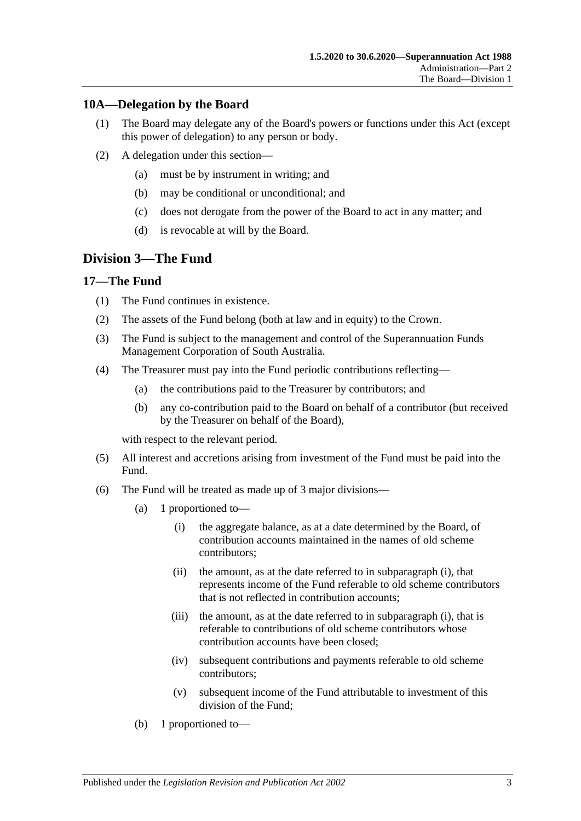#### <span id="page-20-0"></span>**10A—Delegation by the Board**

- (1) The Board may delegate any of the Board's powers or functions under this Act (except this power of delegation) to any person or body.
- (2) A delegation under this section—
	- (a) must be by instrument in writing; and
	- (b) may be conditional or unconditional; and
	- (c) does not derogate from the power of the Board to act in any matter; and
	- (d) is revocable at will by the Board.

## <span id="page-20-1"></span>**Division 3—The Fund**

#### <span id="page-20-2"></span>**17—The Fund**

- (1) The Fund continues in existence.
- (2) The assets of the Fund belong (both at law and in equity) to the Crown.
- (3) The Fund is subject to the management and control of the Superannuation Funds Management Corporation of South Australia.
- (4) The Treasurer must pay into the Fund periodic contributions reflecting—
	- (a) the contributions paid to the Treasurer by contributors; and
	- (b) any co-contribution paid to the Board on behalf of a contributor (but received by the Treasurer on behalf of the Board),

with respect to the relevant period.

- (5) All interest and accretions arising from investment of the Fund must be paid into the Fund.
- <span id="page-20-3"></span>(6) The Fund will be treated as made up of 3 major divisions—
	- (a) 1 proportioned to—
		- (i) the aggregate balance, as at a date determined by the Board, of contribution accounts maintained in the names of old scheme contributors;
		- (ii) the amount, as at the date referred to in [subparagraph](#page-20-3) (i), that represents income of the Fund referable to old scheme contributors that is not reflected in contribution accounts;
		- (iii) the amount, as at the date referred to in [subparagraph](#page-20-3) (i), that is referable to contributions of old scheme contributors whose contribution accounts have been closed;
		- (iv) subsequent contributions and payments referable to old scheme contributors;
		- (v) subsequent income of the Fund attributable to investment of this division of the Fund;
	- (b) 1 proportioned to—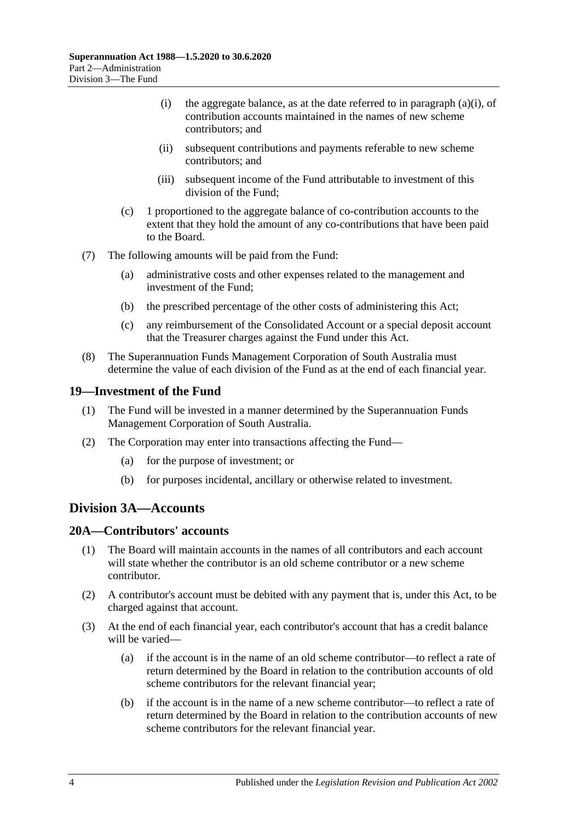- (i) the aggregate balance, as at the date referred to in [paragraph](#page-20-3) (a)(i), of contribution accounts maintained in the names of new scheme contributors; and
- (ii) subsequent contributions and payments referable to new scheme contributors; and
- (iii) subsequent income of the Fund attributable to investment of this division of the Fund;
- (c) 1 proportioned to the aggregate balance of co-contribution accounts to the extent that they hold the amount of any co-contributions that have been paid to the Board.
- (7) The following amounts will be paid from the Fund:
	- (a) administrative costs and other expenses related to the management and investment of the Fund;
	- (b) the prescribed percentage of the other costs of administering this Act;
	- (c) any reimbursement of the Consolidated Account or a special deposit account that the Treasurer charges against the Fund under this Act.
- (8) The Superannuation Funds Management Corporation of South Australia must determine the value of each division of the Fund as at the end of each financial year.

#### <span id="page-21-0"></span>**19—Investment of the Fund**

- (1) The Fund will be invested in a manner determined by the Superannuation Funds Management Corporation of South Australia.
- (2) The Corporation may enter into transactions affecting the Fund—
	- (a) for the purpose of investment; or
	- (b) for purposes incidental, ancillary or otherwise related to investment.

## <span id="page-21-1"></span>**Division 3A—Accounts**

#### <span id="page-21-2"></span>**20A—Contributors' accounts**

- (1) The Board will maintain accounts in the names of all contributors and each account will state whether the contributor is an old scheme contributor or a new scheme contributor.
- (2) A contributor's account must be debited with any payment that is, under this Act, to be charged against that account.
- <span id="page-21-3"></span>(3) At the end of each financial year, each contributor's account that has a credit balance will be varied—
	- (a) if the account is in the name of an old scheme contributor—to reflect a rate of return determined by the Board in relation to the contribution accounts of old scheme contributors for the relevant financial year;
	- (b) if the account is in the name of a new scheme contributor—to reflect a rate of return determined by the Board in relation to the contribution accounts of new scheme contributors for the relevant financial year.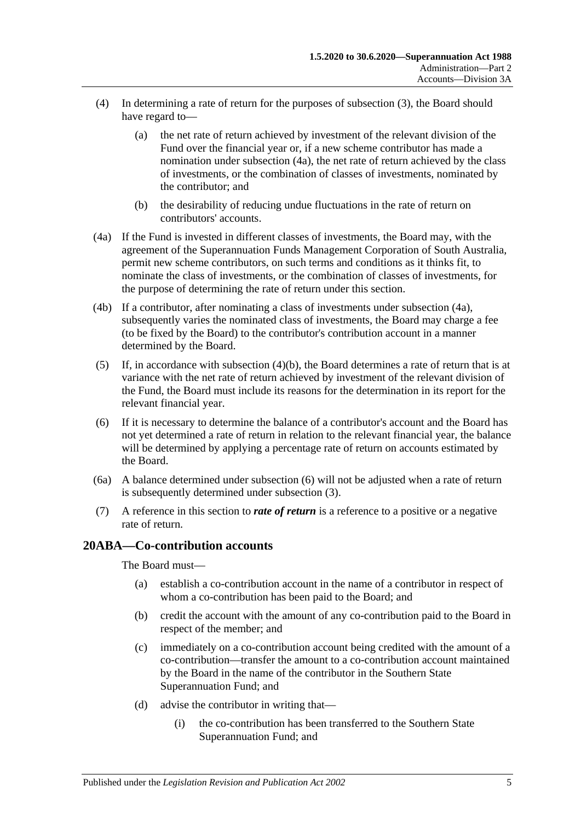- (4) In determining a rate of return for the purposes of [subsection](#page-21-3) (3), the Board should have regard to—
	- (a) the net rate of return achieved by investment of the relevant division of the Fund over the financial year or, if a new scheme contributor has made a nomination under [subsection](#page-22-1) (4a), the net rate of return achieved by the class of investments, or the combination of classes of investments, nominated by the contributor; and
	- (b) the desirability of reducing undue fluctuations in the rate of return on contributors' accounts.
- <span id="page-22-2"></span><span id="page-22-1"></span>(4a) If the Fund is invested in different classes of investments, the Board may, with the agreement of the Superannuation Funds Management Corporation of South Australia, permit new scheme contributors, on such terms and conditions as it thinks fit, to nominate the class of investments, or the combination of classes of investments, for the purpose of determining the rate of return under this section.
- (4b) If a contributor, after nominating a class of investments under [subsection](#page-22-1) (4a), subsequently varies the nominated class of investments, the Board may charge a fee (to be fixed by the Board) to the contributor's contribution account in a manner determined by the Board.
- (5) If, in accordance with [subsection](#page-22-2)  $(4)(b)$ , the Board determines a rate of return that is at variance with the net rate of return achieved by investment of the relevant division of the Fund, the Board must include its reasons for the determination in its report for the relevant financial year.
- <span id="page-22-3"></span>(6) If it is necessary to determine the balance of a contributor's account and the Board has not yet determined a rate of return in relation to the relevant financial year, the balance will be determined by applying a percentage rate of return on accounts estimated by the Board.
- (6a) A balance determined under [subsection](#page-22-3) (6) will not be adjusted when a rate of return is subsequently determined under [subsection](#page-21-3) (3).
- (7) A reference in this section to *rate of return* is a reference to a positive or a negative rate of return.

#### <span id="page-22-0"></span>**20ABA—Co-contribution accounts**

The Board must—

- (a) establish a co-contribution account in the name of a contributor in respect of whom a co-contribution has been paid to the Board; and
- (b) credit the account with the amount of any co-contribution paid to the Board in respect of the member; and
- (c) immediately on a co-contribution account being credited with the amount of a co-contribution—transfer the amount to a co-contribution account maintained by the Board in the name of the contributor in the Southern State Superannuation Fund; and
- (d) advise the contributor in writing that—
	- (i) the co-contribution has been transferred to the Southern State Superannuation Fund; and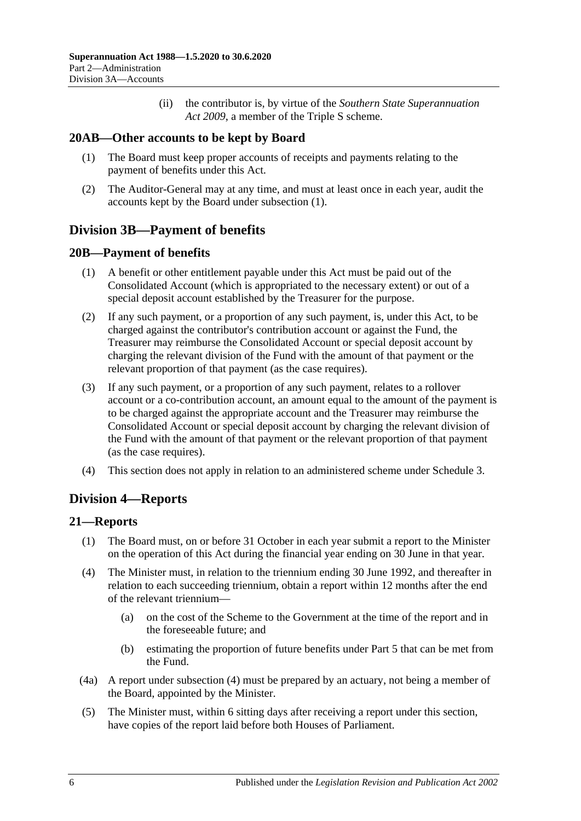(ii) the contributor is, by virtue of the *[Southern State Superannuation](http://www.legislation.sa.gov.au/index.aspx?action=legref&type=act&legtitle=Southern%20State%20Superannuation%20Act%202009)  Act [2009](http://www.legislation.sa.gov.au/index.aspx?action=legref&type=act&legtitle=Southern%20State%20Superannuation%20Act%202009)*, a member of the Triple S scheme.

#### <span id="page-23-5"></span><span id="page-23-0"></span>**20AB—Other accounts to be kept by Board**

- (1) The Board must keep proper accounts of receipts and payments relating to the payment of benefits under this Act.
- (2) The Auditor-General may at any time, and must at least once in each year, audit the accounts kept by the Board under [subsection](#page-23-5) (1).

## <span id="page-23-1"></span>**Division 3B—Payment of benefits**

#### <span id="page-23-2"></span>**20B—Payment of benefits**

- (1) A benefit or other entitlement payable under this Act must be paid out of the Consolidated Account (which is appropriated to the necessary extent) or out of a special deposit account established by the Treasurer for the purpose.
- (2) If any such payment, or a proportion of any such payment, is, under this Act, to be charged against the contributor's contribution account or against the Fund, the Treasurer may reimburse the Consolidated Account or special deposit account by charging the relevant division of the Fund with the amount of that payment or the relevant proportion of that payment (as the case requires).
- (3) If any such payment, or a proportion of any such payment, relates to a rollover account or a co-contribution account, an amount equal to the amount of the payment is to be charged against the appropriate account and the Treasurer may reimburse the Consolidated Account or special deposit account by charging the relevant division of the Fund with the amount of that payment or the relevant proportion of that payment (as the case requires).
- (4) This section does not apply in relation to an administered scheme under [Schedule 3.](#page-132-0)

## <span id="page-23-3"></span>**Division 4—Reports**

#### <span id="page-23-4"></span>**21—Reports**

- (1) The Board must, on or before 31 October in each year submit a report to the Minister on the operation of this Act during the financial year ending on 30 June in that year.
- <span id="page-23-6"></span>(4) The Minister must, in relation to the triennium ending 30 June 1992, and thereafter in relation to each succeeding triennium, obtain a report within 12 months after the end of the relevant triennium—
	- (a) on the cost of the Scheme to the Government at the time of the report and in the foreseeable future; and
	- (b) estimating the proportion of future benefits under [Part 5](#page-56-0) that can be met from the Fund.
- (4a) A report under [subsection](#page-23-6) (4) must be prepared by an actuary, not being a member of the Board, appointed by the Minister.
- (5) The Minister must, within 6 sitting days after receiving a report under this section, have copies of the report laid before both Houses of Parliament.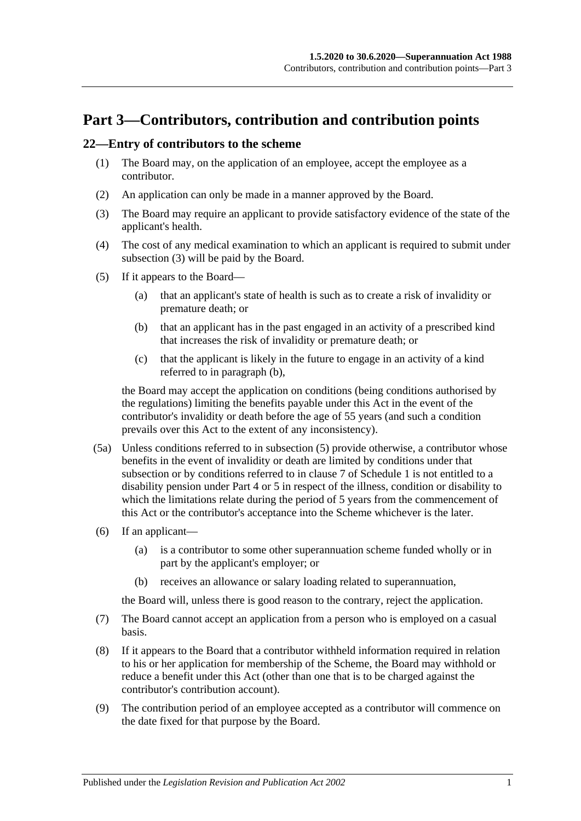## <span id="page-24-0"></span>**Part 3—Contributors, contribution and contribution points**

#### <span id="page-24-5"></span><span id="page-24-1"></span>**22—Entry of contributors to the scheme**

- (1) The Board may, on the application of an employee, accept the employee as a contributor.
- (2) An application can only be made in a manner approved by the Board.
- <span id="page-24-2"></span>(3) The Board may require an applicant to provide satisfactory evidence of the state of the applicant's health.
- (4) The cost of any medical examination to which an applicant is required to submit under [subsection](#page-24-2) (3) will be paid by the Board.
- <span id="page-24-4"></span><span id="page-24-3"></span>(5) If it appears to the Board—
	- (a) that an applicant's state of health is such as to create a risk of invalidity or premature death; or
	- (b) that an applicant has in the past engaged in an activity of a prescribed kind that increases the risk of invalidity or premature death; or
	- (c) that the applicant is likely in the future to engage in an activity of a kind referred to in [paragraph](#page-24-3) (b),

the Board may accept the application on conditions (being conditions authorised by the regulations) limiting the benefits payable under this Act in the event of the contributor's invalidity or death before the age of 55 years (and such a condition prevails over this Act to the extent of any inconsistency).

- (5a) Unless conditions referred to in [subsection](#page-24-4) (5) provide otherwise, a contributor whose benefits in the event of invalidity or death are limited by conditions under that subsection or by conditions referred to in [clause](#page-112-0) 7 of [Schedule 1](#page-108-0) is not entitled to a disability pension under [Part 4](#page-30-0) or [5](#page-56-0) in respect of the illness, condition or disability to which the limitations relate during the period of 5 years from the commencement of this Act or the contributor's acceptance into the Scheme whichever is the later.
- (6) If an applicant—
	- (a) is a contributor to some other superannuation scheme funded wholly or in part by the applicant's employer; or
	- (b) receives an allowance or salary loading related to superannuation,

the Board will, unless there is good reason to the contrary, reject the application.

- (7) The Board cannot accept an application from a person who is employed on a casual basis.
- (8) If it appears to the Board that a contributor withheld information required in relation to his or her application for membership of the Scheme, the Board may withhold or reduce a benefit under this Act (other than one that is to be charged against the contributor's contribution account).
- (9) The contribution period of an employee accepted as a contributor will commence on the date fixed for that purpose by the Board.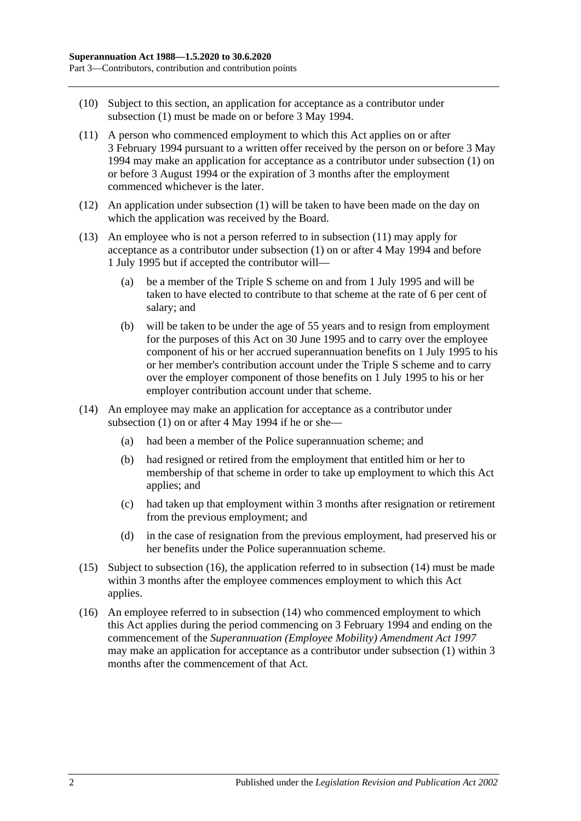- (10) Subject to this section, an application for acceptance as a contributor under [subsection](#page-24-5) (1) must be made on or before 3 May 1994.
- <span id="page-25-0"></span>(11) A person who commenced employment to which this Act applies on or after 3 February 1994 pursuant to a written offer received by the person on or before 3 May 1994 may make an application for acceptance as a contributor under [subsection](#page-24-5) (1) on or before 3 August 1994 or the expiration of 3 months after the employment commenced whichever is the later.
- (12) An application under [subsection](#page-24-5) (1) will be taken to have been made on the day on which the application was received by the Board.
- (13) An employee who is not a person referred to in [subsection](#page-25-0) (11) may apply for acceptance as a contributor under [subsection](#page-24-5) (1) on or after 4 May 1994 and before 1 July 1995 but if accepted the contributor will—
	- (a) be a member of the Triple S scheme on and from 1 July 1995 and will be taken to have elected to contribute to that scheme at the rate of 6 per cent of salary; and
	- (b) will be taken to be under the age of 55 years and to resign from employment for the purposes of this Act on 30 June 1995 and to carry over the employee component of his or her accrued superannuation benefits on 1 July 1995 to his or her member's contribution account under the Triple S scheme and to carry over the employer component of those benefits on 1 July 1995 to his or her employer contribution account under that scheme.
- <span id="page-25-2"></span>(14) An employee may make an application for acceptance as a contributor under [subsection](#page-24-5) (1) on or after 4 May 1994 if he or she—
	- (a) had been a member of the Police superannuation scheme; and
	- (b) had resigned or retired from the employment that entitled him or her to membership of that scheme in order to take up employment to which this Act applies; and
	- (c) had taken up that employment within 3 months after resignation or retirement from the previous employment; and
	- (d) in the case of resignation from the previous employment, had preserved his or her benefits under the Police superannuation scheme.
- (15) Subject to [subsection](#page-25-1) (16), the application referred to in [subsection](#page-25-2) (14) must be made within 3 months after the employee commences employment to which this Act applies.
- <span id="page-25-1"></span>(16) An employee referred to in [subsection](#page-25-2) (14) who commenced employment to which this Act applies during the period commencing on 3 February 1994 and ending on the commencement of the *[Superannuation \(Employee Mobility\) Amendment Act](http://www.legislation.sa.gov.au/index.aspx?action=legref&type=act&legtitle=Superannuation%20(Employee%20Mobility)%20Amendment%20Act%201997) 1997* may make an application for acceptance as a contributor under [subsection](#page-24-5) (1) within 3 months after the commencement of that Act.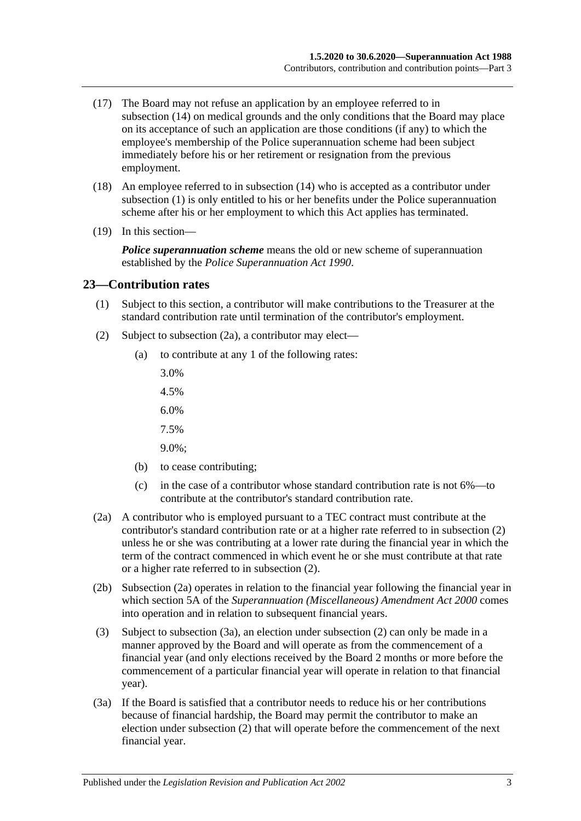- (17) The Board may not refuse an application by an employee referred to in [subsection](#page-25-2) (14) on medical grounds and the only conditions that the Board may place on its acceptance of such an application are those conditions (if any) to which the employee's membership of the Police superannuation scheme had been subject immediately before his or her retirement or resignation from the previous employment.
- (18) An employee referred to in [subsection](#page-25-2) (14) who is accepted as a contributor under [subsection](#page-24-5) (1) is only entitled to his or her benefits under the Police superannuation scheme after his or her employment to which this Act applies has terminated.
- (19) In this section—

*Police superannuation scheme* means the old or new scheme of superannuation established by the *[Police Superannuation Act](http://www.legislation.sa.gov.au/index.aspx?action=legref&type=act&legtitle=Police%20Superannuation%20Act%201990) 1990*.

#### <span id="page-26-0"></span>**23—Contribution rates**

- (1) Subject to this section, a contributor will make contributions to the Treasurer at the standard contribution rate until termination of the contributor's employment.
- <span id="page-26-2"></span>(2) Subject to [subsection](#page-26-1) (2a), a contributor may elect—
	- (a) to contribute at any 1 of the following rates:
		- 3.0%
		- 4.5%
		- 6.0%
		- 7.5%
		- 9.0%;
	- (b) to cease contributing;
	- (c) in the case of a contributor whose standard contribution rate is not 6%—to contribute at the contributor's standard contribution rate.
- <span id="page-26-1"></span>(2a) A contributor who is employed pursuant to a TEC contract must contribute at the contributor's standard contribution rate or at a higher rate referred to in [subsection](#page-26-2) (2) unless he or she was contributing at a lower rate during the financial year in which the term of the contract commenced in which event he or she must contribute at that rate or a higher rate referred to in [subsection](#page-26-2) (2).
- (2b) [Subsection](#page-26-1) (2a) operates in relation to the financial year following the financial year in which section 5A of the *[Superannuation \(Miscellaneous\) Amendment Act](http://www.legislation.sa.gov.au/index.aspx?action=legref&type=act&legtitle=Superannuation%20(Miscellaneous)%20Amendment%20Act%202000) 2000* comes into operation and in relation to subsequent financial years.
- (3) Subject to [subsection](#page-26-3) (3a), an election under [subsection](#page-26-2) (2) can only be made in a manner approved by the Board and will operate as from the commencement of a financial year (and only elections received by the Board 2 months or more before the commencement of a particular financial year will operate in relation to that financial year).
- <span id="page-26-3"></span>(3a) If the Board is satisfied that a contributor needs to reduce his or her contributions because of financial hardship, the Board may permit the contributor to make an election under [subsection](#page-26-2) (2) that will operate before the commencement of the next financial year.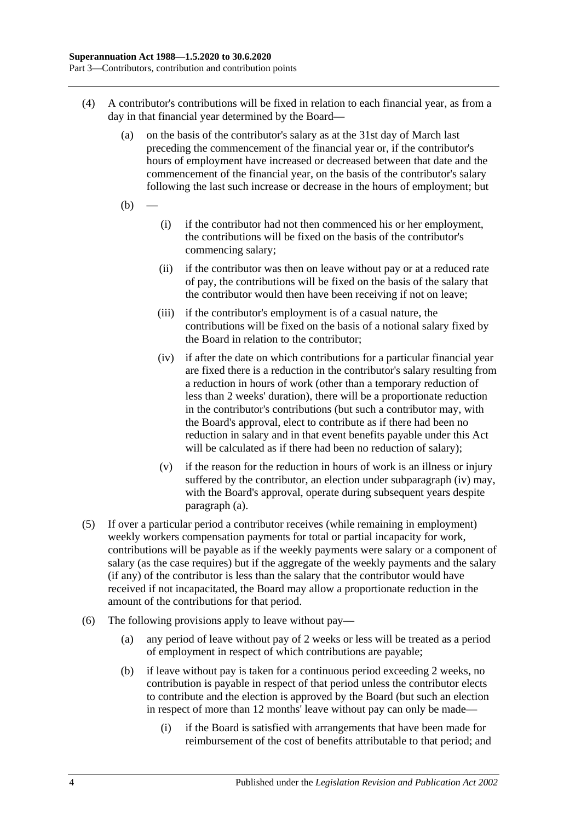- <span id="page-27-0"></span>(4) A contributor's contributions will be fixed in relation to each financial year, as from a day in that financial year determined by the Board—
	- (a) on the basis of the contributor's salary as at the 31st day of March last preceding the commencement of the financial year or, if the contributor's hours of employment have increased or decreased between that date and the commencement of the financial year, on the basis of the contributor's salary following the last such increase or decrease in the hours of employment; but
	- $(b)$
- (i) if the contributor had not then commenced his or her employment, the contributions will be fixed on the basis of the contributor's commencing salary;
- (ii) if the contributor was then on leave without pay or at a reduced rate of pay, the contributions will be fixed on the basis of the salary that the contributor would then have been receiving if not on leave;
- (iii) if the contributor's employment is of a casual nature, the contributions will be fixed on the basis of a notional salary fixed by the Board in relation to the contributor;
- <span id="page-27-1"></span>(iv) if after the date on which contributions for a particular financial year are fixed there is a reduction in the contributor's salary resulting from a reduction in hours of work (other than a temporary reduction of less than 2 weeks' duration), there will be a proportionate reduction in the contributor's contributions (but such a contributor may, with the Board's approval, elect to contribute as if there had been no reduction in salary and in that event benefits payable under this Act will be calculated as if there had been no reduction of salary);
- (v) if the reason for the reduction in hours of work is an illness or injury suffered by the contributor, an election under [subparagraph](#page-27-1) (iv) may, with the Board's approval, operate during subsequent years despite [paragraph](#page-27-0) (a).
- (5) If over a particular period a contributor receives (while remaining in employment) weekly workers compensation payments for total or partial incapacity for work, contributions will be payable as if the weekly payments were salary or a component of salary (as the case requires) but if the aggregate of the weekly payments and the salary (if any) of the contributor is less than the salary that the contributor would have received if not incapacitated, the Board may allow a proportionate reduction in the amount of the contributions for that period.
- <span id="page-27-2"></span>(6) The following provisions apply to leave without pay—
	- (a) any period of leave without pay of 2 weeks or less will be treated as a period of employment in respect of which contributions are payable;
	- (b) if leave without pay is taken for a continuous period exceeding 2 weeks, no contribution is payable in respect of that period unless the contributor elects to contribute and the election is approved by the Board (but such an election in respect of more than 12 months' leave without pay can only be made—
		- (i) if the Board is satisfied with arrangements that have been made for reimbursement of the cost of benefits attributable to that period; and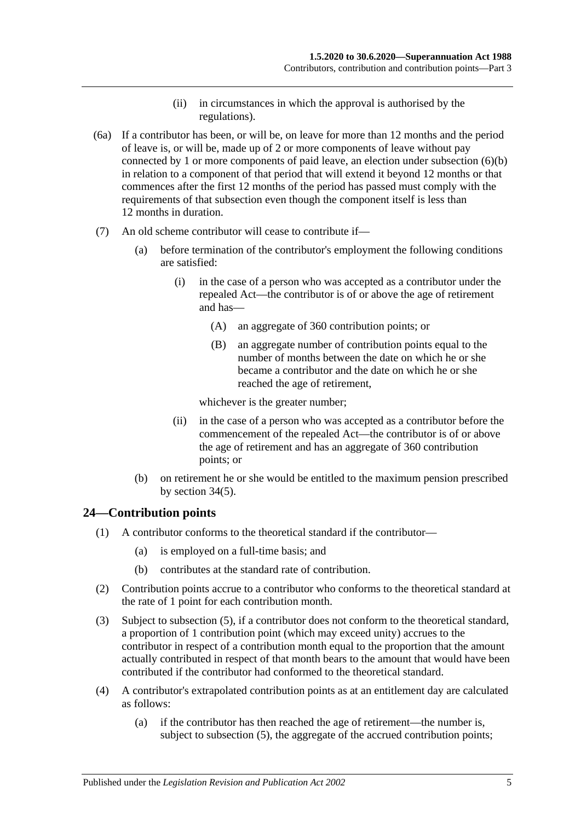- (ii) in circumstances in which the approval is authorised by the regulations).
- (6a) If a contributor has been, or will be, on leave for more than 12 months and the period of leave is, or will be, made up of 2 or more components of leave without pay connected by 1 or more components of paid leave, an election under [subsection](#page-27-2) (6)(b) in relation to a component of that period that will extend it beyond 12 months or that commences after the first 12 months of the period has passed must comply with the requirements of that subsection even though the component itself is less than 12 months in duration.
- (7) An old scheme contributor will cease to contribute if—
	- (a) before termination of the contributor's employment the following conditions are satisfied:
		- (i) in the case of a person who was accepted as a contributor under the repealed Act—the contributor is of or above the age of retirement and has—
			- (A) an aggregate of 360 contribution points; or
			- (B) an aggregate number of contribution points equal to the number of months between the date on which he or she became a contributor and the date on which he or she reached the age of retirement,

whichever is the greater number;

- (ii) in the case of a person who was accepted as a contributor before the commencement of the repealed Act—the contributor is of or above the age of retirement and has an aggregate of 360 contribution points; or
- (b) on retirement he or she would be entitled to the maximum pension prescribed by [section](#page-60-0) 34(5).

#### <span id="page-28-0"></span>**24—Contribution points**

- (1) A contributor conforms to the theoretical standard if the contributor—
	- (a) is employed on a full-time basis; and
	- (b) contributes at the standard rate of contribution.
- (2) Contribution points accrue to a contributor who conforms to the theoretical standard at the rate of 1 point for each contribution month.
- (3) Subject to [subsection](#page-29-1) (5), if a contributor does not conform to the theoretical standard, a proportion of 1 contribution point (which may exceed unity) accrues to the contributor in respect of a contribution month equal to the proportion that the amount actually contributed in respect of that month bears to the amount that would have been contributed if the contributor had conformed to the theoretical standard.
- <span id="page-28-1"></span>(4) A contributor's extrapolated contribution points as at an entitlement day are calculated as follows:
	- (a) if the contributor has then reached the age of retirement—the number is, subject to [subsection](#page-29-1) (5), the aggregate of the accrued contribution points;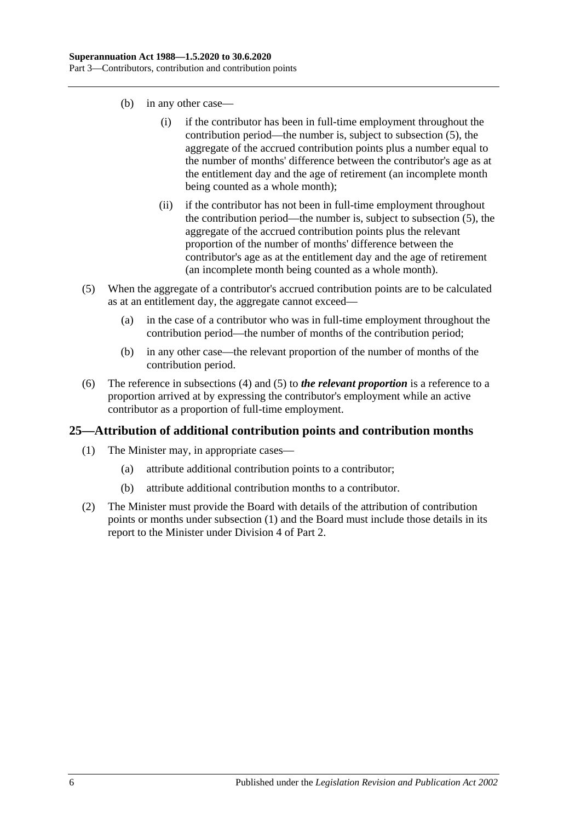- (b) in any other case—
	- (i) if the contributor has been in full-time employment throughout the contribution period—the number is, subject to [subsection](#page-29-1) (5), the aggregate of the accrued contribution points plus a number equal to the number of months' difference between the contributor's age as at the entitlement day and the age of retirement (an incomplete month being counted as a whole month);
	- (ii) if the contributor has not been in full-time employment throughout the contribution period—the number is, subject to [subsection](#page-29-1) (5), the aggregate of the accrued contribution points plus the relevant proportion of the number of months' difference between the contributor's age as at the entitlement day and the age of retirement (an incomplete month being counted as a whole month).
- <span id="page-29-1"></span>(5) When the aggregate of a contributor's accrued contribution points are to be calculated as at an entitlement day, the aggregate cannot exceed—
	- (a) in the case of a contributor who was in full-time employment throughout the contribution period—the number of months of the contribution period;
	- (b) in any other case—the relevant proportion of the number of months of the contribution period.
- (6) The reference in [subsections](#page-28-1) (4) and [\(5\)](#page-29-1) to *the relevant proportion* is a reference to a proportion arrived at by expressing the contributor's employment while an active contributor as a proportion of full-time employment.

#### <span id="page-29-2"></span><span id="page-29-0"></span>**25—Attribution of additional contribution points and contribution months**

- (1) The Minister may, in appropriate cases—
	- (a) attribute additional contribution points to a contributor;
	- (b) attribute additional contribution months to a contributor.
- (2) The Minister must provide the Board with details of the attribution of contribution points or months under [subsection](#page-29-2) (1) and the Board must include those details in its report to the Minister under [Division 4](#page-23-3) of [Part 2.](#page-18-0)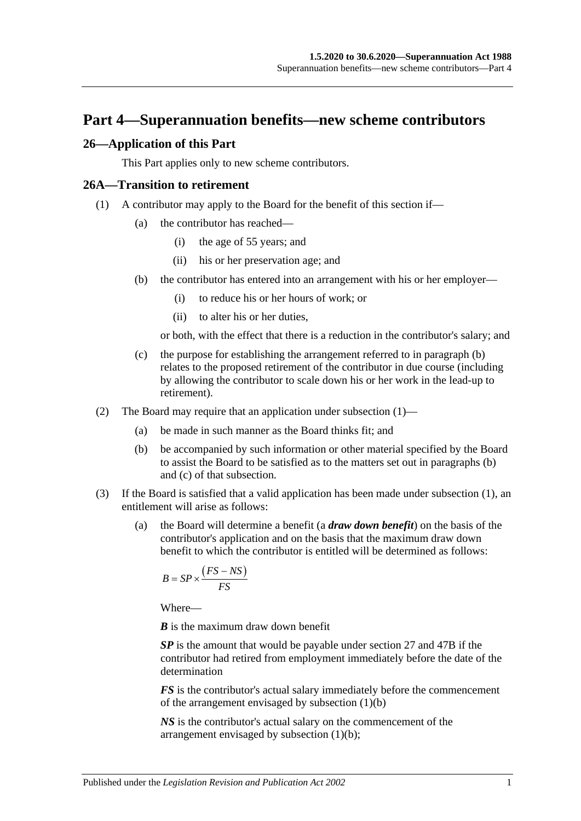## <span id="page-30-0"></span>**Part 4—Superannuation benefits—new scheme contributors**

#### <span id="page-30-1"></span>**26—Application of this Part**

This Part applies only to new scheme contributors.

#### <span id="page-30-4"></span><span id="page-30-2"></span>**26A—Transition to retirement**

- <span id="page-30-3"></span>(1) A contributor may apply to the Board for the benefit of this section if—
	- (a) the contributor has reached—
		- (i) the age of 55 years; and
		- (ii) his or her preservation age; and
	- (b) the contributor has entered into an arrangement with his or her employer—
		- (i) to reduce his or her hours of work; or
		- (ii) to alter his or her duties,

or both, with the effect that there is a reduction in the contributor's salary; and

- <span id="page-30-5"></span>(c) the purpose for establishing the arrangement referred to in [paragraph](#page-30-3) (b) relates to the proposed retirement of the contributor in due course (including by allowing the contributor to scale down his or her work in the lead-up to retirement).
- (2) The Board may require that an application under [subsection](#page-30-4) (1)—
	- (a) be made in such manner as the Board thinks fit; and
	- (b) be accompanied by such information or other material specified by the Board to assist the Board to be satisfied as to the matters set out in [paragraphs](#page-30-3) (b) and [\(c\)](#page-30-5) of that subsection.
- <span id="page-30-7"></span><span id="page-30-6"></span>(3) If the Board is satisfied that a valid application has been made under [subsection](#page-30-4) (1), an entitlement will arise as follows:
	- (a) the Board will determine a benefit (a *draw down benefit*) on the basis of the contributor's application and on the basis that the maximum draw down benefit to which the contributor is entitled will be determined as follows:

$$
B = SP \times \frac{(FS - NS)}{FS}
$$

Where—

*B* is the maximum draw down benefit

*SP* is the amount that would be payable under [section](#page-33-0) 27 and [47B](#page-100-1) if the contributor had retired from employment immediately before the date of the determination

*FS* is the contributor's actual salary immediately before the commencement of the arrangement envisaged by [subsection](#page-30-3) (1)(b)

*NS* is the contributor's actual salary on the commencement of the arrangement envisaged by [subsection](#page-30-3) (1)(b);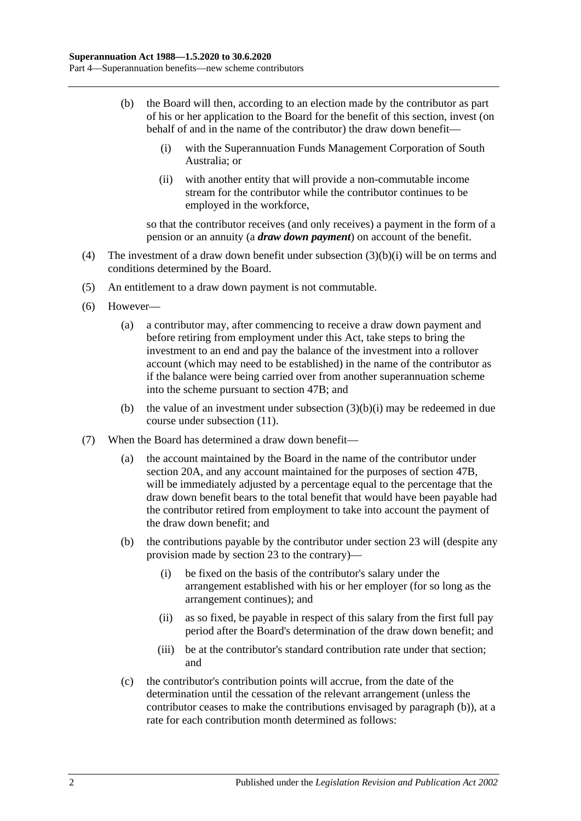- <span id="page-31-2"></span><span id="page-31-0"></span>(b) the Board will then, according to an election made by the contributor as part of his or her application to the Board for the benefit of this section, invest (on behalf of and in the name of the contributor) the draw down benefit—
	- (i) with the Superannuation Funds Management Corporation of South Australia; or
	- (ii) with another entity that will provide a non-commutable income stream for the contributor while the contributor continues to be employed in the workforce,

so that the contributor receives (and only receives) a payment in the form of a pension or an annuity (a *draw down payment*) on account of the benefit.

- (4) The investment of a draw down benefit under [subsection](#page-31-0) (3)(b)(i) will be on terms and conditions determined by the Board.
- (5) An entitlement to a draw down payment is not commutable.
- (6) However—
	- (a) a contributor may, after commencing to receive a draw down payment and before retiring from employment under this Act, take steps to bring the investment to an end and pay the balance of the investment into a rollover account (which may need to be established) in the name of the contributor as if the balance were being carried over from another superannuation scheme into the scheme pursuant to [section](#page-100-1) 47B; and
	- (b) the value of an investment under [subsection](#page-31-0)  $(3)(b)(i)$  may be redeemed in due course under [subsection](#page-32-0) (11).
- <span id="page-31-1"></span>(7) When the Board has determined a draw down benefit—
	- (a) the account maintained by the Board in the name of the contributor under [section](#page-21-2) 20A, and any account maintained for the purposes of [section](#page-100-1) 47B, will be immediately adjusted by a percentage equal to the percentage that the draw down benefit bears to the total benefit that would have been payable had the contributor retired from employment to take into account the payment of the draw down benefit; and
	- (b) the contributions payable by the contributor under [section](#page-26-0) 23 will (despite any provision made by [section](#page-26-0) 23 to the contrary)—
		- (i) be fixed on the basis of the contributor's salary under the arrangement established with his or her employer (for so long as the arrangement continues); and
		- (ii) as so fixed, be payable in respect of this salary from the first full pay period after the Board's determination of the draw down benefit; and
		- (iii) be at the contributor's standard contribution rate under that section; and
	- (c) the contributor's contribution points will accrue, from the date of the determination until the cessation of the relevant arrangement (unless the contributor ceases to make the contributions envisaged by [paragraph](#page-31-1) (b)), at a rate for each contribution month determined as follows: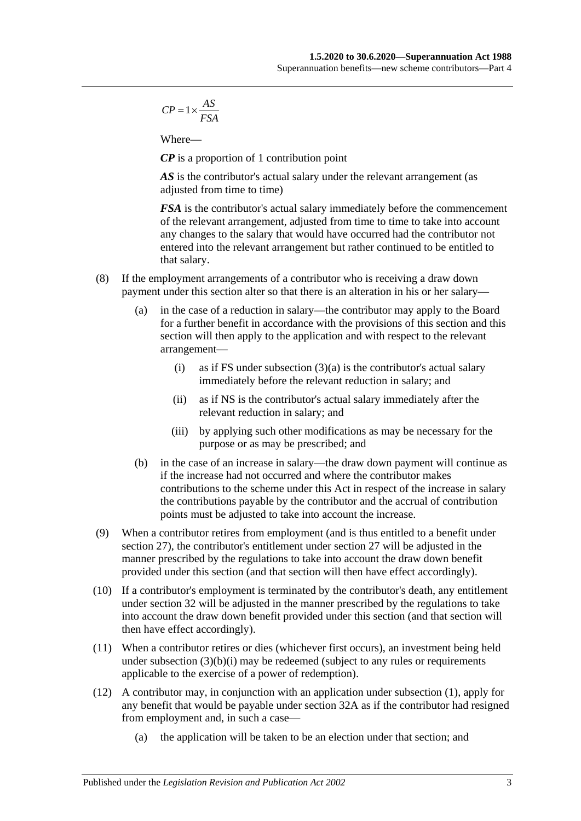$$
CP = 1 \times \frac{AS}{FSA}
$$

Where—

*CP* is a proportion of 1 contribution point

AS is the contributor's actual salary under the relevant arrangement (as adjusted from time to time)

*FSA* is the contributor's actual salary immediately before the commencement of the relevant arrangement, adjusted from time to time to take into account any changes to the salary that would have occurred had the contributor not entered into the relevant arrangement but rather continued to be entitled to that salary.

- (8) If the employment arrangements of a contributor who is receiving a draw down payment under this section alter so that there is an alteration in his or her salary—
	- (a) in the case of a reduction in salary—the contributor may apply to the Board for a further benefit in accordance with the provisions of this section and this section will then apply to the application and with respect to the relevant arrangement
		- (i) as if FS under [subsection](#page-30-6)  $(3)(a)$  is the contributor's actual salary immediately before the relevant reduction in salary; and
		- (ii) as if NS is the contributor's actual salary immediately after the relevant reduction in salary; and
		- (iii) by applying such other modifications as may be necessary for the purpose or as may be prescribed; and
	- (b) in the case of an increase in salary—the draw down payment will continue as if the increase had not occurred and where the contributor makes contributions to the scheme under this Act in respect of the increase in salary the contributions payable by the contributor and the accrual of contribution points must be adjusted to take into account the increase.
- (9) When a contributor retires from employment (and is thus entitled to a benefit under [section](#page-33-0) 27), the contributor's entitlement under [section](#page-33-0) 27 will be adjusted in the manner prescribed by the regulations to take into account the draw down benefit provided under this section (and that section will then have effect accordingly).
- (10) If a contributor's employment is terminated by the contributor's death, any entitlement under [section](#page-45-0) 32 will be adjusted in the manner prescribed by the regulations to take into account the draw down benefit provided under this section (and that section will then have effect accordingly).
- <span id="page-32-0"></span>(11) When a contributor retires or dies (whichever first occurs), an investment being held under [subsection](#page-31-0)  $(3)(b)(i)$  may be redeemed (subject to any rules or requirements applicable to the exercise of a power of redemption).
- (12) A contributor may, in conjunction with an application under [subsection](#page-30-4) (1), apply for any benefit that would be payable under [section](#page-50-0) 32A as if the contributor had resigned from employment and, in such a case—
	- (a) the application will be taken to be an election under that section; and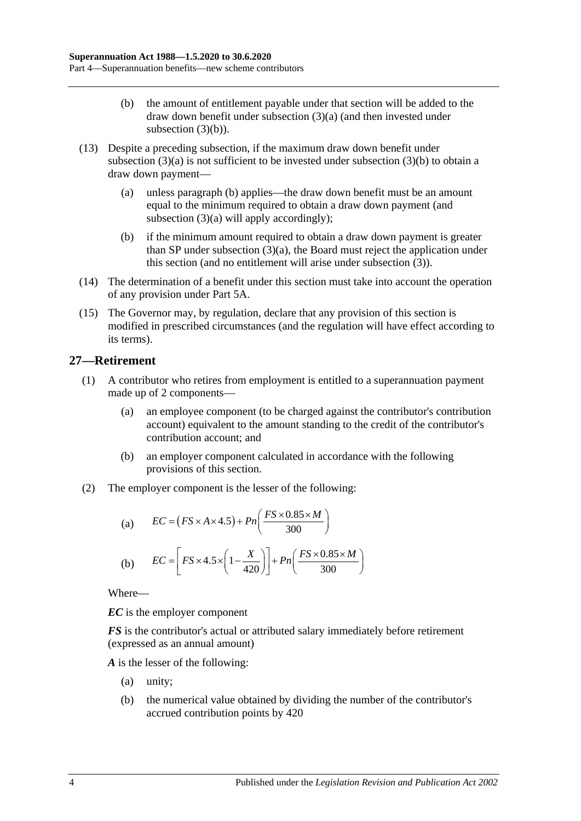- (b) the amount of entitlement payable under that section will be added to the draw down benefit under [subsection](#page-30-6) (3)(a) (and then invested under [subsection](#page-31-2)  $(3)(b)$ ).
- (13) Despite a preceding subsection, if the maximum draw down benefit under [subsection](#page-30-6)  $(3)(a)$  is not sufficient to be invested under [subsection](#page-31-2)  $(3)(b)$  to obtain a draw down payment—
	- (a) unless [paragraph](#page-33-1) (b) applies—the draw down benefit must be an amount equal to the minimum required to obtain a draw down payment (and [subsection](#page-30-6) (3)(a) will apply accordingly);
	- (b) if the minimum amount required to obtain a draw down payment is greater than SP under [subsection](#page-30-6) (3)(a), the Board must reject the application under this section (and no entitlement will arise under [subsection](#page-30-7) (3)).
- <span id="page-33-1"></span>(14) The determination of a benefit under this section must take into account the operation of any provision under [Part 5A.](#page-88-0)
- (15) The Governor may, by regulation, declare that any provision of this section is modified in prescribed circumstances (and the regulation will have effect according to its terms).

### <span id="page-33-0"></span>**27—Retirement**

- (1) A contributor who retires from employment is entitled to a superannuation payment made up of 2 components—
	- (a) an employee component (to be charged against the contributor's contribution account) equivalent to the amount standing to the credit of the contributor's contribution account; and
	- (b) an employer component calculated in accordance with the following provisions of this section.
- (2) The employer component is the lesser of the following:

(a) 
$$
EC = (FS \times A \times 4.5) + Pn\left(\frac{FS \times 0.85 \times M}{300}\right)
$$
  
(b) 
$$
EC = \left[FS \times 4.5 \times \left(1 - \frac{X}{420}\right)\right] + Pn\left(\frac{FS \times 0.85 \times M}{300}\right)
$$

Where—

*EC* is the employer component

*FS* is the contributor's actual or attributed salary immediately before retirement (expressed as an annual amount)

*A* is the lesser of the following:

- (a) unity;
- (b) the numerical value obtained by dividing the number of the contributor's accrued contribution points by 420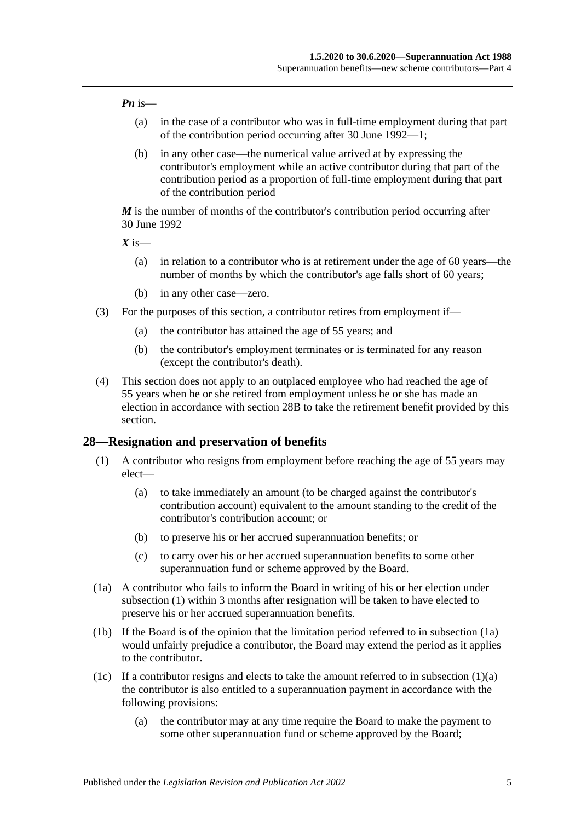#### *Pn* is—

- (a) in the case of a contributor who was in full-time employment during that part of the contribution period occurring after 30 June 1992—1;
- (b) in any other case—the numerical value arrived at by expressing the contributor's employment while an active contributor during that part of the contribution period as a proportion of full-time employment during that part of the contribution period

*M* is the number of months of the contributor's contribution period occurring after 30 June 1992

 $X$  is—

- (a) in relation to a contributor who is at retirement under the age of 60 years—the number of months by which the contributor's age falls short of 60 years;
- (b) in any other case—zero.
- (3) For the purposes of this section, a contributor retires from employment if—
	- (a) the contributor has attained the age of 55 years; and
	- (b) the contributor's employment terminates or is terminated for any reason (except the contributor's death).
- (4) This section does not apply to an outplaced employee who had reached the age of 55 years when he or she retired from employment unless he or she has made an election in accordance with [section](#page-39-0) 28B to take the retirement benefit provided by this section.

#### <span id="page-34-1"></span><span id="page-34-0"></span>**28—Resignation and preservation of benefits**

- <span id="page-34-3"></span>(1) A contributor who resigns from employment before reaching the age of 55 years may elect—
	- (a) to take immediately an amount (to be charged against the contributor's contribution account) equivalent to the amount standing to the credit of the contributor's contribution account; or
	- (b) to preserve his or her accrued superannuation benefits; or
	- (c) to carry over his or her accrued superannuation benefits to some other superannuation fund or scheme approved by the Board.
- <span id="page-34-2"></span>(1a) A contributor who fails to inform the Board in writing of his or her election under [subsection](#page-34-1) (1) within 3 months after resignation will be taken to have elected to preserve his or her accrued superannuation benefits.
- (1b) If the Board is of the opinion that the limitation period referred to in [subsection](#page-34-2) (1a) would unfairly prejudice a contributor, the Board may extend the period as it applies to the contributor.
- <span id="page-34-4"></span>(1c) If a contributor resigns and elects to take the amount referred to in [subsection](#page-34-3)  $(1)(a)$ the contributor is also entitled to a superannuation payment in accordance with the following provisions:
	- (a) the contributor may at any time require the Board to make the payment to some other superannuation fund or scheme approved by the Board;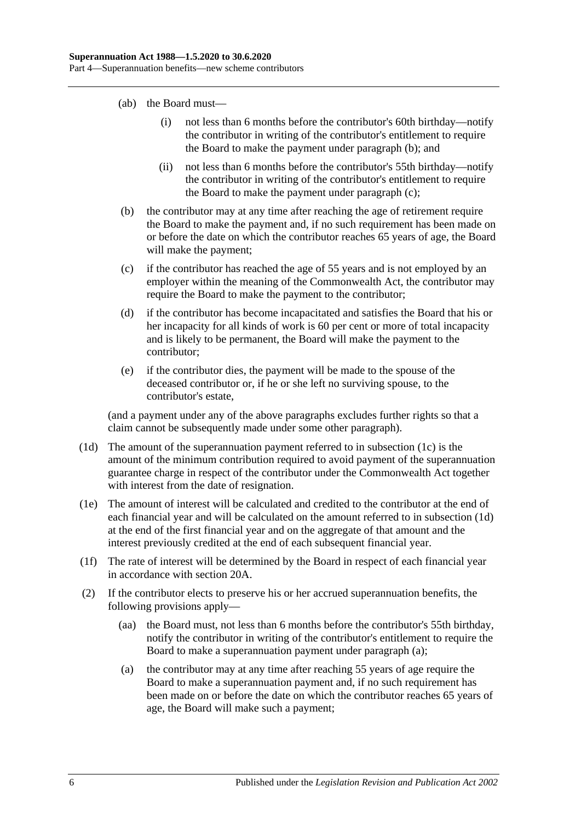- (ab) the Board must—
	- (i) not less than 6 months before the contributor's 60th birthday—notify the contributor in writing of the contributor's entitlement to require the Board to make the payment under [paragraph](#page-35-0) (b); and
	- (ii) not less than 6 months before the contributor's 55th birthday—notify the contributor in writing of the contributor's entitlement to require the Board to make the payment under [paragraph](#page-35-1) (c);
- <span id="page-35-0"></span>(b) the contributor may at any time after reaching the age of retirement require the Board to make the payment and, if no such requirement has been made on or before the date on which the contributor reaches 65 years of age, the Board will make the payment;
- <span id="page-35-1"></span>(c) if the contributor has reached the age of 55 years and is not employed by an employer within the meaning of the Commonwealth Act, the contributor may require the Board to make the payment to the contributor;
- (d) if the contributor has become incapacitated and satisfies the Board that his or her incapacity for all kinds of work is 60 per cent or more of total incapacity and is likely to be permanent, the Board will make the payment to the contributor;
- (e) if the contributor dies, the payment will be made to the spouse of the deceased contributor or, if he or she left no surviving spouse, to the contributor's estate,

(and a payment under any of the above paragraphs excludes further rights so that a claim cannot be subsequently made under some other paragraph).

- <span id="page-35-2"></span>(1d) The amount of the superannuation payment referred to in [subsection](#page-34-4) (1c) is the amount of the minimum contribution required to avoid payment of the superannuation guarantee charge in respect of the contributor under the Commonwealth Act together with interest from the date of resignation.
- (1e) The amount of interest will be calculated and credited to the contributor at the end of each financial year and will be calculated on the amount referred to in [subsection](#page-35-2) (1d) at the end of the first financial year and on the aggregate of that amount and the interest previously credited at the end of each subsequent financial year.
- (1f) The rate of interest will be determined by the Board in respect of each financial year in accordance with [section](#page-21-2) 20A.
- <span id="page-35-3"></span>(2) If the contributor elects to preserve his or her accrued superannuation benefits, the following provisions apply—
	- (aa) the Board must, not less than 6 months before the contributor's 55th birthday, notify the contributor in writing of the contributor's entitlement to require the Board to make a superannuation payment under [paragraph](#page-35-3) (a);
	- (a) the contributor may at any time after reaching 55 years of age require the Board to make a superannuation payment and, if no such requirement has been made on or before the date on which the contributor reaches 65 years of age, the Board will make such a payment;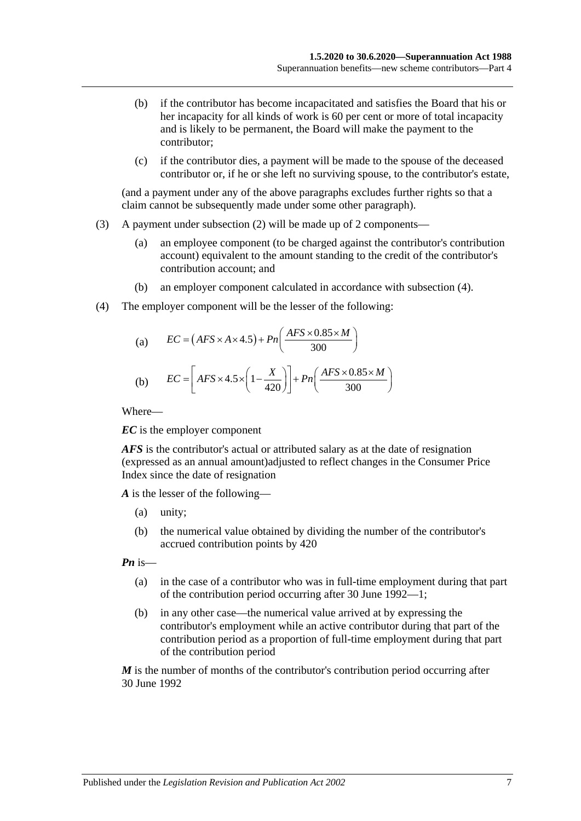- (b) if the contributor has become incapacitated and satisfies the Board that his or her incapacity for all kinds of work is 60 per cent or more of total incapacity and is likely to be permanent, the Board will make the payment to the contributor;
- (c) if the contributor dies, a payment will be made to the spouse of the deceased contributor or, if he or she left no surviving spouse, to the contributor's estate,

(and a payment under any of the above paragraphs excludes further rights so that a claim cannot be subsequently made under some other paragraph).

- (3) A payment under [subsection](#page-35-0) (2) will be made up of 2 components—
	- (a) an employee component (to be charged against the contributor's contribution account) equivalent to the amount standing to the credit of the contributor's contribution account; and
	- (b) an employer component calculated in accordance with [subsection](#page-36-0) (4).
- <span id="page-36-0"></span>(4) The employer component will be the lesser of the following:

(a) 
$$
EC = (AFS \times A \times 4.5) + Pn\left(\frac{AFS \times 0.85 \times M}{300}\right)
$$
  
(b) 
$$
EC = \left[ AFS \times 4.5 \times \left(1 - \frac{X}{420}\right)\right] + Pn\left(\frac{AFS \times 0.85 \times M}{300}\right)
$$

Where—

*EC* is the employer component

*AFS* is the contributor's actual or attributed salary as at the date of resignation (expressed as an annual amount)adjusted to reflect changes in the Consumer Price Index since the date of resignation

*A* is the lesser of the following—

- (a) unity;
- (b) the numerical value obtained by dividing the number of the contributor's accrued contribution points by 420

*Pn* is—

- (a) in the case of a contributor who was in full-time employment during that part of the contribution period occurring after 30 June 1992—1;
- (b) in any other case—the numerical value arrived at by expressing the contributor's employment while an active contributor during that part of the contribution period as a proportion of full-time employment during that part of the contribution period

*M* is the number of months of the contributor's contribution period occurring after 30 June 1992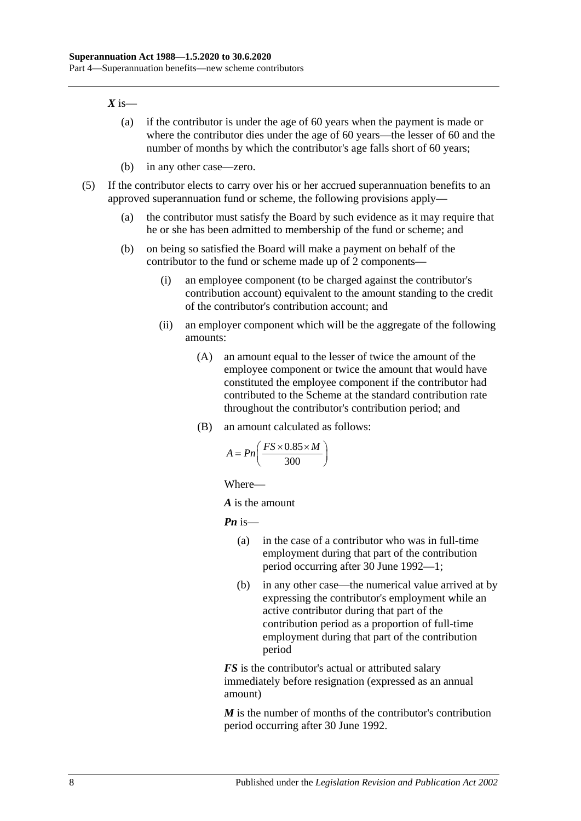#### $X$  is—

- (a) if the contributor is under the age of 60 years when the payment is made or where the contributor dies under the age of 60 years—the lesser of 60 and the number of months by which the contributor's age falls short of 60 years;
- (b) in any other case—zero.
- (5) If the contributor elects to carry over his or her accrued superannuation benefits to an approved superannuation fund or scheme, the following provisions apply—
	- (a) the contributor must satisfy the Board by such evidence as it may require that he or she has been admitted to membership of the fund or scheme; and
	- (b) on being so satisfied the Board will make a payment on behalf of the contributor to the fund or scheme made up of 2 components—
		- (i) an employee component (to be charged against the contributor's contribution account) equivalent to the amount standing to the credit of the contributor's contribution account; and
		- (ii) an employer component which will be the aggregate of the following amounts:
			- (A) an amount equal to the lesser of twice the amount of the employee component or twice the amount that would have constituted the employee component if the contributor had contributed to the Scheme at the standard contribution rate throughout the contributor's contribution period; and
			- (B) an amount calculated as follows:

$$
A = P_n\left(\frac{FS \times 0.85 \times M}{300}\right)
$$

Where—

*A* is the amount

*Pn* is—

- (a) in the case of a contributor who was in full-time employment during that part of the contribution period occurring after 30 June 1992—1;
- (b) in any other case—the numerical value arrived at by expressing the contributor's employment while an active contributor during that part of the contribution period as a proportion of full-time employment during that part of the contribution period

*FS* is the contributor's actual or attributed salary immediately before resignation (expressed as an annual amount)

*M* is the number of months of the contributor's contribution period occurring after 30 June 1992.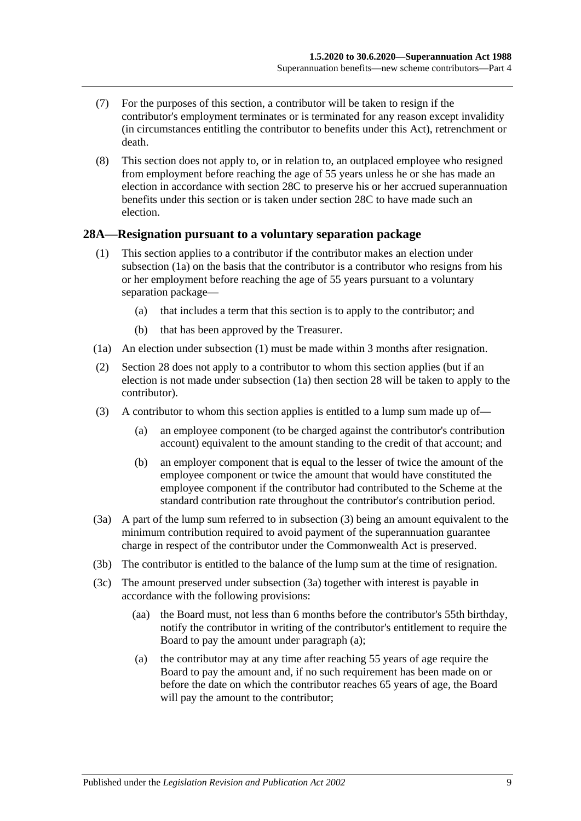- (7) For the purposes of this section, a contributor will be taken to resign if the contributor's employment terminates or is terminated for any reason except invalidity (in circumstances entitling the contributor to benefits under this Act), retrenchment or death.
- (8) This section does not apply to, or in relation to, an outplaced employee who resigned from employment before reaching the age of 55 years unless he or she has made an election in accordance with [section](#page-39-0) 28C to preserve his or her accrued superannuation benefits under this section or is taken under [section](#page-39-0) 28C to have made such an election.

## <span id="page-38-5"></span><span id="page-38-1"></span>**28A—Resignation pursuant to a voluntary separation package**

- (1) This section applies to a contributor if the contributor makes an election under [subsection](#page-38-0) (1a) on the basis that the contributor is a contributor who resigns from his or her employment before reaching the age of 55 years pursuant to a voluntary separation package—
	- (a) that includes a term that this section is to apply to the contributor; and
	- (b) that has been approved by the Treasurer.
- <span id="page-38-0"></span>(1a) An election under [subsection](#page-38-1) (1) must be made within 3 months after resignation.
- (2) [Section](#page-34-0) 28 does not apply to a contributor to whom this section applies (but if an election is not made under subsection (1a) then section 28 will be taken to apply to the contributor).
- <span id="page-38-2"></span>(3) A contributor to whom this section applies is entitled to a lump sum made up of—
	- (a) an employee component (to be charged against the contributor's contribution account) equivalent to the amount standing to the credit of that account; and
	- (b) an employer component that is equal to the lesser of twice the amount of the employee component or twice the amount that would have constituted the employee component if the contributor had contributed to the Scheme at the standard contribution rate throughout the contributor's contribution period.
- <span id="page-38-3"></span>(3a) A part of the lump sum referred to in [subsection](#page-38-2) (3) being an amount equivalent to the minimum contribution required to avoid payment of the superannuation guarantee charge in respect of the contributor under the Commonwealth Act is preserved.
- (3b) The contributor is entitled to the balance of the lump sum at the time of resignation.
- <span id="page-38-4"></span>(3c) The amount preserved under [subsection](#page-38-3) (3a) together with interest is payable in accordance with the following provisions:
	- (aa) the Board must, not less than 6 months before the contributor's 55th birthday, notify the contributor in writing of the contributor's entitlement to require the Board to pay the amount under [paragraph](#page-38-4) (a);
	- (a) the contributor may at any time after reaching 55 years of age require the Board to pay the amount and, if no such requirement has been made on or before the date on which the contributor reaches 65 years of age, the Board will pay the amount to the contributor;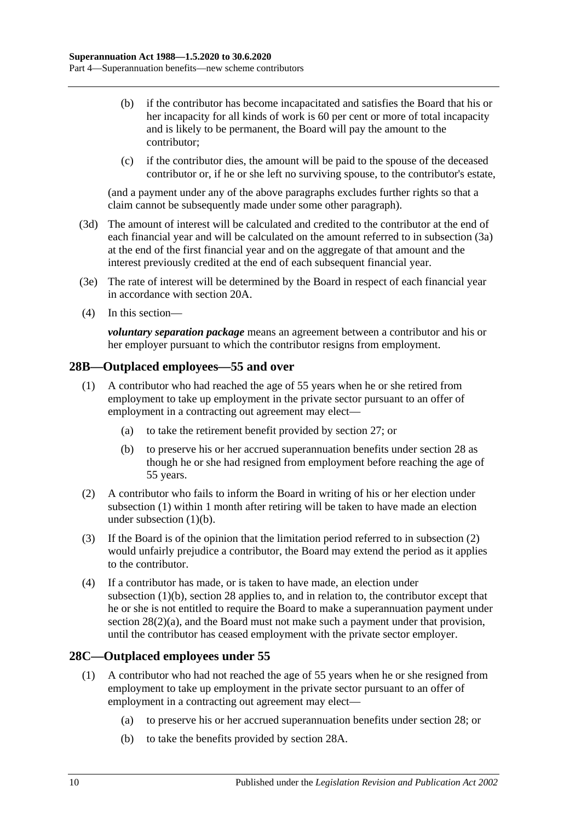- (b) if the contributor has become incapacitated and satisfies the Board that his or her incapacity for all kinds of work is 60 per cent or more of total incapacity and is likely to be permanent, the Board will pay the amount to the contributor;
- (c) if the contributor dies, the amount will be paid to the spouse of the deceased contributor or, if he or she left no surviving spouse, to the contributor's estate,

(and a payment under any of the above paragraphs excludes further rights so that a claim cannot be subsequently made under some other paragraph).

- (3d) The amount of interest will be calculated and credited to the contributor at the end of each financial year and will be calculated on the amount referred to in [subsection](#page-38-3) (3a) at the end of the first financial year and on the aggregate of that amount and the interest previously credited at the end of each subsequent financial year.
- (3e) The rate of interest will be determined by the Board in respect of each financial year in accordance with [section](#page-21-0) 20A.
- (4) In this section—

*voluntary separation package* means an agreement between a contributor and his or her employer pursuant to which the contributor resigns from employment.

## <span id="page-39-1"></span>**28B—Outplaced employees—55 and over**

- (1) A contributor who had reached the age of 55 years when he or she retired from employment to take up employment in the private sector pursuant to an offer of employment in a contracting out agreement may elect—
	- (a) to take the retirement benefit provided by [section](#page-33-0) 27; or
	- (b) to preserve his or her accrued superannuation benefits under [section](#page-34-0) 28 as though he or she had resigned from employment before reaching the age of 55 years.
- <span id="page-39-3"></span><span id="page-39-2"></span>(2) A contributor who fails to inform the Board in writing of his or her election under [subsection](#page-39-1) (1) within 1 month after retiring will be taken to have made an election under [subsection](#page-39-2) (1)(b).
- (3) If the Board is of the opinion that the limitation period referred to in [subsection](#page-39-3) (2) would unfairly prejudice a contributor, the Board may extend the period as it applies to the contributor.
- (4) If a contributor has made, or is taken to have made, an election under [subsection](#page-39-2) (1)(b), [section](#page-34-0) 28 applies to, and in relation to, the contributor except that he or she is not entitled to require the Board to make a superannuation payment under section [28\(2\)\(a\),](#page-35-1) and the Board must not make such a payment under that provision, until the contributor has ceased employment with the private sector employer.

## <span id="page-39-4"></span><span id="page-39-0"></span>**28C—Outplaced employees under 55**

- <span id="page-39-6"></span><span id="page-39-5"></span>(1) A contributor who had not reached the age of 55 years when he or she resigned from employment to take up employment in the private sector pursuant to an offer of employment in a contracting out agreement may elect—
	- (a) to preserve his or her accrued superannuation benefits under [section](#page-34-0) 28; or
	- (b) to take the benefits provided by [section](#page-38-5) 28A.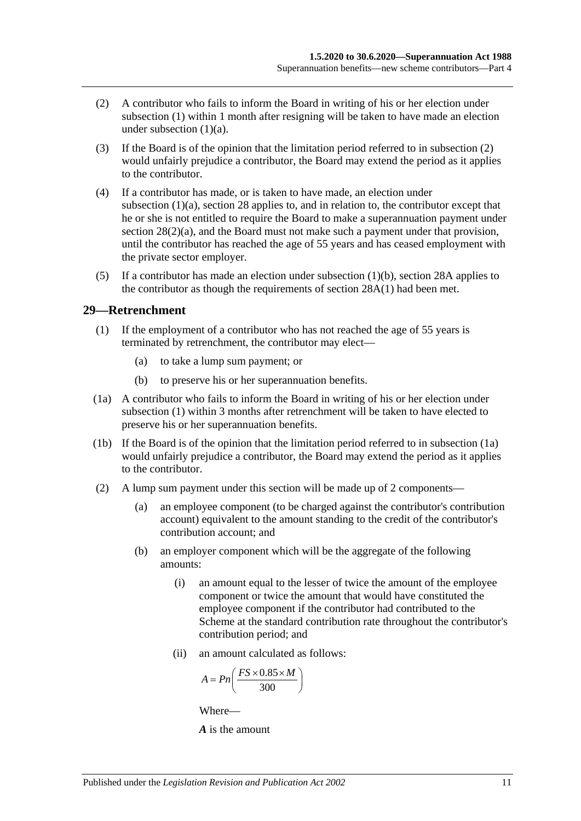- <span id="page-40-0"></span>(2) A contributor who fails to inform the Board in writing of his or her election under [subsection](#page-39-4) (1) within 1 month after resigning will be taken to have made an election under [subsection](#page-39-5)  $(1)(a)$ .
- (3) If the Board is of the opinion that the limitation period referred to in [subsection](#page-40-0) (2) would unfairly prejudice a contributor, the Board may extend the period as it applies to the contributor.
- (4) If a contributor has made, or is taken to have made, an election under [subsection](#page-39-5) (1)(a), [section](#page-34-0) 28 applies to, and in relation to, the contributor except that he or she is not entitled to require the Board to make a superannuation payment under section [28\(2\)\(a\),](#page-35-1) and the Board must not make such a payment under that provision, until the contributor has reached the age of 55 years and has ceased employment with the private sector employer.
- (5) If a contributor has made an election under [subsection](#page-39-6)  $(1)(b)$ , [section](#page-38-5) 28A applies to the contributor as though the requirements of [section](#page-38-1) 28A(1) had been met.

## <span id="page-40-1"></span>**29—Retrenchment**

- (1) If the employment of a contributor who has not reached the age of 55 years is terminated by retrenchment, the contributor may elect—
	- (a) to take a lump sum payment; or
	- (b) to preserve his or her superannuation benefits.
- <span id="page-40-2"></span>(1a) A contributor who fails to inform the Board in writing of his or her election under [subsection](#page-40-1) (1) within 3 months after retrenchment will be taken to have elected to preserve his or her superannuation benefits.
- (1b) If the Board is of the opinion that the limitation period referred to in [subsection](#page-40-2) (1a) would unfairly prejudice a contributor, the Board may extend the period as it applies to the contributor.
- (2) A lump sum payment under this section will be made up of 2 components—
	- (a) an employee component (to be charged against the contributor's contribution account) equivalent to the amount standing to the credit of the contributor's contribution account; and
	- (b) an employer component which will be the aggregate of the following amounts:
		- (i) an amount equal to the lesser of twice the amount of the employee component or twice the amount that would have constituted the employee component if the contributor had contributed to the Scheme at the standard contribution rate throughout the contributor's contribution period; and
		- (ii) an amount calculated as follows:

$$
A = P n \left( \frac{FS \times 0.85 \times M}{300} \right)
$$

Where—

*A* is the amount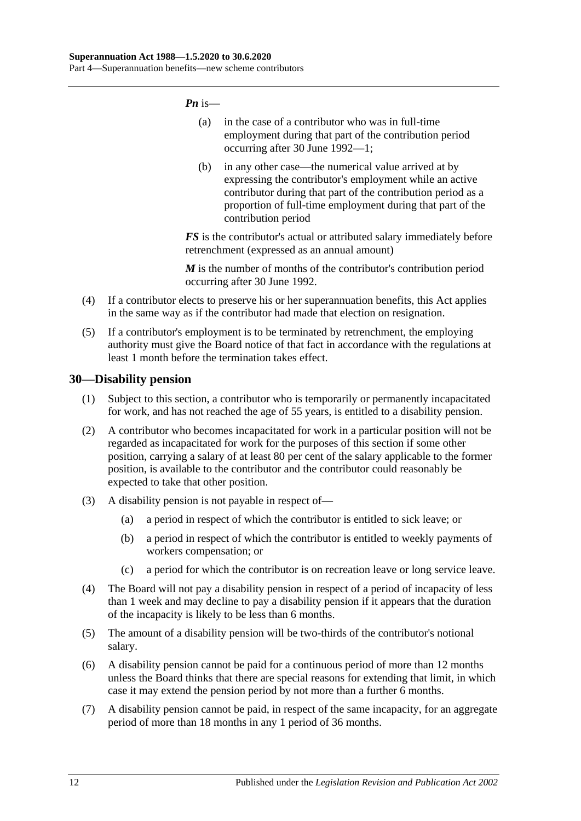*Pn* is—

- (a) in the case of a contributor who was in full-time employment during that part of the contribution period occurring after 30 June 1992—1;
- (b) in any other case—the numerical value arrived at by expressing the contributor's employment while an active contributor during that part of the contribution period as a proportion of full-time employment during that part of the contribution period

*FS* is the contributor's actual or attributed salary immediately before retrenchment (expressed as an annual amount)

*M* is the number of months of the contributor's contribution period occurring after 30 June 1992.

- (4) If a contributor elects to preserve his or her superannuation benefits, this Act applies in the same way as if the contributor had made that election on resignation.
- (5) If a contributor's employment is to be terminated by retrenchment, the employing authority must give the Board notice of that fact in accordance with the regulations at least 1 month before the termination takes effect.

## **30—Disability pension**

- (1) Subject to this section, a contributor who is temporarily or permanently incapacitated for work, and has not reached the age of 55 years, is entitled to a disability pension.
- (2) A contributor who becomes incapacitated for work in a particular position will not be regarded as incapacitated for work for the purposes of this section if some other position, carrying a salary of at least 80 per cent of the salary applicable to the former position, is available to the contributor and the contributor could reasonably be expected to take that other position.
- (3) A disability pension is not payable in respect of—
	- (a) a period in respect of which the contributor is entitled to sick leave; or
	- (b) a period in respect of which the contributor is entitled to weekly payments of workers compensation; or
	- (c) a period for which the contributor is on recreation leave or long service leave.
- (4) The Board will not pay a disability pension in respect of a period of incapacity of less than 1 week and may decline to pay a disability pension if it appears that the duration of the incapacity is likely to be less than 6 months.
- (5) The amount of a disability pension will be two-thirds of the contributor's notional salary.
- (6) A disability pension cannot be paid for a continuous period of more than 12 months unless the Board thinks that there are special reasons for extending that limit, in which case it may extend the pension period by not more than a further 6 months.
- (7) A disability pension cannot be paid, in respect of the same incapacity, for an aggregate period of more than 18 months in any 1 period of 36 months.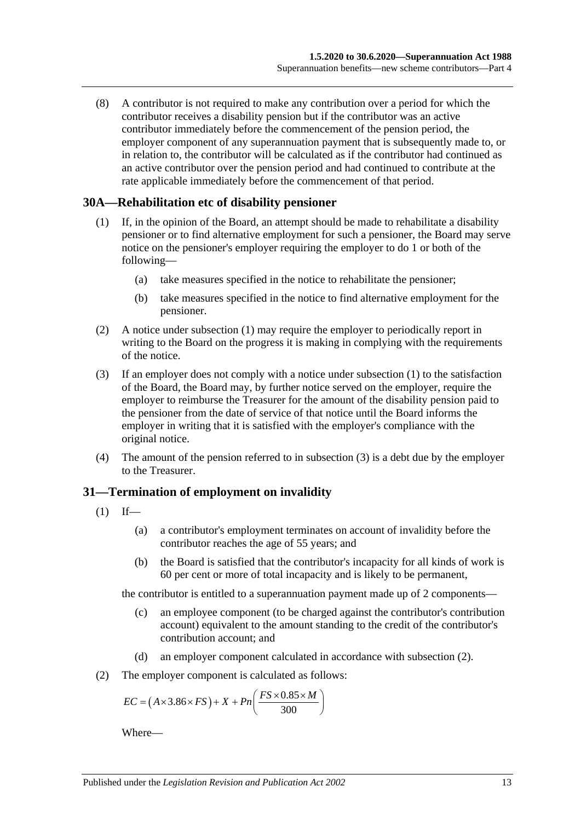(8) A contributor is not required to make any contribution over a period for which the contributor receives a disability pension but if the contributor was an active contributor immediately before the commencement of the pension period, the employer component of any superannuation payment that is subsequently made to, or in relation to, the contributor will be calculated as if the contributor had continued as an active contributor over the pension period and had continued to contribute at the rate applicable immediately before the commencement of that period.

## <span id="page-42-0"></span>**30A—Rehabilitation etc of disability pensioner**

- (1) If, in the opinion of the Board, an attempt should be made to rehabilitate a disability pensioner or to find alternative employment for such a pensioner, the Board may serve notice on the pensioner's employer requiring the employer to do 1 or both of the following—
	- (a) take measures specified in the notice to rehabilitate the pensioner;
	- (b) take measures specified in the notice to find alternative employment for the pensioner.
- (2) A notice under [subsection](#page-42-0) (1) may require the employer to periodically report in writing to the Board on the progress it is making in complying with the requirements of the notice.
- <span id="page-42-1"></span>(3) If an employer does not comply with a notice under [subsection](#page-42-0) (1) to the satisfaction of the Board, the Board may, by further notice served on the employer, require the employer to reimburse the Treasurer for the amount of the disability pension paid to the pensioner from the date of service of that notice until the Board informs the employer in writing that it is satisfied with the employer's compliance with the original notice.
- (4) The amount of the pension referred to in [subsection](#page-42-1) (3) is a debt due by the employer to the Treasurer.

## **31—Termination of employment on invalidity**

- <span id="page-42-3"></span> $(1)$  If—
	- (a) a contributor's employment terminates on account of invalidity before the contributor reaches the age of 55 years; and
	- (b) the Board is satisfied that the contributor's incapacity for all kinds of work is 60 per cent or more of total incapacity and is likely to be permanent,

the contributor is entitled to a superannuation payment made up of 2 components—

- (c) an employee component (to be charged against the contributor's contribution account) equivalent to the amount standing to the credit of the contributor's contribution account; and
- (d) an employer component calculated in accordance with [subsection](#page-42-2) (2).
- <span id="page-42-2"></span>(2) The employer component is calculated as follows:

$$
EC = (A \times 3.86 \times FS) + X + Pn\left(\frac{FS \times 0.85 \times M}{300}\right)
$$

Where—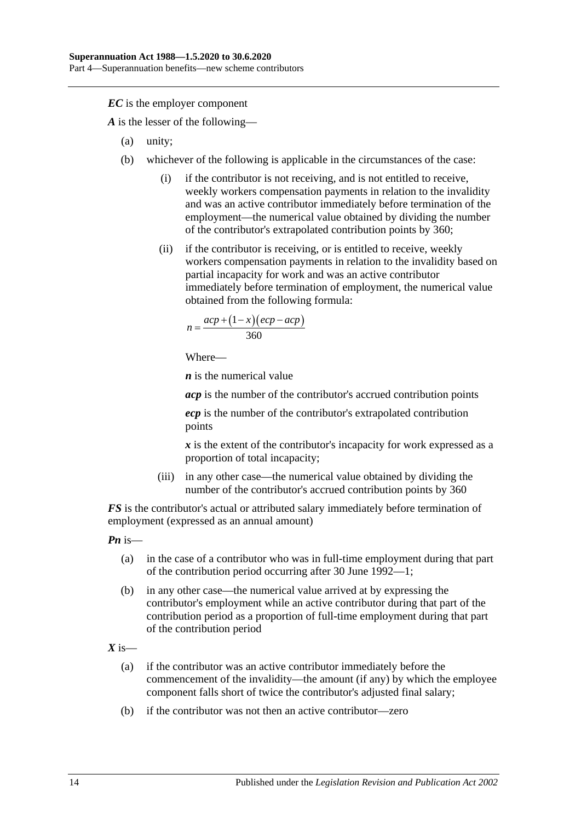*EC* is the employer component

*A* is the lesser of the following—

- (a) unity;
- (b) whichever of the following is applicable in the circumstances of the case:
	- (i) if the contributor is not receiving, and is not entitled to receive, weekly workers compensation payments in relation to the invalidity and was an active contributor immediately before termination of the employment—the numerical value obtained by dividing the number of the contributor's extrapolated contribution points by 360;
	- (ii) if the contributor is receiving, or is entitled to receive, weekly workers compensation payments in relation to the invalidity based on partial incapacity for work and was an active contributor immediately before termination of employment, the numerical value obtained from the following formula:

$$
n = \frac{acp + (1 - x)(ecp - acp)}{360}
$$

Where—

*n* is the numerical value

*acp* is the number of the contributor's accrued contribution points

*ecp* is the number of the contributor's extrapolated contribution points

*x* is the extent of the contributor's incapacity for work expressed as a proportion of total incapacity;

(iii) in any other case—the numerical value obtained by dividing the number of the contributor's accrued contribution points by 360

*FS* is the contributor's actual or attributed salary immediately before termination of employment (expressed as an annual amount)

*Pn* is—

- (a) in the case of a contributor who was in full-time employment during that part of the contribution period occurring after 30 June 1992—1;
- (b) in any other case—the numerical value arrived at by expressing the contributor's employment while an active contributor during that part of the contribution period as a proportion of full-time employment during that part of the contribution period

 $X$  is—

- (a) if the contributor was an active contributor immediately before the commencement of the invalidity—the amount (if any) by which the employee component falls short of twice the contributor's adjusted final salary;
- (b) if the contributor was not then an active contributor—zero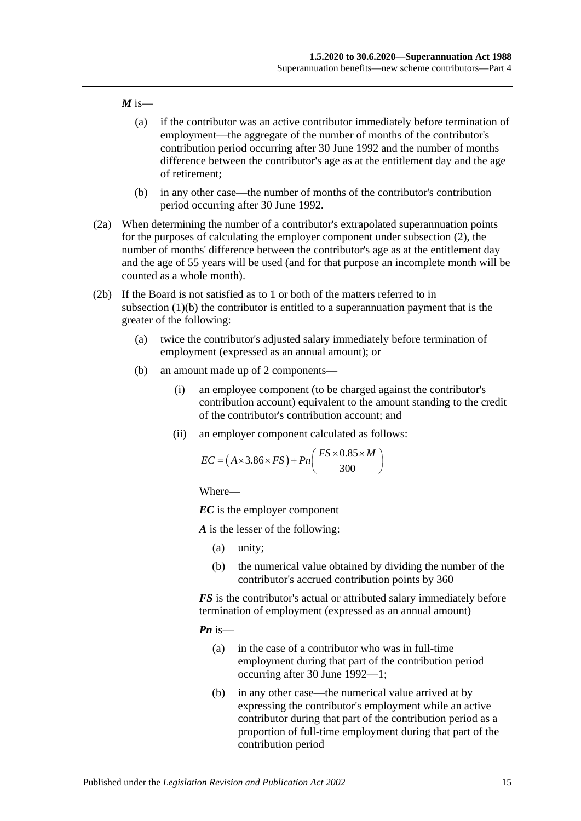#### $M$  is—

- (a) if the contributor was an active contributor immediately before termination of employment—the aggregate of the number of months of the contributor's contribution period occurring after 30 June 1992 and the number of months difference between the contributor's age as at the entitlement day and the age of retirement;
- (b) in any other case—the number of months of the contributor's contribution period occurring after 30 June 1992.
- (2a) When determining the number of a contributor's extrapolated superannuation points for the purposes of calculating the employer component under [subsection](#page-42-2) (2), the number of months' difference between the contributor's age as at the entitlement day and the age of 55 years will be used (and for that purpose an incomplete month will be counted as a whole month).
- <span id="page-44-0"></span>(2b) If the Board is not satisfied as to 1 or both of the matters referred to in [subsection](#page-42-3) (1)(b) the contributor is entitled to a superannuation payment that is the greater of the following:
	- (a) twice the contributor's adjusted salary immediately before termination of employment (expressed as an annual amount); or
	- (b) an amount made up of 2 components—
		- (i) an employee component (to be charged against the contributor's contribution account) equivalent to the amount standing to the credit of the contributor's contribution account; and
		- (ii) an employer component calculated as follows:

$$
EC = (A \times 3.86 \times FS) + Pn\left(\frac{FS \times 0.85 \times M}{300}\right)
$$

Where—

*EC* is the employer component

*A* is the lesser of the following:

- (a) unity;
- (b) the numerical value obtained by dividing the number of the contributor's accrued contribution points by 360

*FS* is the contributor's actual or attributed salary immediately before termination of employment (expressed as an annual amount)

*Pn* is—

- (a) in the case of a contributor who was in full-time employment during that part of the contribution period occurring after 30 June 1992—1;
- (b) in any other case—the numerical value arrived at by expressing the contributor's employment while an active contributor during that part of the contribution period as a proportion of full-time employment during that part of the contribution period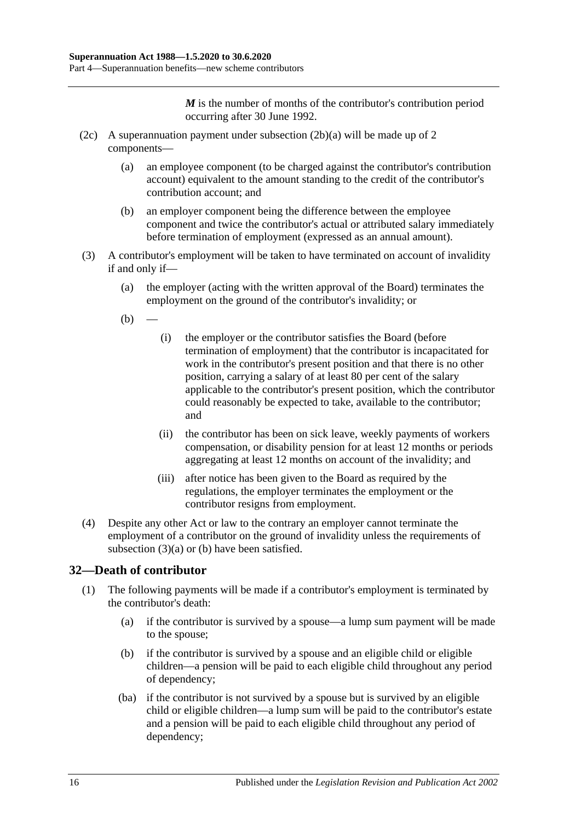*M* is the number of months of the contributor's contribution period occurring after 30 June 1992.

- (2c) A superannuation payment under [subsection](#page-44-0) (2b)(a) will be made up of 2 components—
	- (a) an employee component (to be charged against the contributor's contribution account) equivalent to the amount standing to the credit of the contributor's contribution account; and
	- (b) an employer component being the difference between the employee component and twice the contributor's actual or attributed salary immediately before termination of employment (expressed as an annual amount).
- <span id="page-45-1"></span><span id="page-45-0"></span>(3) A contributor's employment will be taken to have terminated on account of invalidity if and only if—
	- (a) the employer (acting with the written approval of the Board) terminates the employment on the ground of the contributor's invalidity; or
	- $(b)$
- (i) the employer or the contributor satisfies the Board (before termination of employment) that the contributor is incapacitated for work in the contributor's present position and that there is no other position, carrying a salary of at least 80 per cent of the salary applicable to the contributor's present position, which the contributor could reasonably be expected to take, available to the contributor; and
- (ii) the contributor has been on sick leave, weekly payments of workers compensation, or disability pension for at least 12 months or periods aggregating at least 12 months on account of the invalidity; and
- (iii) after notice has been given to the Board as required by the regulations, the employer terminates the employment or the contributor resigns from employment.
- (4) Despite any other Act or law to the contrary an employer cannot terminate the employment of a contributor on the ground of invalidity unless the requirements of [subsection](#page-45-0)  $(3)(a)$  or [\(b\)](#page-45-1) have been satisfied.

# **32—Death of contributor**

- (1) The following payments will be made if a contributor's employment is terminated by the contributor's death:
	- (a) if the contributor is survived by a spouse—a lump sum payment will be made to the spouse;
	- (b) if the contributor is survived by a spouse and an eligible child or eligible children—a pension will be paid to each eligible child throughout any period of dependency;
	- (ba) if the contributor is not survived by a spouse but is survived by an eligible child or eligible children—a lump sum will be paid to the contributor's estate and a pension will be paid to each eligible child throughout any period of dependency;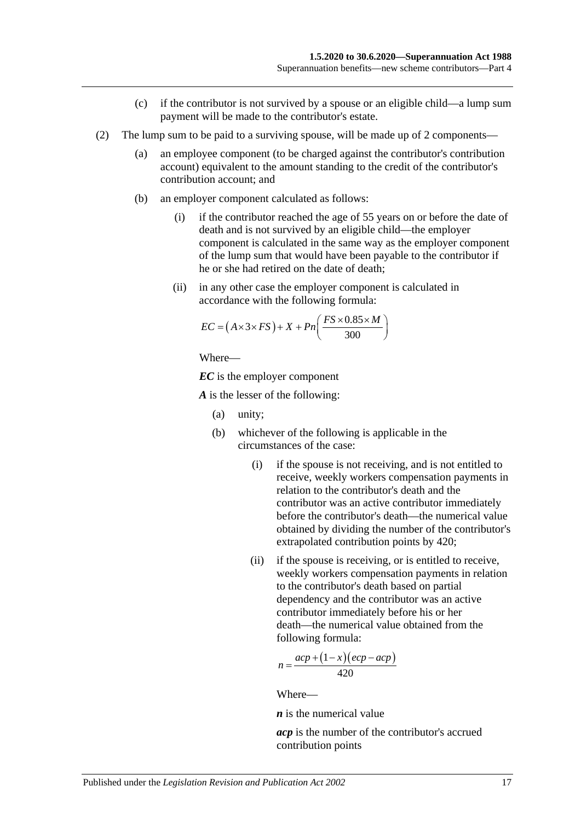- (c) if the contributor is not survived by a spouse or an eligible child—a lump sum payment will be made to the contributor's estate.
- (2) The lump sum to be paid to a surviving spouse, will be made up of 2 components—
	- (a) an employee component (to be charged against the contributor's contribution account) equivalent to the amount standing to the credit of the contributor's contribution account; and
	- (b) an employer component calculated as follows:
		- (i) if the contributor reached the age of 55 years on or before the date of death and is not survived by an eligible child—the employer component is calculated in the same way as the employer component of the lump sum that would have been payable to the contributor if he or she had retired on the date of death;
		- (ii) in any other case the employer component is calculated in accordance with the following formula:

$$
EC = (A \times 3 \times FS) + X + Pn\left(\frac{FS \times 0.85 \times M}{300}\right)
$$

*EC* is the employer component

*A* is the lesser of the following:

- (a) unity;
- (b) whichever of the following is applicable in the circumstances of the case:
	- (i) if the spouse is not receiving, and is not entitled to receive, weekly workers compensation payments in relation to the contributor's death and the contributor was an active contributor immediately before the contributor's death—the numerical value obtained by dividing the number of the contributor's extrapolated contribution points by 420;
	- (ii) if the spouse is receiving, or is entitled to receive, weekly workers compensation payments in relation to the contributor's death based on partial dependency and the contributor was an active contributor immediately before his or her death—the numerical value obtained from the following formula:

$$
n = \frac{acp + (1 - x)(ecp - acp)}{420}
$$

Where—

*n* is the numerical value

*acp* is the number of the contributor's accrued contribution points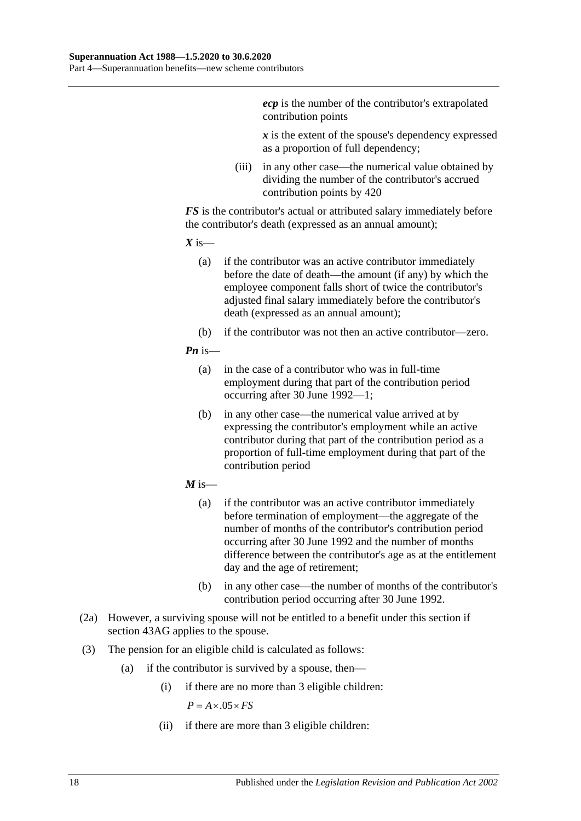*ecp* is the number of the contributor's extrapolated contribution points

*x* is the extent of the spouse's dependency expressed as a proportion of full dependency;

(iii) in any other case—the numerical value obtained by dividing the number of the contributor's accrued contribution points by 420

*FS* is the contributor's actual or attributed salary immediately before the contributor's death (expressed as an annual amount);

 $X$  is—

- (a) if the contributor was an active contributor immediately before the date of death—the amount (if any) by which the employee component falls short of twice the contributor's adjusted final salary immediately before the contributor's death (expressed as an annual amount);
- (b) if the contributor was not then an active contributor—zero.

#### *Pn* is—

- (a) in the case of a contributor who was in full-time employment during that part of the contribution period occurring after 30 June 1992—1;
- (b) in any other case—the numerical value arrived at by expressing the contributor's employment while an active contributor during that part of the contribution period as a proportion of full-time employment during that part of the contribution period
- $M$  is—
	- (a) if the contributor was an active contributor immediately before termination of employment—the aggregate of the number of months of the contributor's contribution period occurring after 30 June 1992 and the number of months difference between the contributor's age as at the entitlement day and the age of retirement;
	- (b) in any other case—the number of months of the contributor's contribution period occurring after 30 June 1992.
- (2a) However, a surviving spouse will not be entitled to a benefit under this section if [section](#page-90-0) 43AG applies to the spouse.
- (3) The pension for an eligible child is calculated as follows:
	- (a) if the contributor is survived by a spouse, then—
		- (i) if there are no more than 3 eligible children:

 $P = A \times .05 \times FS$ 

(ii) if there are more than 3 eligible children: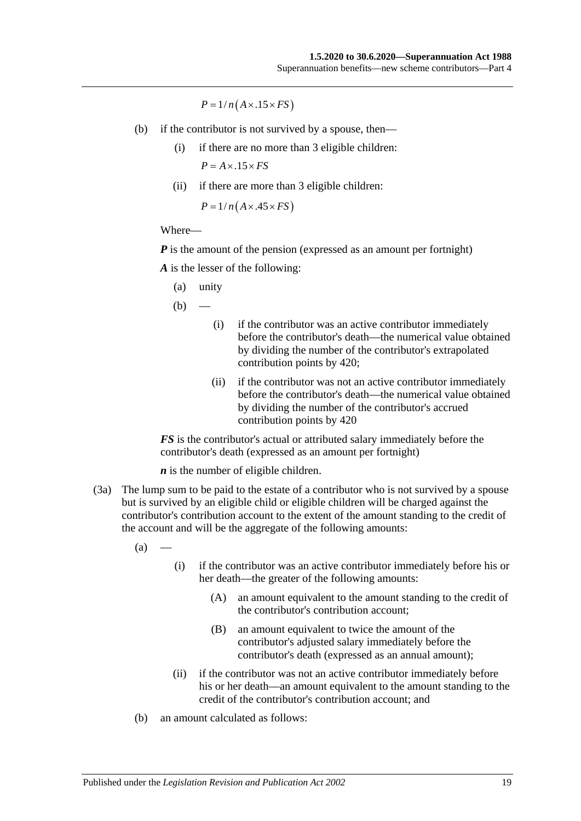$P = 1/n(A \times .15 \times FS)$ 

- (b) if the contributor is not survived by a spouse, then—
	- (i) if there are no more than 3 eligible children:  $P = A \times .15 \times FS$
	- (ii) if there are more than 3 eligible children:

 $P = 1/n(A \times .45 \times FS)$ 

#### Where—

*P* is the amount of the pension (expressed as an amount per fortnight)

*A* is the lesser of the following:

(a) unity

 $(b)$ 

- (i) if the contributor was an active contributor immediately before the contributor's death—the numerical value obtained by dividing the number of the contributor's extrapolated contribution points by 420;
- (ii) if the contributor was not an active contributor immediately before the contributor's death—the numerical value obtained by dividing the number of the contributor's accrued contribution points by 420

*FS* is the contributor's actual or attributed salary immediately before the contributor's death (expressed as an amount per fortnight)

*n* is the number of eligible children.

(3a) The lump sum to be paid to the estate of a contributor who is not survived by a spouse but is survived by an eligible child or eligible children will be charged against the contributor's contribution account to the extent of the amount standing to the credit of the account and will be the aggregate of the following amounts:

 $(a)$ 

- (i) if the contributor was an active contributor immediately before his or her death—the greater of the following amounts:
	- (A) an amount equivalent to the amount standing to the credit of the contributor's contribution account;
	- (B) an amount equivalent to twice the amount of the contributor's adjusted salary immediately before the contributor's death (expressed as an annual amount);
- (ii) if the contributor was not an active contributor immediately before his or her death—an amount equivalent to the amount standing to the credit of the contributor's contribution account; and
- (b) an amount calculated as follows: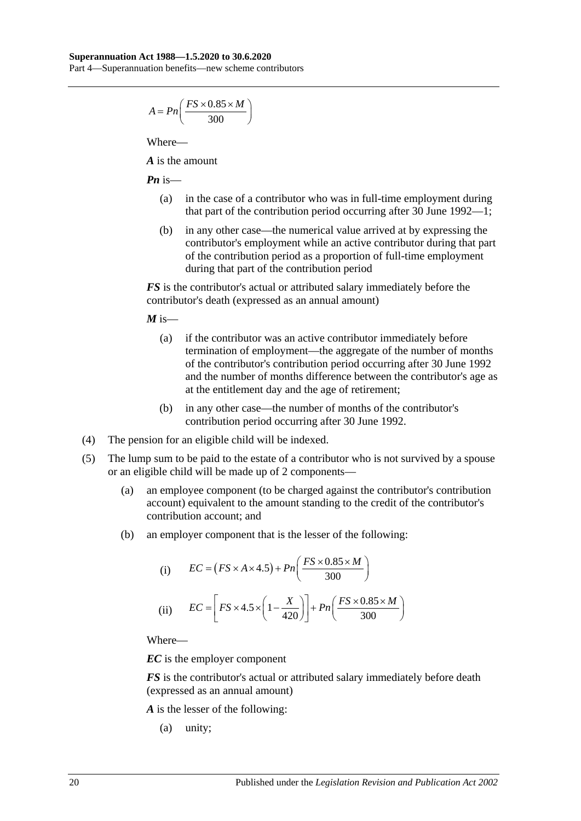$$
A = P n \left( \frac{FS \times 0.85 \times M}{300} \right)
$$

*A* is the amount

*Pn* is—

- (a) in the case of a contributor who was in full-time employment during that part of the contribution period occurring after 30 June 1992—1;
- (b) in any other case—the numerical value arrived at by expressing the contributor's employment while an active contributor during that part of the contribution period as a proportion of full-time employment during that part of the contribution period

*FS* is the contributor's actual or attributed salary immediately before the contributor's death (expressed as an annual amount)

 $M$  is—

- (a) if the contributor was an active contributor immediately before termination of employment—the aggregate of the number of months of the contributor's contribution period occurring after 30 June 1992 and the number of months difference between the contributor's age as at the entitlement day and the age of retirement;
- (b) in any other case—the number of months of the contributor's contribution period occurring after 30 June 1992.
- (4) The pension for an eligible child will be indexed.
- (5) The lump sum to be paid to the estate of a contributor who is not survived by a spouse or an eligible child will be made up of 2 components—
	- (a) an employee component (to be charged against the contributor's contribution account) equivalent to the amount standing to the credit of the contributor's contribution account; and
	- (b) an employer component that is the lesser of the following:

(i) 
$$
EC = (FS \times A \times 4.5) + Pn\left(\frac{FS \times 0.85 \times M}{300}\right)
$$
  
(ii) 
$$
EC = \left[FS \times 4.5 \times \left(1 - \frac{X}{420}\right)\right] + Pn\left(\frac{FS \times 0.85 \times M}{300}\right)
$$

Where—

*EC* is the employer component

*FS* is the contributor's actual or attributed salary immediately before death (expressed as an annual amount)

*A* is the lesser of the following:

(a) unity;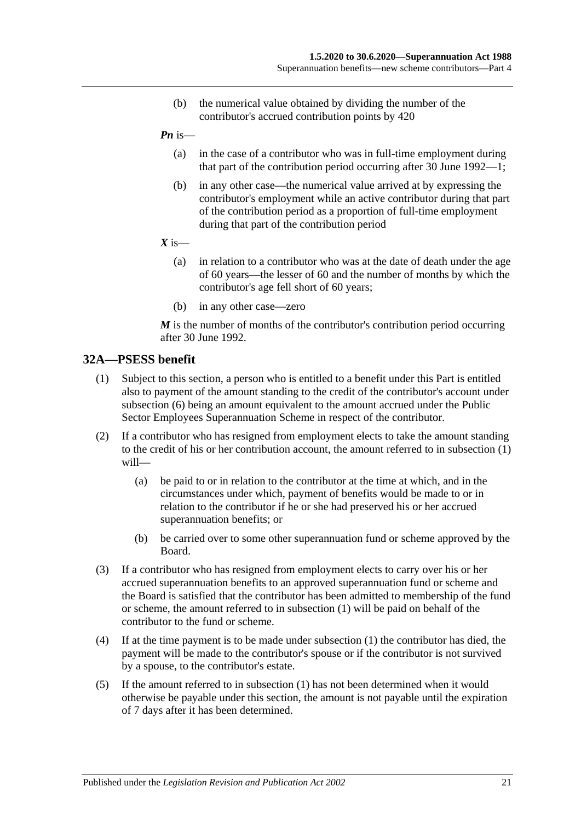- (b) the numerical value obtained by dividing the number of the contributor's accrued contribution points by 420
- *Pn* is—
	- (a) in the case of a contributor who was in full-time employment during that part of the contribution period occurring after 30 June 1992—1;
	- (b) in any other case—the numerical value arrived at by expressing the contributor's employment while an active contributor during that part of the contribution period as a proportion of full-time employment during that part of the contribution period
- $X$  is—
	- (a) in relation to a contributor who was at the date of death under the age of 60 years—the lesser of 60 and the number of months by which the contributor's age fell short of 60 years;
	- (b) in any other case—zero

*M* is the number of months of the contributor's contribution period occurring after 30 June 1992.

## <span id="page-50-0"></span>**32A—PSESS benefit**

- (1) Subject to this section, a person who is entitled to a benefit under this Part is entitled also to payment of the amount standing to the credit of the contributor's account under [subsection](#page-51-0) (6) being an amount equivalent to the amount accrued under the Public Sector Employees Superannuation Scheme in respect of the contributor.
- (2) If a contributor who has resigned from employment elects to take the amount standing to the credit of his or her contribution account, the amount referred to in [subsection](#page-50-0) (1) will—
	- (a) be paid to or in relation to the contributor at the time at which, and in the circumstances under which, payment of benefits would be made to or in relation to the contributor if he or she had preserved his or her accrued superannuation benefits; or
	- (b) be carried over to some other superannuation fund or scheme approved by the Board.
- (3) If a contributor who has resigned from employment elects to carry over his or her accrued superannuation benefits to an approved superannuation fund or scheme and the Board is satisfied that the contributor has been admitted to membership of the fund or scheme, the amount referred to in [subsection](#page-50-0) (1) will be paid on behalf of the contributor to the fund or scheme.
- (4) If at the time payment is to be made under [subsection](#page-50-0) (1) the contributor has died, the payment will be made to the contributor's spouse or if the contributor is not survived by a spouse, to the contributor's estate.
- (5) If the amount referred to in [subsection](#page-50-0) (1) has not been determined when it would otherwise be payable under this section, the amount is not payable until the expiration of 7 days after it has been determined.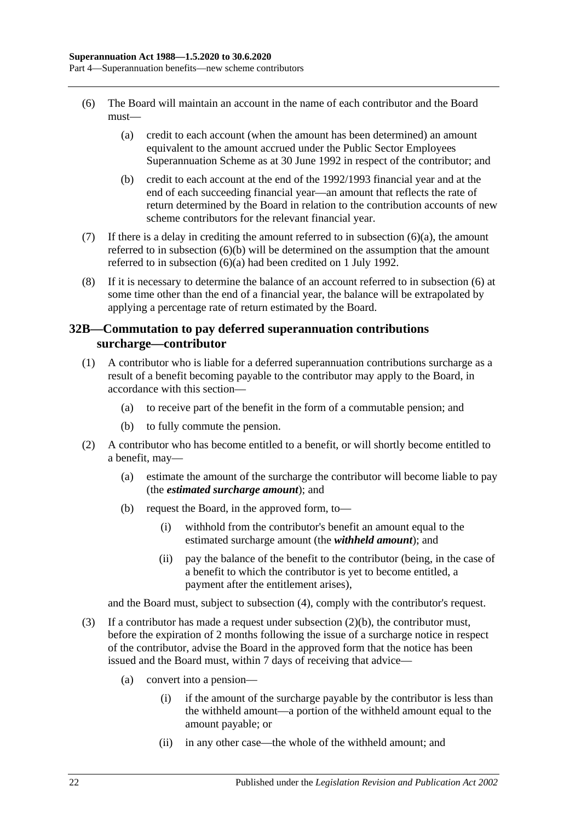- <span id="page-51-1"></span><span id="page-51-0"></span>(6) The Board will maintain an account in the name of each contributor and the Board must—
	- (a) credit to each account (when the amount has been determined) an amount equivalent to the amount accrued under the Public Sector Employees Superannuation Scheme as at 30 June 1992 in respect of the contributor; and
	- (b) credit to each account at the end of the 1992/1993 financial year and at the end of each succeeding financial year—an amount that reflects the rate of return determined by the Board in relation to the contribution accounts of new scheme contributors for the relevant financial year.
- <span id="page-51-2"></span>(7) If there is a delay in crediting the amount referred to in [subsection](#page-51-1)  $(6)(a)$ , the amount referred to in [subsection](#page-51-2) (6)(b) will be determined on the assumption that the amount referred to in [subsection](#page-51-1) (6)(a) had been credited on 1 July 1992.
- (8) If it is necessary to determine the balance of an account referred to in [subsection](#page-51-0) (6) at some time other than the end of a financial year, the balance will be extrapolated by applying a percentage rate of return estimated by the Board.

## <span id="page-51-6"></span>**32B—Commutation to pay deferred superannuation contributions surcharge—contributor**

- <span id="page-51-5"></span>(1) A contributor who is liable for a deferred superannuation contributions surcharge as a result of a benefit becoming payable to the contributor may apply to the Board, in accordance with this section—
	- (a) to receive part of the benefit in the form of a commutable pension; and
	- (b) to fully commute the pension.
- <span id="page-51-3"></span>(2) A contributor who has become entitled to a benefit, or will shortly become entitled to a benefit, may—
	- (a) estimate the amount of the surcharge the contributor will become liable to pay (the *estimated surcharge amount*); and
	- (b) request the Board, in the approved form, to—
		- (i) withhold from the contributor's benefit an amount equal to the estimated surcharge amount (the *withheld amount*); and
		- (ii) pay the balance of the benefit to the contributor (being, in the case of a benefit to which the contributor is yet to become entitled, a payment after the entitlement arises),

and the Board must, subject to [subsection](#page-52-0) (4), comply with the contributor's request.

- <span id="page-51-4"></span>(3) If a contributor has made a request under [subsection](#page-51-3)  $(2)(b)$ , the contributor must, before the expiration of 2 months following the issue of a surcharge notice in respect of the contributor, advise the Board in the approved form that the notice has been issued and the Board must, within 7 days of receiving that advice—
	- (a) convert into a pension—
		- (i) if the amount of the surcharge payable by the contributor is less than the withheld amount—a portion of the withheld amount equal to the amount payable; or
		- (ii) in any other case—the whole of the withheld amount; and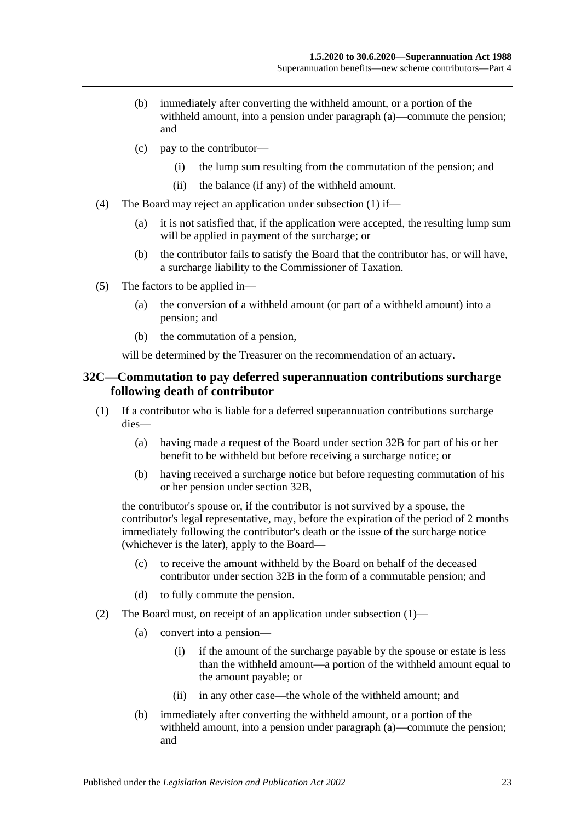- (b) immediately after converting the withheld amount, or a portion of the withheld amount, into a pension under [paragraph](#page-51-4) (a)—commute the pension; and
- (c) pay to the contributor—
	- (i) the lump sum resulting from the commutation of the pension; and
	- (ii) the balance (if any) of the withheld amount.
- <span id="page-52-0"></span>(4) The Board may reject an application under [subsection](#page-51-5) (1) if—
	- (a) it is not satisfied that, if the application were accepted, the resulting lump sum will be applied in payment of the surcharge; or
	- (b) the contributor fails to satisfy the Board that the contributor has, or will have, a surcharge liability to the Commissioner of Taxation.
- (5) The factors to be applied in—
	- (a) the conversion of a withheld amount (or part of a withheld amount) into a pension; and
	- (b) the commutation of a pension,

will be determined by the Treasurer on the recommendation of an actuary.

## <span id="page-52-3"></span>**32C—Commutation to pay deferred superannuation contributions surcharge following death of contributor**

- <span id="page-52-1"></span>(1) If a contributor who is liable for a deferred superannuation contributions surcharge dies—
	- (a) having made a request of the Board under [section](#page-51-6) 32B for part of his or her benefit to be withheld but before receiving a surcharge notice; or
	- (b) having received a surcharge notice but before requesting commutation of his or her pension under [section](#page-51-6) 32B,

the contributor's spouse or, if the contributor is not survived by a spouse, the contributor's legal representative, may, before the expiration of the period of 2 months immediately following the contributor's death or the issue of the surcharge notice (whichever is the later), apply to the Board—

- (c) to receive the amount withheld by the Board on behalf of the deceased contributor under [section](#page-51-6) 32B in the form of a commutable pension; and
- (d) to fully commute the pension.
- <span id="page-52-2"></span>(2) The Board must, on receipt of an application under [subsection](#page-52-1) (1)—
	- (a) convert into a pension—
		- (i) if the amount of the surcharge payable by the spouse or estate is less than the withheld amount—a portion of the withheld amount equal to the amount payable; or
		- (ii) in any other case—the whole of the withheld amount; and
	- (b) immediately after converting the withheld amount, or a portion of the withheld amount, into a pension under [paragraph](#page-52-2) (a)—commute the pension; and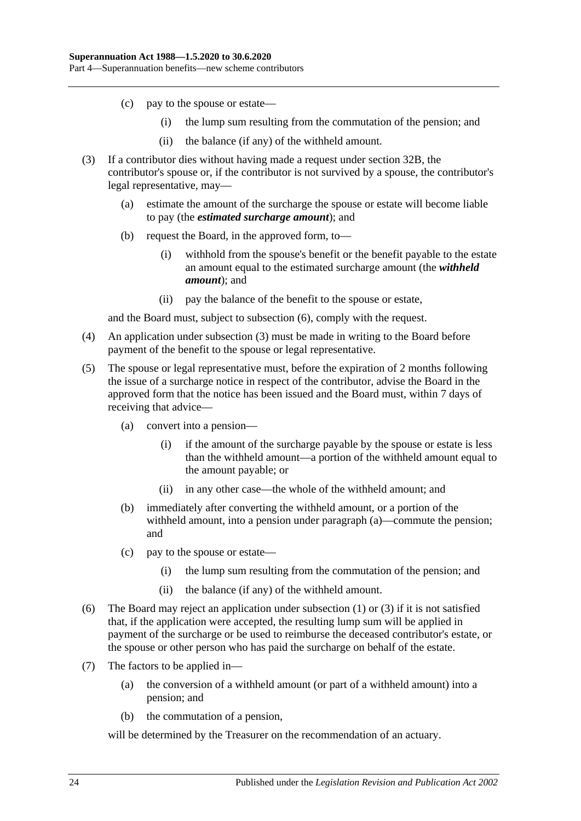- (c) pay to the spouse or estate—
	- (i) the lump sum resulting from the commutation of the pension; and
	- (ii) the balance (if any) of the withheld amount.
- <span id="page-53-1"></span>(3) If a contributor dies without having made a request under [section](#page-51-6) 32B, the contributor's spouse or, if the contributor is not survived by a spouse, the contributor's legal representative, may—
	- (a) estimate the amount of the surcharge the spouse or estate will become liable to pay (the *estimated surcharge amount*); and
	- (b) request the Board, in the approved form, to—
		- (i) withhold from the spouse's benefit or the benefit payable to the estate an amount equal to the estimated surcharge amount (the *withheld amount*); and
		- (ii) pay the balance of the benefit to the spouse or estate,

and the Board must, subject to [subsection](#page-53-0) (6), comply with the request.

- (4) An application under [subsection](#page-53-1) (3) must be made in writing to the Board before payment of the benefit to the spouse or legal representative.
- <span id="page-53-2"></span>(5) The spouse or legal representative must, before the expiration of 2 months following the issue of a surcharge notice in respect of the contributor, advise the Board in the approved form that the notice has been issued and the Board must, within 7 days of receiving that advice—
	- (a) convert into a pension—
		- (i) if the amount of the surcharge payable by the spouse or estate is less than the withheld amount—a portion of the withheld amount equal to the amount payable; or
		- (ii) in any other case—the whole of the withheld amount; and
	- (b) immediately after converting the withheld amount, or a portion of the withheld amount, into a pension under [paragraph](#page-53-2) (a)—commute the pension; and
	- (c) pay to the spouse or estate—
		- (i) the lump sum resulting from the commutation of the pension; and
		- (ii) the balance (if any) of the withheld amount.
- <span id="page-53-0"></span>(6) The Board may reject an application under [subsection](#page-52-1) (1) or [\(3\)](#page-53-1) if it is not satisfied that, if the application were accepted, the resulting lump sum will be applied in payment of the surcharge or be used to reimburse the deceased contributor's estate, or the spouse or other person who has paid the surcharge on behalf of the estate.
- (7) The factors to be applied in—
	- (a) the conversion of a withheld amount (or part of a withheld amount) into a pension; and
	- (b) the commutation of a pension,

will be determined by the Treasurer on the recommendation of an actuary.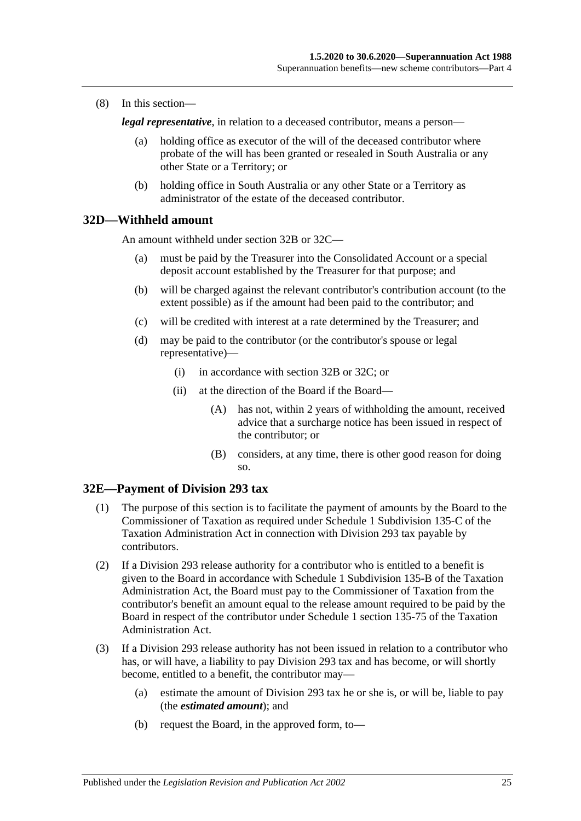(8) In this section—

*legal representative*, in relation to a deceased contributor, means a person—

- (a) holding office as executor of the will of the deceased contributor where probate of the will has been granted or resealed in South Australia or any other State or a Territory; or
- (b) holding office in South Australia or any other State or a Territory as administrator of the estate of the deceased contributor.

#### **32D—Withheld amount**

An amount withheld under [section](#page-51-6) 32B or [32C—](#page-52-3)

- (a) must be paid by the Treasurer into the Consolidated Account or a special deposit account established by the Treasurer for that purpose; and
- (b) will be charged against the relevant contributor's contribution account (to the extent possible) as if the amount had been paid to the contributor; and
- (c) will be credited with interest at a rate determined by the Treasurer; and
- (d) may be paid to the contributor (or the contributor's spouse or legal representative)—
	- (i) in accordance with [section](#page-51-6) 32B or [32C;](#page-52-3) or
	- (ii) at the direction of the Board if the Board—
		- (A) has not, within 2 years of withholding the amount, received advice that a surcharge notice has been issued in respect of the contributor; or
		- (B) considers, at any time, there is other good reason for doing so.

## **32E—Payment of Division 293 tax**

- (1) The purpose of this section is to facilitate the payment of amounts by the Board to the Commissioner of Taxation as required under Schedule 1 Subdivision 135-C of the Taxation Administration Act in connection with Division 293 tax payable by contributors.
- (2) If a Division 293 release authority for a contributor who is entitled to a benefit is given to the Board in accordance with Schedule 1 Subdivision 135-B of the Taxation Administration Act, the Board must pay to the Commissioner of Taxation from the contributor's benefit an amount equal to the release amount required to be paid by the Board in respect of the contributor under Schedule 1 section 135-75 of the Taxation Administration Act.
- <span id="page-54-0"></span>(3) If a Division 293 release authority has not been issued in relation to a contributor who has, or will have, a liability to pay Division 293 tax and has become, or will shortly become, entitled to a benefit, the contributor may—
	- (a) estimate the amount of Division 293 tax he or she is, or will be, liable to pay (the *estimated amount*); and
	- (b) request the Board, in the approved form, to—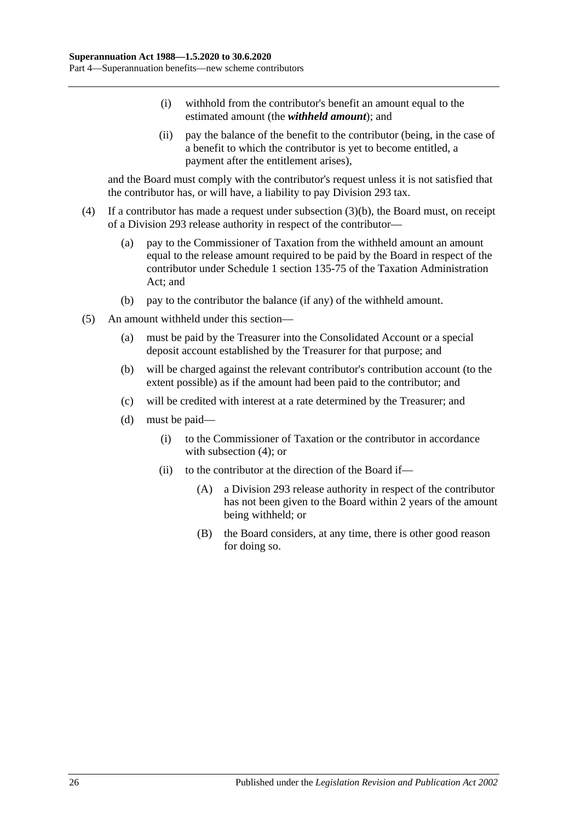- (i) withhold from the contributor's benefit an amount equal to the estimated amount (the *withheld amount*); and
- (ii) pay the balance of the benefit to the contributor (being, in the case of a benefit to which the contributor is yet to become entitled, a payment after the entitlement arises),

and the Board must comply with the contributor's request unless it is not satisfied that the contributor has, or will have, a liability to pay Division 293 tax.

- <span id="page-55-0"></span>(4) If a contributor has made a request under [subsection](#page-54-0) (3)(b), the Board must, on receipt of a Division 293 release authority in respect of the contributor—
	- (a) pay to the Commissioner of Taxation from the withheld amount an amount equal to the release amount required to be paid by the Board in respect of the contributor under Schedule 1 section 135-75 of the Taxation Administration Act; and
	- (b) pay to the contributor the balance (if any) of the withheld amount.
- (5) An amount withheld under this section—
	- (a) must be paid by the Treasurer into the Consolidated Account or a special deposit account established by the Treasurer for that purpose; and
	- (b) will be charged against the relevant contributor's contribution account (to the extent possible) as if the amount had been paid to the contributor; and
	- (c) will be credited with interest at a rate determined by the Treasurer; and
	- (d) must be paid—
		- (i) to the Commissioner of Taxation or the contributor in accordance with [subsection](#page-55-0)  $(4)$ ; or
		- (ii) to the contributor at the direction of the Board if—
			- (A) a Division 293 release authority in respect of the contributor has not been given to the Board within 2 years of the amount being withheld; or
			- (B) the Board considers, at any time, there is other good reason for doing so.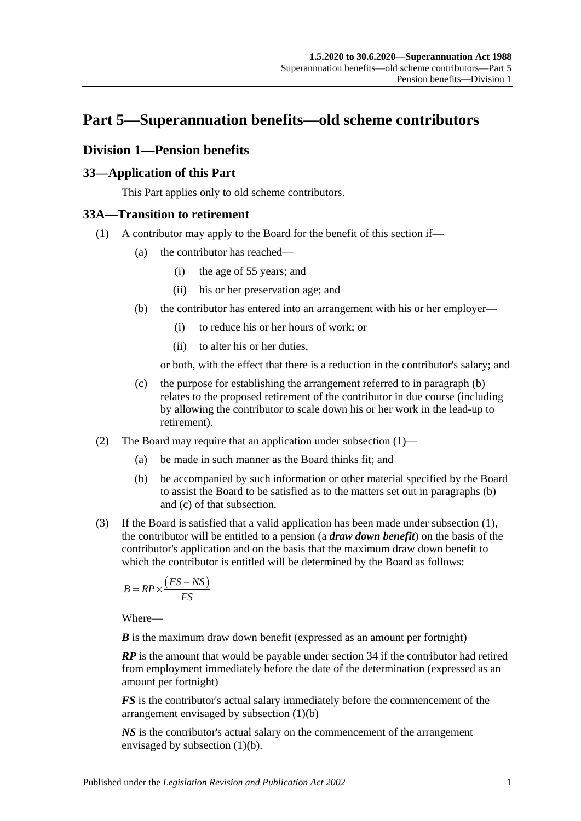# **Part 5—Superannuation benefits—old scheme contributors**

# **Division 1—Pension benefits**

## **33—Application of this Part**

This Part applies only to old scheme contributors.

# <span id="page-56-1"></span>**33A—Transition to retirement**

- <span id="page-56-0"></span>(1) A contributor may apply to the Board for the benefit of this section if—
	- (a) the contributor has reached—
		- (i) the age of 55 years; and
		- (ii) his or her preservation age; and
	- (b) the contributor has entered into an arrangement with his or her employer—
		- (i) to reduce his or her hours of work; or
		- (ii) to alter his or her duties,

or both, with the effect that there is a reduction in the contributor's salary; and

- (c) the purpose for establishing the arrangement referred to in [paragraph](#page-56-0) (b) relates to the proposed retirement of the contributor in due course (including by allowing the contributor to scale down his or her work in the lead-up to retirement).
- (2) The Board may require that an application under [subsection](#page-30-0) (1)—
	- (a) be made in such manner as the Board thinks fit; and
	- (b) be accompanied by such information or other material specified by the Board to assist the Board to be satisfied as to the matters set out in [paragraphs](#page-30-1) (b) and [\(c\)](#page-30-2) of that subsection.
- <span id="page-56-2"></span>(3) If the Board is satisfied that a valid application has been made under [subsection](#page-56-1) (1), the contributor will be entitled to a pension (a *draw down benefit*) on the basis of the contributor's application and on the basis that the maximum draw down benefit to which the contributor is entitled will be determined by the Board as follows:

$$
B = RP \times \frac{\left( FS - NS \right)}{FS}
$$

Where—

*B* is the maximum draw down benefit (expressed as an amount per fortnight)

*RP* is the amount that would be payable under section 34 if the contributor had retired from employment immediately before the date of the determination (expressed as an amount per fortnight)

*FS* is the contributor's actual salary immediately before the commencement of the arrangement envisaged by [subsection](#page-56-0) (1)(b)

*NS* is the contributor's actual salary on the commencement of the arrangement envisaged by [subsection](#page-56-0) (1)(b).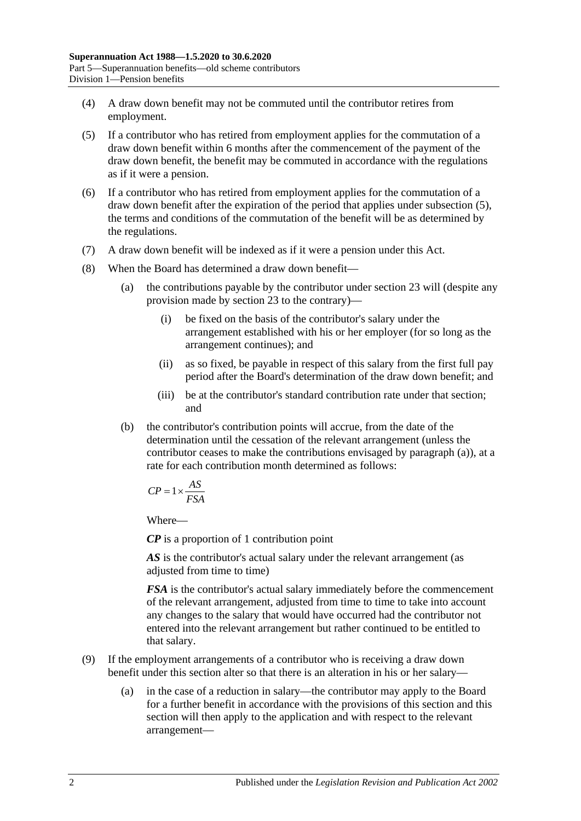- (4) A draw down benefit may not be commuted until the contributor retires from employment.
- <span id="page-57-0"></span>(5) If a contributor who has retired from employment applies for the commutation of a draw down benefit within 6 months after the commencement of the payment of the draw down benefit, the benefit may be commuted in accordance with the regulations as if it were a pension.
- (6) If a contributor who has retired from employment applies for the commutation of a draw down benefit after the expiration of the period that applies under [subsection](#page-57-0) (5), the terms and conditions of the commutation of the benefit will be as determined by the regulations.
- (7) A draw down benefit will be indexed as if it were a pension under this Act.
- <span id="page-57-1"></span>(8) When the Board has determined a draw down benefit—
	- (a) the contributions payable by the contributor under section 23 will (despite any provision made by section 23 to the contrary)—
		- (i) be fixed on the basis of the contributor's salary under the arrangement established with his or her employer (for so long as the arrangement continues); and
		- (ii) as so fixed, be payable in respect of this salary from the first full pay period after the Board's determination of the draw down benefit; and
		- (iii) be at the contributor's standard contribution rate under that section; and
	- (b) the contributor's contribution points will accrue, from the date of the determination until the cessation of the relevant arrangement (unless the contributor ceases to make the contributions envisaged by [paragraph](#page-57-1) (a)), at a rate for each contribution month determined as follows:

$$
CP = 1 \times \frac{AS}{FSA}
$$

*CP* is a proportion of 1 contribution point

AS is the contributor's actual salary under the relevant arrangement (as adjusted from time to time)

*FSA* is the contributor's actual salary immediately before the commencement of the relevant arrangement, adjusted from time to time to take into account any changes to the salary that would have occurred had the contributor not entered into the relevant arrangement but rather continued to be entitled to that salary.

- (9) If the employment arrangements of a contributor who is receiving a draw down benefit under this section alter so that there is an alteration in his or her salary—
	- (a) in the case of a reduction in salary—the contributor may apply to the Board for a further benefit in accordance with the provisions of this section and this section will then apply to the application and with respect to the relevant arrangement—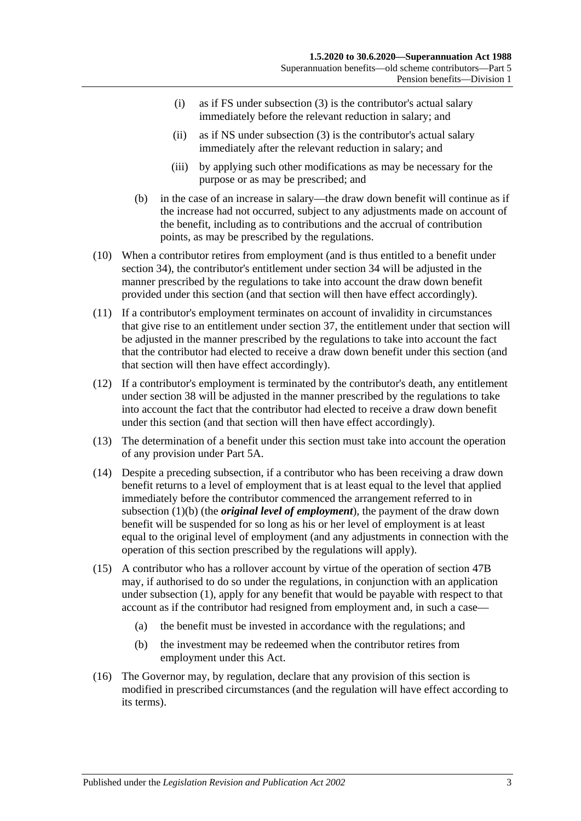- (i) as if FS under [subsection](#page-56-2) (3) is the contributor's actual salary immediately before the relevant reduction in salary; and
- (ii) as if NS under [subsection](#page-56-2) (3) is the contributor's actual salary immediately after the relevant reduction in salary; and
- (iii) by applying such other modifications as may be necessary for the purpose or as may be prescribed; and
- (b) in the case of an increase in salary—the draw down benefit will continue as if the increase had not occurred, subject to any adjustments made on account of the benefit, including as to contributions and the accrual of contribution points, as may be prescribed by the regulations.
- (10) When a contributor retires from employment (and is thus entitled to a benefit under section 34), the contributor's entitlement under section 34 will be adjusted in the manner prescribed by the regulations to take into account the draw down benefit provided under this section (and that section will then have effect accordingly).
- (11) If a contributor's employment terminates on account of invalidity in circumstances that give rise to an entitlement under section 37, the entitlement under that section will be adjusted in the manner prescribed by the regulations to take into account the fact that the contributor had elected to receive a draw down benefit under this section (and that section will then have effect accordingly).
- (12) If a contributor's employment is terminated by the contributor's death, any entitlement under section 38 will be adjusted in the manner prescribed by the regulations to take into account the fact that the contributor had elected to receive a draw down benefit under this section (and that section will then have effect accordingly).
- (13) The determination of a benefit under this section must take into account the operation of any provision under Part 5A.
- (14) Despite a preceding subsection, if a contributor who has been receiving a draw down benefit returns to a level of employment that is at least equal to the level that applied immediately before the contributor commenced the arrangement referred to in [subsection](#page-56-0) (1)(b) (the *original level of employment*), the payment of the draw down benefit will be suspended for so long as his or her level of employment is at least equal to the original level of employment (and any adjustments in connection with the operation of this section prescribed by the regulations will apply).
- (15) A contributor who has a rollover account by virtue of the operation of section 47B may, if authorised to do so under the regulations, in conjunction with an application under [subsection](#page-56-1) (1), apply for any benefit that would be payable with respect to that account as if the contributor had resigned from employment and, in such a case—
	- (a) the benefit must be invested in accordance with the regulations; and
	- (b) the investment may be redeemed when the contributor retires from employment under this Act.
- (16) The Governor may, by regulation, declare that any provision of this section is modified in prescribed circumstances (and the regulation will have effect according to its terms).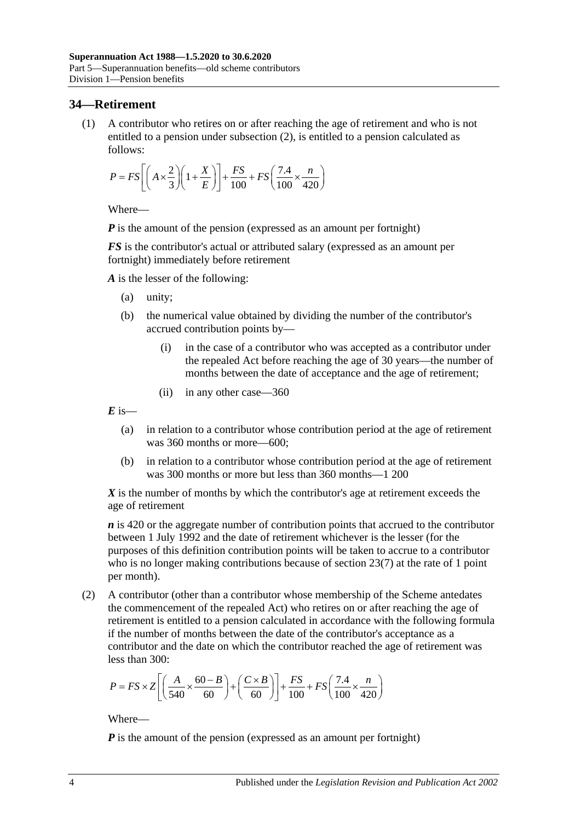## **34—Retirement**

(1) A contributor who retires on or after reaching the age of retirement and who is not entitled to a pension under [subsection](#page-59-0) (2), is entitled to a pension calculated as follows:

$$
P = FS \left[ \left( A \times \frac{2}{3} \right) \left( 1 + \frac{X}{E} \right) \right] + \frac{FS}{100} + FS \left( \frac{7.4}{100} \times \frac{n}{420} \right)
$$

Where—

*P* is the amount of the pension (expressed as an amount per fortnight)

*FS* is the contributor's actual or attributed salary (expressed as an amount per fortnight) immediately before retirement

*A* is the lesser of the following:

- (a) unity;
- (b) the numerical value obtained by dividing the number of the contributor's accrued contribution points by—
	- (i) in the case of a contributor who was accepted as a contributor under the repealed Act before reaching the age of 30 years—the number of months between the date of acceptance and the age of retirement;
	- (ii) in any other case—360

 $E$  is—

- (a) in relation to a contributor whose contribution period at the age of retirement was 360 months or more—600;
- (b) in relation to a contributor whose contribution period at the age of retirement was 300 months or more but less than 360 months—1 200

*X* is the number of months by which the contributor's age at retirement exceeds the age of retirement

*n* is 420 or the aggregate number of contribution points that accrued to the contributor between 1 July 1992 and the date of retirement whichever is the lesser (for the purposes of this definition contribution points will be taken to accrue to a contributor who is no longer making contributions because of [section](#page-28-0) 23(7) at the rate of 1 point per month).

<span id="page-59-0"></span>(2) A contributor (other than a contributor whose membership of the Scheme antedates the commencement of the repealed Act) who retires on or after reaching the age of retirement is entitled to a pension calculated in accordance with the following formula if the number of months between the date of the contributor's acceptance as a contributor and the date on which the contributor reached the age of retirement was less than 300:

$$
P = FS \times Z \left[ \left( \frac{A}{540} \times \frac{60 - B}{60} \right) + \left( \frac{C \times B}{60} \right) \right] + \frac{FS}{100} + FS \left( \frac{7.4}{100} \times \frac{n}{420} \right)
$$

Where—

*P* is the amount of the pension (expressed as an amount per fortnight)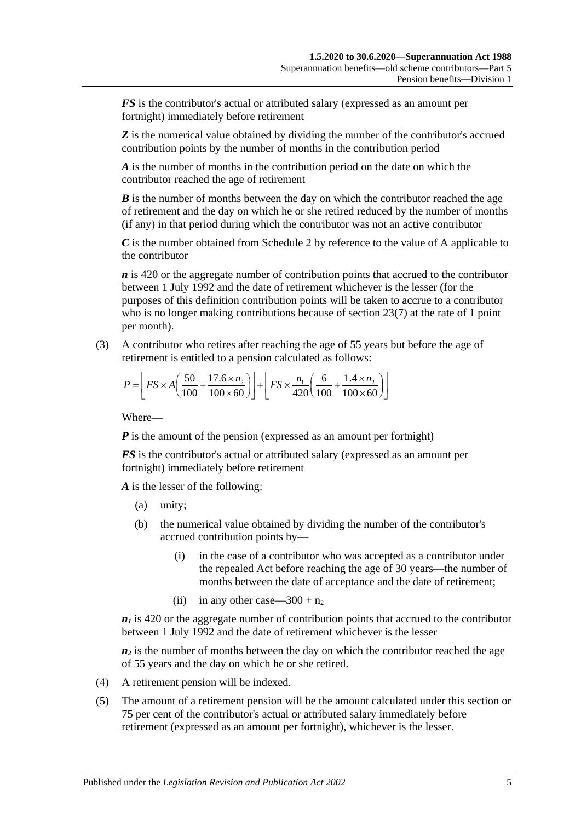*FS* is the contributor's actual or attributed salary (expressed as an amount per fortnight) immediately before retirement

**Z** is the numerical value obtained by dividing the number of the contributor's accrued contribution points by the number of months in the contribution period

*A* is the number of months in the contribution period on the date on which the contributor reached the age of retirement

*B* is the number of months between the day on which the contributor reached the age of retirement and the day on which he or she retired reduced by the number of months (if any) in that period during which the contributor was not an active contributor

*C* is the number obtained from [Schedule 2](#page-128-0) by reference to the value of A applicable to the contributor

*n* is 420 or the aggregate number of contribution points that accrued to the contributor between 1 July 1992 and the date of retirement whichever is the lesser (for the purposes of this definition contribution points will be taken to accrue to a contributor who is no longer making contributions because of [section](#page-28-0) 23(7) at the rate of 1 point per month).

(3) A contributor who retires after reaching the age of 55 years but before the age of retirement is entitled to a pension calculated as follows:

$$
P = \left[ FS \times A \left( \frac{50}{100} + \frac{17.6 \times n_2}{100 \times 60} \right) \right] + \left[ FS \times \frac{n_1}{420} \left( \frac{6}{100} + \frac{1.4 \times n_2}{100 \times 60} \right) \right]
$$

Where—

*P* is the amount of the pension (expressed as an amount per fortnight)

*FS* is the contributor's actual or attributed salary (expressed as an amount per fortnight) immediately before retirement

*A* is the lesser of the following:

- (a) unity;
- (b) the numerical value obtained by dividing the number of the contributor's accrued contribution points by—
	- (i) in the case of a contributor who was accepted as a contributor under the repealed Act before reaching the age of 30 years—the number of months between the date of acceptance and the date of retirement;
	- (ii) in any other case—300 +  $n_2$

 $n_1$  is 420 or the aggregate number of contribution points that accrued to the contributor between 1 July 1992 and the date of retirement whichever is the lesser

 $n_2$  is the number of months between the day on which the contributor reached the age of 55 years and the day on which he or she retired.

- (4) A retirement pension will be indexed.
- (5) The amount of a retirement pension will be the amount calculated under this section or 75 per cent of the contributor's actual or attributed salary immediately before retirement (expressed as an amount per fortnight), whichever is the lesser.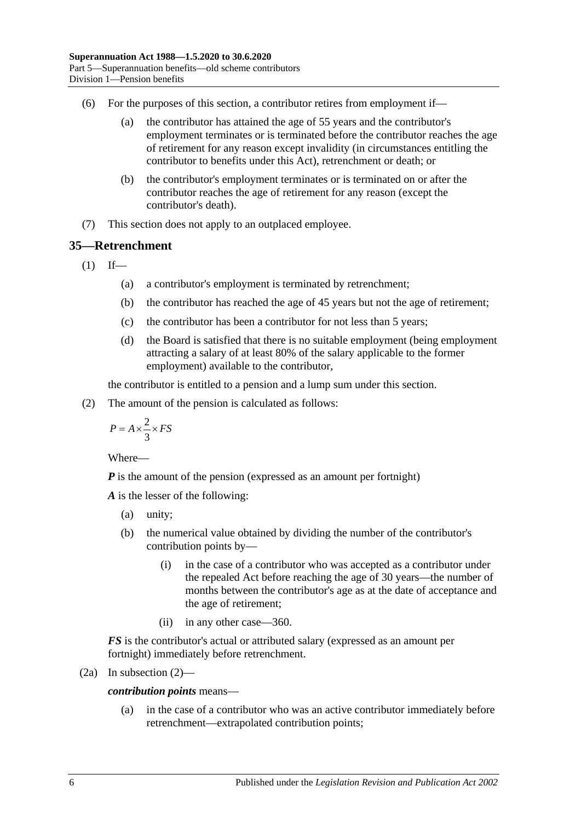- (6) For the purposes of this section, a contributor retires from employment if—
	- (a) the contributor has attained the age of 55 years and the contributor's employment terminates or is terminated before the contributor reaches the age of retirement for any reason except invalidity (in circumstances entitling the contributor to benefits under this Act), retrenchment or death; or
	- (b) the contributor's employment terminates or is terminated on or after the contributor reaches the age of retirement for any reason (except the contributor's death).
- (7) This section does not apply to an outplaced employee.

# <span id="page-61-1"></span>**35—Retrenchment**

 $(1)$  If—

- (a) a contributor's employment is terminated by retrenchment;
- (b) the contributor has reached the age of 45 years but not the age of retirement;
- (c) the contributor has been a contributor for not less than 5 years;
- (d) the Board is satisfied that there is no suitable employment (being employment attracting a salary of at least 80% of the salary applicable to the former employment) available to the contributor,

the contributor is entitled to a pension and a lump sum under this section.

<span id="page-61-0"></span>(2) The amount of the pension is calculated as follows:

$$
P = A \times \frac{2}{3} \times FS
$$

Where—

*P* is the amount of the pension (expressed as an amount per fortnight)

*A* is the lesser of the following:

- (a) unity;
- (b) the numerical value obtained by dividing the number of the contributor's contribution points by—
	- (i) in the case of a contributor who was accepted as a contributor under the repealed Act before reaching the age of 30 years—the number of months between the contributor's age as at the date of acceptance and the age of retirement;
	- (ii) in any other case—360.

*FS* is the contributor's actual or attributed salary (expressed as an amount per fortnight) immediately before retrenchment.

(2a) In subsection 
$$
(2)
$$
—

*contribution points* means—

(a) in the case of a contributor who was an active contributor immediately before retrenchment—extrapolated contribution points;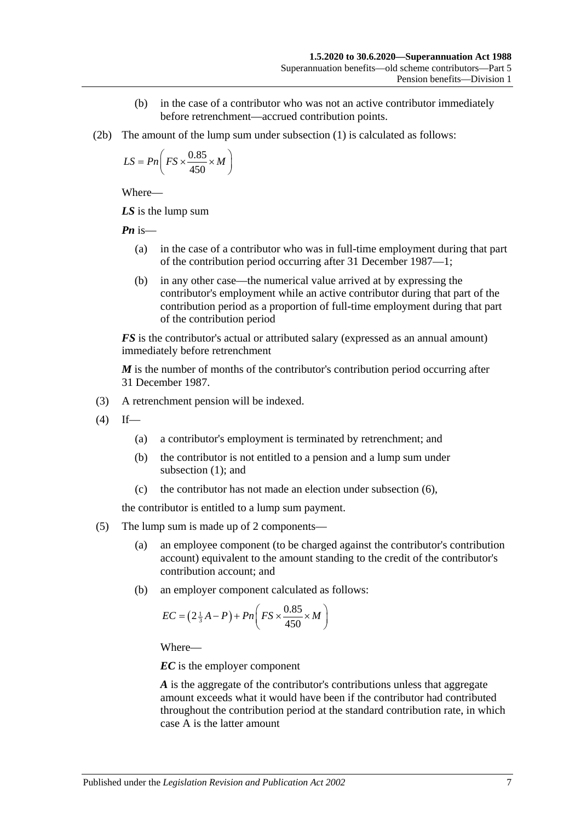- (b) in the case of a contributor who was not an active contributor immediately before retrenchment—accrued contribution points.
- (2b) The amount of the lump sum under [subsection](#page-61-1) (1) is calculated as follows:

$$
LS = Pn\left(FS \times \frac{0.85}{450} \times M\right)
$$

*LS* is the lump sum

*Pn* is—

- (a) in the case of a contributor who was in full-time employment during that part of the contribution period occurring after 31 December 1987—1;
- (b) in any other case—the numerical value arrived at by expressing the contributor's employment while an active contributor during that part of the contribution period as a proportion of full-time employment during that part of the contribution period

*FS* is the contributor's actual or attributed salary (expressed as an annual amount) immediately before retrenchment

*M* is the number of months of the contributor's contribution period occurring after 31 December 1987.

- (3) A retrenchment pension will be indexed.
- $(4)$  If—
	- (a) a contributor's employment is terminated by retrenchment; and
	- (b) the contributor is not entitled to a pension and a lump sum under [subsection](#page-61-1) (1); and
	- (c) the contributor has not made an election under [subsection](#page-63-0) (6),

the contributor is entitled to a lump sum payment.

- (5) The lump sum is made up of 2 components—
	- (a) an employee component (to be charged against the contributor's contribution account) equivalent to the amount standing to the credit of the contributor's contribution account; and
	- (b) an employer component calculated as follows:

$$
EC = \left(2\frac{1}{3}A - P\right) + Pn\left(FS \times \frac{0.85}{450} \times M\right)
$$

Where—

*EC* is the employer component

*A* is the aggregate of the contributor's contributions unless that aggregate amount exceeds what it would have been if the contributor had contributed throughout the contribution period at the standard contribution rate, in which case A is the latter amount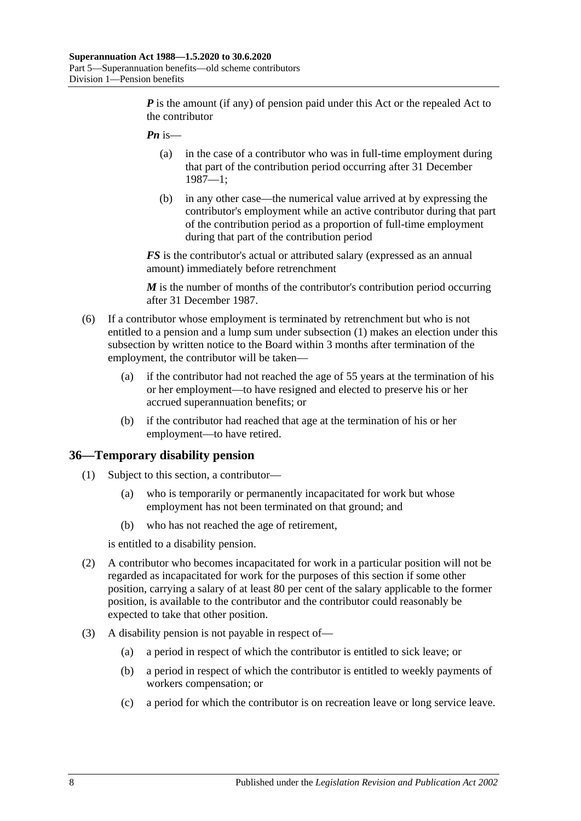*P* is the amount (if any) of pension paid under this Act or the repealed Act to the contributor

- *Pn* is—
	- (a) in the case of a contributor who was in full-time employment during that part of the contribution period occurring after 31 December 1987—1;
	- (b) in any other case—the numerical value arrived at by expressing the contributor's employment while an active contributor during that part of the contribution period as a proportion of full-time employment during that part of the contribution period

*FS* is the contributor's actual or attributed salary (expressed as an annual amount) immediately before retrenchment

*M* is the number of months of the contributor's contribution period occurring after 31 December 1987.

- <span id="page-63-0"></span>(6) If a contributor whose employment is terminated by retrenchment but who is not entitled to a pension and a lump sum under [subsection](#page-61-1) (1) makes an election under this subsection by written notice to the Board within 3 months after termination of the employment, the contributor will be taken—
	- (a) if the contributor had not reached the age of 55 years at the termination of his or her employment—to have resigned and elected to preserve his or her accrued superannuation benefits; or
	- (b) if the contributor had reached that age at the termination of his or her employment—to have retired.

#### **36—Temporary disability pension**

- (1) Subject to this section, a contributor—
	- (a) who is temporarily or permanently incapacitated for work but whose employment has not been terminated on that ground; and
	- (b) who has not reached the age of retirement,

is entitled to a disability pension.

- (2) A contributor who becomes incapacitated for work in a particular position will not be regarded as incapacitated for work for the purposes of this section if some other position, carrying a salary of at least 80 per cent of the salary applicable to the former position, is available to the contributor and the contributor could reasonably be expected to take that other position.
- (3) A disability pension is not payable in respect of—
	- (a) a period in respect of which the contributor is entitled to sick leave; or
	- (b) a period in respect of which the contributor is entitled to weekly payments of workers compensation; or
	- (c) a period for which the contributor is on recreation leave or long service leave.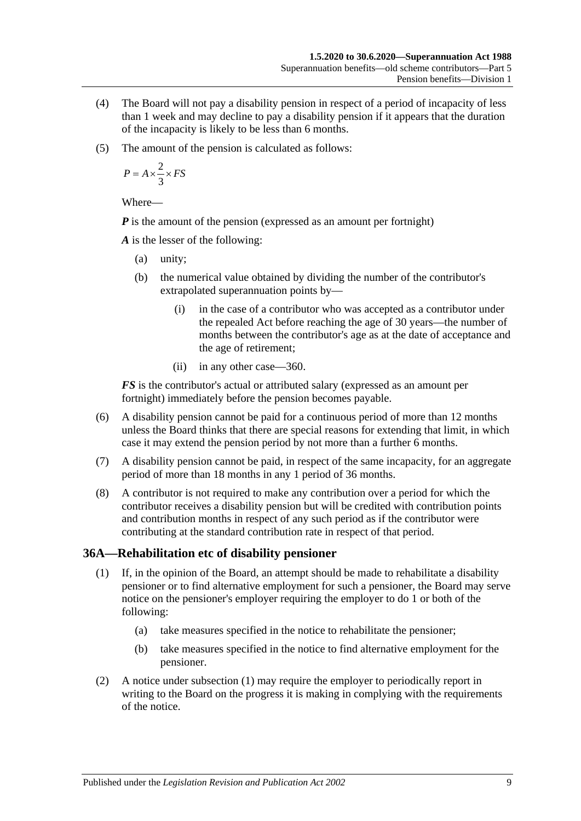- (4) The Board will not pay a disability pension in respect of a period of incapacity of less than 1 week and may decline to pay a disability pension if it appears that the duration of the incapacity is likely to be less than 6 months.
- (5) The amount of the pension is calculated as follows:

$$
P = A \times \frac{2}{3} \times FS
$$

*P* is the amount of the pension (expressed as an amount per fortnight)

*A* is the lesser of the following:

- (a) unity;
- (b) the numerical value obtained by dividing the number of the contributor's extrapolated superannuation points by—
	- (i) in the case of a contributor who was accepted as a contributor under the repealed Act before reaching the age of 30 years—the number of months between the contributor's age as at the date of acceptance and the age of retirement;
	- (ii) in any other case—360.

*FS* is the contributor's actual or attributed salary (expressed as an amount per fortnight) immediately before the pension becomes payable.

- (6) A disability pension cannot be paid for a continuous period of more than 12 months unless the Board thinks that there are special reasons for extending that limit, in which case it may extend the pension period by not more than a further 6 months.
- (7) A disability pension cannot be paid, in respect of the same incapacity, for an aggregate period of more than 18 months in any 1 period of 36 months.
- (8) A contributor is not required to make any contribution over a period for which the contributor receives a disability pension but will be credited with contribution points and contribution months in respect of any such period as if the contributor were contributing at the standard contribution rate in respect of that period.

## <span id="page-64-0"></span>**36A—Rehabilitation etc of disability pensioner**

- (1) If, in the opinion of the Board, an attempt should be made to rehabilitate a disability pensioner or to find alternative employment for such a pensioner, the Board may serve notice on the pensioner's employer requiring the employer to do 1 or both of the following:
	- (a) take measures specified in the notice to rehabilitate the pensioner;
	- (b) take measures specified in the notice to find alternative employment for the pensioner.
- (2) A notice under [subsection](#page-64-0) (1) may require the employer to periodically report in writing to the Board on the progress it is making in complying with the requirements of the notice.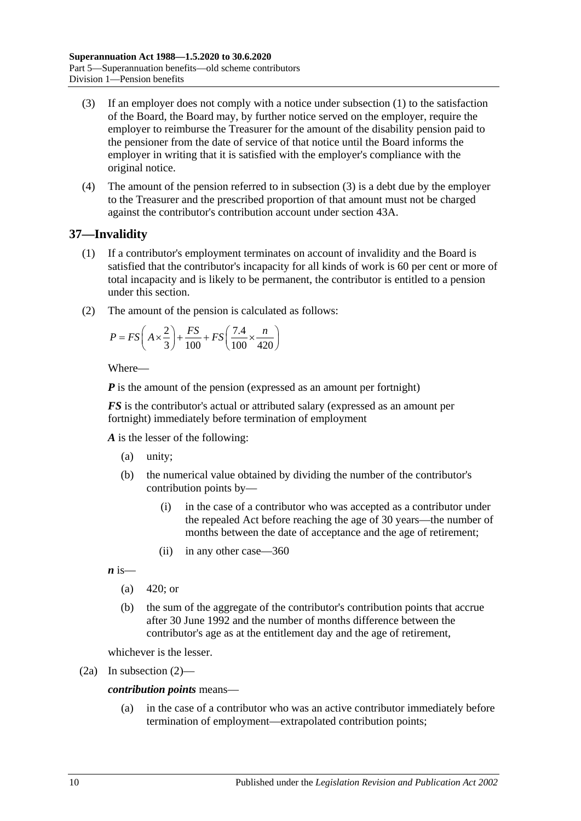- <span id="page-65-0"></span>(3) If an employer does not comply with a notice under [subsection](#page-64-0) (1) to the satisfaction of the Board, the Board may, by further notice served on the employer, require the employer to reimburse the Treasurer for the amount of the disability pension paid to the pensioner from the date of service of that notice until the Board informs the employer in writing that it is satisfied with the employer's compliance with the original notice.
- (4) The amount of the pension referred to in [subsection](#page-65-0) (3) is a debt due by the employer to the Treasurer and the prescribed proportion of that amount must not be charged against the contributor's contribution account under section 43A.

# <span id="page-65-2"></span>**37—Invalidity**

- (1) If a contributor's employment terminates on account of invalidity and the Board is satisfied that the contributor's incapacity for all kinds of work is 60 per cent or more of total incapacity and is likely to be permanent, the contributor is entitled to a pension under this section.
- <span id="page-65-1"></span>(2) The amount of the pension is calculated as follows:

$$
P = FS\left(A \times \frac{2}{3}\right) + \frac{FS}{100} + FS\left(\frac{7.4}{100} \times \frac{n}{420}\right)
$$

Where—

*P* is the amount of the pension (expressed as an amount per fortnight)

*FS* is the contributor's actual or attributed salary (expressed as an amount per fortnight) immediately before termination of employment

*A* is the lesser of the following:

- (a) unity;
- (b) the numerical value obtained by dividing the number of the contributor's contribution points by—
	- (i) in the case of a contributor who was accepted as a contributor under the repealed Act before reaching the age of 30 years—the number of months between the date of acceptance and the age of retirement;
	- (ii) in any other case—360

 $\boldsymbol{n}$  is—

- (a)  $420$ ; or
- (b) the sum of the aggregate of the contributor's contribution points that accrue after 30 June 1992 and the number of months difference between the contributor's age as at the entitlement day and the age of retirement,

whichever is the lesser.

(2a) In [subsection](#page-65-1) (2)—

*contribution points* means—

(a) in the case of a contributor who was an active contributor immediately before termination of employment—extrapolated contribution points;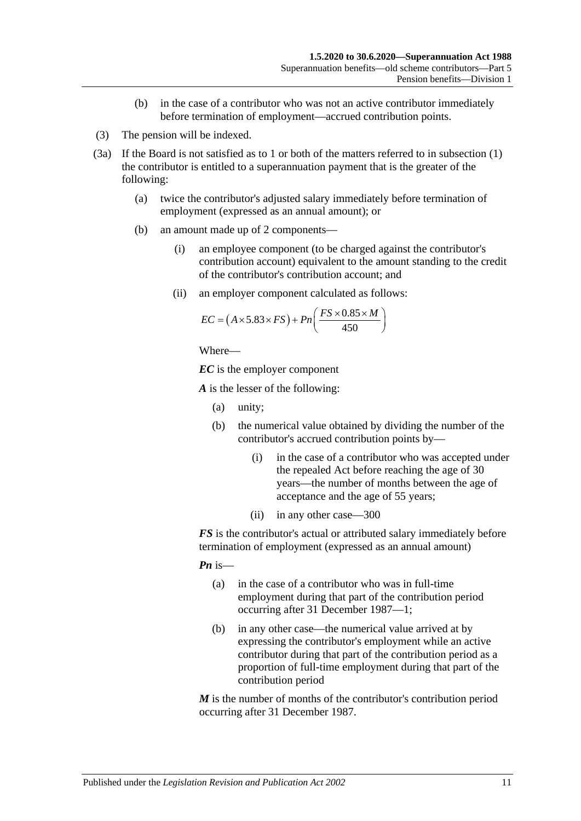- (b) in the case of a contributor who was not an active contributor immediately before termination of employment—accrued contribution points.
- (3) The pension will be indexed.
- <span id="page-66-0"></span>(3a) If the Board is not satisfied as to 1 or both of the matters referred to in [subsection](#page-65-2) (1) the contributor is entitled to a superannuation payment that is the greater of the following:
	- (a) twice the contributor's adjusted salary immediately before termination of employment (expressed as an annual amount); or
	- (b) an amount made up of 2 components—
		- (i) an employee component (to be charged against the contributor's contribution account) equivalent to the amount standing to the credit of the contributor's contribution account; and
		- (ii) an employer component calculated as follows:

$$
EC = (A \times 5.83 \times FS) + Pn\left(\frac{FS \times 0.85 \times M}{450}\right)
$$

*EC* is the employer component

*A* is the lesser of the following:

- (a) unity;
- (b) the numerical value obtained by dividing the number of the contributor's accrued contribution points by—
	- (i) in the case of a contributor who was accepted under the repealed Act before reaching the age of 30 years—the number of months between the age of acceptance and the age of 55 years;
	- (ii) in any other case—300

*FS* is the contributor's actual or attributed salary immediately before termination of employment (expressed as an annual amount)

*Pn* is—

- (a) in the case of a contributor who was in full-time employment during that part of the contribution period occurring after 31 December 1987—1;
- (b) in any other case—the numerical value arrived at by expressing the contributor's employment while an active contributor during that part of the contribution period as a proportion of full-time employment during that part of the contribution period

*M* is the number of months of the contributor's contribution period occurring after 31 December 1987.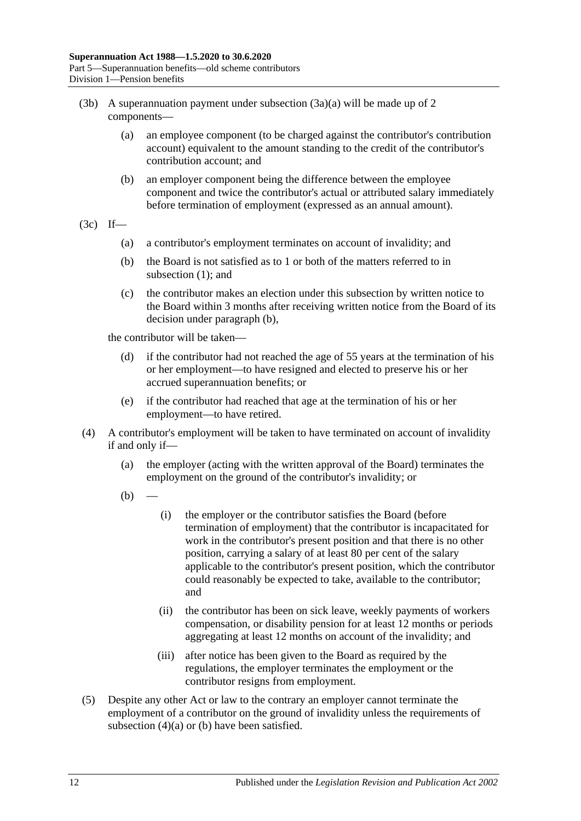- (3b) A superannuation payment under [subsection](#page-66-0)  $(3a)(a)$  will be made up of 2 components—
	- (a) an employee component (to be charged against the contributor's contribution account) equivalent to the amount standing to the credit of the contributor's contribution account; and
	- (b) an employer component being the difference between the employee component and twice the contributor's actual or attributed salary immediately before termination of employment (expressed as an annual amount).
- <span id="page-67-0"></span> $(3c)$  If—
	- (a) a contributor's employment terminates on account of invalidity; and
	- (b) the Board is not satisfied as to 1 or both of the matters referred to in [subsection](#page-65-2) (1); and
	- (c) the contributor makes an election under this subsection by written notice to the Board within 3 months after receiving written notice from the Board of its decision under [paragraph](#page-67-0) (b),

the contributor will be taken—

- (d) if the contributor had not reached the age of 55 years at the termination of his or her employment—to have resigned and elected to preserve his or her accrued superannuation benefits; or
- (e) if the contributor had reached that age at the termination of his or her employment—to have retired.
- <span id="page-67-2"></span><span id="page-67-1"></span>(4) A contributor's employment will be taken to have terminated on account of invalidity if and only if—
	- (a) the employer (acting with the written approval of the Board) terminates the employment on the ground of the contributor's invalidity; or
	- $(b)$
- (i) the employer or the contributor satisfies the Board (before termination of employment) that the contributor is incapacitated for work in the contributor's present position and that there is no other position, carrying a salary of at least 80 per cent of the salary applicable to the contributor's present position, which the contributor could reasonably be expected to take, available to the contributor; and
- (ii) the contributor has been on sick leave, weekly payments of workers compensation, or disability pension for at least 12 months or periods aggregating at least 12 months on account of the invalidity; and
- (iii) after notice has been given to the Board as required by the regulations, the employer terminates the employment or the contributor resigns from employment.
- (5) Despite any other Act or law to the contrary an employer cannot terminate the employment of a contributor on the ground of invalidity unless the requirements of [subsection](#page-67-1) (4)(a) or [\(b\)](#page-67-2) have been satisfied.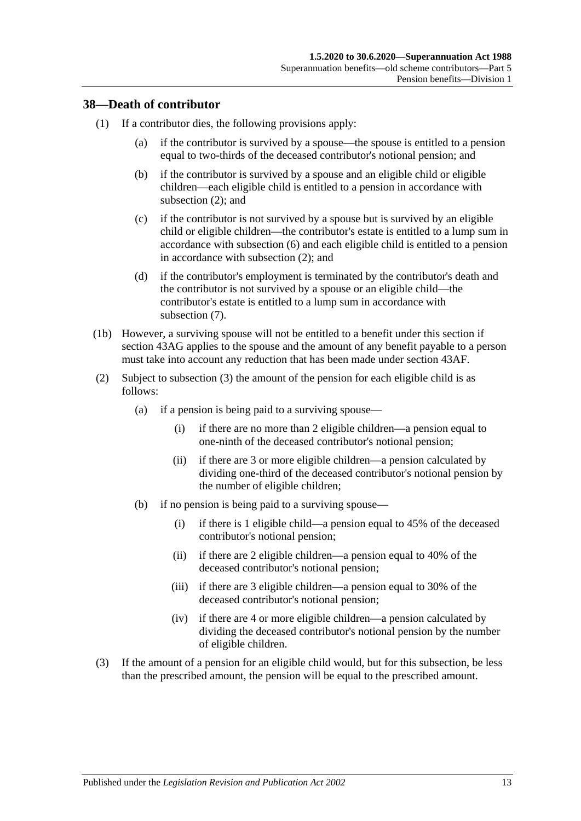## **38—Death of contributor**

- (1) If a contributor dies, the following provisions apply:
	- (a) if the contributor is survived by a spouse—the spouse is entitled to a pension equal to two-thirds of the deceased contributor's notional pension; and
	- (b) if the contributor is survived by a spouse and an eligible child or eligible children—each eligible child is entitled to a pension in accordance with [subsection](#page-68-0) (2); and
	- (c) if the contributor is not survived by a spouse but is survived by an eligible child or eligible children—the contributor's estate is entitled to a lump sum in accordance with [subsection](#page-70-0) (6) and each eligible child is entitled to a pension in accordance with [subsection](#page-68-0) (2); and
	- (d) if the contributor's employment is terminated by the contributor's death and the contributor is not survived by a spouse or an eligible child—the contributor's estate is entitled to a lump sum in accordance with [subsection](#page-70-1) (7).
- (1b) However, a surviving spouse will not be entitled to a benefit under this section if [section](#page-90-0) 43AG applies to the spouse and the amount of any benefit payable to a person must take into account any reduction that has been made under [section](#page-89-0) 43AF.
- <span id="page-68-0"></span>(2) Subject to [subsection](#page-68-1) (3) the amount of the pension for each eligible child is as follows:
	- (a) if a pension is being paid to a surviving spouse—
		- (i) if there are no more than 2 eligible children—a pension equal to one-ninth of the deceased contributor's notional pension;
		- (ii) if there are 3 or more eligible children—a pension calculated by dividing one-third of the deceased contributor's notional pension by the number of eligible children;
	- (b) if no pension is being paid to a surviving spouse—
		- (i) if there is 1 eligible child—a pension equal to 45% of the deceased contributor's notional pension;
		- (ii) if there are 2 eligible children—a pension equal to 40% of the deceased contributor's notional pension;
		- (iii) if there are 3 eligible children—a pension equal to 30% of the deceased contributor's notional pension;
		- (iv) if there are 4 or more eligible children—a pension calculated by dividing the deceased contributor's notional pension by the number of eligible children.
- <span id="page-68-1"></span>(3) If the amount of a pension for an eligible child would, but for this subsection, be less than the prescribed amount, the pension will be equal to the prescribed amount.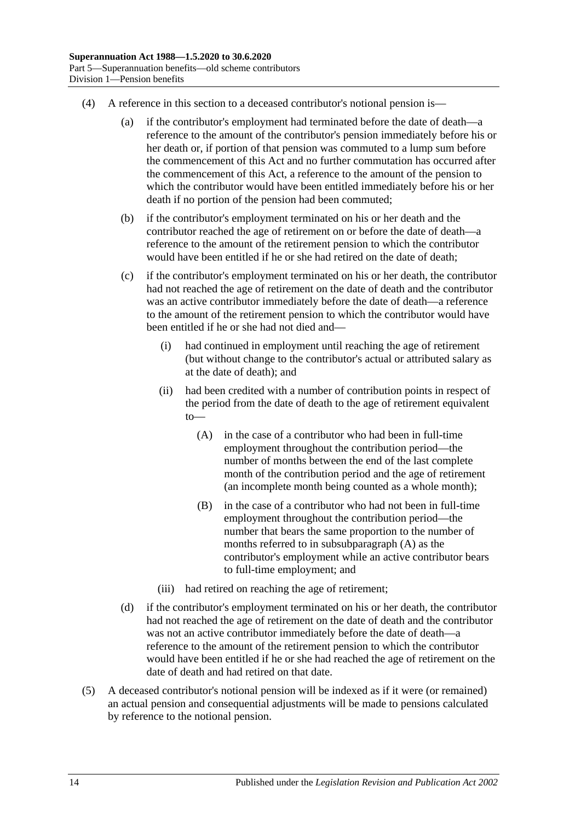- (4) A reference in this section to a deceased contributor's notional pension is—
	- (a) if the contributor's employment had terminated before the date of death—a reference to the amount of the contributor's pension immediately before his or her death or, if portion of that pension was commuted to a lump sum before the commencement of this Act and no further commutation has occurred after the commencement of this Act, a reference to the amount of the pension to which the contributor would have been entitled immediately before his or her death if no portion of the pension had been commuted;
	- (b) if the contributor's employment terminated on his or her death and the contributor reached the age of retirement on or before the date of death—a reference to the amount of the retirement pension to which the contributor would have been entitled if he or she had retired on the date of death;
	- (c) if the contributor's employment terminated on his or her death, the contributor had not reached the age of retirement on the date of death and the contributor was an active contributor immediately before the date of death—a reference to the amount of the retirement pension to which the contributor would have been entitled if he or she had not died and—
		- (i) had continued in employment until reaching the age of retirement (but without change to the contributor's actual or attributed salary as at the date of death); and
		- (ii) had been credited with a number of contribution points in respect of the period from the date of death to the age of retirement equivalent to—
			- (A) in the case of a contributor who had been in full-time employment throughout the contribution period—the number of months between the end of the last complete month of the contribution period and the age of retirement (an incomplete month being counted as a whole month);
			- (B) in the case of a contributor who had not been in full-time employment throughout the contribution period—the number that bears the same proportion to the number of months referred to in [subsubparagraph](#page-69-0) (A) as the contributor's employment while an active contributor bears to full-time employment; and
		- (iii) had retired on reaching the age of retirement;
	- (d) if the contributor's employment terminated on his or her death, the contributor had not reached the age of retirement on the date of death and the contributor was not an active contributor immediately before the date of death—a reference to the amount of the retirement pension to which the contributor would have been entitled if he or she had reached the age of retirement on the date of death and had retired on that date.
- <span id="page-69-0"></span>(5) A deceased contributor's notional pension will be indexed as if it were (or remained) an actual pension and consequential adjustments will be made to pensions calculated by reference to the notional pension.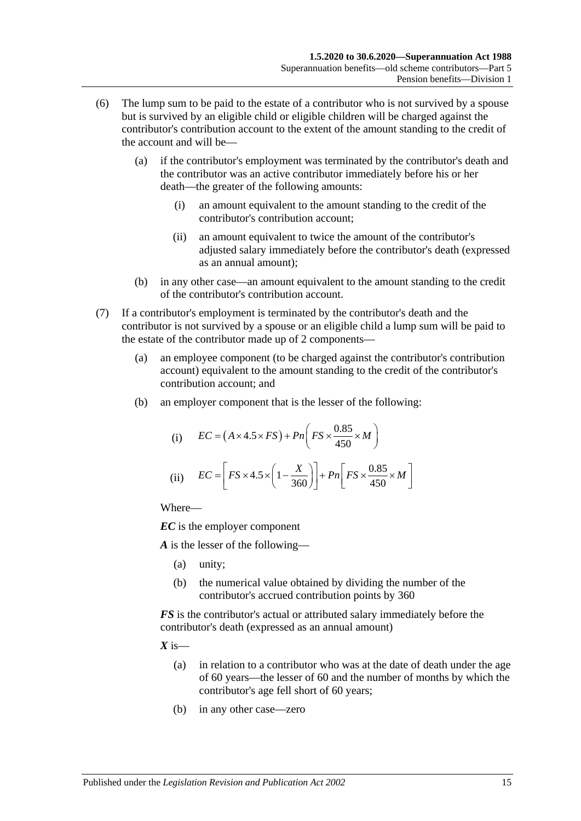- <span id="page-70-0"></span>(6) The lump sum to be paid to the estate of a contributor who is not survived by a spouse but is survived by an eligible child or eligible children will be charged against the contributor's contribution account to the extent of the amount standing to the credit of the account and will be—
	- (a) if the contributor's employment was terminated by the contributor's death and the contributor was an active contributor immediately before his or her death—the greater of the following amounts:
		- (i) an amount equivalent to the amount standing to the credit of the contributor's contribution account;
		- (ii) an amount equivalent to twice the amount of the contributor's adjusted salary immediately before the contributor's death (expressed as an annual amount);
	- (b) in any other case—an amount equivalent to the amount standing to the credit of the contributor's contribution account.
- <span id="page-70-1"></span>(7) If a contributor's employment is terminated by the contributor's death and the contributor is not survived by a spouse or an eligible child a lump sum will be paid to the estate of the contributor made up of 2 components—
	- (a) an employee component (to be charged against the contributor's contribution account) equivalent to the amount standing to the credit of the contributor's contribution account; and
	- (b) an employer component that is the lesser of the following:

(i) 
$$
EC = (A \times 4.5 \times FS) + Pn\left(FS \times \frac{0.85}{450} \times M\right)
$$
  
(ii) 
$$
EC = \left[FS \times 4.5 \times \left(1 - \frac{X}{360}\right)\right] + Pn\left[FS \times \frac{0.85}{450} \times M\right]
$$

*EC* is the employer component

*A* is the lesser of the following—

- (a) unity;
- (b) the numerical value obtained by dividing the number of the contributor's accrued contribution points by 360

*FS* is the contributor's actual or attributed salary immediately before the contributor's death (expressed as an annual amount)

 $X$  is—

- (a) in relation to a contributor who was at the date of death under the age of 60 years—the lesser of 60 and the number of months by which the contributor's age fell short of 60 years;
- (b) in any other case—zero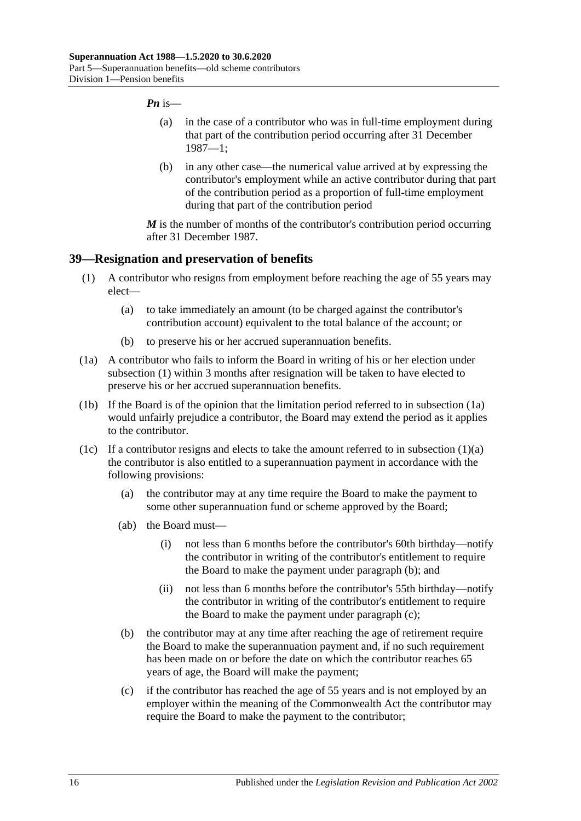#### *Pn* is—

- (a) in the case of a contributor who was in full-time employment during that part of the contribution period occurring after 31 December 1987—1;
- (b) in any other case—the numerical value arrived at by expressing the contributor's employment while an active contributor during that part of the contribution period as a proportion of full-time employment during that part of the contribution period

*M* is the number of months of the contributor's contribution period occurring after 31 December 1987.

## <span id="page-71-0"></span>**39—Resignation and preservation of benefits**

- <span id="page-71-2"></span>(1) A contributor who resigns from employment before reaching the age of 55 years may elect—
	- (a) to take immediately an amount (to be charged against the contributor's contribution account) equivalent to the total balance of the account; or
	- (b) to preserve his or her accrued superannuation benefits.
- <span id="page-71-1"></span>(1a) A contributor who fails to inform the Board in writing of his or her election under [subsection](#page-71-0) (1) within 3 months after resignation will be taken to have elected to preserve his or her accrued superannuation benefits.
- (1b) If the Board is of the opinion that the limitation period referred to in [subsection](#page-71-1) (1a) would unfairly prejudice a contributor, the Board may extend the period as it applies to the contributor.
- <span id="page-71-4"></span><span id="page-71-3"></span>(1c) If a contributor resigns and elects to take the amount referred to in [subsection](#page-71-2)  $(1)(a)$ the contributor is also entitled to a superannuation payment in accordance with the following provisions:
	- (a) the contributor may at any time require the Board to make the payment to some other superannuation fund or scheme approved by the Board;
	- (ab) the Board must—
		- (i) not less than 6 months before the contributor's 60th birthday—notify the contributor in writing of the contributor's entitlement to require the Board to make the payment under [paragraph](#page-71-3) (b); and
		- (ii) not less than 6 months before the contributor's 55th birthday—notify the contributor in writing of the contributor's entitlement to require the Board to make the payment under [paragraph](#page-71-4) (c);
	- (b) the contributor may at any time after reaching the age of retirement require the Board to make the superannuation payment and, if no such requirement has been made on or before the date on which the contributor reaches 65 years of age, the Board will make the payment;
	- (c) if the contributor has reached the age of 55 years and is not employed by an employer within the meaning of the Commonwealth Act the contributor may require the Board to make the payment to the contributor;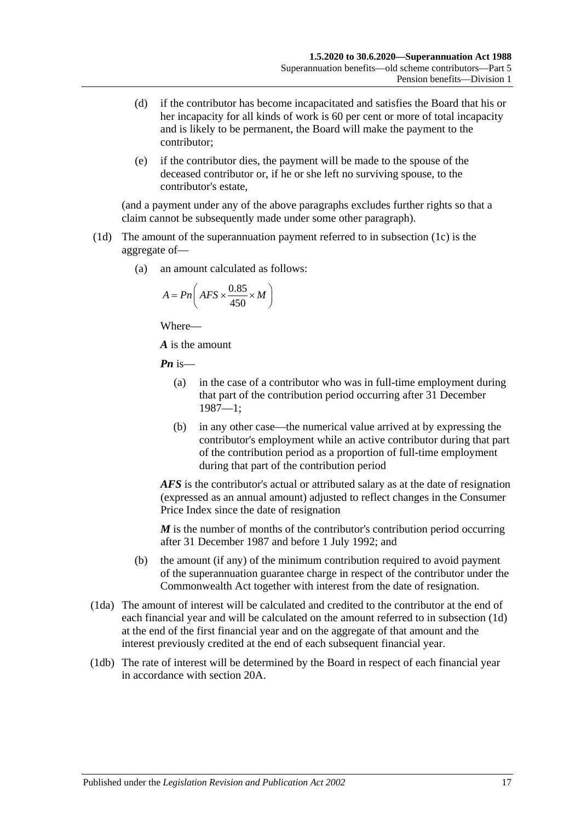- (d) if the contributor has become incapacitated and satisfies the Board that his or her incapacity for all kinds of work is 60 per cent or more of total incapacity and is likely to be permanent, the Board will make the payment to the contributor;
- (e) if the contributor dies, the payment will be made to the spouse of the deceased contributor or, if he or she left no surviving spouse, to the contributor's estate,

(and a payment under any of the above paragraphs excludes further rights so that a claim cannot be subsequently made under some other paragraph).

- <span id="page-72-0"></span>(1d) The amount of the superannuation payment referred to in [subsection](#page-71-0) (1c) is the aggregate of—
	- (a) an amount calculated as follows:

$$
A = P n \left( AFS \times \frac{0.85}{450} \times M \right)
$$

Where—

*A* is the amount

*Pn* is—

- (a) in the case of a contributor who was in full-time employment during that part of the contribution period occurring after 31 December 1987—1;
- (b) in any other case—the numerical value arrived at by expressing the contributor's employment while an active contributor during that part of the contribution period as a proportion of full-time employment during that part of the contribution period

*AFS* is the contributor's actual or attributed salary as at the date of resignation (expressed as an annual amount) adjusted to reflect changes in the Consumer Price Index since the date of resignation

*M* is the number of months of the contributor's contribution period occurring after 31 December 1987 and before 1 July 1992; and

- (b) the amount (if any) of the minimum contribution required to avoid payment of the superannuation guarantee charge in respect of the contributor under the Commonwealth Act together with interest from the date of resignation.
- (1da) The amount of interest will be calculated and credited to the contributor at the end of each financial year and will be calculated on the amount referred to in [subsection](#page-72-0) (1d) at the end of the first financial year and on the aggregate of that amount and the interest previously credited at the end of each subsequent financial year.
- (1db) The rate of interest will be determined by the Board in respect of each financial year in accordance with [section](#page-21-0) 20A.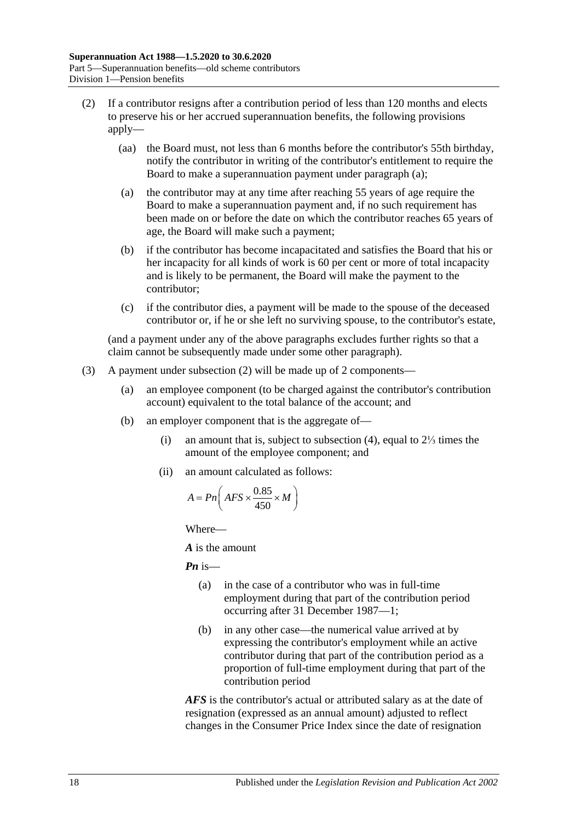- <span id="page-73-1"></span><span id="page-73-0"></span>(2) If a contributor resigns after a contribution period of less than 120 months and elects to preserve his or her accrued superannuation benefits, the following provisions apply—
	- (aa) the Board must, not less than 6 months before the contributor's 55th birthday, notify the contributor in writing of the contributor's entitlement to require the Board to make a superannuation payment under [paragraph](#page-73-0) (a);
	- (a) the contributor may at any time after reaching 55 years of age require the Board to make a superannuation payment and, if no such requirement has been made on or before the date on which the contributor reaches 65 years of age, the Board will make such a payment;
	- (b) if the contributor has become incapacitated and satisfies the Board that his or her incapacity for all kinds of work is 60 per cent or more of total incapacity and is likely to be permanent, the Board will make the payment to the contributor;
	- (c) if the contributor dies, a payment will be made to the spouse of the deceased contributor or, if he or she left no surviving spouse, to the contributor's estate,

(and a payment under any of the above paragraphs excludes further rights so that a claim cannot be subsequently made under some other paragraph).

- <span id="page-73-2"></span>(3) A payment under [subsection](#page-73-1) (2) will be made up of 2 components—
	- (a) an employee component (to be charged against the contributor's contribution account) equivalent to the total balance of the account; and
	- (b) an employer component that is the aggregate of—
		- (i) an amount that is, subject to [subsection](#page-74-0) (4), equal to 2⅓ times the amount of the employee component; and
		- (ii) an amount calculated as follows:

$$
A = P n \left( AFS \times \frac{0.85}{450} \times M \right)
$$

Where—

*A* is the amount

*Pn* is—

- (a) in the case of a contributor who was in full-time employment during that part of the contribution period occurring after 31 December 1987—1;
- (b) in any other case—the numerical value arrived at by expressing the contributor's employment while an active contributor during that part of the contribution period as a proportion of full-time employment during that part of the contribution period

*AFS* is the contributor's actual or attributed salary as at the date of resignation (expressed as an annual amount) adjusted to reflect changes in the Consumer Price Index since the date of resignation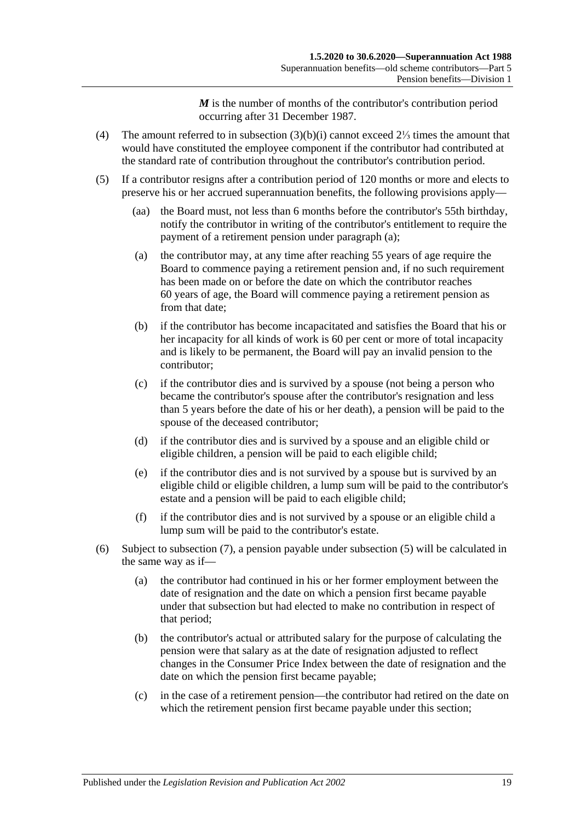*M* is the number of months of the contributor's contribution period occurring after 31 December 1987.

- <span id="page-74-0"></span>(4) The amount referred to in [subsection](#page-73-2) (3)(b)(i) cannot exceed 2⅓ times the amount that would have constituted the employee component if the contributor had contributed at the standard rate of contribution throughout the contributor's contribution period.
- <span id="page-74-3"></span><span id="page-74-2"></span><span id="page-74-1"></span>(5) If a contributor resigns after a contribution period of 120 months or more and elects to preserve his or her accrued superannuation benefits, the following provisions apply—
	- (aa) the Board must, not less than 6 months before the contributor's 55th birthday, notify the contributor in writing of the contributor's entitlement to require the payment of a retirement pension under [paragraph](#page-74-1) (a);
	- (a) the contributor may, at any time after reaching 55 years of age require the Board to commence paying a retirement pension and, if no such requirement has been made on or before the date on which the contributor reaches 60 years of age, the Board will commence paying a retirement pension as from that date:
	- (b) if the contributor has become incapacitated and satisfies the Board that his or her incapacity for all kinds of work is 60 per cent or more of total incapacity and is likely to be permanent, the Board will pay an invalid pension to the contributor;
	- (c) if the contributor dies and is survived by a spouse (not being a person who became the contributor's spouse after the contributor's resignation and less than 5 years before the date of his or her death), a pension will be paid to the spouse of the deceased contributor;
	- (d) if the contributor dies and is survived by a spouse and an eligible child or eligible children, a pension will be paid to each eligible child;
	- (e) if the contributor dies and is not survived by a spouse but is survived by an eligible child or eligible children, a lump sum will be paid to the contributor's estate and a pension will be paid to each eligible child;
	- (f) if the contributor dies and is not survived by a spouse or an eligible child a lump sum will be paid to the contributor's estate.
- <span id="page-74-4"></span>(6) Subject to [subsection](#page-75-0) (7), a pension payable under [subsection](#page-74-2) (5) will be calculated in the same way as if—
	- (a) the contributor had continued in his or her former employment between the date of resignation and the date on which a pension first became payable under that subsection but had elected to make no contribution in respect of that period;
	- (b) the contributor's actual or attributed salary for the purpose of calculating the pension were that salary as at the date of resignation adjusted to reflect changes in the Consumer Price Index between the date of resignation and the date on which the pension first became payable;
	- (c) in the case of a retirement pension—the contributor had retired on the date on which the retirement pension first became payable under this section;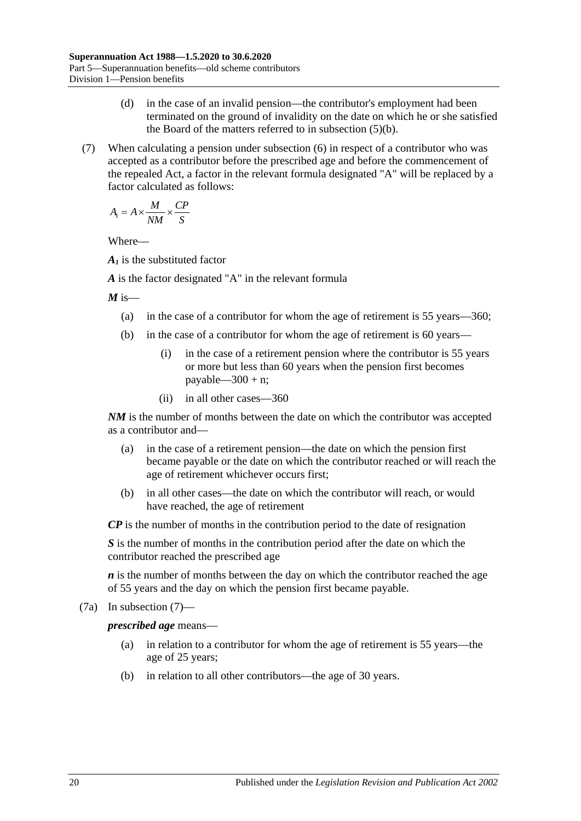- (d) in the case of an invalid pension—the contributor's employment had been terminated on the ground of invalidity on the date on which he or she satisfied the Board of the matters referred to in [subsection](#page-74-3) (5)(b).
- <span id="page-75-0"></span>(7) When calculating a pension under [subsection](#page-74-4) (6) in respect of a contributor who was accepted as a contributor before the prescribed age and before the commencement of the repealed Act, a factor in the relevant formula designated "A" will be replaced by a factor calculated as follows:

$$
A_{\rm I} = A \times \frac{M}{NM} \times \frac{CP}{S}
$$

Where—

*A1* is the substituted factor

*A* is the factor designated "A" in the relevant formula

 $M$  is—

- (a) in the case of a contributor for whom the age of retirement is 55 years—360;
- (b) in the case of a contributor for whom the age of retirement is 60 years—
	- (i) in the case of a retirement pension where the contributor is 55 years or more but less than 60 years when the pension first becomes payable— $300 + n$ ;
	- (ii) in all other cases—360

*NM* is the number of months between the date on which the contributor was accepted as a contributor and—

- (a) in the case of a retirement pension—the date on which the pension first became payable or the date on which the contributor reached or will reach the age of retirement whichever occurs first;
- (b) in all other cases—the date on which the contributor will reach, or would have reached, the age of retirement

*CP* is the number of months in the contribution period to the date of resignation

*S* is the number of months in the contribution period after the date on which the contributor reached the prescribed age

*n* is the number of months between the day on which the contributor reached the age of 55 years and the day on which the pension first became payable.

(7a) In [subsection](#page-75-0) (7)—

*prescribed age* means—

- (a) in relation to a contributor for whom the age of retirement is 55 years—the age of 25 years;
- (b) in relation to all other contributors—the age of 30 years.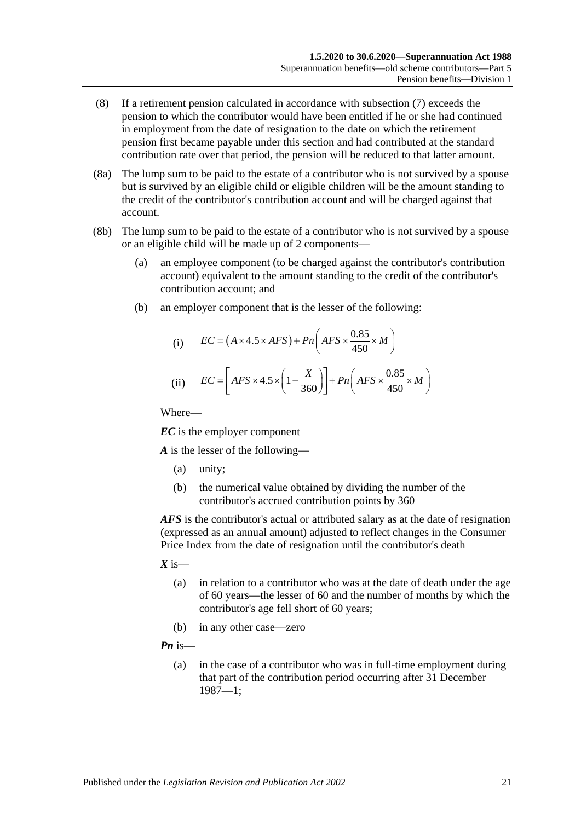- (8) If a retirement pension calculated in accordance with [subsection](#page-75-0) (7) exceeds the pension to which the contributor would have been entitled if he or she had continued in employment from the date of resignation to the date on which the retirement pension first became payable under this section and had contributed at the standard contribution rate over that period, the pension will be reduced to that latter amount.
- (8a) The lump sum to be paid to the estate of a contributor who is not survived by a spouse but is survived by an eligible child or eligible children will be the amount standing to the credit of the contributor's contribution account and will be charged against that account.
- (8b) The lump sum to be paid to the estate of a contributor who is not survived by a spouse or an eligible child will be made up of 2 components—
	- (a) an employee component (to be charged against the contributor's contribution account) equivalent to the amount standing to the credit of the contributor's contribution account; and
	- (b) an employer component that is the lesser of the following:

(i) 
$$
EC = (A \times 4.5 \times AFS) + Pn\left(AFS \times \frac{0.85}{450} \times M\right)
$$
  
(ii) 
$$
EC = \left[AFS \times 4.5 \times \left(1 - \frac{X}{360}\right)\right] + Pn\left(AFS \times \frac{0.85}{450} \times M\right)
$$

Where—

*EC* is the employer component

*A* is the lesser of the following—

- (a) unity;
- (b) the numerical value obtained by dividing the number of the contributor's accrued contribution points by 360

*AFS* is the contributor's actual or attributed salary as at the date of resignation (expressed as an annual amount) adjusted to reflect changes in the Consumer Price Index from the date of resignation until the contributor's death

 $X$  is—

- (a) in relation to a contributor who was at the date of death under the age of 60 years—the lesser of 60 and the number of months by which the contributor's age fell short of 60 years;
- (b) in any other case—zero

*Pn* is—

(a) in the case of a contributor who was in full-time employment during that part of the contribution period occurring after 31 December 1987—1;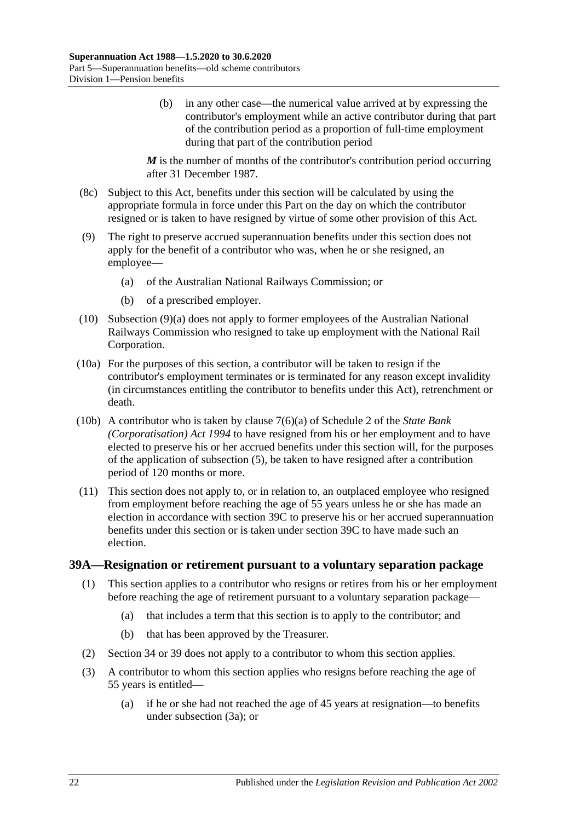(b) in any other case—the numerical value arrived at by expressing the contributor's employment while an active contributor during that part of the contribution period as a proportion of full-time employment during that part of the contribution period

*M* is the number of months of the contributor's contribution period occurring after 31 December 1987.

- (8c) Subject to this Act, benefits under this section will be calculated by using the appropriate formula in force under this Part on the day on which the contributor resigned or is taken to have resigned by virtue of some other provision of this Act.
- <span id="page-77-0"></span>(9) The right to preserve accrued superannuation benefits under this section does not apply for the benefit of a contributor who was, when he or she resigned, an employee—
	- (a) of the Australian National Railways Commission; or
	- (b) of a prescribed employer.
- (10) [Subsection](#page-77-0) (9)(a) does not apply to former employees of the Australian National Railways Commission who resigned to take up employment with the National Rail Corporation.
- (10a) For the purposes of this section, a contributor will be taken to resign if the contributor's employment terminates or is terminated for any reason except invalidity (in circumstances entitling the contributor to benefits under this Act), retrenchment or death.
- (10b) A contributor who is taken by clause 7(6)(a) of Schedule 2 of the *[State Bank](http://www.legislation.sa.gov.au/index.aspx?action=legref&type=act&legtitle=State%20Bank%20(Corporatisation)%20Act%201994)  [\(Corporatisation\) Act](http://www.legislation.sa.gov.au/index.aspx?action=legref&type=act&legtitle=State%20Bank%20(Corporatisation)%20Act%201994) 1994* to have resigned from his or her employment and to have elected to preserve his or her accrued benefits under this section will, for the purposes of the application of [subsection](#page-74-2) (5), be taken to have resigned after a contribution period of 120 months or more.
- (11) This section does not apply to, or in relation to, an outplaced employee who resigned from employment before reaching the age of 55 years unless he or she has made an election in accordance with [section](#page-80-0) 39C to preserve his or her accrued superannuation benefits under this section or is taken under [section](#page-80-0) 39C to have made such an election.

#### <span id="page-77-2"></span><span id="page-77-1"></span>**39A—Resignation or retirement pursuant to a voluntary separation package**

- (1) This section applies to a contributor who resigns or retires from his or her employment before reaching the age of retirement pursuant to a voluntary separation package—
	- (a) that includes a term that this section is to apply to the contributor; and
	- (b) that has been approved by the Treasurer.
- (2) [Section](#page-59-0) 34 or [39](#page-71-1) does not apply to a contributor to whom this section applies.
- (3) A contributor to whom this section applies who resigns before reaching the age of 55 years is entitled—
	- (a) if he or she had not reached the age of 45 years at resignation—to benefits under [subsection](#page-78-0) (3a); or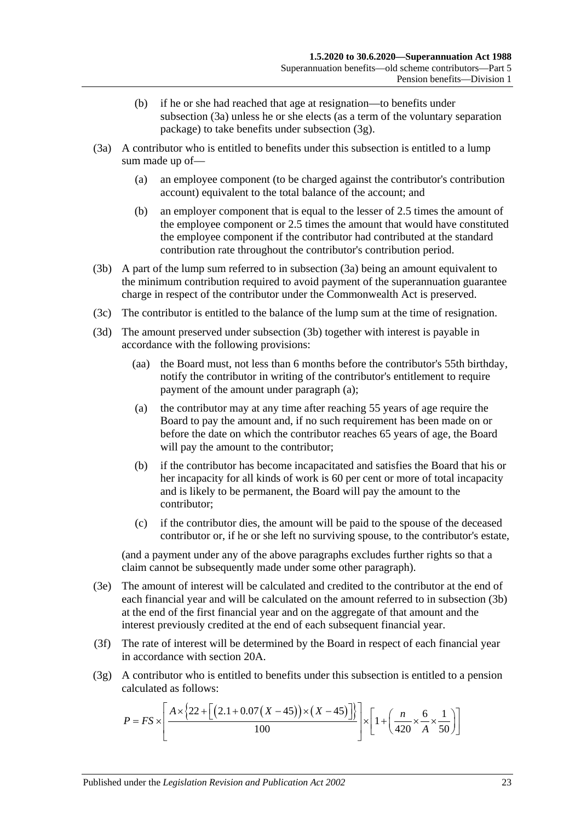- (b) if he or she had reached that age at resignation—to benefits under [subsection](#page-78-0) (3a) unless he or she elects (as a term of the voluntary separation package) to take benefits under [subsection](#page-78-1) (3g).
- <span id="page-78-4"></span><span id="page-78-0"></span>(3a) A contributor who is entitled to benefits under this subsection is entitled to a lump sum made up of—
	- (a) an employee component (to be charged against the contributor's contribution account) equivalent to the total balance of the account; and
	- (b) an employer component that is equal to the lesser of 2.5 times the amount of the employee component or 2.5 times the amount that would have constituted the employee component if the contributor had contributed at the standard contribution rate throughout the contributor's contribution period.
- <span id="page-78-2"></span>(3b) A part of the lump sum referred to in [subsection](#page-78-0) (3a) being an amount equivalent to the minimum contribution required to avoid payment of the superannuation guarantee charge in respect of the contributor under the Commonwealth Act is preserved.
- (3c) The contributor is entitled to the balance of the lump sum at the time of resignation.
- <span id="page-78-3"></span>(3d) The amount preserved under [subsection](#page-78-2) (3b) together with interest is payable in accordance with the following provisions:
	- (aa) the Board must, not less than 6 months before the contributor's 55th birthday, notify the contributor in writing of the contributor's entitlement to require payment of the amount under [paragraph](#page-78-3) (a);
	- (a) the contributor may at any time after reaching 55 years of age require the Board to pay the amount and, if no such requirement has been made on or before the date on which the contributor reaches 65 years of age, the Board will pay the amount to the contributor;
	- (b) if the contributor has become incapacitated and satisfies the Board that his or her incapacity for all kinds of work is 60 per cent or more of total incapacity and is likely to be permanent, the Board will pay the amount to the contributor;
	- (c) if the contributor dies, the amount will be paid to the spouse of the deceased contributor or, if he or she left no surviving spouse, to the contributor's estate,

(and a payment under any of the above paragraphs excludes further rights so that a claim cannot be subsequently made under some other paragraph).

- (3e) The amount of interest will be calculated and credited to the contributor at the end of each financial year and will be calculated on the amount referred to in [subsection](#page-78-2) (3b) at the end of the first financial year and on the aggregate of that amount and the interest previously credited at the end of each subsequent financial year.
- (3f) The rate of interest will be determined by the Board in respect of each financial year in accordance with [section](#page-21-0) 20A.
- <span id="page-78-1"></span>(3g) A contributor who is entitled to benefits under this subsection is entitled to a pension calculated as follows:

$$
P = FS \times \left[ \frac{A \times \{22 + \left[ (2.1 + 0.07(X - 45)) \times (X - 45) \right] \} }{100} \right] \times \left[ 1 + \left( \frac{n}{420} \times \frac{6}{A} \times \frac{1}{50} \right) \right]
$$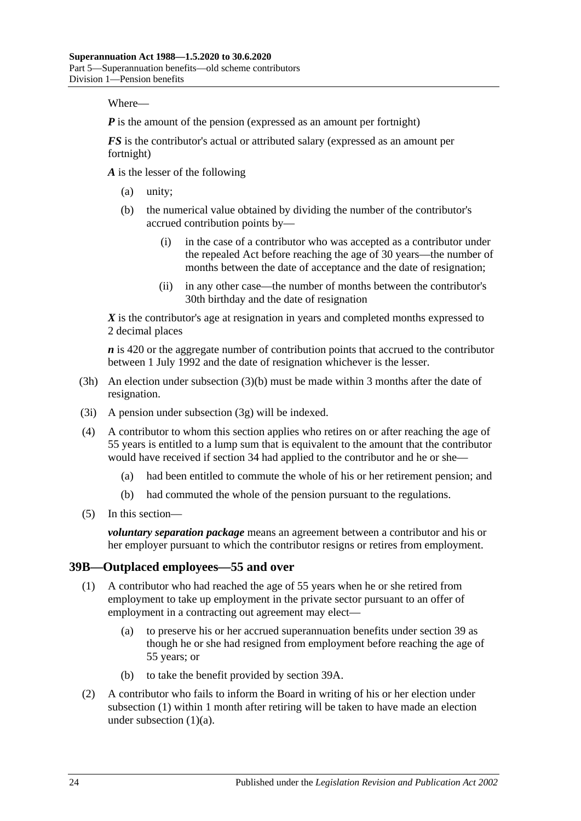Where—

*P* is the amount of the pension (expressed as an amount per fortnight)

*FS* is the contributor's actual or attributed salary (expressed as an amount per fortnight)

*A* is the lesser of the following

- (a) unity;
- (b) the numerical value obtained by dividing the number of the contributor's accrued contribution points by—
	- (i) in the case of a contributor who was accepted as a contributor under the repealed Act before reaching the age of 30 years—the number of months between the date of acceptance and the date of resignation;
	- (ii) in any other case—the number of months between the contributor's 30th birthday and the date of resignation

*X* is the contributor's age at resignation in years and completed months expressed to 2 decimal places

*n* is 420 or the aggregate number of contribution points that accrued to the contributor between 1 July 1992 and the date of resignation whichever is the lesser.

- (3h) An election under [subsection](#page-78-4) (3)(b) must be made within 3 months after the date of resignation.
- (3i) A pension under [subsection](#page-78-1) (3g) will be indexed.
- (4) A contributor to whom this section applies who retires on or after reaching the age of 55 years is entitled to a lump sum that is equivalent to the amount that the contributor would have received if [section](#page-59-0) 34 had applied to the contributor and he or she—
	- (a) had been entitled to commute the whole of his or her retirement pension; and
	- (b) had commuted the whole of the pension pursuant to the regulations.
- (5) In this section—

*voluntary separation package* means an agreement between a contributor and his or her employer pursuant to which the contributor resigns or retires from employment.

#### <span id="page-79-0"></span>**39B—Outplaced employees—55 and over**

- <span id="page-79-1"></span>(1) A contributor who had reached the age of 55 years when he or she retired from employment to take up employment in the private sector pursuant to an offer of employment in a contracting out agreement may elect—
	- (a) to preserve his or her accrued superannuation benefits under [section](#page-71-1) 39 as though he or she had resigned from employment before reaching the age of 55 years; or
	- (b) to take the benefit provided by [section](#page-77-1) 39A.
- <span id="page-79-3"></span><span id="page-79-2"></span>(2) A contributor who fails to inform the Board in writing of his or her election under [subsection](#page-79-0) (1) within 1 month after retiring will be taken to have made an election under [subsection](#page-79-1)  $(1)(a)$ .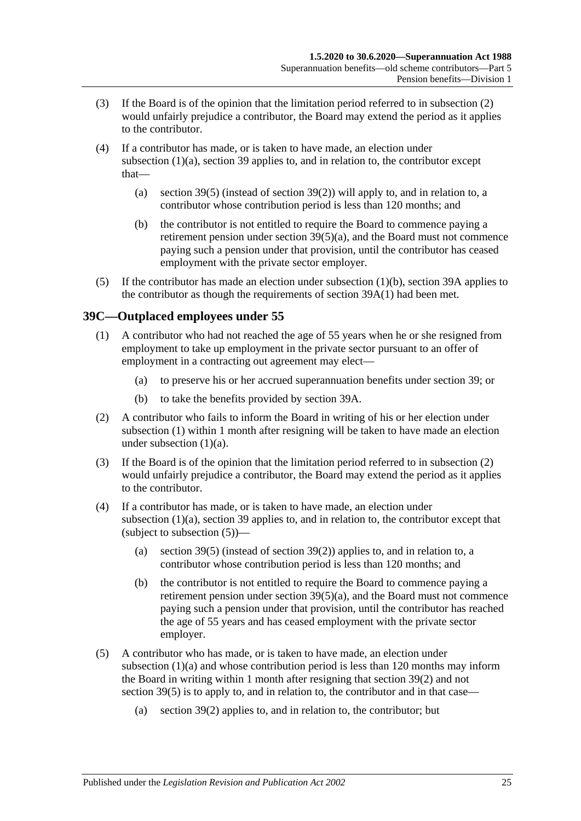- (3) If the Board is of the opinion that the limitation period referred to in [subsection](#page-79-2) (2) would unfairly prejudice a contributor, the Board may extend the period as it applies to the contributor.
- (4) If a contributor has made, or is taken to have made, an election under [subsection](#page-79-1) (1)(a), [section](#page-71-1) 39 applies to, and in relation to, the contributor except that
	- (a) [section](#page-74-2) 39(5) (instead of [section](#page-73-1) 39(2)) will apply to, and in relation to, a contributor whose contribution period is less than 120 months; and
	- (b) the contributor is not entitled to require the Board to commence paying a retirement pension under section [39\(5\)\(a\),](#page-74-1) and the Board must not commence paying such a pension under that provision, until the contributor has ceased employment with the private sector employer.
- (5) If the contributor has made an election under [subsection](#page-79-3) (1)(b), [section](#page-77-1) 39A applies to the contributor as though the requirements of [section](#page-77-2) 39A(1) had been met.

# <span id="page-80-1"></span><span id="page-80-0"></span>**39C—Outplaced employees under 55**

- <span id="page-80-2"></span>(1) A contributor who had not reached the age of 55 years when he or she resigned from employment to take up employment in the private sector pursuant to an offer of employment in a contracting out agreement may elect—
	- (a) to preserve his or her accrued superannuation benefits under [section](#page-71-1) 39; or
	- (b) to take the benefits provided by [section](#page-77-1) 39A.
- <span id="page-80-5"></span><span id="page-80-3"></span>(2) A contributor who fails to inform the Board in writing of his or her election under [subsection](#page-80-1) (1) within 1 month after resigning will be taken to have made an election under [subsection](#page-80-2) (1)(a).
- (3) If the Board is of the opinion that the limitation period referred to in [subsection](#page-80-3) (2) would unfairly prejudice a contributor, the Board may extend the period as it applies to the contributor.
- (4) If a contributor has made, or is taken to have made, an election under [subsection](#page-80-2) (1)(a), [section](#page-71-1) 39 applies to, and in relation to, the contributor except that (subject to [subsection](#page-80-4)  $(5)$ )—
	- (a) [section](#page-74-2) 39(5) (instead of [section](#page-73-1) 39(2)) applies to, and in relation to, a contributor whose contribution period is less than 120 months; and
	- (b) the contributor is not entitled to require the Board to commence paying a retirement pension under section  $39(5)(a)$ , and the Board must not commence paying such a pension under that provision, until the contributor has reached the age of 55 years and has ceased employment with the private sector employer.
- <span id="page-80-4"></span>(5) A contributor who has made, or is taken to have made, an election under [subsection](#page-80-2) (1)(a) and whose contribution period is less than 120 months may inform the Board in writing within 1 month after resigning that [section](#page-73-1) 39(2) and not [section](#page-74-2) 39(5) is to apply to, and in relation to, the contributor and in that case—
	- (a) [section](#page-73-1) 39(2) applies to, and in relation to, the contributor; but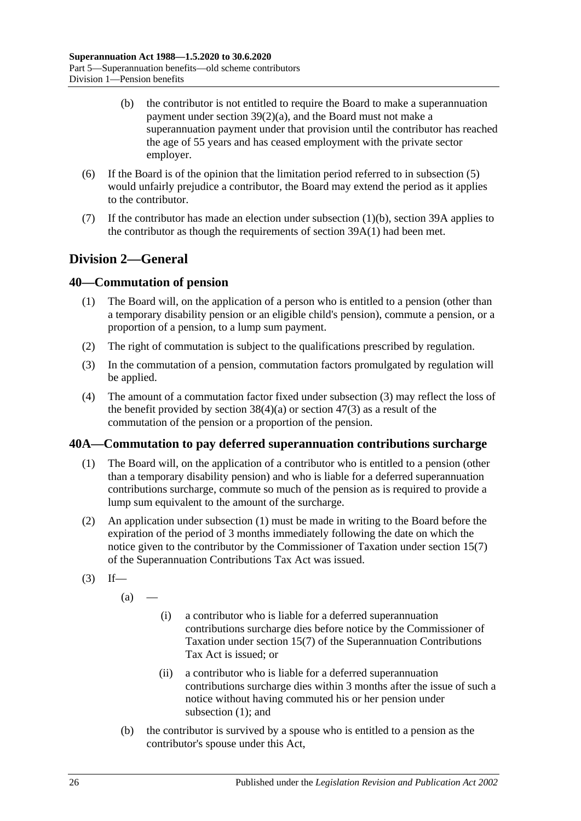- (b) the contributor is not entitled to require the Board to make a superannuation payment under section [39\(2\)\(a\),](#page-73-0) and the Board must not make a superannuation payment under that provision until the contributor has reached the age of 55 years and has ceased employment with the private sector employer.
- (6) If the Board is of the opinion that the limitation period referred to in [subsection](#page-80-4) (5) would unfairly prejudice a contributor, the Board may extend the period as it applies to the contributor.
- (7) If the contributor has made an election under [subsection](#page-80-5)  $(1)(b)$ , [section](#page-77-1) 39A applies to the contributor as though the requirements of [section](#page-77-2) 39A(1) had been met.

# **Division 2—General**

# <span id="page-81-3"></span>**40—Commutation of pension**

- (1) The Board will, on the application of a person who is entitled to a pension (other than a temporary disability pension or an eligible child's pension), commute a pension, or a proportion of a pension, to a lump sum payment.
- (2) The right of commutation is subject to the qualifications prescribed by regulation.
- <span id="page-81-0"></span>(3) In the commutation of a pension, commutation factors promulgated by regulation will be applied.
- (4) The amount of a commutation factor fixed under [subsection](#page-81-0) (3) may reflect the loss of the benefit provided by [section](#page-99-0)  $38(4)(a)$  or section  $47(3)$  as a result of the commutation of the pension or a proportion of the pension.

### <span id="page-81-1"></span>**40A—Commutation to pay deferred superannuation contributions surcharge**

- (1) The Board will, on the application of a contributor who is entitled to a pension (other than a temporary disability pension) and who is liable for a deferred superannuation contributions surcharge, commute so much of the pension as is required to provide a lump sum equivalent to the amount of the surcharge.
- (2) An application under [subsection](#page-81-1) (1) must be made in writing to the Board before the expiration of the period of 3 months immediately following the date on which the notice given to the contributor by the Commissioner of Taxation under section 15(7) of the Superannuation Contributions Tax Act was issued.
- <span id="page-81-2"></span> $(3)$  If—

 $(a)$ 

- (i) a contributor who is liable for a deferred superannuation contributions surcharge dies before notice by the Commissioner of Taxation under section 15(7) of the Superannuation Contributions Tax Act is issued; or
- (ii) a contributor who is liable for a deferred superannuation contributions surcharge dies within 3 months after the issue of such a notice without having commuted his or her pension under [subsection](#page-81-1) (1); and
- (b) the contributor is survived by a spouse who is entitled to a pension as the contributor's spouse under this Act,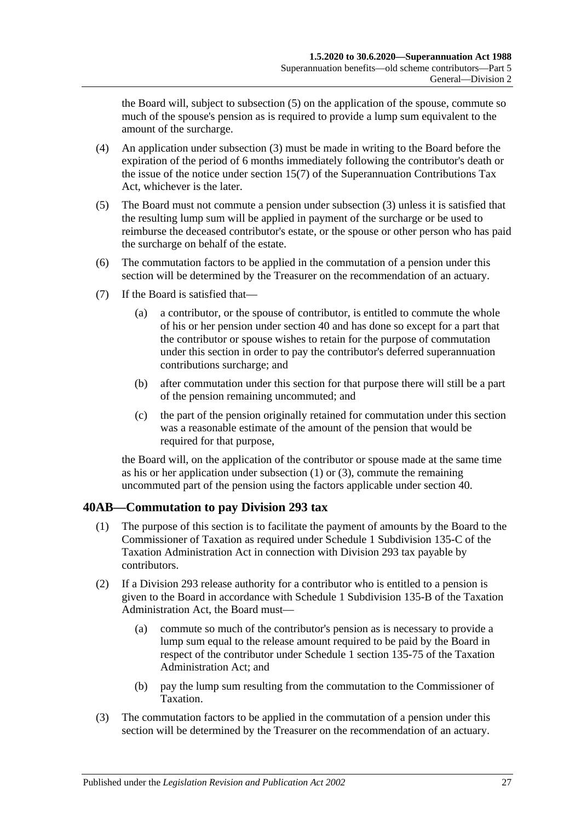the Board will, subject to [subsection](#page-82-0) (5) on the application of the spouse, commute so much of the spouse's pension as is required to provide a lump sum equivalent to the amount of the surcharge.

- (4) An application under [subsection](#page-81-2) (3) must be made in writing to the Board before the expiration of the period of 6 months immediately following the contributor's death or the issue of the notice under section 15(7) of the Superannuation Contributions Tax Act, whichever is the later.
- <span id="page-82-0"></span>(5) The Board must not commute a pension under [subsection](#page-81-2) (3) unless it is satisfied that the resulting lump sum will be applied in payment of the surcharge or be used to reimburse the deceased contributor's estate, or the spouse or other person who has paid the surcharge on behalf of the estate.
- (6) The commutation factors to be applied in the commutation of a pension under this section will be determined by the Treasurer on the recommendation of an actuary.
- (7) If the Board is satisfied that—
	- (a) a contributor, or the spouse of contributor, is entitled to commute the whole of his or her pension under [section](#page-81-3) 40 and has done so except for a part that the contributor or spouse wishes to retain for the purpose of commutation under this section in order to pay the contributor's deferred superannuation contributions surcharge; and
	- (b) after commutation under this section for that purpose there will still be a part of the pension remaining uncommuted; and
	- (c) the part of the pension originally retained for commutation under this section was a reasonable estimate of the amount of the pension that would be required for that purpose,

the Board will, on the application of the contributor or spouse made at the same time as his or her application under [subsection](#page-81-1) (1) or [\(3\),](#page-81-2) commute the remaining uncommuted part of the pension using the factors applicable under [section](#page-81-3) 40.

# **40AB—Commutation to pay Division 293 tax**

- (1) The purpose of this section is to facilitate the payment of amounts by the Board to the Commissioner of Taxation as required under Schedule 1 Subdivision 135-C of the Taxation Administration Act in connection with Division 293 tax payable by contributors.
- (2) If a Division 293 release authority for a contributor who is entitled to a pension is given to the Board in accordance with Schedule 1 Subdivision 135-B of the Taxation Administration Act, the Board must—
	- (a) commute so much of the contributor's pension as is necessary to provide a lump sum equal to the release amount required to be paid by the Board in respect of the contributor under Schedule 1 section 135-75 of the Taxation Administration Act; and
	- (b) pay the lump sum resulting from the commutation to the Commissioner of Taxation.
- (3) The commutation factors to be applied in the commutation of a pension under this section will be determined by the Treasurer on the recommendation of an actuary.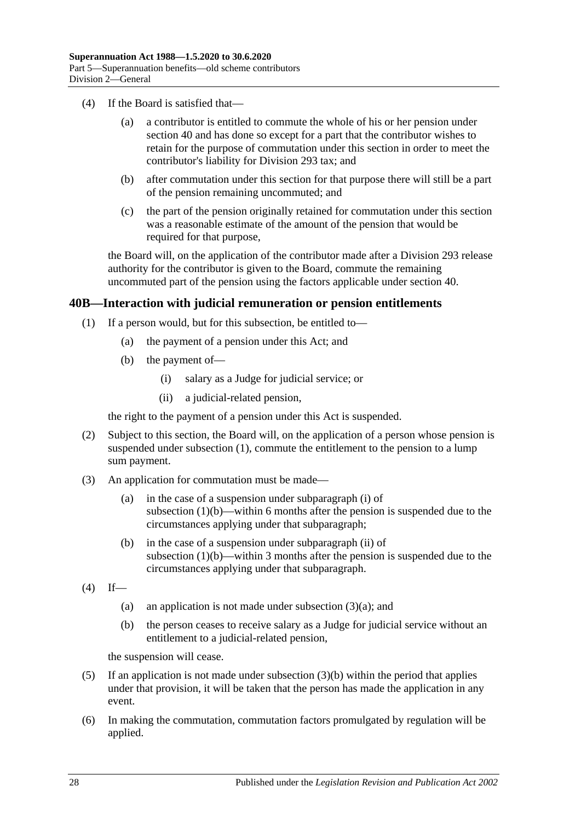- (4) If the Board is satisfied that—
	- (a) a contributor is entitled to commute the whole of his or her pension under [section](#page-81-3) 40 and has done so except for a part that the contributor wishes to retain for the purpose of commutation under this section in order to meet the contributor's liability for Division 293 tax; and
	- (b) after commutation under this section for that purpose there will still be a part of the pension remaining uncommuted; and
	- (c) the part of the pension originally retained for commutation under this section was a reasonable estimate of the amount of the pension that would be required for that purpose,

the Board will, on the application of the contributor made after a Division 293 release authority for the contributor is given to the Board, commute the remaining uncommuted part of the pension using the factors applicable under [section](#page-81-3) 40.

### <span id="page-83-0"></span>**40B—Interaction with judicial remuneration or pension entitlements**

- <span id="page-83-2"></span><span id="page-83-1"></span>(1) If a person would, but for this subsection, be entitled to—
	- (a) the payment of a pension under this Act; and
	- (b) the payment of—
		- (i) salary as a Judge for judicial service; or
		- (ii) a judicial-related pension,

the right to the payment of a pension under this Act is suspended.

- <span id="page-83-3"></span>(2) Subject to this section, the Board will, on the application of a person whose pension is suspended under [subsection](#page-83-0) (1), commute the entitlement to the pension to a lump sum payment.
- <span id="page-83-4"></span>(3) An application for commutation must be made—
	- (a) in the case of a suspension under [subparagraph](#page-83-1) (i) of [subsection](#page-83-2)  $(1)(b)$ —within 6 months after the pension is suspended due to the circumstances applying under that subparagraph;
	- (b) in the case of a suspension under [subparagraph](#page-83-3) (ii) of [subsection](#page-83-2)  $(1)(b)$ —within 3 months after the pension is suspended due to the circumstances applying under that subparagraph.
- <span id="page-83-5"></span> $(4)$  If
	- (a) an application is not made under [subsection](#page-83-4)  $(3)(a)$ ; and
	- (b) the person ceases to receive salary as a Judge for judicial service without an entitlement to a judicial-related pension,

the suspension will cease.

- (5) If an application is not made under [subsection](#page-83-5) (3)(b) within the period that applies under that provision, it will be taken that the person has made the application in any event.
- (6) In making the commutation, commutation factors promulgated by regulation will be applied.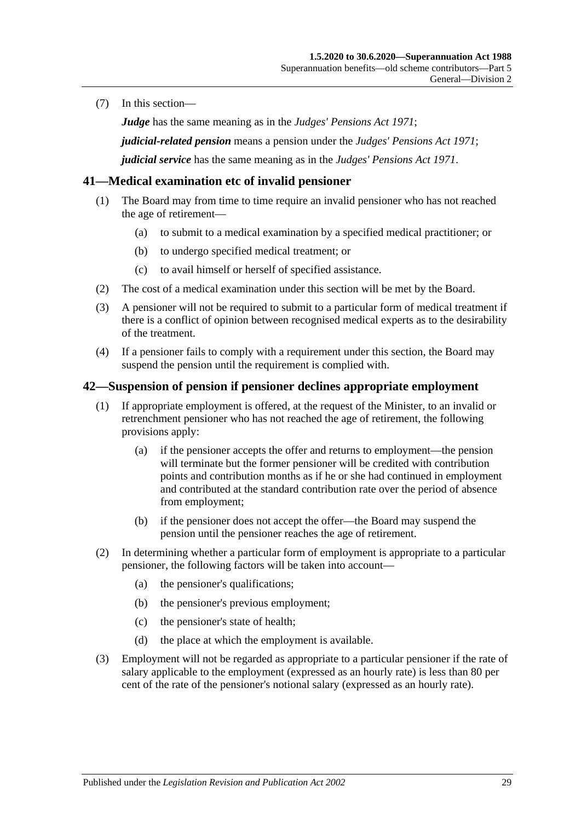(7) In this section—

*Judge* has the same meaning as in the *[Judges' Pensions Act](http://www.legislation.sa.gov.au/index.aspx?action=legref&type=act&legtitle=Judges%20Pensions%20Act%201971) 1971*;

*judicial-related pension* means a pension under the *[Judges' Pensions Act](http://www.legislation.sa.gov.au/index.aspx?action=legref&type=act&legtitle=Judges%20Pensions%20Act%201971) 1971*;

*judicial service* has the same meaning as in the *[Judges' Pensions Act](http://www.legislation.sa.gov.au/index.aspx?action=legref&type=act&legtitle=Judges%20Pensions%20Act%201971) 1971*.

### **41—Medical examination etc of invalid pensioner**

- (1) The Board may from time to time require an invalid pensioner who has not reached the age of retirement—
	- (a) to submit to a medical examination by a specified medical practitioner; or
	- (b) to undergo specified medical treatment; or
	- (c) to avail himself or herself of specified assistance.
- (2) The cost of a medical examination under this section will be met by the Board.
- (3) A pensioner will not be required to submit to a particular form of medical treatment if there is a conflict of opinion between recognised medical experts as to the desirability of the treatment.
- (4) If a pensioner fails to comply with a requirement under this section, the Board may suspend the pension until the requirement is complied with.

#### <span id="page-84-0"></span>**42—Suspension of pension if pensioner declines appropriate employment**

- (1) If appropriate employment is offered, at the request of the Minister, to an invalid or retrenchment pensioner who has not reached the age of retirement, the following provisions apply:
	- (a) if the pensioner accepts the offer and returns to employment—the pension will terminate but the former pensioner will be credited with contribution points and contribution months as if he or she had continued in employment and contributed at the standard contribution rate over the period of absence from employment;
	- (b) if the pensioner does not accept the offer—the Board may suspend the pension until the pensioner reaches the age of retirement.
- (2) In determining whether a particular form of employment is appropriate to a particular pensioner, the following factors will be taken into account—
	- (a) the pensioner's qualifications;
	- (b) the pensioner's previous employment;
	- (c) the pensioner's state of health;
	- (d) the place at which the employment is available.
- (3) Employment will not be regarded as appropriate to a particular pensioner if the rate of salary applicable to the employment (expressed as an hourly rate) is less than 80 per cent of the rate of the pensioner's notional salary (expressed as an hourly rate).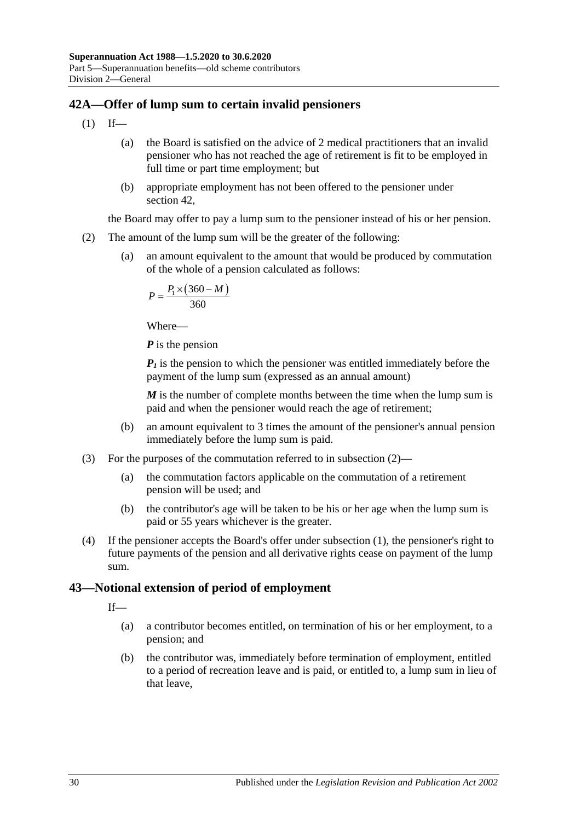# <span id="page-85-1"></span>**42A—Offer of lump sum to certain invalid pensioners**

- $(1)$  If—
	- (a) the Board is satisfied on the advice of 2 medical practitioners that an invalid pensioner who has not reached the age of retirement is fit to be employed in full time or part time employment; but
	- (b) appropriate employment has not been offered to the pensioner under [section](#page-84-0) 42,

the Board may offer to pay a lump sum to the pensioner instead of his or her pension.

- <span id="page-85-0"></span>(2) The amount of the lump sum will be the greater of the following:
	- (a) an amount equivalent to the amount that would be produced by commutation of the whole of a pension calculated as follows:

$$
P = \frac{P_1 \times (360 - M)}{360}
$$

Where—

*P* is the pension

 *is the pension to which the pensioner was entitled immediately before the* payment of the lump sum (expressed as an annual amount)

*M* is the number of complete months between the time when the lump sum is paid and when the pensioner would reach the age of retirement;

- (b) an amount equivalent to 3 times the amount of the pensioner's annual pension immediately before the lump sum is paid.
- (3) For the purposes of the commutation referred to in [subsection](#page-85-0) (2)—
	- (a) the commutation factors applicable on the commutation of a retirement pension will be used; and
	- (b) the contributor's age will be taken to be his or her age when the lump sum is paid or 55 years whichever is the greater.
- (4) If the pensioner accepts the Board's offer under [subsection](#page-85-1) (1), the pensioner's right to future payments of the pension and all derivative rights cease on payment of the lump sum.

# **43—Notional extension of period of employment**

If—

- (a) a contributor becomes entitled, on termination of his or her employment, to a pension; and
- (b) the contributor was, immediately before termination of employment, entitled to a period of recreation leave and is paid, or entitled to, a lump sum in lieu of that leave,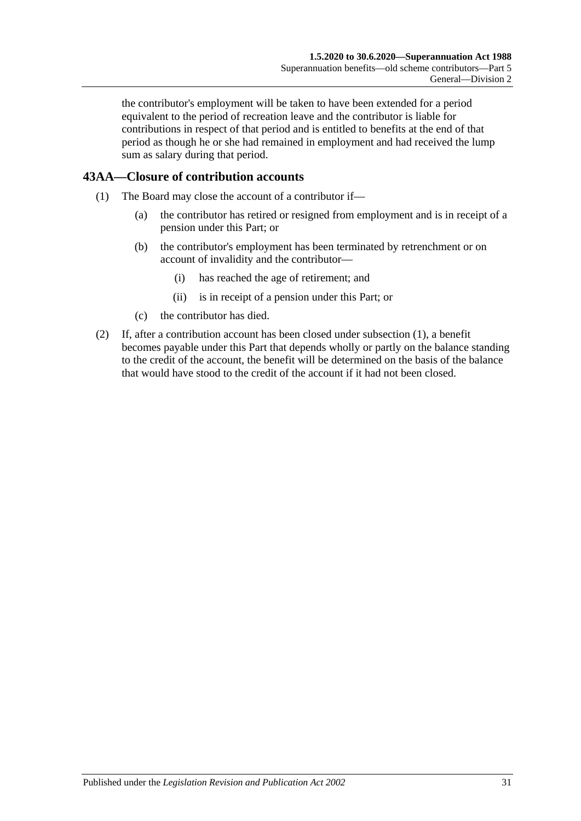the contributor's employment will be taken to have been extended for a period equivalent to the period of recreation leave and the contributor is liable for contributions in respect of that period and is entitled to benefits at the end of that period as though he or she had remained in employment and had received the lump sum as salary during that period.

# <span id="page-86-0"></span>**43AA—Closure of contribution accounts**

- (1) The Board may close the account of a contributor if—
	- (a) the contributor has retired or resigned from employment and is in receipt of a pension under this Part; or
	- (b) the contributor's employment has been terminated by retrenchment or on account of invalidity and the contributor—
		- (i) has reached the age of retirement; and
		- (ii) is in receipt of a pension under this Part; or
	- (c) the contributor has died.
- (2) If, after a contribution account has been closed under [subsection](#page-86-0) (1), a benefit becomes payable under this Part that depends wholly or partly on the balance standing to the credit of the account, the benefit will be determined on the basis of the balance that would have stood to the credit of the account if it had not been closed.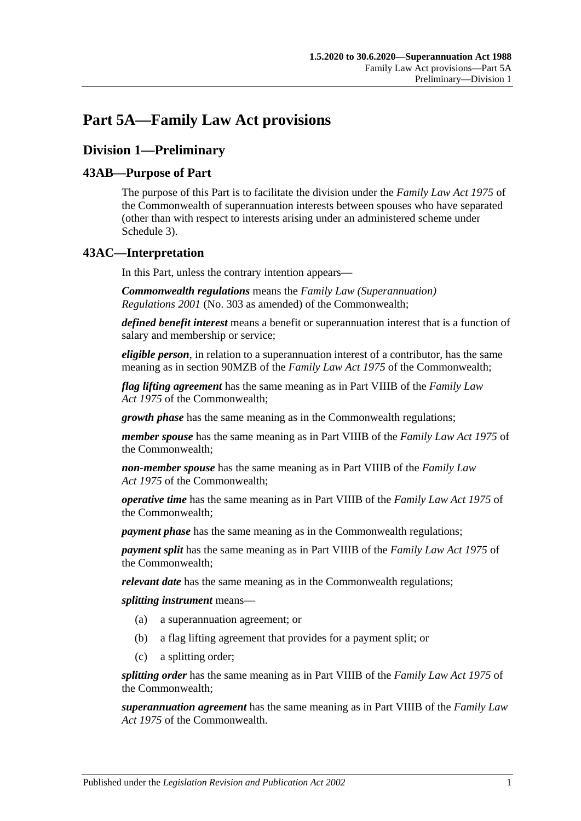# **Part 5A—Family Law Act provisions**

# **Division 1—Preliminary**

# **43AB—Purpose of Part**

The purpose of this Part is to facilitate the division under the *Family Law Act 1975* of the Commonwealth of superannuation interests between spouses who have separated (other than with respect to interests arising under an administered scheme under [Schedule 3\)](#page-132-0).

# **43AC—Interpretation**

In this Part, unless the contrary intention appears—

*Commonwealth regulations* means the *Family Law (Superannuation) Regulations 2001* (No. 303 as amended) of the Commonwealth;

*defined benefit interest* means a benefit or superannuation interest that is a function of salary and membership or service;

*eligible person*, in relation to a superannuation interest of a contributor, has the same meaning as in section 90MZB of the *Family Law Act 1975* of the Commonwealth;

*flag lifting agreement* has the same meaning as in Part VIIIB of the *Family Law Act 1975* of the Commonwealth;

*growth phase* has the same meaning as in the Commonwealth regulations;

*member spouse* has the same meaning as in Part VIIIB of the *Family Law Act 1975* of the Commonwealth;

*non-member spouse* has the same meaning as in Part VIIIB of the *Family Law Act 1975* of the Commonwealth;

*operative time* has the same meaning as in Part VIIIB of the *Family Law Act 1975* of the Commonwealth;

*payment phase* has the same meaning as in the Commonwealth regulations;

*payment split* has the same meaning as in Part VIIIB of the *Family Law Act 1975* of the Commonwealth;

*relevant date* has the same meaning as in the Commonwealth regulations;

*splitting instrument* means—

- (a) a superannuation agreement; or
- (b) a flag lifting agreement that provides for a payment split; or
- (c) a splitting order;

*splitting order* has the same meaning as in Part VIIIB of the *Family Law Act 1975* of the Commonwealth;

*superannuation agreement* has the same meaning as in Part VIIIB of the *Family Law Act 1975* of the Commonwealth.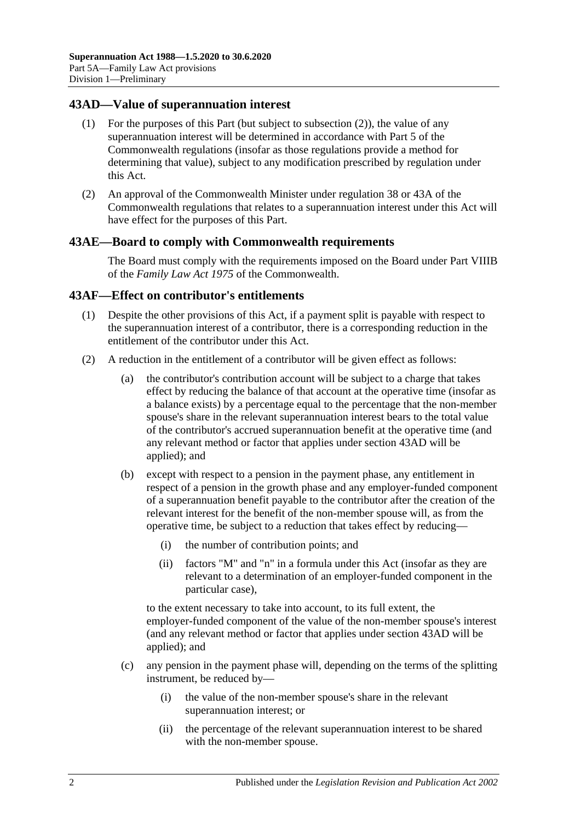### <span id="page-89-1"></span>**43AD—Value of superannuation interest**

- (1) For the purposes of this Part (but subject to [subsection](#page-89-0) (2)), the value of any superannuation interest will be determined in accordance with Part 5 of the Commonwealth regulations (insofar as those regulations provide a method for determining that value), subject to any modification prescribed by regulation under this Act.
- <span id="page-89-0"></span>(2) An approval of the Commonwealth Minister under regulation 38 or 43A of the Commonwealth regulations that relates to a superannuation interest under this Act will have effect for the purposes of this Part.

#### **43AE—Board to comply with Commonwealth requirements**

The Board must comply with the requirements imposed on the Board under Part VIIIB of the *Family Law Act 1975* of the Commonwealth.

#### **43AF—Effect on contributor's entitlements**

- (1) Despite the other provisions of this Act, if a payment split is payable with respect to the superannuation interest of a contributor, there is a corresponding reduction in the entitlement of the contributor under this Act.
- <span id="page-89-2"></span>(2) A reduction in the entitlement of a contributor will be given effect as follows:
	- (a) the contributor's contribution account will be subject to a charge that takes effect by reducing the balance of that account at the operative time (insofar as a balance exists) by a percentage equal to the percentage that the non-member spouse's share in the relevant superannuation interest bears to the total value of the contributor's accrued superannuation benefit at the operative time (and any relevant method or factor that applies under [section](#page-89-1) 43AD will be applied); and
	- (b) except with respect to a pension in the payment phase, any entitlement in respect of a pension in the growth phase and any employer-funded component of a superannuation benefit payable to the contributor after the creation of the relevant interest for the benefit of the non-member spouse will, as from the operative time, be subject to a reduction that takes effect by reducing—
		- (i) the number of contribution points; and
		- (ii) factors "M" and "n" in a formula under this Act (insofar as they are relevant to a determination of an employer-funded component in the particular case),

to the extent necessary to take into account, to its full extent, the employer-funded component of the value of the non-member spouse's interest (and any relevant method or factor that applies under [section](#page-89-1) 43AD will be applied); and

- (c) any pension in the payment phase will, depending on the terms of the splitting instrument, be reduced by—
	- (i) the value of the non-member spouse's share in the relevant superannuation interest; or
	- (ii) the percentage of the relevant superannuation interest to be shared with the non-member spouse.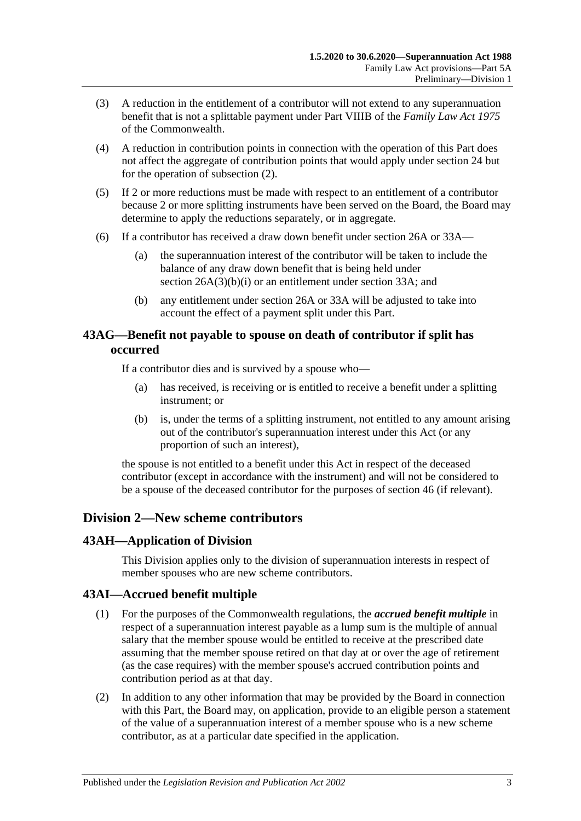- (3) A reduction in the entitlement of a contributor will not extend to any superannuation benefit that is not a splittable payment under Part VIIIB of the *Family Law Act 1975* of the Commonwealth.
- (4) A reduction in contribution points in connection with the operation of this Part does not affect the aggregate of contribution points that would apply under [section](#page-28-0) 24 but for the operation of [subsection](#page-89-2) (2).
- (5) If 2 or more reductions must be made with respect to an entitlement of a contributor because 2 or more splitting instruments have been served on the Board, the Board may determine to apply the reductions separately, or in aggregate.
- (6) If a contributor has received a draw down benefit under [section](#page-30-0) 26A or [33A—](#page-56-0)
	- (a) the superannuation interest of the contributor will be taken to include the balance of any draw down benefit that is being held under section [26A\(3\)\(b\)\(i\)](#page-31-0) or an entitlement under [section](#page-56-0) 33A; and
	- (b) any entitlement under [section](#page-30-0) 26A or [33A](#page-56-0) will be adjusted to take into account the effect of a payment split under this Part.

# **43AG—Benefit not payable to spouse on death of contributor if split has occurred**

If a contributor dies and is survived by a spouse who—

- (a) has received, is receiving or is entitled to receive a benefit under a splitting instrument; or
- (b) is, under the terms of a splitting instrument, not entitled to any amount arising out of the contributor's superannuation interest under this Act (or any proportion of such an interest),

the spouse is not entitled to a benefit under this Act in respect of the deceased contributor (except in accordance with the instrument) and will not be considered to be a spouse of the deceased contributor for the purposes of [section](#page-98-0) 46 (if relevant).

# **Division 2—New scheme contributors**

### **43AH—Application of Division**

This Division applies only to the division of superannuation interests in respect of member spouses who are new scheme contributors.

### **43AI—Accrued benefit multiple**

- (1) For the purposes of the Commonwealth regulations, the *accrued benefit multiple* in respect of a superannuation interest payable as a lump sum is the multiple of annual salary that the member spouse would be entitled to receive at the prescribed date assuming that the member spouse retired on that day at or over the age of retirement (as the case requires) with the member spouse's accrued contribution points and contribution period as at that day.
- (2) In addition to any other information that may be provided by the Board in connection with this Part, the Board may, on application, provide to an eligible person a statement of the value of a superannuation interest of a member spouse who is a new scheme contributor, as at a particular date specified in the application.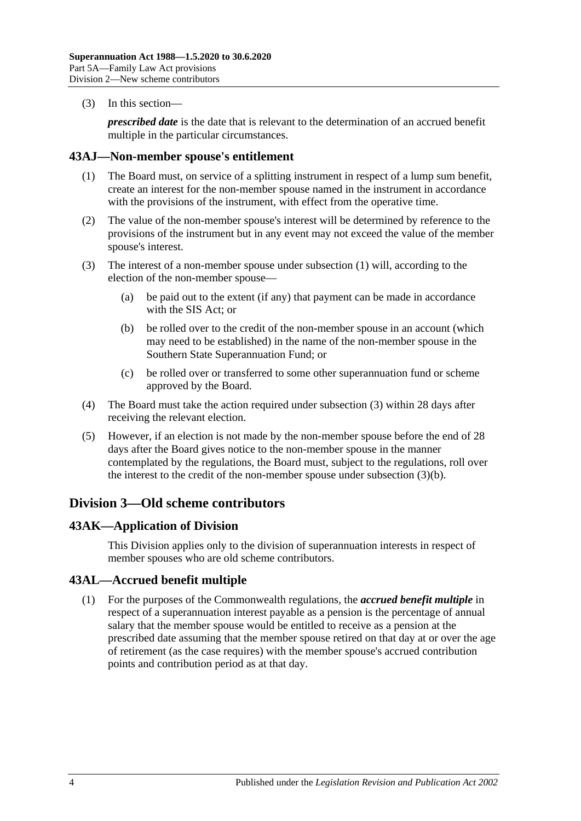(3) In this section—

*prescribed date* is the date that is relevant to the determination of an accrued benefit multiple in the particular circumstances.

#### <span id="page-91-0"></span>**43AJ—Non-member spouse's entitlement**

- (1) The Board must, on service of a splitting instrument in respect of a lump sum benefit, create an interest for the non-member spouse named in the instrument in accordance with the provisions of the instrument, with effect from the operative time.
- (2) The value of the non-member spouse's interest will be determined by reference to the provisions of the instrument but in any event may not exceed the value of the member spouse's interest.
- <span id="page-91-2"></span><span id="page-91-1"></span>(3) The interest of a non-member spouse under [subsection](#page-91-0) (1) will, according to the election of the non-member spouse—
	- (a) be paid out to the extent (if any) that payment can be made in accordance with the SIS Act; or
	- (b) be rolled over to the credit of the non-member spouse in an account (which may need to be established) in the name of the non-member spouse in the Southern State Superannuation Fund; or
	- (c) be rolled over or transferred to some other superannuation fund or scheme approved by the Board.
- (4) The Board must take the action required under [subsection](#page-91-1) (3) within 28 days after receiving the relevant election.
- (5) However, if an election is not made by the non-member spouse before the end of 28 days after the Board gives notice to the non-member spouse in the manner contemplated by the regulations, the Board must, subject to the regulations, roll over the interest to the credit of the non-member spouse under [subsection](#page-91-2) (3)(b).

# **Division 3—Old scheme contributors**

### **43AK—Application of Division**

This Division applies only to the division of superannuation interests in respect of member spouses who are old scheme contributors.

### **43AL—Accrued benefit multiple**

(1) For the purposes of the Commonwealth regulations, the *accrued benefit multiple* in respect of a superannuation interest payable as a pension is the percentage of annual salary that the member spouse would be entitled to receive as a pension at the prescribed date assuming that the member spouse retired on that day at or over the age of retirement (as the case requires) with the member spouse's accrued contribution points and contribution period as at that day.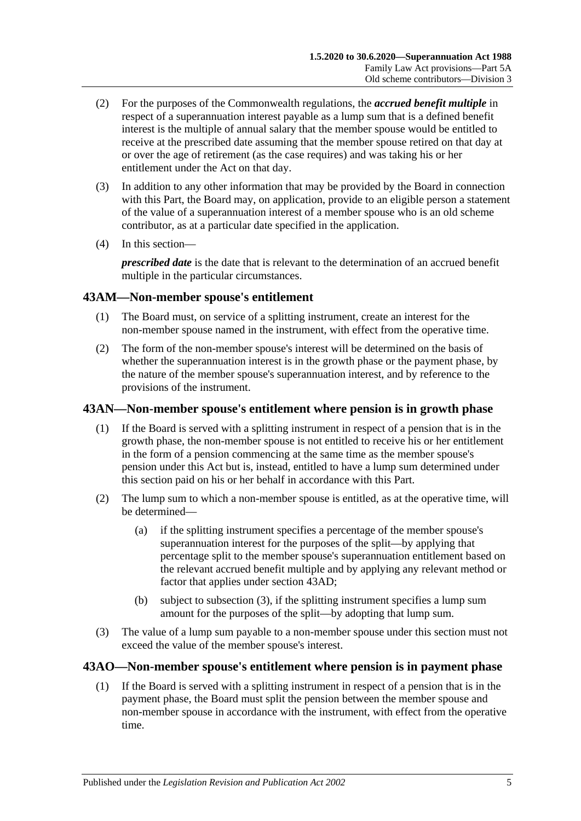- (2) For the purposes of the Commonwealth regulations, the *accrued benefit multiple* in respect of a superannuation interest payable as a lump sum that is a defined benefit interest is the multiple of annual salary that the member spouse would be entitled to receive at the prescribed date assuming that the member spouse retired on that day at or over the age of retirement (as the case requires) and was taking his or her entitlement under the Act on that day.
- (3) In addition to any other information that may be provided by the Board in connection with this Part, the Board may, on application, provide to an eligible person a statement of the value of a superannuation interest of a member spouse who is an old scheme contributor, as at a particular date specified in the application.
- (4) In this section—

*prescribed date* is the date that is relevant to the determination of an accrued benefit multiple in the particular circumstances.

# **43AM—Non-member spouse's entitlement**

- (1) The Board must, on service of a splitting instrument, create an interest for the non-member spouse named in the instrument, with effect from the operative time.
- (2) The form of the non-member spouse's interest will be determined on the basis of whether the superannuation interest is in the growth phase or the payment phase, by the nature of the member spouse's superannuation interest, and by reference to the provisions of the instrument.

### **43AN—Non-member spouse's entitlement where pension is in growth phase**

- (1) If the Board is served with a splitting instrument in respect of a pension that is in the growth phase, the non-member spouse is not entitled to receive his or her entitlement in the form of a pension commencing at the same time as the member spouse's pension under this Act but is, instead, entitled to have a lump sum determined under this section paid on his or her behalf in accordance with this Part.
- (2) The lump sum to which a non-member spouse is entitled, as at the operative time, will be determined—
	- (a) if the splitting instrument specifies a percentage of the member spouse's superannuation interest for the purposes of the split—by applying that percentage split to the member spouse's superannuation entitlement based on the relevant accrued benefit multiple and by applying any relevant method or factor that applies under [section](#page-89-1) 43AD;
	- (b) subject to [subsection](#page-92-0) (3), if the splitting instrument specifies a lump sum amount for the purposes of the split—by adopting that lump sum.
- <span id="page-92-0"></span>(3) The value of a lump sum payable to a non-member spouse under this section must not exceed the value of the member spouse's interest.

### <span id="page-92-1"></span>**43AO—Non-member spouse's entitlement where pension is in payment phase**

(1) If the Board is served with a splitting instrument in respect of a pension that is in the payment phase, the Board must split the pension between the member spouse and non-member spouse in accordance with the instrument, with effect from the operative time.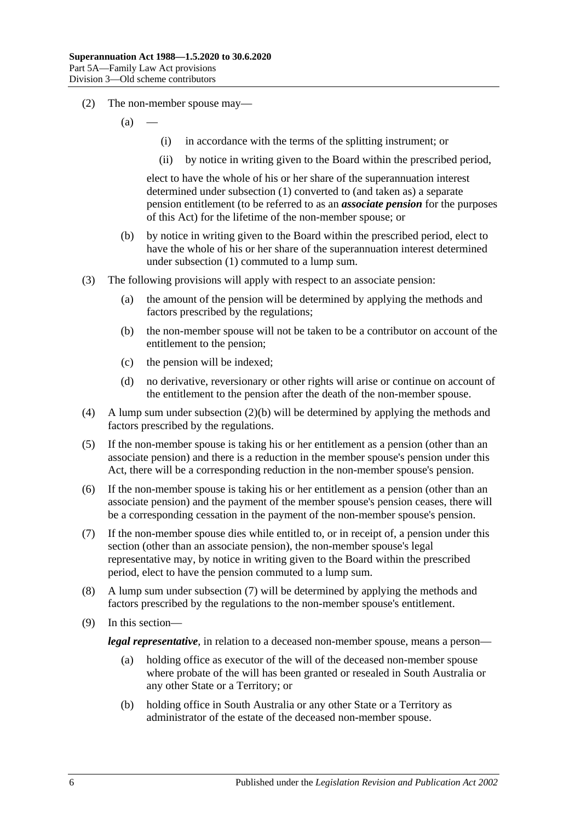- (2) The non-member spouse may—
	- $(a)$
- (i) in accordance with the terms of the splitting instrument; or
- (ii) by notice in writing given to the Board within the prescribed period,

elect to have the whole of his or her share of the superannuation interest determined under [subsection](#page-92-1) (1) converted to (and taken as) a separate pension entitlement (to be referred to as an *associate pension* for the purposes of this Act) for the lifetime of the non-member spouse; or

- <span id="page-93-0"></span>(b) by notice in writing given to the Board within the prescribed period, elect to have the whole of his or her share of the superannuation interest determined under [subsection](#page-92-1) (1) commuted to a lump sum.
- (3) The following provisions will apply with respect to an associate pension:
	- (a) the amount of the pension will be determined by applying the methods and factors prescribed by the regulations;
	- (b) the non-member spouse will not be taken to be a contributor on account of the entitlement to the pension;
	- (c) the pension will be indexed;
	- (d) no derivative, reversionary or other rights will arise or continue on account of the entitlement to the pension after the death of the non-member spouse.
- (4) A lump sum under [subsection](#page-93-0) (2)(b) will be determined by applying the methods and factors prescribed by the regulations.
- (5) If the non-member spouse is taking his or her entitlement as a pension (other than an associate pension) and there is a reduction in the member spouse's pension under this Act, there will be a corresponding reduction in the non-member spouse's pension.
- (6) If the non-member spouse is taking his or her entitlement as a pension (other than an associate pension) and the payment of the member spouse's pension ceases, there will be a corresponding cessation in the payment of the non-member spouse's pension.
- <span id="page-93-1"></span>(7) If the non-member spouse dies while entitled to, or in receipt of, a pension under this section (other than an associate pension), the non-member spouse's legal representative may, by notice in writing given to the Board within the prescribed period, elect to have the pension commuted to a lump sum.
- (8) A lump sum under [subsection](#page-93-1) (7) will be determined by applying the methods and factors prescribed by the regulations to the non-member spouse's entitlement.
- (9) In this section—

*legal representative*, in relation to a deceased non-member spouse, means a person—

- (a) holding office as executor of the will of the deceased non-member spouse where probate of the will has been granted or resealed in South Australia or any other State or a Territory; or
- (b) holding office in South Australia or any other State or a Territory as administrator of the estate of the deceased non-member spouse.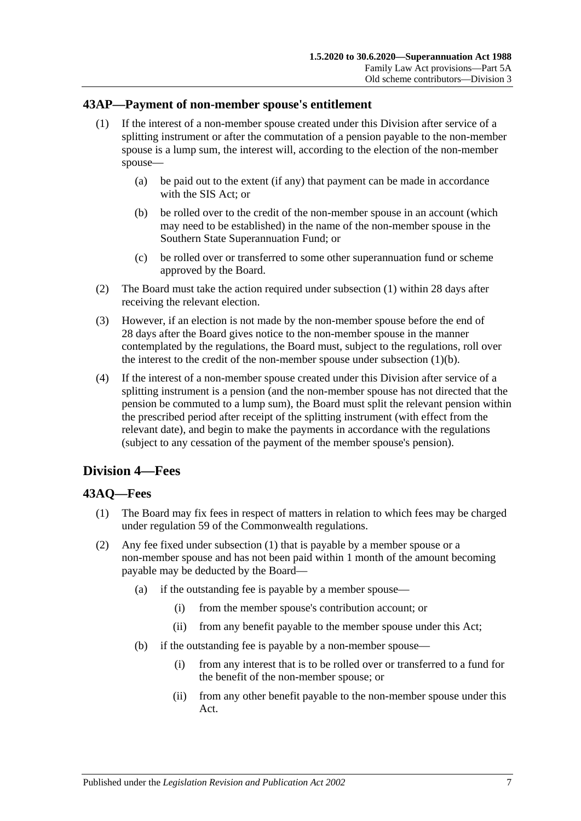### <span id="page-94-0"></span>**43AP—Payment of non-member spouse's entitlement**

- (1) If the interest of a non-member spouse created under this Division after service of a splitting instrument or after the commutation of a pension payable to the non-member spouse is a lump sum, the interest will, according to the election of the non-member spouse—
	- (a) be paid out to the extent (if any) that payment can be made in accordance with the SIS Act; or
	- (b) be rolled over to the credit of the non-member spouse in an account (which may need to be established) in the name of the non-member spouse in the Southern State Superannuation Fund; or
	- (c) be rolled over or transferred to some other superannuation fund or scheme approved by the Board.
- <span id="page-94-1"></span>(2) The Board must take the action required under [subsection](#page-94-0) (1) within 28 days after receiving the relevant election.
- (3) However, if an election is not made by the non-member spouse before the end of 28 days after the Board gives notice to the non-member spouse in the manner contemplated by the regulations, the Board must, subject to the regulations, roll over the interest to the credit of the non-member spouse under [subsection](#page-94-1)  $(1)(b)$ .
- (4) If the interest of a non-member spouse created under this Division after service of a splitting instrument is a pension (and the non-member spouse has not directed that the pension be commuted to a lump sum), the Board must split the relevant pension within the prescribed period after receipt of the splitting instrument (with effect from the relevant date), and begin to make the payments in accordance with the regulations (subject to any cessation of the payment of the member spouse's pension).

# **Division 4—Fees**

### <span id="page-94-2"></span>**43AQ—Fees**

- (1) The Board may fix fees in respect of matters in relation to which fees may be charged under regulation 59 of the Commonwealth regulations.
- (2) Any fee fixed under [subsection](#page-94-2) (1) that is payable by a member spouse or a non-member spouse and has not been paid within 1 month of the amount becoming payable may be deducted by the Board—
	- (a) if the outstanding fee is payable by a member spouse—
		- (i) from the member spouse's contribution account; or
		- (ii) from any benefit payable to the member spouse under this Act;
	- (b) if the outstanding fee is payable by a non-member spouse—
		- (i) from any interest that is to be rolled over or transferred to a fund for the benefit of the non-member spouse; or
		- (ii) from any other benefit payable to the non-member spouse under this Act.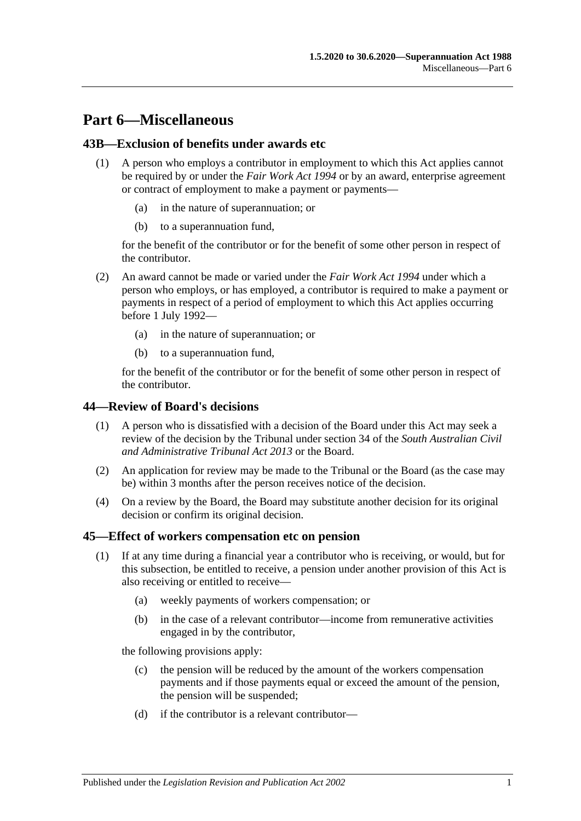# **Part 6—Miscellaneous**

### **43B—Exclusion of benefits under awards etc**

- (1) A person who employs a contributor in employment to which this Act applies cannot be required by or under the *[Fair Work Act](http://www.legislation.sa.gov.au/index.aspx?action=legref&type=act&legtitle=Fair%20Work%20Act%201994) 1994* or by an award, enterprise agreement or contract of employment to make a payment or payments—
	- (a) in the nature of superannuation; or
	- (b) to a superannuation fund,

for the benefit of the contributor or for the benefit of some other person in respect of the contributor.

- (2) An award cannot be made or varied under the *[Fair Work Act](http://www.legislation.sa.gov.au/index.aspx?action=legref&type=act&legtitle=Fair%20Work%20Act%201994) 1994* under which a person who employs, or has employed, a contributor is required to make a payment or payments in respect of a period of employment to which this Act applies occurring before 1 July 1992—
	- (a) in the nature of superannuation; or
	- (b) to a superannuation fund,

for the benefit of the contributor or for the benefit of some other person in respect of the contributor.

### **44—Review of Board's decisions**

- (1) A person who is dissatisfied with a decision of the Board under this Act may seek a review of the decision by the Tribunal under section 34 of the *[South Australian Civil](http://www.legislation.sa.gov.au/index.aspx?action=legref&type=act&legtitle=South%20Australian%20Civil%20and%20Administrative%20Tribunal%20Act%202013)  [and Administrative Tribunal Act](http://www.legislation.sa.gov.au/index.aspx?action=legref&type=act&legtitle=South%20Australian%20Civil%20and%20Administrative%20Tribunal%20Act%202013) 2013* or the Board.
- (2) An application for review may be made to the Tribunal or the Board (as the case may be) within 3 months after the person receives notice of the decision.
- (4) On a review by the Board, the Board may substitute another decision for its original decision or confirm its original decision.

### <span id="page-96-2"></span><span id="page-96-0"></span>**45—Effect of workers compensation etc on pension**

- <span id="page-96-1"></span>(1) If at any time during a financial year a contributor who is receiving, or would, but for this subsection, be entitled to receive, a pension under another provision of this Act is also receiving or entitled to receive—
	- (a) weekly payments of workers compensation; or
	- (b) in the case of a relevant contributor—income from remunerative activities engaged in by the contributor,

the following provisions apply:

- (c) the pension will be reduced by the amount of the workers compensation payments and if those payments equal or exceed the amount of the pension, the pension will be suspended;
- (d) if the contributor is a relevant contributor—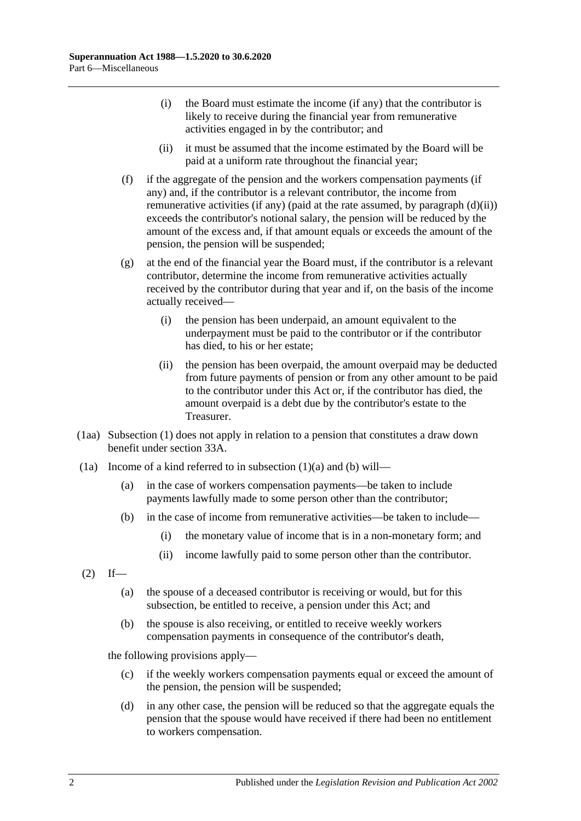- (i) the Board must estimate the income (if any) that the contributor is likely to receive during the financial year from remunerative activities engaged in by the contributor; and
- (ii) it must be assumed that the income estimated by the Board will be paid at a uniform rate throughout the financial year;
- <span id="page-97-2"></span><span id="page-97-0"></span>(f) if the aggregate of the pension and the workers compensation payments (if any) and, if the contributor is a relevant contributor, the income from remunerative activities (if any) (paid at the rate assumed, by [paragraph](#page-97-0)  $(d)(ii)$ ) exceeds the contributor's notional salary, the pension will be reduced by the amount of the excess and, if that amount equals or exceeds the amount of the pension, the pension will be suspended;
- (g) at the end of the financial year the Board must, if the contributor is a relevant contributor, determine the income from remunerative activities actually received by the contributor during that year and if, on the basis of the income actually received—
	- (i) the pension has been underpaid, an amount equivalent to the underpayment must be paid to the contributor or if the contributor has died, to his or her estate;
	- (ii) the pension has been overpaid, the amount overpaid may be deducted from future payments of pension or from any other amount to be paid to the contributor under this Act or, if the contributor has died, the amount overpaid is a debt due by the contributor's estate to the Treasurer.
- (1aa) [Subsection](#page-96-0) (1) does not apply in relation to a pension that constitutes a draw down benefit under [section](#page-56-0) 33A.
- <span id="page-97-1"></span>(1a) Income of a kind referred to in [subsection](#page-96-1)  $(1)(a)$  and  $(b)$  will—
	- (a) in the case of workers compensation payments—be taken to include payments lawfully made to some person other than the contributor;
	- (b) in the case of income from remunerative activities—be taken to include—
		- (i) the monetary value of income that is in a non-monetary form; and
		- (ii) income lawfully paid to some person other than the contributor.
- $(2)$  If—
	- (a) the spouse of a deceased contributor is receiving or would, but for this subsection, be entitled to receive, a pension under this Act; and
	- (b) the spouse is also receiving, or entitled to receive weekly workers compensation payments in consequence of the contributor's death,

the following provisions apply—

- (c) if the weekly workers compensation payments equal or exceed the amount of the pension, the pension will be suspended;
- (d) in any other case, the pension will be reduced so that the aggregate equals the pension that the spouse would have received if there had been no entitlement to workers compensation.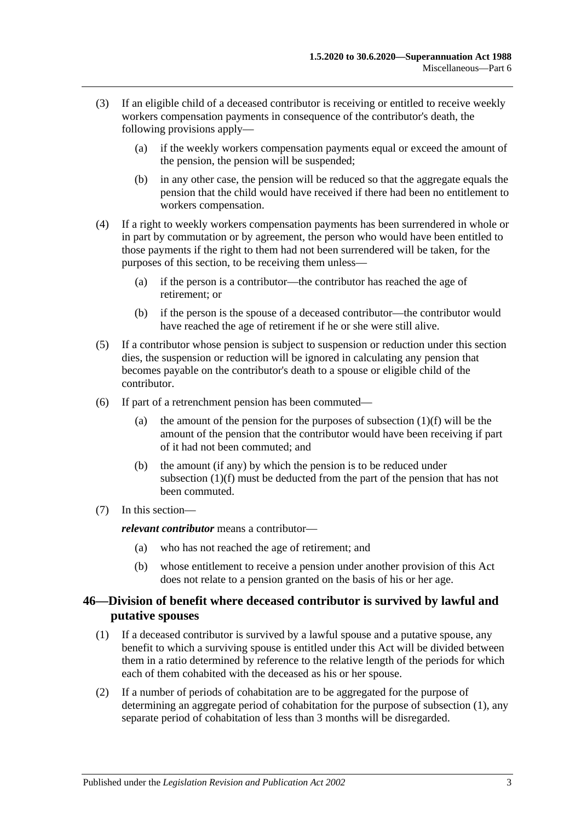- (3) If an eligible child of a deceased contributor is receiving or entitled to receive weekly workers compensation payments in consequence of the contributor's death, the following provisions apply—
	- (a) if the weekly workers compensation payments equal or exceed the amount of the pension, the pension will be suspended;
	- (b) in any other case, the pension will be reduced so that the aggregate equals the pension that the child would have received if there had been no entitlement to workers compensation.
- (4) If a right to weekly workers compensation payments has been surrendered in whole or in part by commutation or by agreement, the person who would have been entitled to those payments if the right to them had not been surrendered will be taken, for the purposes of this section, to be receiving them unless—
	- (a) if the person is a contributor—the contributor has reached the age of retirement; or
	- (b) if the person is the spouse of a deceased contributor—the contributor would have reached the age of retirement if he or she were still alive.
- (5) If a contributor whose pension is subject to suspension or reduction under this section dies, the suspension or reduction will be ignored in calculating any pension that becomes payable on the contributor's death to a spouse or eligible child of the contributor.
- (6) If part of a retrenchment pension has been commuted
	- (a) the amount of the pension for the purposes of [subsection](#page-97-2)  $(1)(f)$  will be the amount of the pension that the contributor would have been receiving if part of it had not been commuted; and
	- (b) the amount (if any) by which the pension is to be reduced under [subsection](#page-97-2) (1)(f) must be deducted from the part of the pension that has not been commuted.
- (7) In this section—

*relevant contributor* means a contributor—

- (a) who has not reached the age of retirement; and
- (b) whose entitlement to receive a pension under another provision of this Act does not relate to a pension granted on the basis of his or her age.

### <span id="page-98-0"></span>**46—Division of benefit where deceased contributor is survived by lawful and putative spouses**

- <span id="page-98-1"></span>(1) If a deceased contributor is survived by a lawful spouse and a putative spouse, any benefit to which a surviving spouse is entitled under this Act will be divided between them in a ratio determined by reference to the relative length of the periods for which each of them cohabited with the deceased as his or her spouse.
- (2) If a number of periods of cohabitation are to be aggregated for the purpose of determining an aggregate period of cohabitation for the purpose of [subsection](#page-98-1) (1), any separate period of cohabitation of less than 3 months will be disregarded.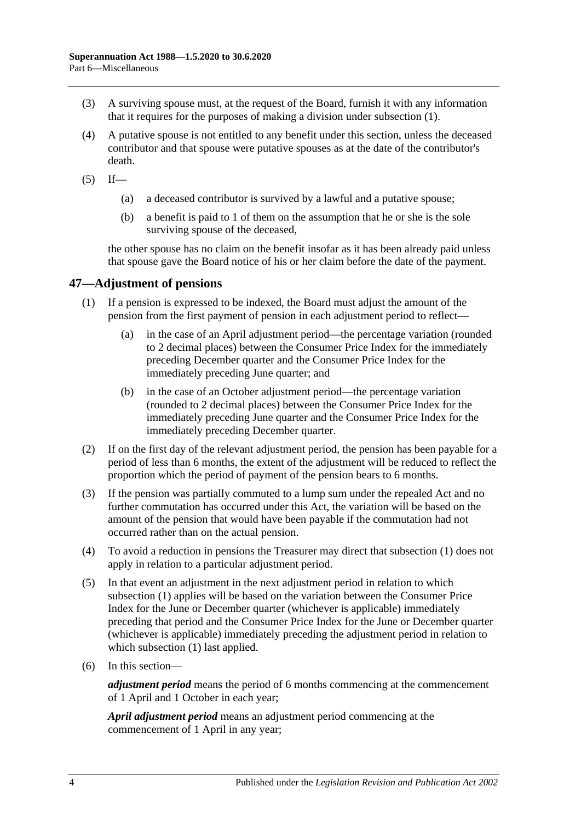- (3) A surviving spouse must, at the request of the Board, furnish it with any information that it requires for the purposes of making a division under [subsection](#page-98-1) (1).
- (4) A putative spouse is not entitled to any benefit under this section, unless the deceased contributor and that spouse were putative spouses as at the date of the contributor's death.
- $(5)$  If—
	- (a) a deceased contributor is survived by a lawful and a putative spouse;
	- (b) a benefit is paid to 1 of them on the assumption that he or she is the sole surviving spouse of the deceased,

the other spouse has no claim on the benefit insofar as it has been already paid unless that spouse gave the Board notice of his or her claim before the date of the payment.

### <span id="page-99-1"></span>**47—Adjustment of pensions**

- (1) If a pension is expressed to be indexed, the Board must adjust the amount of the pension from the first payment of pension in each adjustment period to reflect—
	- (a) in the case of an April adjustment period—the percentage variation (rounded to 2 decimal places) between the Consumer Price Index for the immediately preceding December quarter and the Consumer Price Index for the immediately preceding June quarter; and
	- (b) in the case of an October adjustment period—the percentage variation (rounded to 2 decimal places) between the Consumer Price Index for the immediately preceding June quarter and the Consumer Price Index for the immediately preceding December quarter.
- (2) If on the first day of the relevant adjustment period, the pension has been payable for a period of less than 6 months, the extent of the adjustment will be reduced to reflect the proportion which the period of payment of the pension bears to 6 months.
- <span id="page-99-0"></span>(3) If the pension was partially commuted to a lump sum under the repealed Act and no further commutation has occurred under this Act, the variation will be based on the amount of the pension that would have been payable if the commutation had not occurred rather than on the actual pension.
- (4) To avoid a reduction in pensions the Treasurer may direct that [subsection](#page-99-1) (1) does not apply in relation to a particular adjustment period.
- (5) In that event an adjustment in the next adjustment period in relation to which [subsection](#page-99-1) (1) applies will be based on the variation between the Consumer Price Index for the June or December quarter (whichever is applicable) immediately preceding that period and the Consumer Price Index for the June or December quarter (whichever is applicable) immediately preceding the adjustment period in relation to which [subsection](#page-99-1) (1) last applied.
- (6) In this section—

*adjustment period* means the period of 6 months commencing at the commencement of 1 April and 1 October in each year;

*April adjustment period* means an adjustment period commencing at the commencement of 1 April in any year;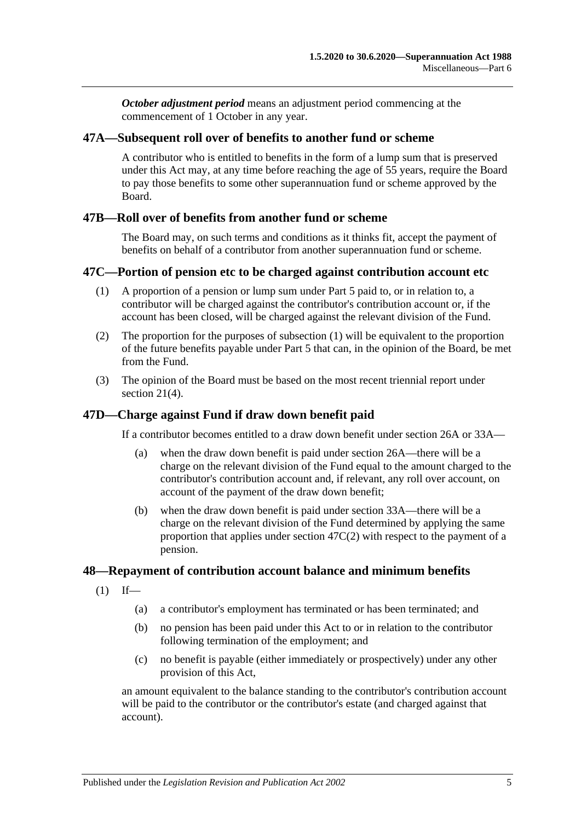*October adjustment period* means an adjustment period commencing at the commencement of 1 October in any year.

### **47A—Subsequent roll over of benefits to another fund or scheme**

A contributor who is entitled to benefits in the form of a lump sum that is preserved under this Act may, at any time before reaching the age of 55 years, require the Board to pay those benefits to some other superannuation fund or scheme approved by the Board.

### **47B—Roll over of benefits from another fund or scheme**

The Board may, on such terms and conditions as it thinks fit, accept the payment of benefits on behalf of a contributor from another superannuation fund or scheme.

### <span id="page-100-0"></span>**47C—Portion of pension etc to be charged against contribution account etc**

- (1) A proportion of a pension or lump sum under [Part 5](#page-56-1) paid to, or in relation to, a contributor will be charged against the contributor's contribution account or, if the account has been closed, will be charged against the relevant division of the Fund.
- <span id="page-100-1"></span>(2) The proportion for the purposes of [subsection](#page-100-0) (1) will be equivalent to the proportion of the future benefits payable under [Part 5](#page-56-1) that can, in the opinion of the Board, be met from the Fund.
- (3) The opinion of the Board must be based on the most recent triennial report under [section](#page-23-0) 21(4).

### **47D—Charge against Fund if draw down benefit paid**

If a contributor becomes entitled to a draw down benefit under [section](#page-30-0) 26A or [33A—](#page-56-0)

- (a) when the draw down benefit is paid under [section](#page-30-0) 26A—there will be a charge on the relevant division of the Fund equal to the amount charged to the contributor's contribution account and, if relevant, any roll over account, on account of the payment of the draw down benefit;
- (b) when the draw down benefit is paid under [section](#page-56-0) 33A—there will be a charge on the relevant division of the Fund determined by applying the same proportion that applies under [section](#page-100-1) 47C(2) with respect to the payment of a pension.

#### **48—Repayment of contribution account balance and minimum benefits**

- $(1)$  If—
	- (a) a contributor's employment has terminated or has been terminated; and
	- (b) no pension has been paid under this Act to or in relation to the contributor following termination of the employment; and
	- (c) no benefit is payable (either immediately or prospectively) under any other provision of this Act,

an amount equivalent to the balance standing to the contributor's contribution account will be paid to the contributor or the contributor's estate (and charged against that account).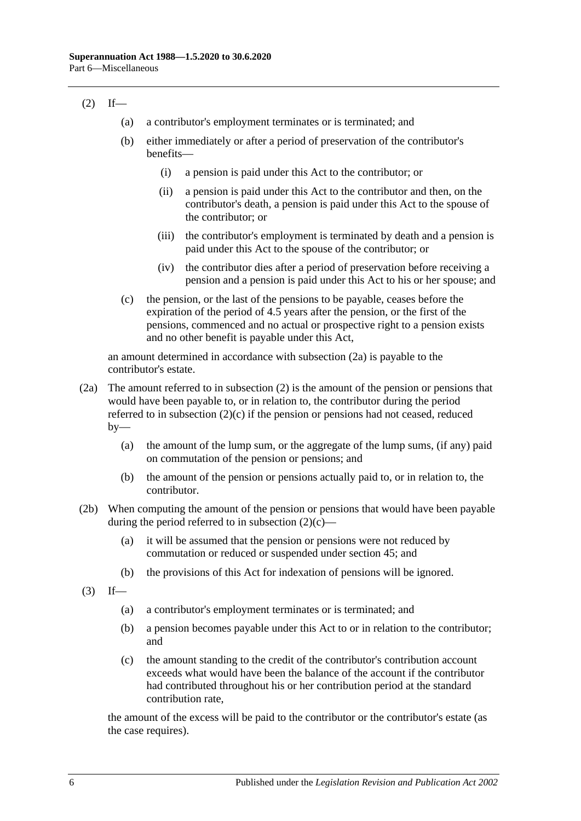### <span id="page-101-1"></span> $(2)$  If—

- (a) a contributor's employment terminates or is terminated; and
- (b) either immediately or after a period of preservation of the contributor's benefits—
	- (i) a pension is paid under this Act to the contributor; or
	- (ii) a pension is paid under this Act to the contributor and then, on the contributor's death, a pension is paid under this Act to the spouse of the contributor; or
	- (iii) the contributor's employment is terminated by death and a pension is paid under this Act to the spouse of the contributor; or
	- (iv) the contributor dies after a period of preservation before receiving a pension and a pension is paid under this Act to his or her spouse; and
- <span id="page-101-2"></span>(c) the pension, or the last of the pensions to be payable, ceases before the expiration of the period of 4.5 years after the pension, or the first of the pensions, commenced and no actual or prospective right to a pension exists and no other benefit is payable under this Act,

an amount determined in accordance with [subsection](#page-101-0) (2a) is payable to the contributor's estate.

- <span id="page-101-0"></span>(2a) The amount referred to in [subsection](#page-101-1) (2) is the amount of the pension or pensions that would have been payable to, or in relation to, the contributor during the period referred to in [subsection](#page-101-2)  $(2)(c)$  if the pension or pensions had not ceased, reduced  $by-$ 
	- (a) the amount of the lump sum, or the aggregate of the lump sums, (if any) paid on commutation of the pension or pensions; and
	- (b) the amount of the pension or pensions actually paid to, or in relation to, the contributor.
- (2b) When computing the amount of the pension or pensions that would have been payable during the period referred to in [subsection](#page-101-2)  $(2)(c)$ —
	- (a) it will be assumed that the pension or pensions were not reduced by commutation or reduced or suspended under [section](#page-96-2) 45; and
	- (b) the provisions of this Act for indexation of pensions will be ignored.
- $(3)$  If—
	- (a) a contributor's employment terminates or is terminated; and
	- (b) a pension becomes payable under this Act to or in relation to the contributor; and
	- (c) the amount standing to the credit of the contributor's contribution account exceeds what would have been the balance of the account if the contributor had contributed throughout his or her contribution period at the standard contribution rate,

the amount of the excess will be paid to the contributor or the contributor's estate (as the case requires).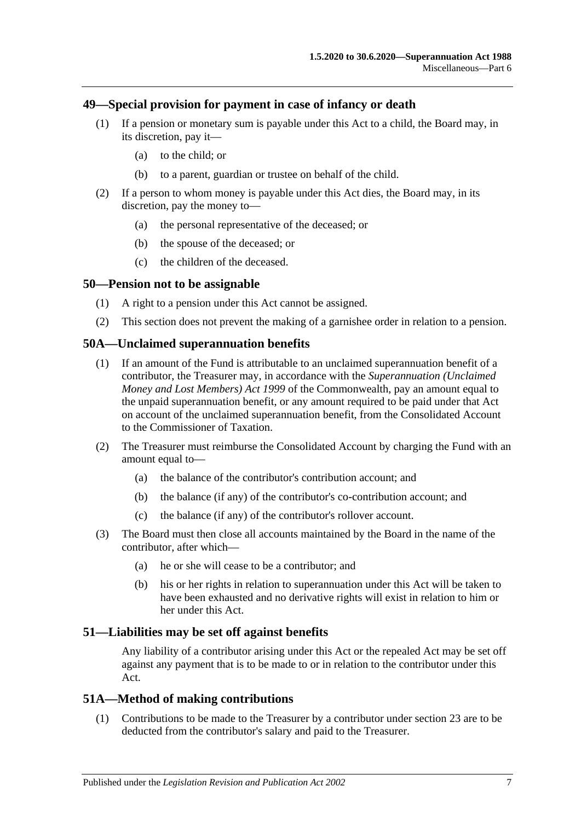### **49—Special provision for payment in case of infancy or death**

- (1) If a pension or monetary sum is payable under this Act to a child, the Board may, in its discretion, pay it—
	- (a) to the child; or
	- (b) to a parent, guardian or trustee on behalf of the child.
- (2) If a person to whom money is payable under this Act dies, the Board may, in its discretion, pay the money to—
	- (a) the personal representative of the deceased; or
	- (b) the spouse of the deceased; or
	- (c) the children of the deceased.

#### **50—Pension not to be assignable**

- (1) A right to a pension under this Act cannot be assigned.
- (2) This section does not prevent the making of a garnishee order in relation to a pension.

#### **50A—Unclaimed superannuation benefits**

- (1) If an amount of the Fund is attributable to an unclaimed superannuation benefit of a contributor, the Treasurer may, in accordance with the *Superannuation (Unclaimed Money and Lost Members) Act 1999* of the Commonwealth, pay an amount equal to the unpaid superannuation benefit, or any amount required to be paid under that Act on account of the unclaimed superannuation benefit, from the Consolidated Account to the Commissioner of Taxation.
- (2) The Treasurer must reimburse the Consolidated Account by charging the Fund with an amount equal to—
	- (a) the balance of the contributor's contribution account; and
	- (b) the balance (if any) of the contributor's co-contribution account; and
	- (c) the balance (if any) of the contributor's rollover account.
- (3) The Board must then close all accounts maintained by the Board in the name of the contributor, after which—
	- (a) he or she will cease to be a contributor; and
	- (b) his or her rights in relation to superannuation under this Act will be taken to have been exhausted and no derivative rights will exist in relation to him or her under this Act.

#### **51—Liabilities may be set off against benefits**

Any liability of a contributor arising under this Act or the repealed Act may be set off against any payment that is to be made to or in relation to the contributor under this Act.

#### **51A—Method of making contributions**

(1) Contributions to be made to the Treasurer by a contributor under [section](#page-26-0) 23 are to be deducted from the contributor's salary and paid to the Treasurer.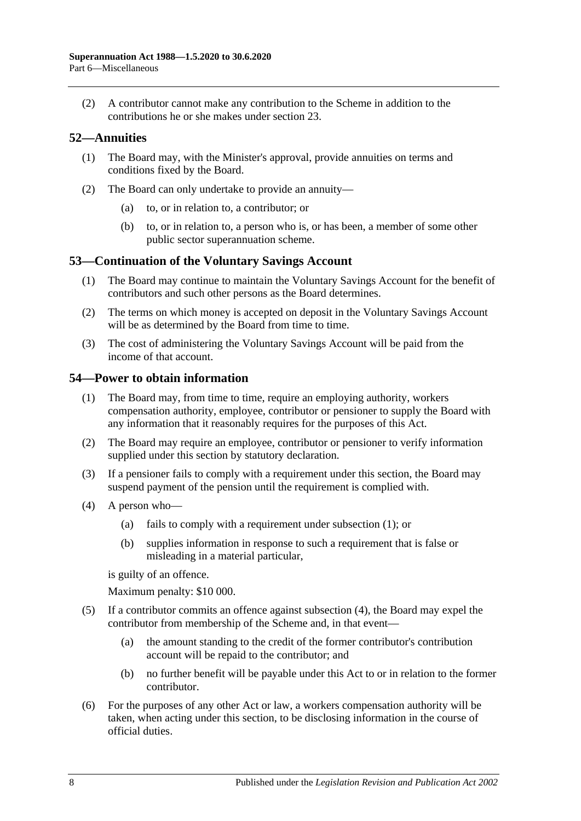(2) A contributor cannot make any contribution to the Scheme in addition to the contributions he or she makes under [section](#page-26-0) 23.

### **52—Annuities**

- (1) The Board may, with the Minister's approval, provide annuities on terms and conditions fixed by the Board.
- (2) The Board can only undertake to provide an annuity—
	- (a) to, or in relation to, a contributor; or
	- (b) to, or in relation to, a person who is, or has been, a member of some other public sector superannuation scheme.

### **53—Continuation of the Voluntary Savings Account**

- (1) The Board may continue to maintain the Voluntary Savings Account for the benefit of contributors and such other persons as the Board determines.
- (2) The terms on which money is accepted on deposit in the Voluntary Savings Account will be as determined by the Board from time to time.
- (3) The cost of administering the Voluntary Savings Account will be paid from the income of that account.

### <span id="page-103-0"></span>**54—Power to obtain information**

- (1) The Board may, from time to time, require an employing authority, workers compensation authority, employee, contributor or pensioner to supply the Board with any information that it reasonably requires for the purposes of this Act.
- (2) The Board may require an employee, contributor or pensioner to verify information supplied under this section by statutory declaration.
- (3) If a pensioner fails to comply with a requirement under this section, the Board may suspend payment of the pension until the requirement is complied with.
- <span id="page-103-1"></span>(4) A person who—
	- (a) fails to comply with a requirement under [subsection](#page-103-0) (1); or
	- (b) supplies information in response to such a requirement that is false or misleading in a material particular,

is guilty of an offence.

Maximum penalty: \$10 000.

- (5) If a contributor commits an offence against [subsection](#page-103-1) (4), the Board may expel the contributor from membership of the Scheme and, in that event—
	- (a) the amount standing to the credit of the former contributor's contribution account will be repaid to the contributor; and
	- (b) no further benefit will be payable under this Act to or in relation to the former contributor.
- (6) For the purposes of any other Act or law, a workers compensation authority will be taken, when acting under this section, to be disclosing information in the course of official duties.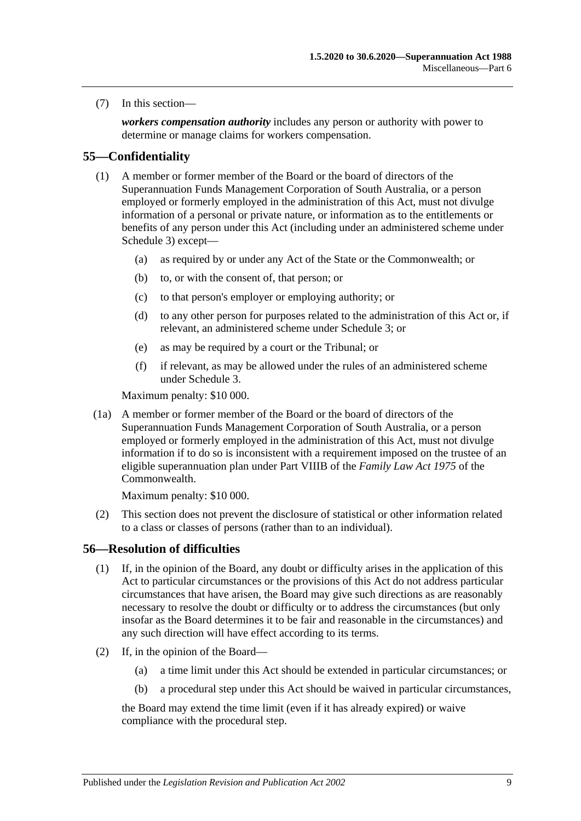(7) In this section—

*workers compensation authority* includes any person or authority with power to determine or manage claims for workers compensation.

### **55—Confidentiality**

- (1) A member or former member of the Board or the board of directors of the Superannuation Funds Management Corporation of South Australia, or a person employed or formerly employed in the administration of this Act, must not divulge information of a personal or private nature, or information as to the entitlements or benefits of any person under this Act (including under an administered scheme under [Schedule 3\)](#page-132-0) except—
	- (a) as required by or under any Act of the State or the Commonwealth; or
	- (b) to, or with the consent of, that person; or
	- (c) to that person's employer or employing authority; or
	- (d) to any other person for purposes related to the administration of this Act or, if relevant, an administered scheme under [Schedule 3;](#page-132-0) or
	- (e) as may be required by a court or the Tribunal; or
	- (f) if relevant, as may be allowed under the rules of an administered scheme under [Schedule 3.](#page-132-0)

Maximum penalty: \$10 000.

(1a) A member or former member of the Board or the board of directors of the Superannuation Funds Management Corporation of South Australia, or a person employed or formerly employed in the administration of this Act, must not divulge information if to do so is inconsistent with a requirement imposed on the trustee of an eligible superannuation plan under Part VIIIB of the *Family Law Act 1975* of the Commonwealth.

Maximum penalty: \$10 000.

(2) This section does not prevent the disclosure of statistical or other information related to a class or classes of persons (rather than to an individual).

### **56—Resolution of difficulties**

- (1) If, in the opinion of the Board, any doubt or difficulty arises in the application of this Act to particular circumstances or the provisions of this Act do not address particular circumstances that have arisen, the Board may give such directions as are reasonably necessary to resolve the doubt or difficulty or to address the circumstances (but only insofar as the Board determines it to be fair and reasonable in the circumstances) and any such direction will have effect according to its terms.
- <span id="page-104-2"></span><span id="page-104-1"></span><span id="page-104-0"></span>(2) If, in the opinion of the Board—
	- (a) a time limit under this Act should be extended in particular circumstances; or
	- (b) a procedural step under this Act should be waived in particular circumstances,

the Board may extend the time limit (even if it has already expired) or waive compliance with the procedural step.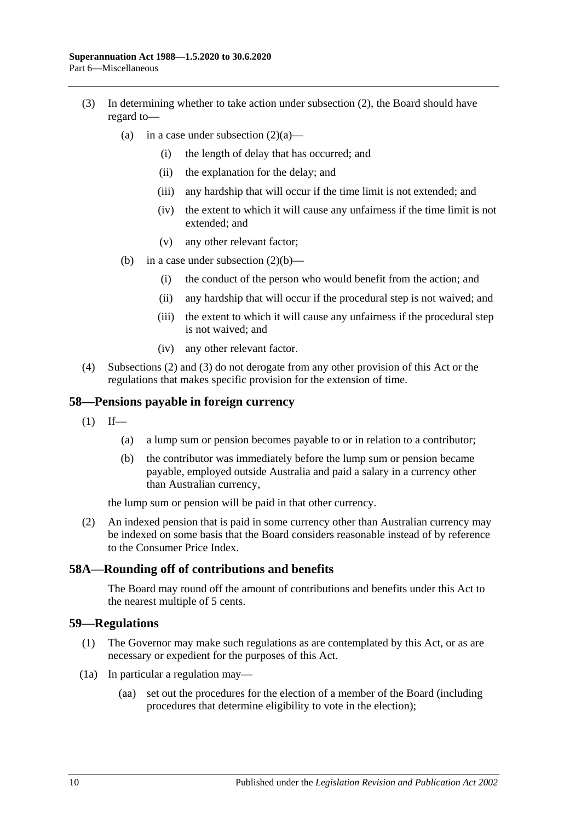- <span id="page-105-0"></span>(3) In determining whether to take action under [subsection](#page-104-0) (2), the Board should have regard to
	- (a) in a case under [subsection](#page-104-1)  $(2)(a)$ 
		- (i) the length of delay that has occurred; and
		- (ii) the explanation for the delay; and
		- (iii) any hardship that will occur if the time limit is not extended; and
		- (iv) the extent to which it will cause any unfairness if the time limit is not extended; and
		- (v) any other relevant factor;
	- (b) in a case under [subsection](#page-104-2)  $(2)(b)$ 
		- (i) the conduct of the person who would benefit from the action; and
		- (ii) any hardship that will occur if the procedural step is not waived; and
		- (iii) the extent to which it will cause any unfairness if the procedural step is not waived; and
		- (iv) any other relevant factor.
- (4) [Subsections](#page-104-0) (2) and [\(3\)](#page-105-0) do not derogate from any other provision of this Act or the regulations that makes specific provision for the extension of time.

#### **58—Pensions payable in foreign currency**

- $(1)$  If—
	- (a) a lump sum or pension becomes payable to or in relation to a contributor;
	- (b) the contributor was immediately before the lump sum or pension became payable, employed outside Australia and paid a salary in a currency other than Australian currency,

the lump sum or pension will be paid in that other currency.

(2) An indexed pension that is paid in some currency other than Australian currency may be indexed on some basis that the Board considers reasonable instead of by reference to the Consumer Price Index.

#### **58A—Rounding off of contributions and benefits**

The Board may round off the amount of contributions and benefits under this Act to the nearest multiple of 5 cents.

#### **59—Regulations**

- (1) The Governor may make such regulations as are contemplated by this Act, or as are necessary or expedient for the purposes of this Act.
- (1a) In particular a regulation may—
	- (aa) set out the procedures for the election of a member of the Board (including procedures that determine eligibility to vote in the election);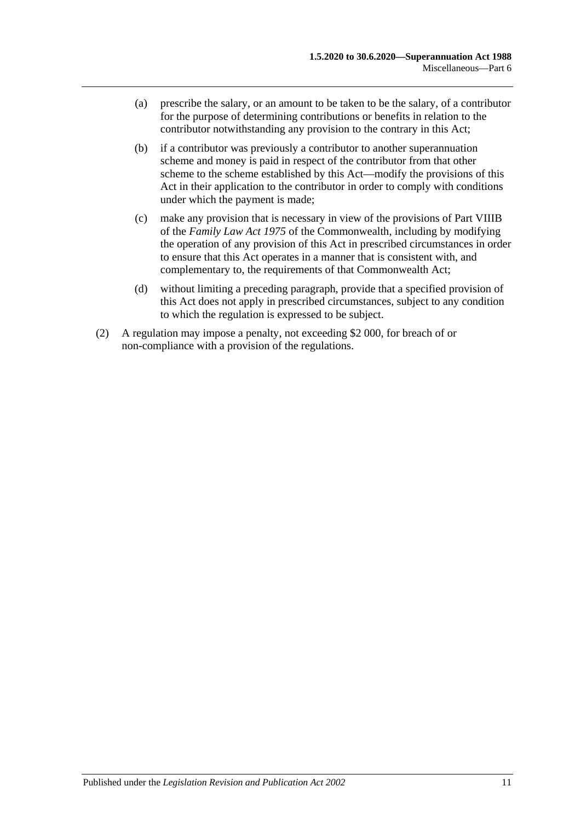- (a) prescribe the salary, or an amount to be taken to be the salary, of a contributor for the purpose of determining contributions or benefits in relation to the contributor notwithstanding any provision to the contrary in this Act;
- (b) if a contributor was previously a contributor to another superannuation scheme and money is paid in respect of the contributor from that other scheme to the scheme established by this Act—modify the provisions of this Act in their application to the contributor in order to comply with conditions under which the payment is made;
- (c) make any provision that is necessary in view of the provisions of Part VIIIB of the *Family Law Act 1975* of the Commonwealth, including by modifying the operation of any provision of this Act in prescribed circumstances in order to ensure that this Act operates in a manner that is consistent with, and complementary to, the requirements of that Commonwealth Act;
- (d) without limiting a preceding paragraph, provide that a specified provision of this Act does not apply in prescribed circumstances, subject to any condition to which the regulation is expressed to be subject.
- (2) A regulation may impose a penalty, not exceeding \$2 000, for breach of or non-compliance with a provision of the regulations.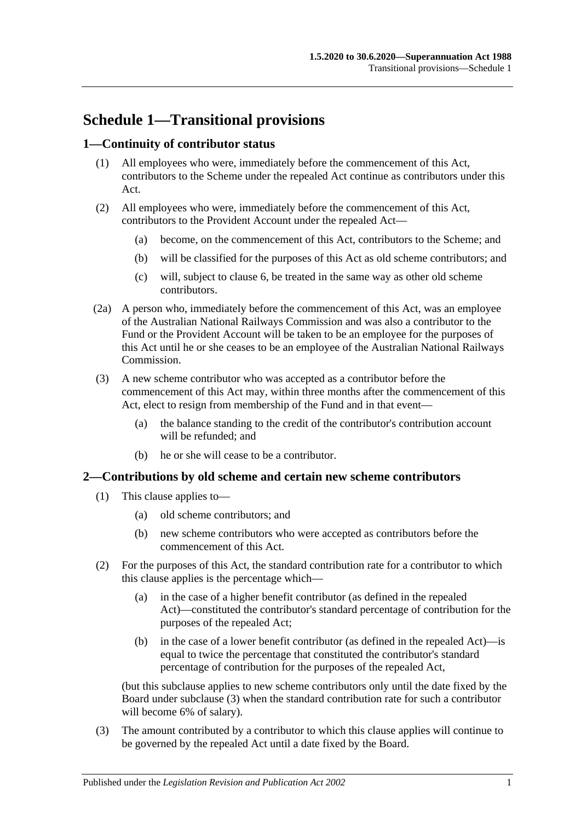# **Schedule 1—Transitional provisions**

## **1—Continuity of contributor status**

- (1) All employees who were, immediately before the commencement of this Act, contributors to the Scheme under the repealed Act continue as contributors under this Act.
- (2) All employees who were, immediately before the commencement of this Act, contributors to the Provident Account under the repealed Act—
	- (a) become, on the commencement of this Act, contributors to the Scheme; and
	- (b) will be classified for the purposes of this Act as old scheme contributors; and
	- (c) will, subject to [clause](#page-111-0) 6, be treated in the same way as other old scheme contributors.
- (2a) A person who, immediately before the commencement of this Act, was an employee of the Australian National Railways Commission and was also a contributor to the Fund or the Provident Account will be taken to be an employee for the purposes of this Act until he or she ceases to be an employee of the Australian National Railways Commission.
- (3) A new scheme contributor who was accepted as a contributor before the commencement of this Act may, within three months after the commencement of this Act, elect to resign from membership of the Fund and in that event—
	- (a) the balance standing to the credit of the contributor's contribution account will be refunded; and
	- (b) he or she will cease to be a contributor.

### **2—Contributions by old scheme and certain new scheme contributors**

- (1) This clause applies to—
	- (a) old scheme contributors; and
	- (b) new scheme contributors who were accepted as contributors before the commencement of this Act.
- (2) For the purposes of this Act, the standard contribution rate for a contributor to which this clause applies is the percentage which—
	- (a) in the case of a higher benefit contributor (as defined in the repealed Act)—constituted the contributor's standard percentage of contribution for the purposes of the repealed Act;
	- (b) in the case of a lower benefit contributor (as defined in the repealed Act)—is equal to twice the percentage that constituted the contributor's standard percentage of contribution for the purposes of the repealed Act,

(but this subclause applies to new scheme contributors only until the date fixed by the Board under [subclause](#page-108-0) (3) when the standard contribution rate for such a contributor will become 6% of salary).

<span id="page-108-0"></span>(3) The amount contributed by a contributor to which this clause applies will continue to be governed by the repealed Act until a date fixed by the Board.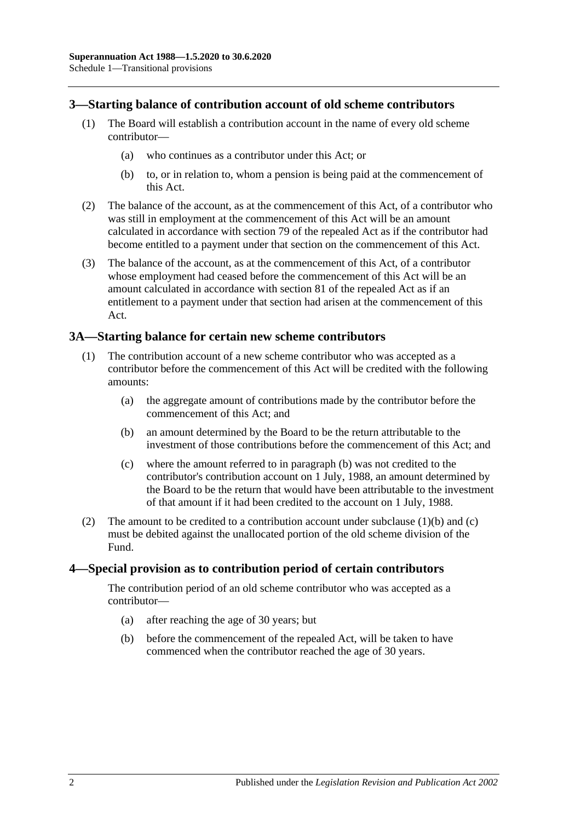### **3—Starting balance of contribution account of old scheme contributors**

- (1) The Board will establish a contribution account in the name of every old scheme contributor—
	- (a) who continues as a contributor under this Act; or
	- (b) to, or in relation to, whom a pension is being paid at the commencement of this Act.
- (2) The balance of the account, as at the commencement of this Act, of a contributor who was still in employment at the commencement of this Act will be an amount calculated in accordance with section 79 of the repealed Act as if the contributor had become entitled to a payment under that section on the commencement of this Act.
- (3) The balance of the account, as at the commencement of this Act, of a contributor whose employment had ceased before the commencement of this Act will be an amount calculated in accordance with section 81 of the repealed Act as if an entitlement to a payment under that section had arisen at the commencement of this Act.

### **3A—Starting balance for certain new scheme contributors**

- <span id="page-109-0"></span>(1) The contribution account of a new scheme contributor who was accepted as a contributor before the commencement of this Act will be credited with the following amounts:
	- (a) the aggregate amount of contributions made by the contributor before the commencement of this Act; and
	- (b) an amount determined by the Board to be the return attributable to the investment of those contributions before the commencement of this Act; and
	- (c) where the amount referred to in [paragraph](#page-109-0) (b) was not credited to the contributor's contribution account on 1 July, 1988, an amount determined by the Board to be the return that would have been attributable to the investment of that amount if it had been credited to the account on 1 July, 1988.
- <span id="page-109-1"></span>(2) The amount to be credited to a contribution account under [subclause](#page-109-0)  $(1)(b)$  and  $(c)$ must be debited against the unallocated portion of the old scheme division of the Fund.

### **4—Special provision as to contribution period of certain contributors**

The contribution period of an old scheme contributor who was accepted as a contributor—

- (a) after reaching the age of 30 years; but
- (b) before the commencement of the repealed Act, will be taken to have commenced when the contributor reached the age of 30 years.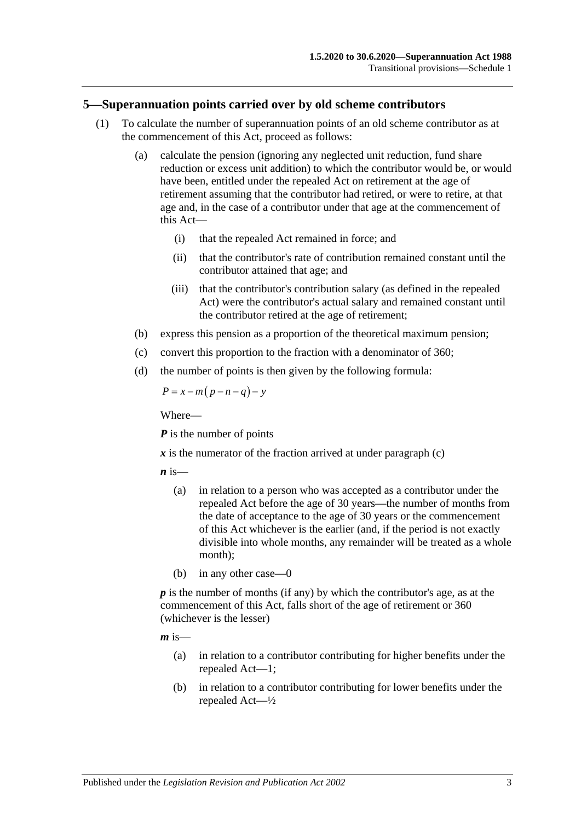### **5—Superannuation points carried over by old scheme contributors**

- (1) To calculate the number of superannuation points of an old scheme contributor as at the commencement of this Act, proceed as follows:
	- (a) calculate the pension (ignoring any neglected unit reduction, fund share reduction or excess unit addition) to which the contributor would be, or would have been, entitled under the repealed Act on retirement at the age of retirement assuming that the contributor had retired, or were to retire, at that age and, in the case of a contributor under that age at the commencement of this Act—
		- (i) that the repealed Act remained in force; and
		- (ii) that the contributor's rate of contribution remained constant until the contributor attained that age; and
		- (iii) that the contributor's contribution salary (as defined in the repealed Act) were the contributor's actual salary and remained constant until the contributor retired at the age of retirement;
	- (b) express this pension as a proportion of the theoretical maximum pension;
	- (c) convert this proportion to the fraction with a denominator of 360;
	- (d) the number of points is then given by the following formula:

<span id="page-110-0"></span>
$$
P = x - m(p - n - q) - y
$$

Where—

*P* is the number of points

 $x$  is the numerator of the fraction arrived at under [paragraph](#page-110-0)  $(c)$ 

 $\boldsymbol{n}$  is—

- (a) in relation to a person who was accepted as a contributor under the repealed Act before the age of 30 years—the number of months from the date of acceptance to the age of 30 years or the commencement of this Act whichever is the earlier (and, if the period is not exactly divisible into whole months, any remainder will be treated as a whole month);
- (b) in any other case—0

*p* is the number of months (if any) by which the contributor's age, as at the commencement of this Act, falls short of the age of retirement or 360 (whichever is the lesser)

 $m$  is—

- (a) in relation to a contributor contributing for higher benefits under the repealed Act—1;
- (b) in relation to a contributor contributing for lower benefits under the repealed Act—½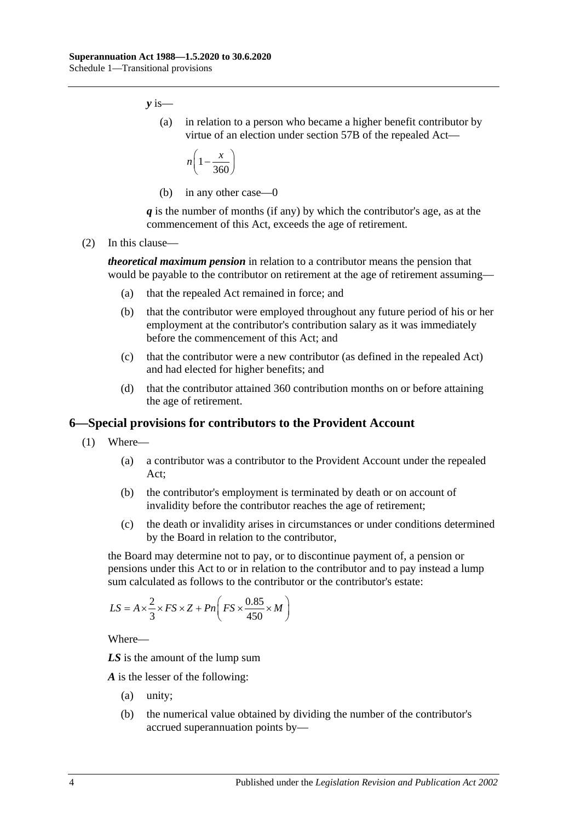*y* is—

(a) in relation to a person who became a higher benefit contributor by virtue of an election under section 57B of the repealed Act—

$$
n\left(1-\frac{x}{360}\right)
$$

(b) in any other case—0

*q* is the number of months (if any) by which the contributor's age, as at the commencement of this Act, exceeds the age of retirement.

(2) In this clause—

*theoretical maximum pension* in relation to a contributor means the pension that would be payable to the contributor on retirement at the age of retirement assuming—

- (a) that the repealed Act remained in force; and
- (b) that the contributor were employed throughout any future period of his or her employment at the contributor's contribution salary as it was immediately before the commencement of this Act; and
- (c) that the contributor were a new contributor (as defined in the repealed Act) and had elected for higher benefits; and
- (d) that the contributor attained 360 contribution months on or before attaining the age of retirement.

### <span id="page-111-0"></span>**6—Special provisions for contributors to the Provident Account**

- (1) Where—
	- (a) a contributor was a contributor to the Provident Account under the repealed Act;
	- (b) the contributor's employment is terminated by death or on account of invalidity before the contributor reaches the age of retirement;
	- (c) the death or invalidity arises in circumstances or under conditions determined by the Board in relation to the contributor,

<span id="page-111-1"></span>the Board may determine not to pay, or to discontinue payment of, a pension or pensions under this Act to or in relation to the contributor and to pay instead a lump sum calculated as follows to the contributor or the contributor's estate:

$$
LS = A \times \frac{2}{3} \times FS \times Z + Pn \left( FS \times \frac{0.85}{450} \times M \right)
$$

Where—

*LS* is the amount of the lump sum

*A* is the lesser of the following:

- (a) unity;
- (b) the numerical value obtained by dividing the number of the contributor's accrued superannuation points by—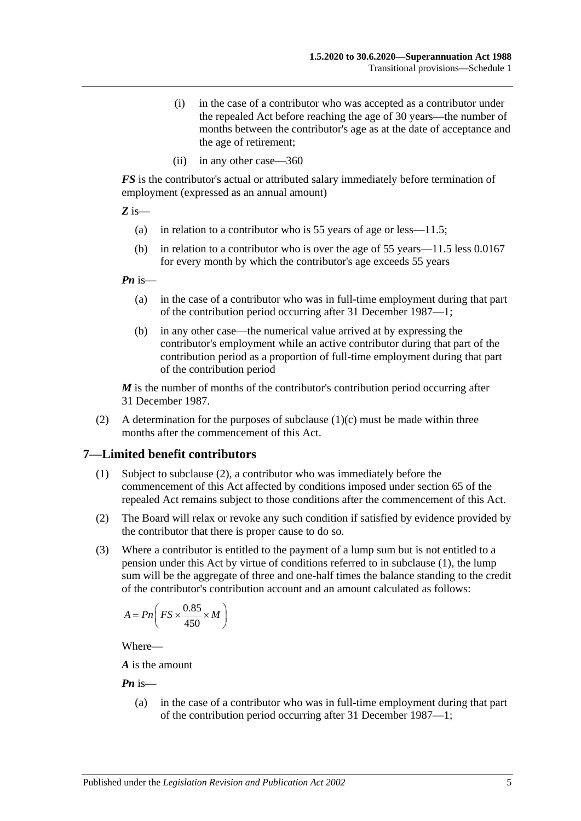- (i) in the case of a contributor who was accepted as a contributor under the repealed Act before reaching the age of 30 years—the number of months between the contributor's age as at the date of acceptance and the age of retirement;
- (ii) in any other case—360

*FS* is the contributor's actual or attributed salary immediately before termination of employment (expressed as an annual amount)

*Z* is—

- (a) in relation to a contributor who is 55 years of age or less—11.5;
- (b) in relation to a contributor who is over the age of 55 years—11.5 less 0.0167 for every month by which the contributor's age exceeds 55 years

*Pn* is—

- (a) in the case of a contributor who was in full-time employment during that part of the contribution period occurring after 31 December 1987—1;
- (b) in any other case—the numerical value arrived at by expressing the contributor's employment while an active contributor during that part of the contribution period as a proportion of full-time employment during that part of the contribution period

*M* is the number of months of the contributor's contribution period occurring after 31 December 1987.

(2) A determination for the purposes of [subclause](#page-111-1)  $(1)(c)$  must be made within three months after the commencement of this Act.

### <span id="page-112-1"></span>**7—Limited benefit contributors**

- (1) Subject to [subclause](#page-112-0) (2), a contributor who was immediately before the commencement of this Act affected by conditions imposed under section 65 of the repealed Act remains subject to those conditions after the commencement of this Act.
- <span id="page-112-0"></span>(2) The Board will relax or revoke any such condition if satisfied by evidence provided by the contributor that there is proper cause to do so.
- (3) Where a contributor is entitled to the payment of a lump sum but is not entitled to a pension under this Act by virtue of conditions referred to in [subclause](#page-112-1) (1), the lump sum will be the aggregate of three and one-half times the balance standing to the credit of the contributor's contribution account and an amount calculated as follows:

$$
A = P n \bigg( FS \times \frac{0.85}{450} \times M \bigg)
$$

Where—

*A* is the amount

*Pn* is—

(a) in the case of a contributor who was in full-time employment during that part of the contribution period occurring after 31 December 1987—1;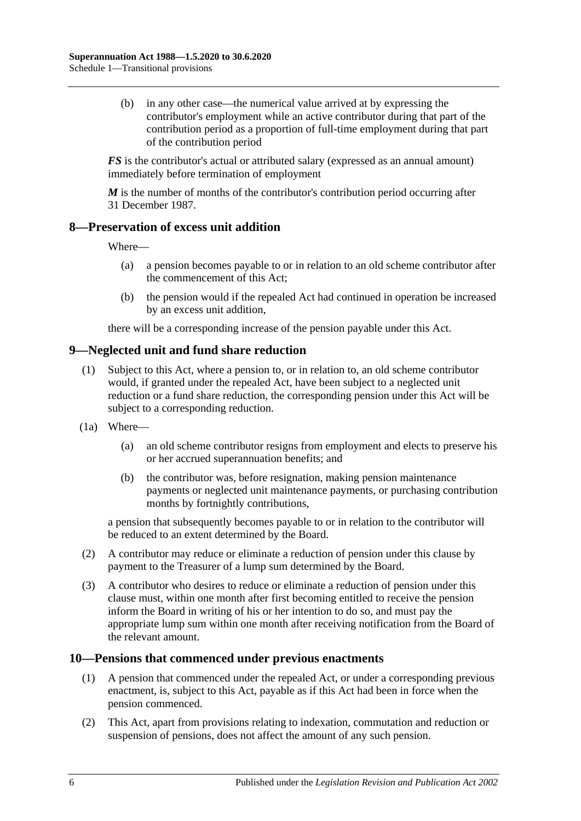(b) in any other case—the numerical value arrived at by expressing the contributor's employment while an active contributor during that part of the contribution period as a proportion of full-time employment during that part of the contribution period

*FS* is the contributor's actual or attributed salary (expressed as an annual amount) immediately before termination of employment

*M* is the number of months of the contributor's contribution period occurring after 31 December 1987.

### **8—Preservation of excess unit addition**

Where—

- (a) a pension becomes payable to or in relation to an old scheme contributor after the commencement of this Act;
- (b) the pension would if the repealed Act had continued in operation be increased by an excess unit addition,

there will be a corresponding increase of the pension payable under this Act.

## **9—Neglected unit and fund share reduction**

- (1) Subject to this Act, where a pension to, or in relation to, an old scheme contributor would, if granted under the repealed Act, have been subject to a neglected unit reduction or a fund share reduction, the corresponding pension under this Act will be subject to a corresponding reduction.
- (1a) Where—
	- (a) an old scheme contributor resigns from employment and elects to preserve his or her accrued superannuation benefits; and
	- (b) the contributor was, before resignation, making pension maintenance payments or neglected unit maintenance payments, or purchasing contribution months by fortnightly contributions,

a pension that subsequently becomes payable to or in relation to the contributor will be reduced to an extent determined by the Board.

- (2) A contributor may reduce or eliminate a reduction of pension under this clause by payment to the Treasurer of a lump sum determined by the Board.
- (3) A contributor who desires to reduce or eliminate a reduction of pension under this clause must, within one month after first becoming entitled to receive the pension inform the Board in writing of his or her intention to do so, and must pay the appropriate lump sum within one month after receiving notification from the Board of the relevant amount.

### **10—Pensions that commenced under previous enactments**

- (1) A pension that commenced under the repealed Act, or under a corresponding previous enactment, is, subject to this Act, payable as if this Act had been in force when the pension commenced.
- (2) This Act, apart from provisions relating to indexation, commutation and reduction or suspension of pensions, does not affect the amount of any such pension.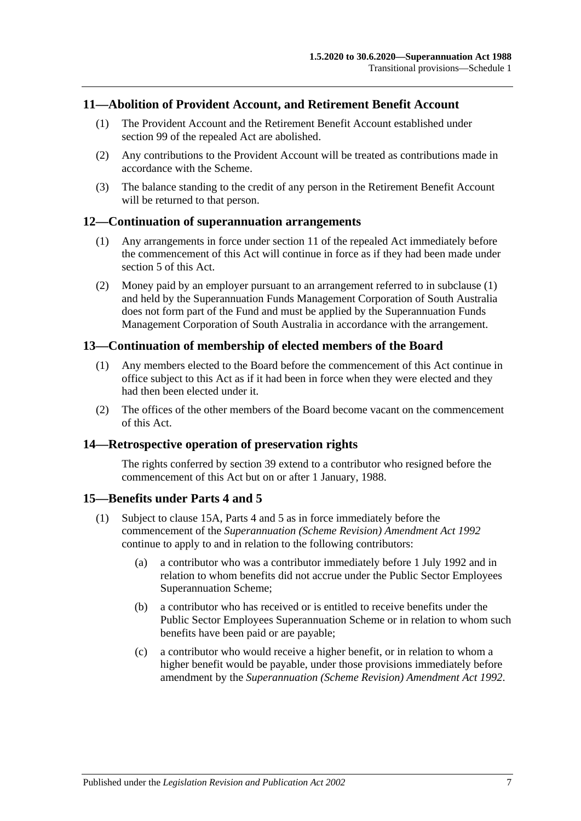### **11—Abolition of Provident Account, and Retirement Benefit Account**

- (1) The Provident Account and the Retirement Benefit Account established under section 99 of the repealed Act are abolished.
- (2) Any contributions to the Provident Account will be treated as contributions made in accordance with the Scheme.
- (3) The balance standing to the credit of any person in the Retirement Benefit Account will be returned to that person.

### <span id="page-114-0"></span>**12—Continuation of superannuation arrangements**

- (1) Any arrangements in force under section 11 of the repealed Act immediately before the commencement of this Act will continue in force as if they had been made under [section](#page-16-0) 5 of this Act.
- (2) Money paid by an employer pursuant to an arrangement referred to in [subclause](#page-114-0) (1) and held by the Superannuation Funds Management Corporation of South Australia does not form part of the Fund and must be applied by the Superannuation Funds Management Corporation of South Australia in accordance with the arrangement.

### **13—Continuation of membership of elected members of the Board**

- (1) Any members elected to the Board before the commencement of this Act continue in office subject to this Act as if it had been in force when they were elected and they had then been elected under it.
- (2) The offices of the other members of the Board become vacant on the commencement of this Act.

### **14—Retrospective operation of preservation rights**

The rights conferred by [section](#page-71-0) 39 extend to a contributor who resigned before the commencement of this Act but on or after 1 January, 1988.

### <span id="page-114-2"></span>**15—Benefits under [Parts 4](#page-30-0) and [5](#page-56-0)**

- <span id="page-114-1"></span>(1) Subject to [clause](#page-115-0) 15A, [Parts 4](#page-30-0) and [5](#page-56-0) as in force immediately before the commencement of the *[Superannuation \(Scheme Revision\) Amendment Act](http://www.legislation.sa.gov.au/index.aspx?action=legref&type=act&legtitle=Superannuation%20(Scheme%20Revision)%20Amendment%20Act%201992) 1992* continue to apply to and in relation to the following contributors:
	- (a) a contributor who was a contributor immediately before 1 July 1992 and in relation to whom benefits did not accrue under the Public Sector Employees Superannuation Scheme;
	- (b) a contributor who has received or is entitled to receive benefits under the Public Sector Employees Superannuation Scheme or in relation to whom such benefits have been paid or are payable;
	- (c) a contributor who would receive a higher benefit, or in relation to whom a higher benefit would be payable, under those provisions immediately before amendment by the *[Superannuation \(Scheme Revision\) Amendment Act](http://www.legislation.sa.gov.au/index.aspx?action=legref&type=act&legtitle=Superannuation%20(Scheme%20Revision)%20Amendment%20Act%201992) 1992*.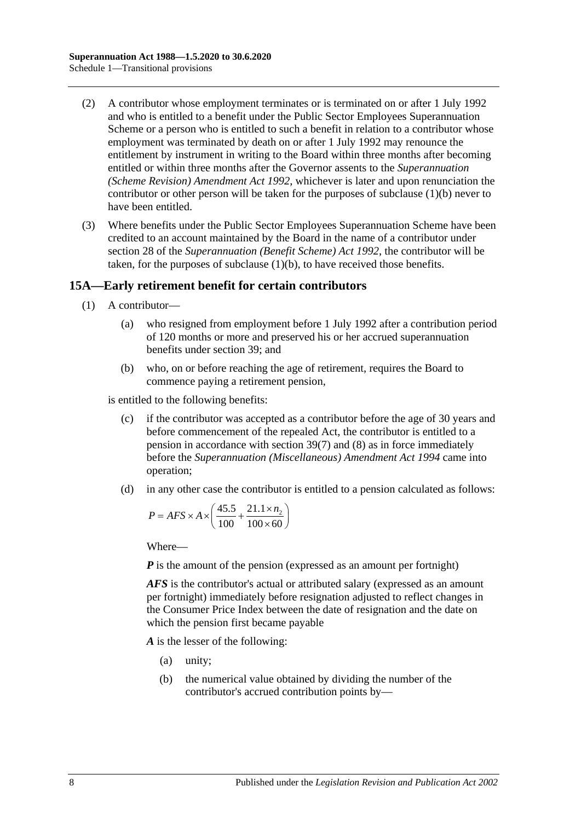- (2) A contributor whose employment terminates or is terminated on or after 1 July 1992 and who is entitled to a benefit under the Public Sector Employees Superannuation Scheme or a person who is entitled to such a benefit in relation to a contributor whose employment was terminated by death on or after 1 July 1992 may renounce the entitlement by instrument in writing to the Board within three months after becoming entitled or within three months after the Governor assents to the *[Superannuation](http://www.legislation.sa.gov.au/index.aspx?action=legref&type=act&legtitle=Superannuation%20(Scheme%20Revision)%20Amendment%20Act%201992)  [\(Scheme Revision\) Amendment Act](http://www.legislation.sa.gov.au/index.aspx?action=legref&type=act&legtitle=Superannuation%20(Scheme%20Revision)%20Amendment%20Act%201992) 1992*, whichever is later and upon renunciation the contributor or other person will be taken for the purposes of [subclause](#page-114-1) (1)(b) never to have been entitled.
- (3) Where benefits under the Public Sector Employees Superannuation Scheme have been credited to an account maintained by the Board in the name of a contributor under section 28 of the *[Superannuation \(Benefit Scheme\) Act](http://www.legislation.sa.gov.au/index.aspx?action=legref&type=act&legtitle=Superannuation%20(Benefit%20Scheme)%20Act%201992) 1992*, the contributor will be taken, for the purposes of [subclause](#page-114-1) (1)(b), to have received those benefits.

### <span id="page-115-0"></span>**15A—Early retirement benefit for certain contributors**

- (1) A contributor—
	- (a) who resigned from employment before 1 July 1992 after a contribution period of 120 months or more and preserved his or her accrued superannuation benefits under [section](#page-71-0) 39; and
	- (b) who, on or before reaching the age of retirement, requires the Board to commence paying a retirement pension,

<span id="page-115-1"></span>is entitled to the following benefits:

- (c) if the contributor was accepted as a contributor before the age of 30 years and before commencement of the repealed Act, the contributor is entitled to a pension in accordance with [section](#page-75-0) 39(7) and [\(8\)](#page-76-0) as in force immediately before the *[Superannuation \(Miscellaneous\) Amendment Act](http://www.legislation.sa.gov.au/index.aspx?action=legref&type=act&legtitle=Superannuation%20(Miscellaneous)%20Amendment%20Act%201994) 1994* came into operation;
- <span id="page-115-2"></span>(d) in any other case the contributor is entitled to a pension calculated as follows:

$$
P = AFS \times A \times \left(\frac{45.5}{100} + \frac{21.1 \times n_2}{100 \times 60}\right)
$$

Where—

*P* is the amount of the pension (expressed as an amount per fortnight)

*AFS* is the contributor's actual or attributed salary (expressed as an amount per fortnight) immediately before resignation adjusted to reflect changes in the Consumer Price Index between the date of resignation and the date on which the pension first became payable

*A* is the lesser of the following:

- (a) unity;
- (b) the numerical value obtained by dividing the number of the contributor's accrued contribution points by—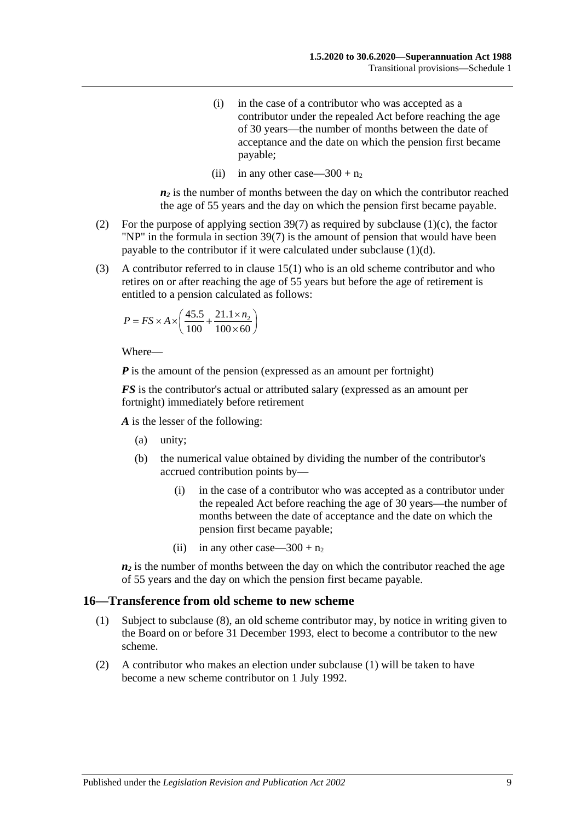- (i) in the case of a contributor who was accepted as a contributor under the repealed Act before reaching the age of 30 years—the number of months between the date of acceptance and the date on which the pension first became payable;
- (ii) in any other case—300 +  $n_2$

 $n_2$  is the number of months between the day on which the contributor reached the age of 55 years and the day on which the pension first became payable.

- (2) For the purpose of applying [section](#page-75-0) 39(7) as required by [subclause](#page-115-1) (1)(c), the factor "NP" in the formula in [section](#page-75-0) 39(7) is the amount of pension that would have been payable to the contributor if it were calculated under [subclause](#page-115-2) (1)(d).
- (3) A contributor referred to in [clause](#page-114-2) 15(1) who is an old scheme contributor and who retires on or after reaching the age of 55 years but before the age of retirement is entitled to a pension calculated as follows:

$$
P = FS \times A \times \left(\frac{45.5}{100} + \frac{21.1 \times n_2}{100 \times 60}\right)
$$

Where—

*P* is the amount of the pension (expressed as an amount per fortnight)

*FS* is the contributor's actual or attributed salary (expressed as an amount per fortnight) immediately before retirement

*A* is the lesser of the following:

- (a) unity;
- (b) the numerical value obtained by dividing the number of the contributor's accrued contribution points by—
	- (i) in the case of a contributor who was accepted as a contributor under the repealed Act before reaching the age of 30 years—the number of months between the date of acceptance and the date on which the pension first became payable;
	- (ii) in any other case—300 +  $n_2$

 $n_2$  is the number of months between the day on which the contributor reached the age of 55 years and the day on which the pension first became payable.

#### <span id="page-116-0"></span>**16—Transference from old scheme to new scheme**

- (1) Subject to [subclause](#page-117-0) (8), an old scheme contributor may, by notice in writing given to the Board on or before 31 December 1993, elect to become a contributor to the new scheme.
- (2) A contributor who makes an election under [subclause](#page-116-0) (1) will be taken to have become a new scheme contributor on 1 July 1992.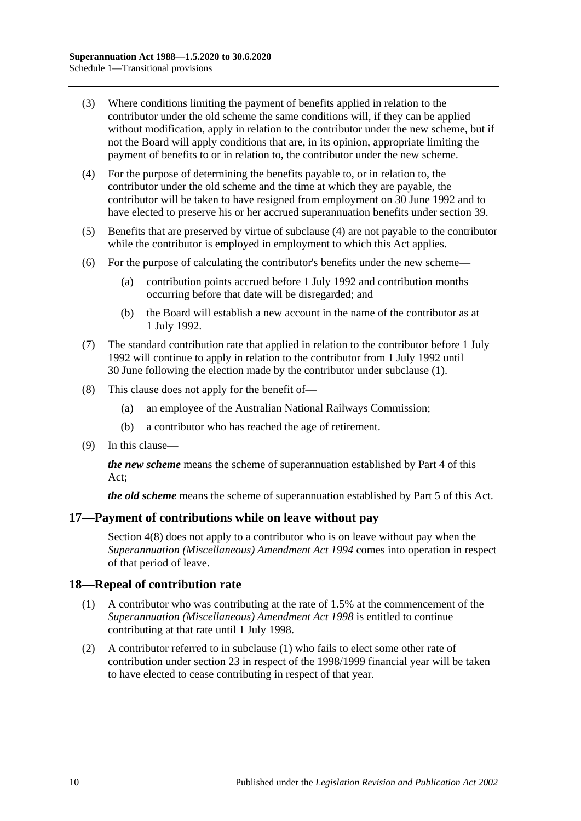- (3) Where conditions limiting the payment of benefits applied in relation to the contributor under the old scheme the same conditions will, if they can be applied without modification, apply in relation to the contributor under the new scheme, but if not the Board will apply conditions that are, in its opinion, appropriate limiting the payment of benefits to or in relation to, the contributor under the new scheme.
- <span id="page-117-1"></span>(4) For the purpose of determining the benefits payable to, or in relation to, the contributor under the old scheme and the time at which they are payable, the contributor will be taken to have resigned from employment on 30 June 1992 and to have elected to preserve his or her accrued superannuation benefits under [section](#page-71-0) 39.
- (5) Benefits that are preserved by virtue of [subclause](#page-117-1) (4) are not payable to the contributor while the contributor is employed in employment to which this Act applies.
- (6) For the purpose of calculating the contributor's benefits under the new scheme—
	- (a) contribution points accrued before 1 July 1992 and contribution months occurring before that date will be disregarded; and
	- (b) the Board will establish a new account in the name of the contributor as at 1 July 1992.
- (7) The standard contribution rate that applied in relation to the contributor before 1 July 1992 will continue to apply in relation to the contributor from 1 July 1992 until 30 June following the election made by the contributor under [subclause](#page-116-0) (1).
- <span id="page-117-0"></span>(8) This clause does not apply for the benefit of—
	- (a) an employee of the Australian National Railways Commission;
	- (b) a contributor who has reached the age of retirement.
- (9) In this clause—

*the new scheme* means the scheme of superannuation established by [Part 4](#page-30-0) of this Act;

*the old scheme* means the scheme of superannuation established by [Part 5](#page-56-0) of this Act.

### **17—Payment of contributions while on leave without pay**

[Section](#page-14-0) 4(8) does not apply to a contributor who is on leave without pay when the *[Superannuation \(Miscellaneous\) Amendment Act](http://www.legislation.sa.gov.au/index.aspx?action=legref&type=act&legtitle=Superannuation%20(Miscellaneous)%20Amendment%20Act%201994) 1994* comes into operation in respect of that period of leave.

### <span id="page-117-2"></span>**18—Repeal of contribution rate**

- (1) A contributor who was contributing at the rate of 1.5% at the commencement of the *[Superannuation \(Miscellaneous\) Amendment Act](http://www.legislation.sa.gov.au/index.aspx?action=legref&type=act&legtitle=Superannuation%20(Miscellaneous)%20Amendment%20Act%201998) 1998* is entitled to continue contributing at that rate until 1 July 1998.
- (2) A contributor referred to in [subclause](#page-117-2) (1) who fails to elect some other rate of contribution under [section](#page-26-0) 23 in respect of the 1998/1999 financial year will be taken to have elected to cease contributing in respect of that year.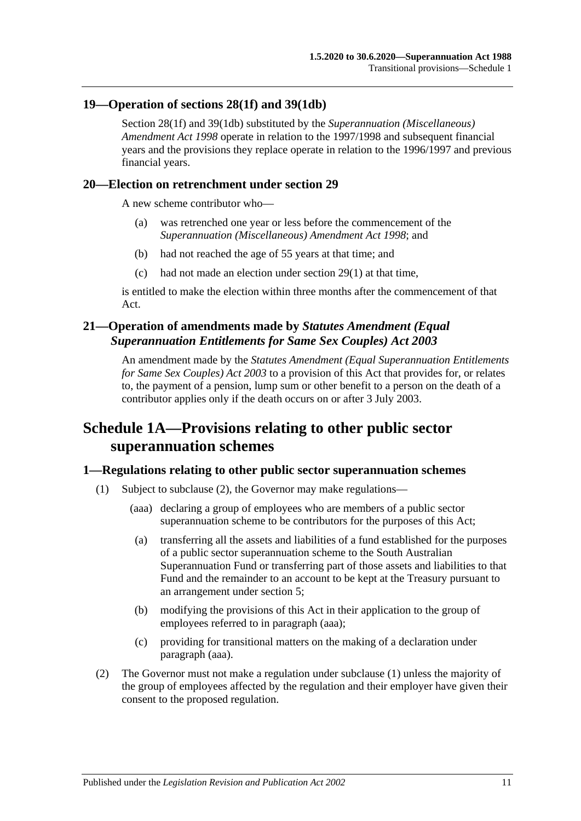### **19—Operation of [sections](#page-35-0) 28(1f) and [39\(1db\)](#page-72-0)**

[Section](#page-35-0) 28(1f) and [39\(1db\)](#page-72-0) substituted by the *[Superannuation \(Miscellaneous\)](http://www.legislation.sa.gov.au/index.aspx?action=legref&type=act&legtitle=Superannuation%20(Miscellaneous)%20Amendment%20Act%201998)  [Amendment Act](http://www.legislation.sa.gov.au/index.aspx?action=legref&type=act&legtitle=Superannuation%20(Miscellaneous)%20Amendment%20Act%201998) 1998* operate in relation to the 1997/1998 and subsequent financial years and the provisions they replace operate in relation to the 1996/1997 and previous financial years.

### **20—Election on retrenchment under [section](#page-40-0) 29**

A new scheme contributor who—

- (a) was retrenched one year or less before the commencement of the *[Superannuation \(Miscellaneous\) Amendment Act](http://www.legislation.sa.gov.au/index.aspx?action=legref&type=act&legtitle=Superannuation%20(Miscellaneous)%20Amendment%20Act%201998) 1998*; and
- (b) had not reached the age of 55 years at that time; and
- (c) had not made an election under [section](#page-40-1) 29(1) at that time,

is entitled to make the election within three months after the commencement of that Act.

## **21—Operation of amendments made by** *Statutes Amendment (Equal Superannuation Entitlements for Same Sex Couples) Act 2003*

An amendment made by the *[Statutes Amendment \(Equal Superannuation Entitlements](http://www.legislation.sa.gov.au/index.aspx?action=legref&type=act&legtitle=Statutes%20Amendment%20(Equal%20Superannuation%20Entitlements%20for%20Same%20Sex%20Couples)%20Act%202003)  [for Same Sex Couples\) Act](http://www.legislation.sa.gov.au/index.aspx?action=legref&type=act&legtitle=Statutes%20Amendment%20(Equal%20Superannuation%20Entitlements%20for%20Same%20Sex%20Couples)%20Act%202003) 2003* to a provision of this Act that provides for, or relates to, the payment of a pension, lump sum or other benefit to a person on the death of a contributor applies only if the death occurs on or after 3 July 2003.

# **Schedule 1A—Provisions relating to other public sector superannuation schemes**

### <span id="page-118-2"></span>**1—Regulations relating to other public sector superannuation schemes**

- <span id="page-118-1"></span>(1) Subject to [subclause](#page-118-0) (2), the Governor may make regulations—
	- (aaa) declaring a group of employees who are members of a public sector superannuation scheme to be contributors for the purposes of this Act;
	- (a) transferring all the assets and liabilities of a fund established for the purposes of a public sector superannuation scheme to the South Australian Superannuation Fund or transferring part of those assets and liabilities to that Fund and the remainder to an account to be kept at the Treasury pursuant to an arrangement under [section](#page-16-0) 5;
	- (b) modifying the provisions of this Act in their application to the group of employees referred to in [paragraph](#page-118-1) (aaa);
	- (c) providing for transitional matters on the making of a declaration under [paragraph](#page-118-1) (aaa).
- <span id="page-118-0"></span>(2) The Governor must not make a regulation under [subclause](#page-118-2) (1) unless the majority of the group of employees affected by the regulation and their employer have given their consent to the proposed regulation.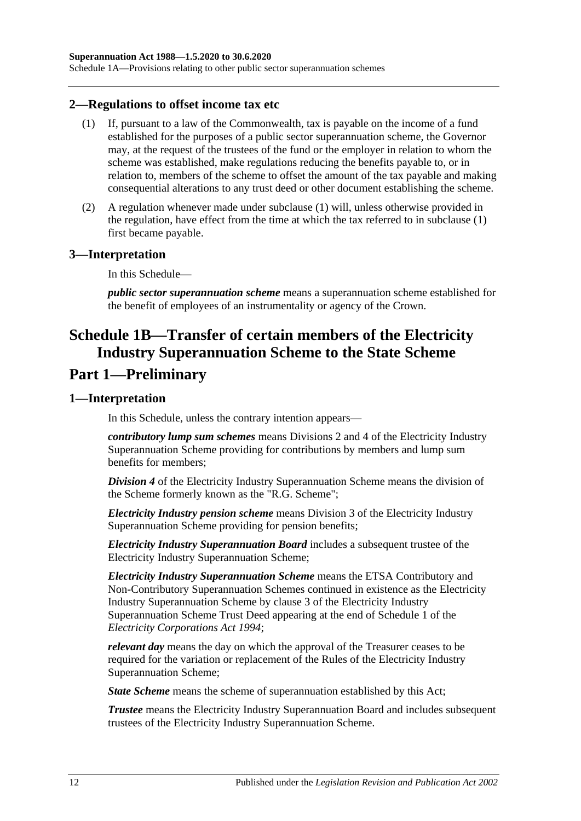Schedule 1A—Provisions relating to other public sector superannuation schemes

#### <span id="page-119-0"></span>**2—Regulations to offset income tax etc**

- (1) If, pursuant to a law of the Commonwealth, tax is payable on the income of a fund established for the purposes of a public sector superannuation scheme, the Governor may, at the request of the trustees of the fund or the employer in relation to whom the scheme was established, make regulations reducing the benefits payable to, or in relation to, members of the scheme to offset the amount of the tax payable and making consequential alterations to any trust deed or other document establishing the scheme.
- (2) A regulation whenever made under [subclause](#page-119-0) (1) will, unless otherwise provided in the regulation, have effect from the time at which the tax referred to in [subclause](#page-119-0) (1) first became payable.

### **3—Interpretation**

In this Schedule—

*public sector superannuation scheme* means a superannuation scheme established for the benefit of employees of an instrumentality or agency of the Crown.

# **Schedule 1B—Transfer of certain members of the Electricity Industry Superannuation Scheme to the State Scheme Part 1—Preliminary**

#### **1—Interpretation**

In this Schedule, unless the contrary intention appears—

*contributory lump sum schemes* means Divisions 2 and 4 of the Electricity Industry Superannuation Scheme providing for contributions by members and lump sum benefits for members;

*Division 4* of the Electricity Industry Superannuation Scheme means the division of the Scheme formerly known as the "R.G. Scheme";

*Electricity Industry pension scheme* means Division 3 of the Electricity Industry Superannuation Scheme providing for pension benefits;

*Electricity Industry Superannuation Board* includes a subsequent trustee of the Electricity Industry Superannuation Scheme;

*Electricity Industry Superannuation Scheme* means the ETSA Contributory and Non-Contributory Superannuation Schemes continued in existence as the Electricity Industry Superannuation Scheme by clause 3 of the Electricity Industry Superannuation Scheme Trust Deed appearing at the end of Schedule 1 of the *[Electricity Corporations Act](http://www.legislation.sa.gov.au/index.aspx?action=legref&type=act&legtitle=Electricity%20Corporations%20Act%201994) 1994*;

*relevant day* means the day on which the approval of the Treasurer ceases to be required for the variation or replacement of the Rules of the Electricity Industry Superannuation Scheme;

*State Scheme* means the scheme of superannuation established by this Act;

*Trustee* means the Electricity Industry Superannuation Board and includes subsequent trustees of the Electricity Industry Superannuation Scheme.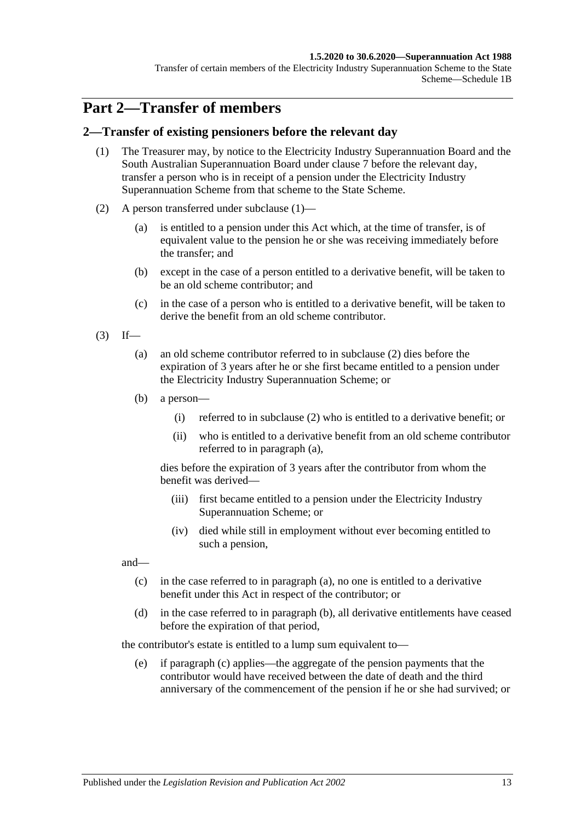#### **1.5.2020 to 30.6.2020—Superannuation Act 1988**

Transfer of certain members of the Electricity Industry Superannuation Scheme to the State Scheme—Schedule 1B

# **Part 2—Transfer of members**

### <span id="page-120-0"></span>**2—Transfer of existing pensioners before the relevant day**

- (1) The Treasurer may, by notice to the Electricity Industry Superannuation Board and the South Australian Superannuation Board under [clause](#page-127-0) 7 before the relevant day, transfer a person who is in receipt of a pension under the Electricity Industry Superannuation Scheme from that scheme to the State Scheme.
- <span id="page-120-1"></span>(2) A person transferred under [subclause](#page-120-0) (1)—
	- (a) is entitled to a pension under this Act which, at the time of transfer, is of equivalent value to the pension he or she was receiving immediately before the transfer; and
	- (b) except in the case of a person entitled to a derivative benefit, will be taken to be an old scheme contributor; and
	- (c) in the case of a person who is entitled to a derivative benefit, will be taken to derive the benefit from an old scheme contributor.
- <span id="page-120-3"></span><span id="page-120-2"></span> $(3)$  If—
	- (a) an old scheme contributor referred to in [subclause](#page-120-1) (2) dies before the expiration of 3 years after he or she first became entitled to a pension under the Electricity Industry Superannuation Scheme; or
	- (b) a person—
		- (i) referred to in [subclause](#page-120-1) (2) who is entitled to a derivative benefit; or
		- (ii) who is entitled to a derivative benefit from an old scheme contributor referred to in [paragraph](#page-120-2) (a),

dies before the expiration of 3 years after the contributor from whom the benefit was derived—

- (iii) first became entitled to a pension under the Electricity Industry Superannuation Scheme; or
- (iv) died while still in employment without ever becoming entitled to such a pension,

<span id="page-120-4"></span>and—

- (c) in the case referred to in [paragraph](#page-120-2) (a), no one is entitled to a derivative benefit under this Act in respect of the contributor; or
- <span id="page-120-5"></span>(d) in the case referred to in [paragraph](#page-120-3) (b), all derivative entitlements have ceased before the expiration of that period,

the contributor's estate is entitled to a lump sum equivalent to—

(e) if [paragraph](#page-120-4) (c) applies—the aggregate of the pension payments that the contributor would have received between the date of death and the third anniversary of the commencement of the pension if he or she had survived; or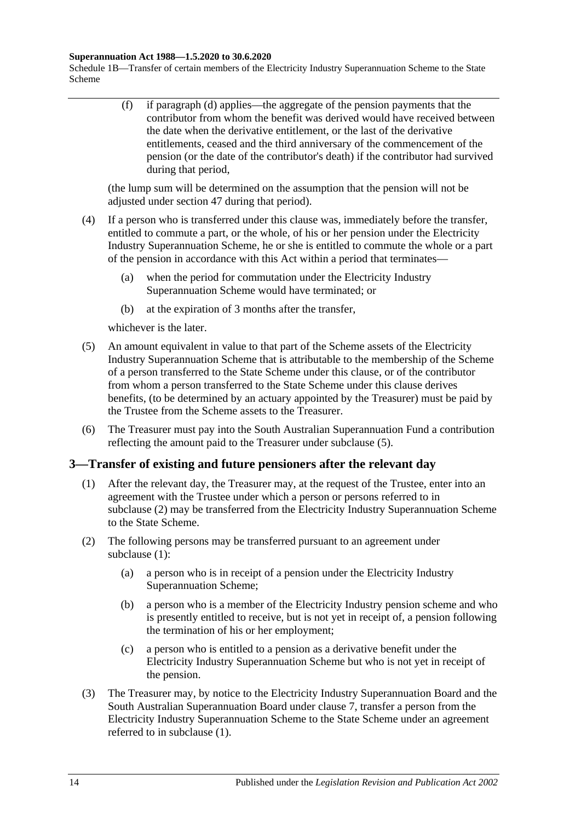#### **Superannuation Act 1988—1.5.2020 to 30.6.2020**

Schedule 1B—Transfer of certain members of the Electricity Industry Superannuation Scheme to the State Scheme

> (f) if [paragraph](#page-120-5) (d) applies—the aggregate of the pension payments that the contributor from whom the benefit was derived would have received between the date when the derivative entitlement, or the last of the derivative entitlements, ceased and the third anniversary of the commencement of the pension (or the date of the contributor's death) if the contributor had survived during that period,

(the lump sum will be determined on the assumption that the pension will not be adjusted under [section](#page-99-0) 47 during that period).

- (4) If a person who is transferred under this clause was, immediately before the transfer, entitled to commute a part, or the whole, of his or her pension under the Electricity Industry Superannuation Scheme, he or she is entitled to commute the whole or a part of the pension in accordance with this Act within a period that terminates—
	- (a) when the period for commutation under the Electricity Industry Superannuation Scheme would have terminated; or
	- (b) at the expiration of 3 months after the transfer,

whichever is the later.

- <span id="page-121-0"></span>(5) An amount equivalent in value to that part of the Scheme assets of the Electricity Industry Superannuation Scheme that is attributable to the membership of the Scheme of a person transferred to the State Scheme under this clause, or of the contributor from whom a person transferred to the State Scheme under this clause derives benefits, (to be determined by an actuary appointed by the Treasurer) must be paid by the Trustee from the Scheme assets to the Treasurer.
- (6) The Treasurer must pay into the South Australian Superannuation Fund a contribution reflecting the amount paid to the Treasurer under [subclause](#page-121-0) (5).

### <span id="page-121-2"></span>**3—Transfer of existing and future pensioners after the relevant day**

- (1) After the relevant day, the Treasurer may, at the request of the Trustee, enter into an agreement with the Trustee under which a person or persons referred to in [subclause](#page-121-1) (2) may be transferred from the Electricity Industry Superannuation Scheme to the State Scheme.
- <span id="page-121-4"></span><span id="page-121-1"></span>(2) The following persons may be transferred pursuant to an agreement under [subclause](#page-121-2) (1):
	- (a) a person who is in receipt of a pension under the Electricity Industry Superannuation Scheme;
	- (b) a person who is a member of the Electricity Industry pension scheme and who is presently entitled to receive, but is not yet in receipt of, a pension following the termination of his or her employment;
	- (c) a person who is entitled to a pension as a derivative benefit under the Electricity Industry Superannuation Scheme but who is not yet in receipt of the pension.
- <span id="page-121-5"></span><span id="page-121-3"></span>(3) The Treasurer may, by notice to the Electricity Industry Superannuation Board and the South Australian Superannuation Board under [clause](#page-127-0) 7, transfer a person from the Electricity Industry Superannuation Scheme to the State Scheme under an agreement referred to in [subclause](#page-121-2) (1).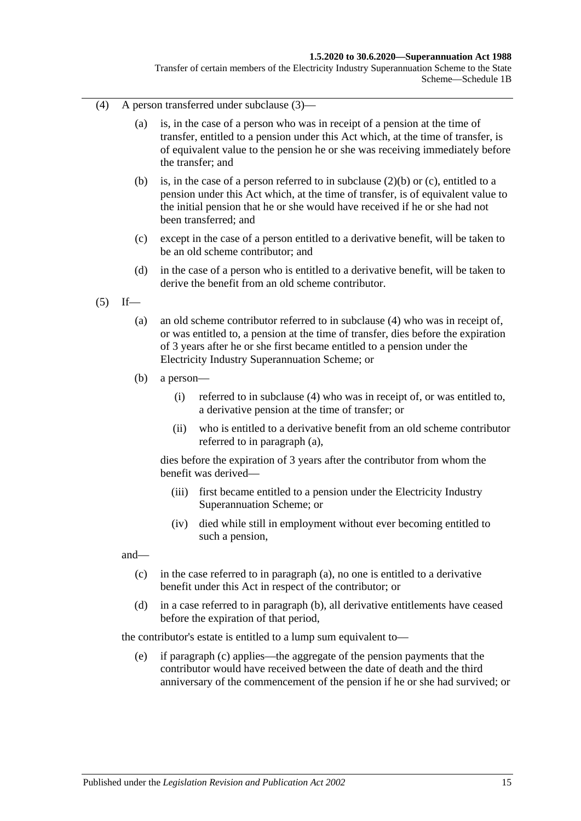#### **1.5.2020 to 30.6.2020—Superannuation Act 1988**

Transfer of certain members of the Electricity Industry Superannuation Scheme to the State Scheme—Schedule 1B

- <span id="page-122-0"></span>(4) A person transferred under [subclause](#page-121-3) (3)—
	- (a) is, in the case of a person who was in receipt of a pension at the time of transfer, entitled to a pension under this Act which, at the time of transfer, is of equivalent value to the pension he or she was receiving immediately before the transfer; and
	- (b) is, in the case of a person referred to in [subclause](#page-121-4) (2)(b) or [\(c\),](#page-121-5) entitled to a pension under this Act which, at the time of transfer, is of equivalent value to the initial pension that he or she would have received if he or she had not been transferred; and
	- (c) except in the case of a person entitled to a derivative benefit, will be taken to be an old scheme contributor; and
	- (d) in the case of a person who is entitled to a derivative benefit, will be taken to derive the benefit from an old scheme contributor.
- <span id="page-122-2"></span><span id="page-122-1"></span> $(5)$  If—
	- (a) an old scheme contributor referred to in [subclause](#page-122-0) (4) who was in receipt of, or was entitled to, a pension at the time of transfer, dies before the expiration of 3 years after he or she first became entitled to a pension under the Electricity Industry Superannuation Scheme; or
	- (b) a person—
		- (i) referred to in [subclause](#page-122-0) (4) who was in receipt of, or was entitled to, a derivative pension at the time of transfer; or
		- (ii) who is entitled to a derivative benefit from an old scheme contributor referred to in [paragraph](#page-122-1) (a),

dies before the expiration of 3 years after the contributor from whom the benefit was derived—

- (iii) first became entitled to a pension under the Electricity Industry Superannuation Scheme; or
- (iv) died while still in employment without ever becoming entitled to such a pension,

<span id="page-122-3"></span>and—

- (c) in the case referred to in [paragraph](#page-122-1) (a), no one is entitled to a derivative benefit under this Act in respect of the contributor; or
- <span id="page-122-4"></span>(d) in a case referred to in [paragraph](#page-122-2) (b), all derivative entitlements have ceased before the expiration of that period,

the contributor's estate is entitled to a lump sum equivalent to—

(e) if [paragraph](#page-122-3) (c) applies—the aggregate of the pension payments that the contributor would have received between the date of death and the third anniversary of the commencement of the pension if he or she had survived; or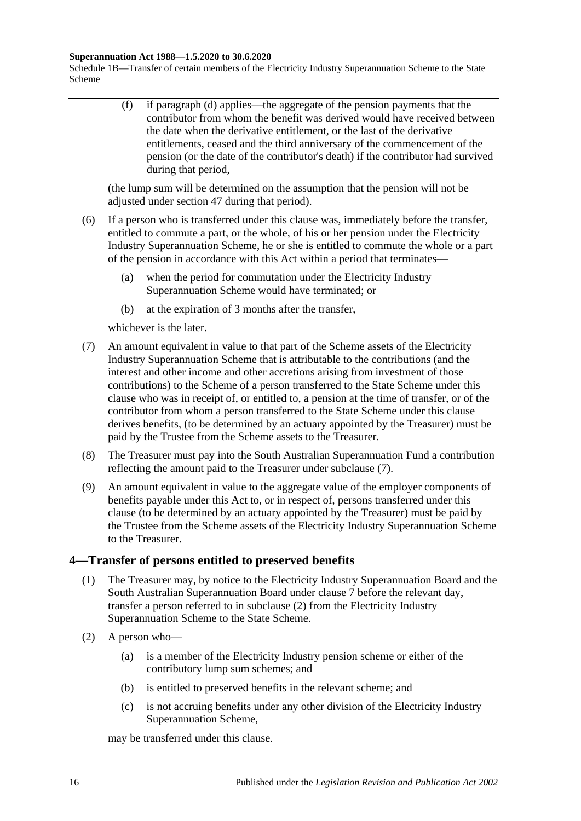#### **Superannuation Act 1988—1.5.2020 to 30.6.2020**

Schedule 1B—Transfer of certain members of the Electricity Industry Superannuation Scheme to the State Scheme

> (f) if [paragraph](#page-122-4) (d) applies—the aggregate of the pension payments that the contributor from whom the benefit was derived would have received between the date when the derivative entitlement, or the last of the derivative entitlements, ceased and the third anniversary of the commencement of the pension (or the date of the contributor's death) if the contributor had survived during that period,

(the lump sum will be determined on the assumption that the pension will not be adjusted under [section](#page-99-0) 47 during that period).

- (6) If a person who is transferred under this clause was, immediately before the transfer, entitled to commute a part, or the whole, of his or her pension under the Electricity Industry Superannuation Scheme, he or she is entitled to commute the whole or a part of the pension in accordance with this Act within a period that terminates—
	- (a) when the period for commutation under the Electricity Industry Superannuation Scheme would have terminated; or
	- (b) at the expiration of 3 months after the transfer,

whichever is the later.

- <span id="page-123-0"></span>(7) An amount equivalent in value to that part of the Scheme assets of the Electricity Industry Superannuation Scheme that is attributable to the contributions (and the interest and other income and other accretions arising from investment of those contributions) to the Scheme of a person transferred to the State Scheme under this clause who was in receipt of, or entitled to, a pension at the time of transfer, or of the contributor from whom a person transferred to the State Scheme under this clause derives benefits, (to be determined by an actuary appointed by the Treasurer) must be paid by the Trustee from the Scheme assets to the Treasurer.
- (8) The Treasurer must pay into the South Australian Superannuation Fund a contribution reflecting the amount paid to the Treasurer under [subclause](#page-123-0) (7).
- (9) An amount equivalent in value to the aggregate value of the employer components of benefits payable under this Act to, or in respect of, persons transferred under this clause (to be determined by an actuary appointed by the Treasurer) must be paid by the Trustee from the Scheme assets of the Electricity Industry Superannuation Scheme to the Treasurer.

### <span id="page-123-2"></span>**4—Transfer of persons entitled to preserved benefits**

- (1) The Treasurer may, by notice to the Electricity Industry Superannuation Board and the South Australian Superannuation Board under [clause](#page-127-0) 7 before the relevant day, transfer a person referred to in [subclause](#page-123-1) (2) from the Electricity Industry Superannuation Scheme to the State Scheme.
- <span id="page-123-1"></span>(2) A person who—
	- (a) is a member of the Electricity Industry pension scheme or either of the contributory lump sum schemes; and
	- (b) is entitled to preserved benefits in the relevant scheme; and
	- (c) is not accruing benefits under any other division of the Electricity Industry Superannuation Scheme,

may be transferred under this clause.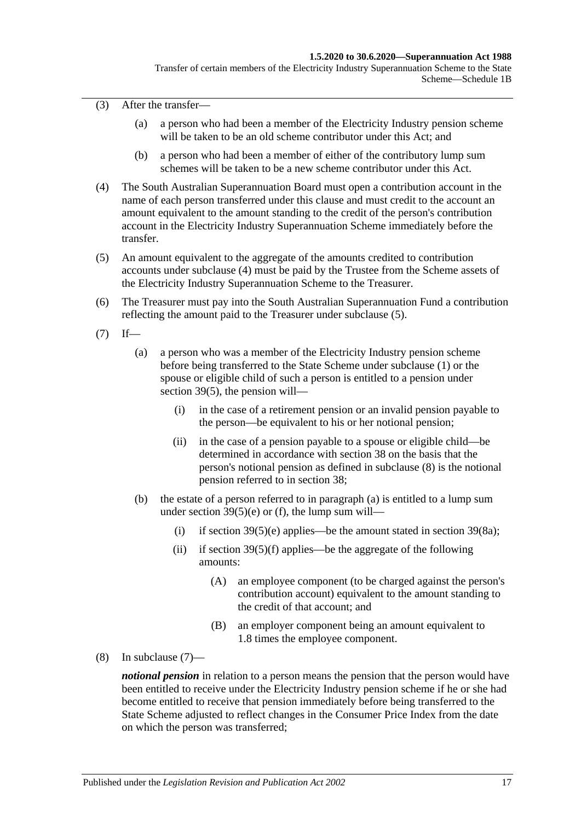(3) After the transfer—

- (a) a person who had been a member of the Electricity Industry pension scheme will be taken to be an old scheme contributor under this Act; and
- (b) a person who had been a member of either of the contributory lump sum schemes will be taken to be a new scheme contributor under this Act.
- <span id="page-124-0"></span>(4) The South Australian Superannuation Board must open a contribution account in the name of each person transferred under this clause and must credit to the account an amount equivalent to the amount standing to the credit of the person's contribution account in the Electricity Industry Superannuation Scheme immediately before the transfer.
- <span id="page-124-1"></span>(5) An amount equivalent to the aggregate of the amounts credited to contribution accounts under [subclause](#page-124-0) (4) must be paid by the Trustee from the Scheme assets of the Electricity Industry Superannuation Scheme to the Treasurer.
- (6) The Treasurer must pay into the South Australian Superannuation Fund a contribution reflecting the amount paid to the Treasurer under [subclause](#page-124-1) (5).
- <span id="page-124-4"></span><span id="page-124-3"></span> $(7)$  If—
	- (a) a person who was a member of the Electricity Industry pension scheme before being transferred to the State Scheme under [subclause](#page-123-2) (1) or the spouse or eligible child of such a person is entitled to a pension under [section](#page-74-0) 39(5), the pension will—
		- (i) in the case of a retirement pension or an invalid pension payable to the person—be equivalent to his or her notional pension;
		- (ii) in the case of a pension payable to a spouse or eligible child—be determined in accordance with [section](#page-68-0) 38 on the basis that the person's notional pension as defined in [subclause](#page-124-2) (8) is the notional pension referred to in [section](#page-68-0) 38;
	- (b) the estate of a person referred to in [paragraph](#page-124-3) (a) is entitled to a lump sum under section  $39(5)(e)$  or [\(f\),](#page-74-2) the lump sum will
		- (i) if [section](#page-76-1)  $39(5)(e)$  applies—be the amount stated in section  $39(8a)$ ;
		- (ii) if section  $39(5)(f)$  applies—be the aggregate of the following amounts:
			- (A) an employee component (to be charged against the person's contribution account) equivalent to the amount standing to the credit of that account; and
			- (B) an employer component being an amount equivalent to 1.8 times the employee component.
- <span id="page-124-2"></span>(8) In [subclause](#page-124-4) (7)—

*notional pension* in relation to a person means the pension that the person would have been entitled to receive under the Electricity Industry pension scheme if he or she had become entitled to receive that pension immediately before being transferred to the State Scheme adjusted to reflect changes in the Consumer Price Index from the date on which the person was transferred;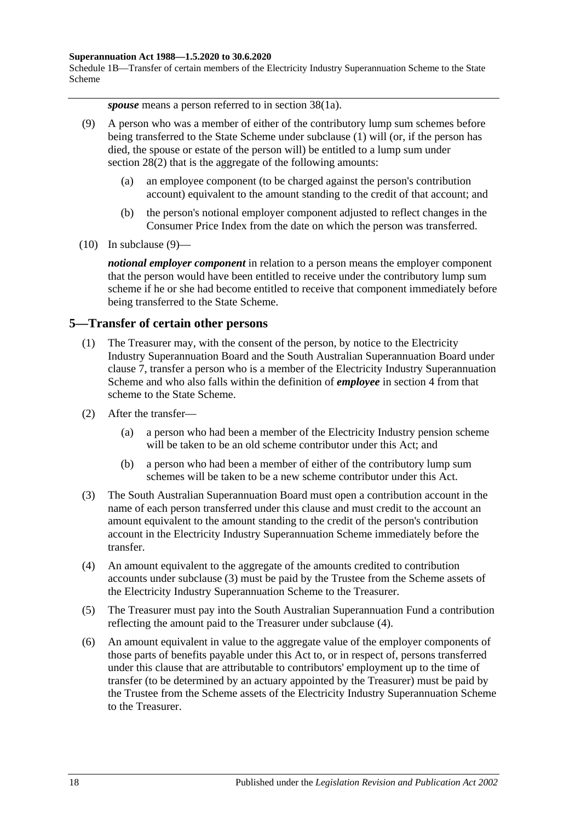#### **Superannuation Act 1988—1.5.2020 to 30.6.2020**

Schedule 1B—Transfer of certain members of the Electricity Industry Superannuation Scheme to the State Scheme

*spouse* means a person referred to in section 38(1a).

- <span id="page-125-0"></span>(9) A person who was a member of either of the contributory lump sum schemes before being transferred to the State Scheme under [subclause](#page-123-2) (1) will (or, if the person has died, the spouse or estate of the person will) be entitled to a lump sum under [section](#page-35-1) 28(2) that is the aggregate of the following amounts:
	- (a) an employee component (to be charged against the person's contribution account) equivalent to the amount standing to the credit of that account; and
	- (b) the person's notional employer component adjusted to reflect changes in the Consumer Price Index from the date on which the person was transferred.
- $(10)$  In [subclause](#page-125-0)  $(9)$ —

*notional employer component* in relation to a person means the employer component that the person would have been entitled to receive under the contributory lump sum scheme if he or she had become entitled to receive that component immediately before being transferred to the State Scheme.

### <span id="page-125-4"></span>**5—Transfer of certain other persons**

- (1) The Treasurer may, with the consent of the person, by notice to the Electricity Industry Superannuation Board and the South Australian Superannuation Board under [clause](#page-127-0) 7, transfer a person who is a member of the Electricity Industry Superannuation Scheme and who also falls within the definition of *employee* in [section](#page-6-0) 4 from that scheme to the State Scheme.
- (2) After the transfer—
	- (a) a person who had been a member of the Electricity Industry pension scheme will be taken to be an old scheme contributor under this Act; and
	- (b) a person who had been a member of either of the contributory lump sum schemes will be taken to be a new scheme contributor under this Act.
- <span id="page-125-1"></span>(3) The South Australian Superannuation Board must open a contribution account in the name of each person transferred under this clause and must credit to the account an amount equivalent to the amount standing to the credit of the person's contribution account in the Electricity Industry Superannuation Scheme immediately before the transfer.
- <span id="page-125-2"></span>(4) An amount equivalent to the aggregate of the amounts credited to contribution accounts under [subclause](#page-125-1) (3) must be paid by the Trustee from the Scheme assets of the Electricity Industry Superannuation Scheme to the Treasurer.
- (5) The Treasurer must pay into the South Australian Superannuation Fund a contribution reflecting the amount paid to the Treasurer under [subclause](#page-125-2) (4).
- <span id="page-125-3"></span>(6) An amount equivalent in value to the aggregate value of the employer components of those parts of benefits payable under this Act to, or in respect of, persons transferred under this clause that are attributable to contributors' employment up to the time of transfer (to be determined by an actuary appointed by the Treasurer) must be paid by the Trustee from the Scheme assets of the Electricity Industry Superannuation Scheme to the Treasurer.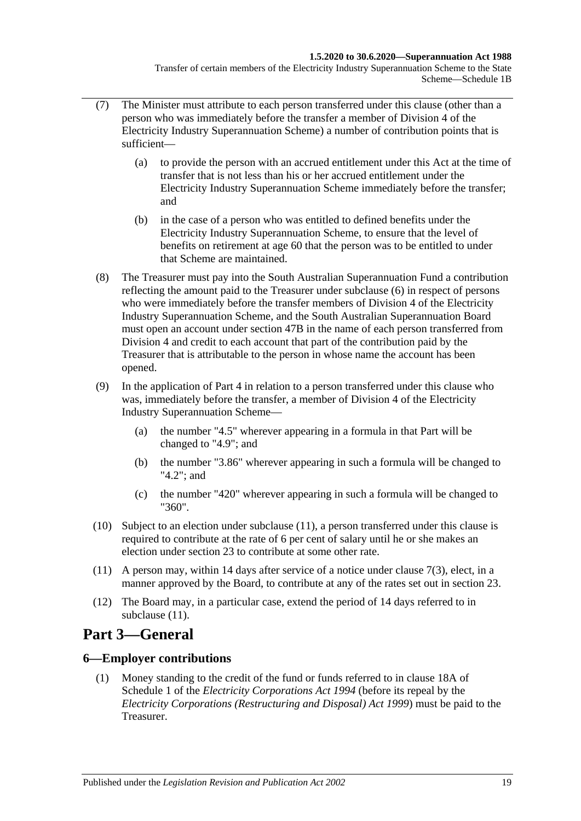#### **1.5.2020 to 30.6.2020—Superannuation Act 1988**

Transfer of certain members of the Electricity Industry Superannuation Scheme to the State Scheme—Schedule 1B

- (7) The Minister must attribute to each person transferred under this clause (other than a person who was immediately before the transfer a member of Division 4 of the Electricity Industry Superannuation Scheme) a number of contribution points that is sufficient—
	- (a) to provide the person with an accrued entitlement under this Act at the time of transfer that is not less than his or her accrued entitlement under the Electricity Industry Superannuation Scheme immediately before the transfer; and
	- (b) in the case of a person who was entitled to defined benefits under the Electricity Industry Superannuation Scheme, to ensure that the level of benefits on retirement at age 60 that the person was to be entitled to under that Scheme are maintained.
- (8) The Treasurer must pay into the South Australian Superannuation Fund a contribution reflecting the amount paid to the Treasurer under [subclause](#page-125-3) (6) in respect of persons who were immediately before the transfer members of Division 4 of the Electricity Industry Superannuation Scheme, and the South Australian Superannuation Board must open an account under [section](#page-100-0) 47B in the name of each person transferred from Division 4 and credit to each account that part of the contribution paid by the Treasurer that is attributable to the person in whose name the account has been opened.
- (9) In the application of [Part 4](#page-30-0) in relation to a person transferred under this clause who was, immediately before the transfer, a member of Division 4 of the Electricity Industry Superannuation Scheme—
	- (a) the number "4.5" wherever appearing in a formula in that Part will be changed to "4.9"; and
	- (b) the number "3.86" wherever appearing in such a formula will be changed to "4.2"; and
	- (c) the number "420" wherever appearing in such a formula will be changed to "360".
- (10) Subject to an election under [subclause](#page-126-0) (11), a person transferred under this clause is required to contribute at the rate of 6 per cent of salary until he or she makes an election under [section](#page-26-0) 23 to contribute at some other rate.
- <span id="page-126-0"></span>(11) A person may, within 14 days after service of a notice under [clause](#page-127-1) 7(3), elect, in a manner approved by the Board, to contribute at any of the rates set out in [section](#page-26-0) 23.
- (12) The Board may, in a particular case, extend the period of 14 days referred to in [subclause](#page-126-0) (11).

# **Part 3—General**

## **6—Employer contributions**

(1) Money standing to the credit of the fund or funds referred to in clause 18A of Schedule 1 of the *[Electricity Corporations Act](http://www.legislation.sa.gov.au/index.aspx?action=legref&type=act&legtitle=Electricity%20Corporations%20Act%201994) 1994* (before its repeal by the *[Electricity Corporations \(Restructuring and Disposal\) Act](http://www.legislation.sa.gov.au/index.aspx?action=legref&type=act&legtitle=Electricity%20Corporations%20(Restructuring%20and%20Disposal)%20Act%201999) 1999*) must be paid to the Treasurer.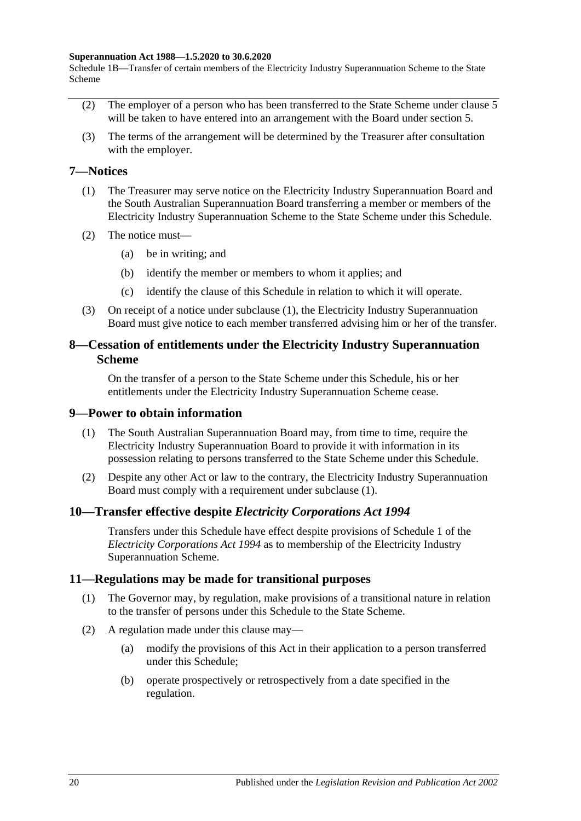#### **Superannuation Act 1988—1.5.2020 to 30.6.2020**

Schedule 1B—Transfer of certain members of the Electricity Industry Superannuation Scheme to the State Scheme

- (2) The employer of a person who has been transferred to the State Scheme under [clause](#page-125-4) 5 will be taken to have entered into an arrangement with the Board under [section](#page-16-0) 5.
- (3) The terms of the arrangement will be determined by the Treasurer after consultation with the employer.

### <span id="page-127-2"></span><span id="page-127-0"></span>**7—Notices**

- (1) The Treasurer may serve notice on the Electricity Industry Superannuation Board and the South Australian Superannuation Board transferring a member or members of the Electricity Industry Superannuation Scheme to the State Scheme under this Schedule.
- (2) The notice must—
	- (a) be in writing; and
	- (b) identify the member or members to whom it applies; and
	- (c) identify the clause of this Schedule in relation to which it will operate.
- <span id="page-127-1"></span>(3) On receipt of a notice under [subclause](#page-127-2) (1), the Electricity Industry Superannuation Board must give notice to each member transferred advising him or her of the transfer.

### **8—Cessation of entitlements under the Electricity Industry Superannuation Scheme**

On the transfer of a person to the State Scheme under this Schedule, his or her entitlements under the Electricity Industry Superannuation Scheme cease.

### <span id="page-127-3"></span>**9—Power to obtain information**

- (1) The South Australian Superannuation Board may, from time to time, require the Electricity Industry Superannuation Board to provide it with information in its possession relating to persons transferred to the State Scheme under this Schedule.
- (2) Despite any other Act or law to the contrary, the Electricity Industry Superannuation Board must comply with a requirement under [subclause](#page-127-3) (1).

### **10—Transfer effective despite** *Electricity Corporations Act 1994*

Transfers under this Schedule have effect despite provisions of Schedule 1 of the *[Electricity Corporations Act](http://www.legislation.sa.gov.au/index.aspx?action=legref&type=act&legtitle=Electricity%20Corporations%20Act%201994) 1994* as to membership of the Electricity Industry Superannuation Scheme.

### **11—Regulations may be made for transitional purposes**

- (1) The Governor may, by regulation, make provisions of a transitional nature in relation to the transfer of persons under this Schedule to the State Scheme.
- (2) A regulation made under this clause may—
	- (a) modify the provisions of this Act in their application to a person transferred under this Schedule;
	- (b) operate prospectively or retrospectively from a date specified in the regulation.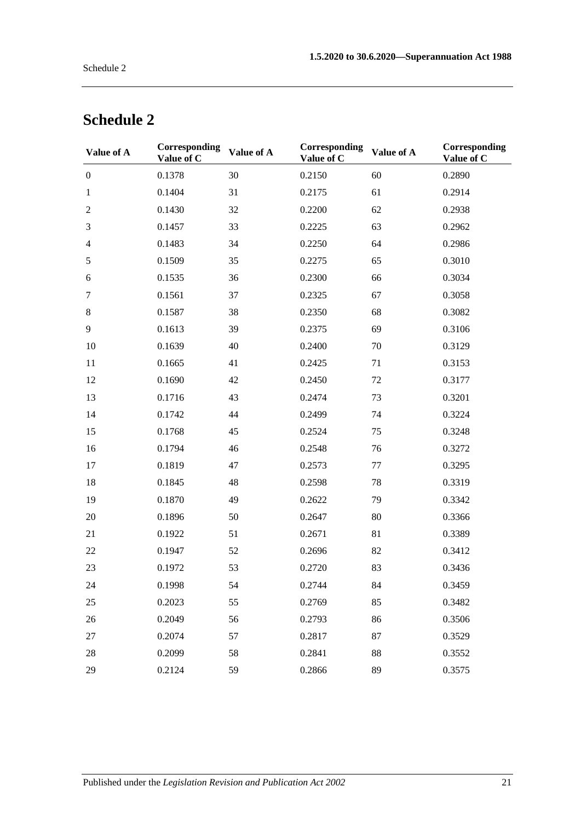| Value of A       | <b>Corresponding</b><br>Value of C | Value of A | Corresponding<br>Value of C | Value of A | Corresponding<br>Value of C |
|------------------|------------------------------------|------------|-----------------------------|------------|-----------------------------|
| $\boldsymbol{0}$ | 0.1378                             | 30         | 0.2150                      | 60         | 0.2890                      |
| $\mathbf{1}$     | 0.1404                             | 31         | 0.2175                      | 61         | 0.2914                      |
| $\overline{c}$   | 0.1430                             | 32         | 0.2200                      | 62         | 0.2938                      |
| 3                | 0.1457                             | 33         | 0.2225                      | 63         | 0.2962                      |
| $\overline{4}$   | 0.1483                             | 34         | 0.2250                      | 64         | 0.2986                      |
| 5                | 0.1509                             | 35         | 0.2275                      | 65         | 0.3010                      |
| 6                | 0.1535                             | 36         | 0.2300                      | 66         | 0.3034                      |
| $\tau$           | 0.1561                             | 37         | 0.2325                      | 67         | 0.3058                      |
| $8\,$            | 0.1587                             | 38         | 0.2350                      | 68         | 0.3082                      |
| 9                | 0.1613                             | 39         | 0.2375                      | 69         | 0.3106                      |
| 10               | 0.1639                             | 40         | 0.2400                      | 70         | 0.3129                      |
| 11               | 0.1665                             | 41         | 0.2425                      | 71         | 0.3153                      |
| 12               | 0.1690                             | 42         | 0.2450                      | 72         | 0.3177                      |
| 13               | 0.1716                             | 43         | 0.2474                      | 73         | 0.3201                      |
| 14               | 0.1742                             | 44         | 0.2499                      | 74         | 0.3224                      |
| 15               | 0.1768                             | 45         | 0.2524                      | 75         | 0.3248                      |
| 16               | 0.1794                             | 46         | 0.2548                      | 76         | 0.3272                      |
| 17               | 0.1819                             | 47         | 0.2573                      | 77         | 0.3295                      |
| 18               | 0.1845                             | 48         | 0.2598                      | 78         | 0.3319                      |
| 19               | 0.1870                             | 49         | 0.2622                      | 79         | 0.3342                      |
| 20               | 0.1896                             | 50         | 0.2647                      | 80         | 0.3366                      |
| 21               | 0.1922                             | 51         | 0.2671                      | 81         | 0.3389                      |
| $22\,$           | 0.1947                             | 52         | 0.2696                      | 82         | 0.3412                      |
| 23               | 0.1972                             | 53         | 0.2720                      | 83         | 0.3436                      |
| 24               | 0.1998                             | 54         | 0.2744                      | 84         | 0.3459                      |
| 25               | 0.2023                             | 55         | 0.2769                      | 85         | 0.3482                      |
| 26               | 0.2049                             | 56         | 0.2793                      | 86         | 0.3506                      |
| 27               | 0.2074                             | 57         | 0.2817                      | 87         | 0.3529                      |
| 28               | 0.2099                             | 58         | 0.2841                      | 88         | 0.3552                      |
| 29               | 0.2124                             | 59         | 0.2866                      | 89         | 0.3575                      |

# **Schedule 2**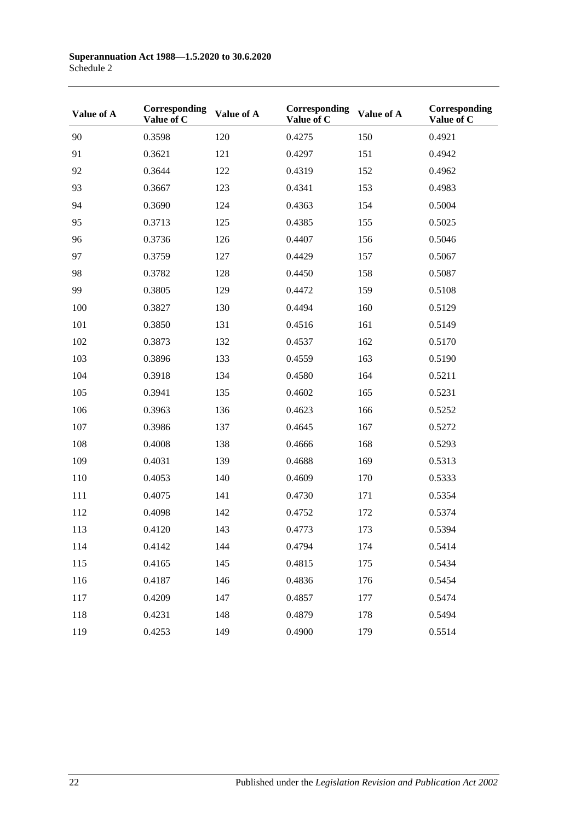| Value of A | Corresponding<br>Value of C | Value of A | Corresponding<br>Value of C | Value of A | Corresponding<br>Value of C |
|------------|-----------------------------|------------|-----------------------------|------------|-----------------------------|
| 90         | 0.3598                      | 120        | 0.4275                      | 150        | 0.4921                      |
| 91         | 0.3621                      | 121        | 0.4297                      | 151        | 0.4942                      |
| 92         | 0.3644                      | 122        | 0.4319                      | 152        | 0.4962                      |
| 93         | 0.3667                      | 123        | 0.4341                      | 153        | 0.4983                      |
| 94         | 0.3690                      | 124        | 0.4363                      | 154        | 0.5004                      |
| 95         | 0.3713                      | 125        | 0.4385                      | 155        | 0.5025                      |
| 96         | 0.3736                      | 126        | 0.4407                      | 156        | 0.5046                      |
| 97         | 0.3759                      | 127        | 0.4429                      | 157        | 0.5067                      |
| 98         | 0.3782                      | 128        | 0.4450                      | 158        | 0.5087                      |
| 99         | 0.3805                      | 129        | 0.4472                      | 159        | 0.5108                      |
| 100        | 0.3827                      | 130        | 0.4494                      | 160        | 0.5129                      |
| 101        | 0.3850                      | 131        | 0.4516                      | 161        | 0.5149                      |
| 102        | 0.3873                      | 132        | 0.4537                      | 162        | 0.5170                      |
| 103        | 0.3896                      | 133        | 0.4559                      | 163        | 0.5190                      |
| 104        | 0.3918                      | 134        | 0.4580                      | 164        | 0.5211                      |
| 105        | 0.3941                      | 135        | 0.4602                      | 165        | 0.5231                      |
| 106        | 0.3963                      | 136        | 0.4623                      | 166        | 0.5252                      |
| 107        | 0.3986                      | 137        | 0.4645                      | 167        | 0.5272                      |
| 108        | 0.4008                      | 138        | 0.4666                      | 168        | 0.5293                      |
| 109        | 0.4031                      | 139        | 0.4688                      | 169        | 0.5313                      |
| 110        | 0.4053                      | 140        | 0.4609                      | 170        | 0.5333                      |
| 111        | 0.4075                      | 141        | 0.4730                      | 171        | 0.5354                      |
| 112        | 0.4098                      | 142        | 0.4752                      | 172        | 0.5374                      |
| 113        | 0.4120                      | 143        | 0.4773                      | 173        | 0.5394                      |
| 114        | 0.4142                      | 144        | 0.4794                      | 174        | 0.5414                      |
| 115        | 0.4165                      | 145        | 0.4815                      | 175        | 0.5434                      |
| 116        | 0.4187                      | 146        | 0.4836                      | 176        | 0.5454                      |
| 117        | 0.4209                      | 147        | 0.4857                      | 177        | 0.5474                      |
| 118        | 0.4231                      | 148        | 0.4879                      | 178        | 0.5494                      |
| 119        | 0.4253                      | 149        | 0.4900                      | 179        | 0.5514                      |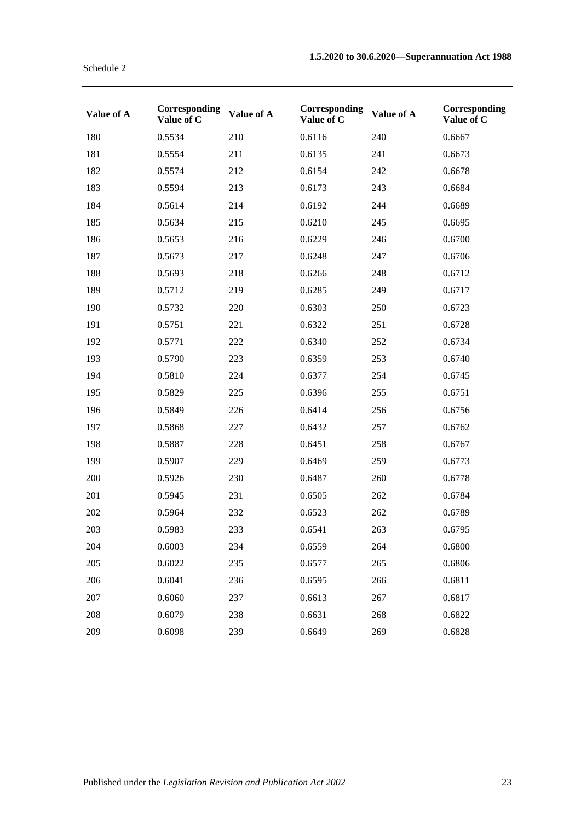| Value of A | Corresponding<br>Value of C | Value of A | Corresponding<br>Value of C | Value of A | Corresponding<br>Value of C |
|------------|-----------------------------|------------|-----------------------------|------------|-----------------------------|
| 180        | 0.5534                      | 210        | 0.6116                      | 240        | 0.6667                      |
| 181        | 0.5554                      | 211        | 0.6135                      | 241        | 0.6673                      |
| 182        | 0.5574                      | 212        | 0.6154                      | 242        | 0.6678                      |
| 183        | 0.5594                      | 213        | 0.6173                      | 243        | 0.6684                      |
| 184        | 0.5614                      | 214        | 0.6192                      | 244        | 0.6689                      |
| 185        | 0.5634                      | 215        | 0.6210                      | 245        | 0.6695                      |
| 186        | 0.5653                      | 216        | 0.6229                      | 246        | 0.6700                      |
| 187        | 0.5673                      | 217        | 0.6248                      | 247        | 0.6706                      |
| 188        | 0.5693                      | 218        | 0.6266                      | 248        | 0.6712                      |
| 189        | 0.5712                      | 219        | 0.6285                      | 249        | 0.6717                      |
| 190        | 0.5732                      | 220        | 0.6303                      | 250        | 0.6723                      |
| 191        | 0.5751                      | 221        | 0.6322                      | 251        | 0.6728                      |
| 192        | 0.5771                      | 222        | 0.6340                      | 252        | 0.6734                      |
| 193        | 0.5790                      | 223        | 0.6359                      | 253        | 0.6740                      |
| 194        | 0.5810                      | 224        | 0.6377                      | 254        | 0.6745                      |
| 195        | 0.5829                      | 225        | 0.6396                      | 255        | 0.6751                      |
| 196        | 0.5849                      | 226        | 0.6414                      | 256        | 0.6756                      |
| 197        | 0.5868                      | 227        | 0.6432                      | 257        | 0.6762                      |
| 198        | 0.5887                      | 228        | 0.6451                      | 258        | 0.6767                      |
| 199        | 0.5907                      | 229        | 0.6469                      | 259        | 0.6773                      |
| 200        | 0.5926                      | 230        | 0.6487                      | 260        | 0.6778                      |
| 201        | 0.5945                      | 231        | 0.6505                      | 262        | 0.6784                      |
| 202        | 0.5964                      | 232        | 0.6523                      | 262        | 0.6789                      |
| 203        | 0.5983                      | 233        | 0.6541                      | 263        | 0.6795                      |
| 204        | 0.6003                      | 234        | 0.6559                      | 264        | 0.6800                      |
| 205        | 0.6022                      | 235        | 0.6577                      | 265        | 0.6806                      |
| 206        | 0.6041                      | 236        | 0.6595                      | 266        | 0.6811                      |
| 207        | 0.6060                      | 237        | 0.6613                      | 267        | 0.6817                      |
| 208        | 0.6079                      | 238        | 0.6631                      | 268        | 0.6822                      |
| 209        | 0.6098                      | 239        | 0.6649                      | 269        | 0.6828                      |

Schedule 2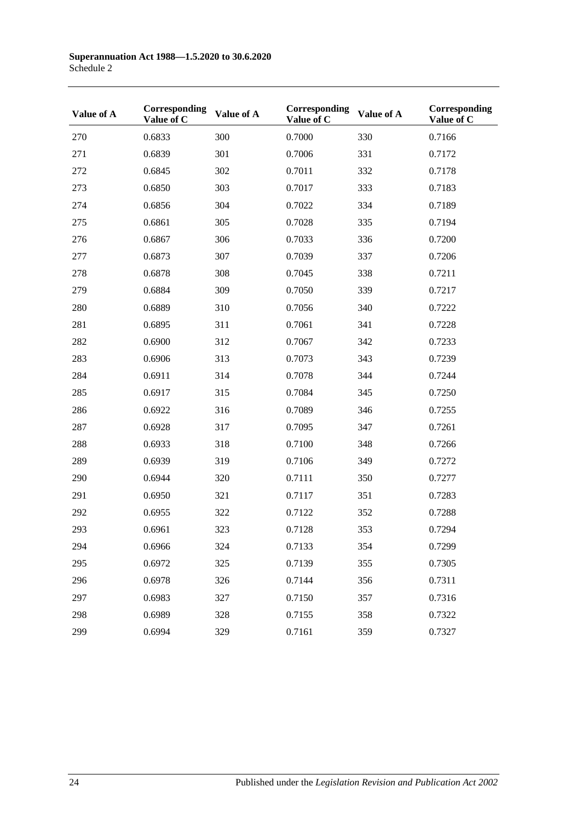| Value of A | Corresponding<br>Value of C | Value of A | Corresponding<br>Value of C | Value of A | Corresponding<br>Value of C |
|------------|-----------------------------|------------|-----------------------------|------------|-----------------------------|
| 270        | 0.6833                      | 300        | 0.7000                      | 330        | 0.7166                      |
| 271        | 0.6839                      | 301        | 0.7006                      | 331        | 0.7172                      |
| 272        | 0.6845                      | 302        | 0.7011                      | 332        | 0.7178                      |
| 273        | 0.6850                      | 303        | 0.7017                      | 333        | 0.7183                      |
| 274        | 0.6856                      | 304        | 0.7022                      | 334        | 0.7189                      |
| 275        | 0.6861                      | 305        | 0.7028                      | 335        | 0.7194                      |
| 276        | 0.6867                      | 306        | 0.7033                      | 336        | 0.7200                      |
| 277        | 0.6873                      | 307        | 0.7039                      | 337        | 0.7206                      |
| 278        | 0.6878                      | 308        | 0.7045                      | 338        | 0.7211                      |
| 279        | 0.6884                      | 309        | 0.7050                      | 339        | 0.7217                      |
| 280        | 0.6889                      | 310        | 0.7056                      | 340        | 0.7222                      |
| 281        | 0.6895                      | 311        | 0.7061                      | 341        | 0.7228                      |
| 282        | 0.6900                      | 312        | 0.7067                      | 342        | 0.7233                      |
| 283        | 0.6906                      | 313        | 0.7073                      | 343        | 0.7239                      |
| 284        | 0.6911                      | 314        | 0.7078                      | 344        | 0.7244                      |
| 285        | 0.6917                      | 315        | 0.7084                      | 345        | 0.7250                      |
| 286        | 0.6922                      | 316        | 0.7089                      | 346        | 0.7255                      |
| 287        | 0.6928                      | 317        | 0.7095                      | 347        | 0.7261                      |
| 288        | 0.6933                      | 318        | 0.7100                      | 348        | 0.7266                      |
| 289        | 0.6939                      | 319        | 0.7106                      | 349        | 0.7272                      |
| 290        | 0.6944                      | 320        | 0.7111                      | 350        | 0.7277                      |
| 291        | 0.6950                      | 321        | 0.7117                      | 351        | 0.7283                      |
| 292        | 0.6955                      | 322        | 0.7122                      | 352        | 0.7288                      |
| 293        | 0.6961                      | 323        | 0.7128                      | 353        | 0.7294                      |
| 294        | 0.6966                      | 324        | 0.7133                      | 354        | 0.7299                      |
| 295        | 0.6972                      | 325        | 0.7139                      | 355        | 0.7305                      |
| 296        | 0.6978                      | 326        | 0.7144                      | 356        | 0.7311                      |
| 297        | 0.6983                      | 327        | 0.7150                      | 357        | 0.7316                      |
| 298        | 0.6989                      | 328        | 0.7155                      | 358        | 0.7322                      |
| 299        | 0.6994                      | 329        | 0.7161                      | 359        | 0.7327                      |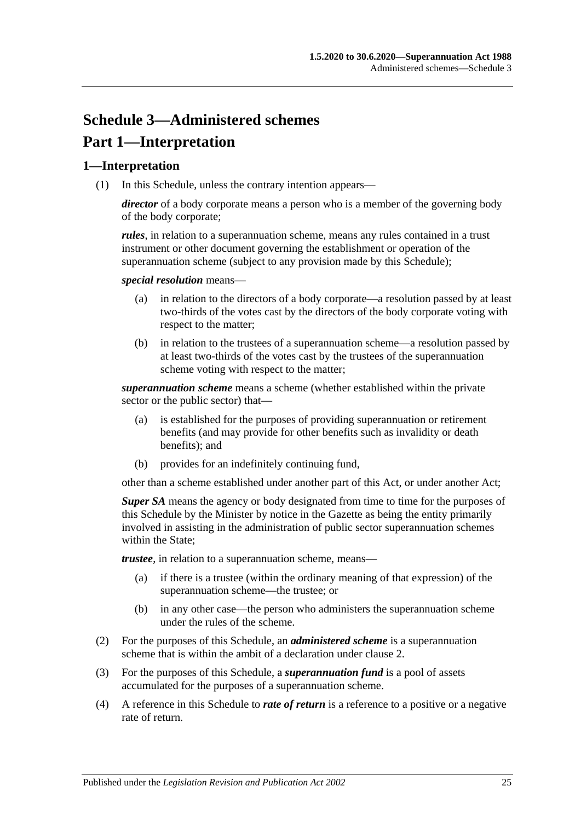# **Schedule 3—Administered schemes Part 1—Interpretation**

### **1—Interpretation**

(1) In this Schedule, unless the contrary intention appears—

*director* of a body corporate means a person who is a member of the governing body of the body corporate;

*rules*, in relation to a superannuation scheme, means any rules contained in a trust instrument or other document governing the establishment or operation of the superannuation scheme (subject to any provision made by this Schedule);

*special resolution* means—

- (a) in relation to the directors of a body corporate—a resolution passed by at least two-thirds of the votes cast by the directors of the body corporate voting with respect to the matter;
- (b) in relation to the trustees of a superannuation scheme—a resolution passed by at least two-thirds of the votes cast by the trustees of the superannuation scheme voting with respect to the matter;

*superannuation scheme* means a scheme (whether established within the private sector or the public sector) that—

- (a) is established for the purposes of providing superannuation or retirement benefits (and may provide for other benefits such as invalidity or death benefits); and
- (b) provides for an indefinitely continuing fund,

other than a scheme established under another part of this Act, or under another Act;

*Super SA* means the agency or body designated from time to time for the purposes of this Schedule by the Minister by notice in the Gazette as being the entity primarily involved in assisting in the administration of public sector superannuation schemes within the State:

*trustee*, in relation to a superannuation scheme, means—

- (a) if there is a trustee (within the ordinary meaning of that expression) of the superannuation scheme—the trustee; or
- (b) in any other case—the person who administers the superannuation scheme under the rules of the scheme.
- (2) For the purposes of this Schedule, an *administered scheme* is a superannuation scheme that is within the ambit of a declaration under [clause](#page-133-0) 2.
- (3) For the purposes of this Schedule, a *superannuation fund* is a pool of assets accumulated for the purposes of a superannuation scheme.
- (4) A reference in this Schedule to *rate of return* is a reference to a positive or a negative rate of return.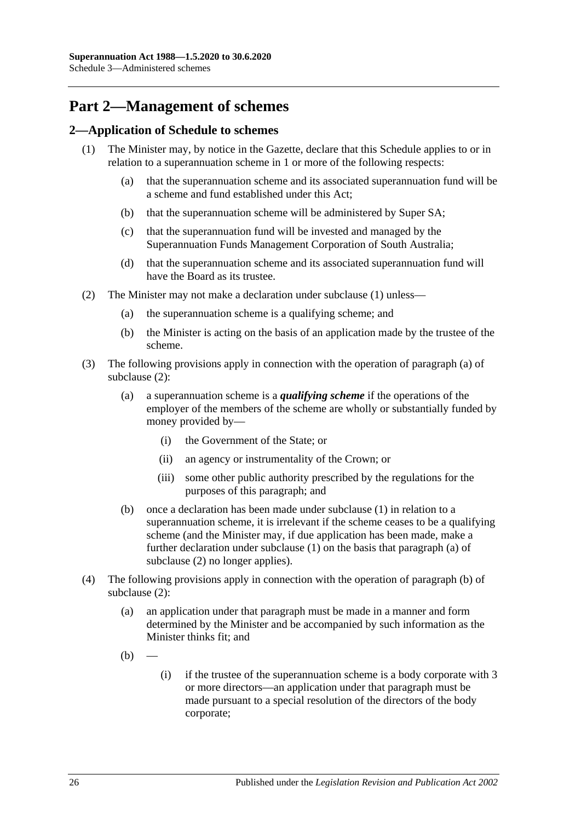# **Part 2—Management of schemes**

### <span id="page-133-1"></span><span id="page-133-0"></span>**2—Application of Schedule to schemes**

- <span id="page-133-6"></span><span id="page-133-5"></span>(1) The Minister may, by notice in the Gazette, declare that this Schedule applies to or in relation to a superannuation scheme in 1 or more of the following respects:
	- (a) that the superannuation scheme and its associated superannuation fund will be a scheme and fund established under this Act;
	- (b) that the superannuation scheme will be administered by Super SA;
	- (c) that the superannuation fund will be invested and managed by the Superannuation Funds Management Corporation of South Australia;
	- (d) that the superannuation scheme and its associated superannuation fund will have the Board as its trustee.
- <span id="page-133-8"></span><span id="page-133-7"></span><span id="page-133-4"></span><span id="page-133-3"></span><span id="page-133-2"></span>(2) The Minister may not make a declaration under [subclause](#page-133-1) (1) unless—
	- (a) the superannuation scheme is a qualifying scheme; and
	- (b) the Minister is acting on the basis of an application made by the trustee of the scheme.
- (3) The following provisions apply in connection with the operation of [paragraph](#page-133-2) (a) of [subclause](#page-133-3) (2):
	- (a) a superannuation scheme is a *qualifying scheme* if the operations of the employer of the members of the scheme are wholly or substantially funded by money provided by—
		- (i) the Government of the State; or
		- (ii) an agency or instrumentality of the Crown; or
		- (iii) some other public authority prescribed by the regulations for the purposes of this paragraph; and
	- (b) once a declaration has been made under [subclause](#page-133-1) (1) in relation to a superannuation scheme, it is irrelevant if the scheme ceases to be a qualifying scheme (and the Minister may, if due application has been made, make a further declaration under [subclause](#page-133-1) (1) on the basis that [paragraph](#page-133-2) (a) of [subclause](#page-133-3) (2) no longer applies).
- (4) The following provisions apply in connection with the operation of [paragraph](#page-133-4) (b) of [subclause](#page-133-3) (2):
	- (a) an application under that paragraph must be made in a manner and form determined by the Minister and be accompanied by such information as the Minister thinks fit; and
	- $(b)$
- (i) if the trustee of the superannuation scheme is a body corporate with 3 or more directors—an application under that paragraph must be made pursuant to a special resolution of the directors of the body corporate;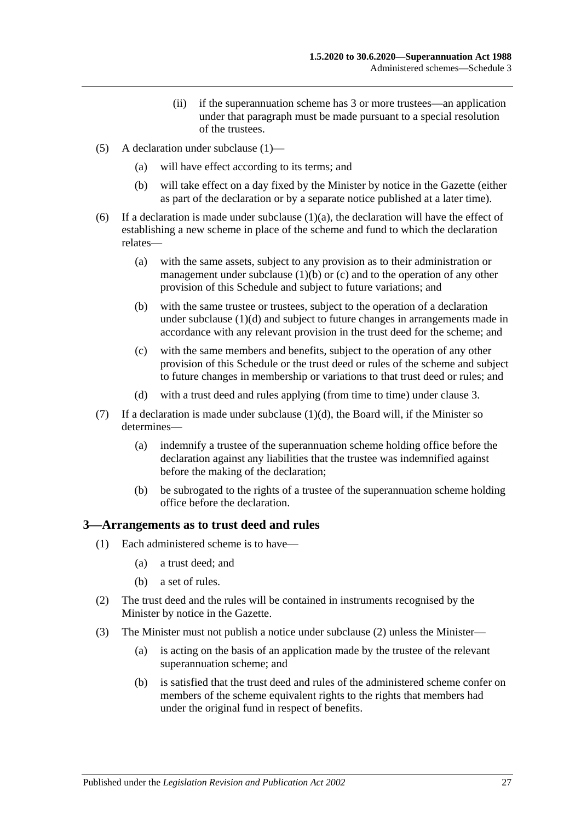- (ii) if the superannuation scheme has 3 or more trustees—an application under that paragraph must be made pursuant to a special resolution of the trustees.
- (5) A declaration under [subclause](#page-133-1) (1)—
	- (a) will have effect according to its terms; and
	- (b) will take effect on a day fixed by the Minister by notice in the Gazette (either as part of the declaration or by a separate notice published at a later time).
- (6) If a declaration is made under [subclause](#page-133-5)  $(1)(a)$ , the declaration will have the effect of establishing a new scheme in place of the scheme and fund to which the declaration relates—
	- (a) with the same assets, subject to any provision as to their administration or management under [subclause](#page-133-6)  $(1)(b)$  or  $(c)$  and to the operation of any other provision of this Schedule and subject to future variations; and
	- (b) with the same trustee or trustees, subject to the operation of a declaration under [subclause](#page-133-8) (1)(d) and subject to future changes in arrangements made in accordance with any relevant provision in the trust deed for the scheme; and
	- (c) with the same members and benefits, subject to the operation of any other provision of this Schedule or the trust deed or rules of the scheme and subject to future changes in membership or variations to that trust deed or rules; and
	- (d) with a trust deed and rules applying (from time to time) under [clause](#page-134-0) 3.
- (7) If a declaration is made under [subclause](#page-133-8)  $(1)(d)$ , the Board will, if the Minister so determines—
	- (a) indemnify a trustee of the superannuation scheme holding office before the declaration against any liabilities that the trustee was indemnified against before the making of the declaration;
	- (b) be subrogated to the rights of a trustee of the superannuation scheme holding office before the declaration.

### <span id="page-134-0"></span>**3—Arrangements as to trust deed and rules**

- (1) Each administered scheme is to have—
	- (a) a trust deed; and
	- (b) a set of rules.
- <span id="page-134-1"></span>(2) The trust deed and the rules will be contained in instruments recognised by the Minister by notice in the Gazette.
- <span id="page-134-2"></span>(3) The Minister must not publish a notice under [subclause](#page-134-1) (2) unless the Minister—
	- (a) is acting on the basis of an application made by the trustee of the relevant superannuation scheme; and
	- (b) is satisfied that the trust deed and rules of the administered scheme confer on members of the scheme equivalent rights to the rights that members had under the original fund in respect of benefits.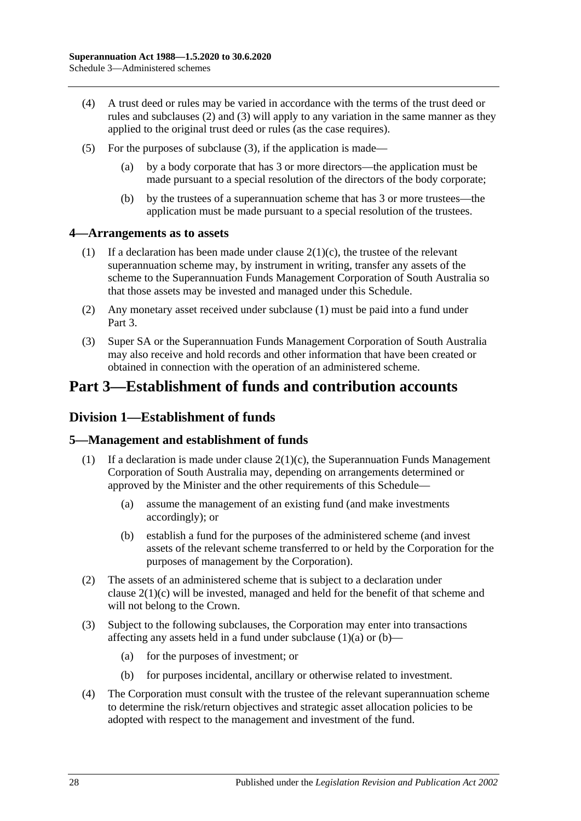- (4) A trust deed or rules may be varied in accordance with the terms of the trust deed or rules and [subclauses](#page-134-1) (2) and [\(3\)](#page-134-2) will apply to any variation in the same manner as they applied to the original trust deed or rules (as the case requires).
- (5) For the purposes of [subclause](#page-134-2) (3), if the application is made—
	- (a) by a body corporate that has 3 or more directors—the application must be made pursuant to a special resolution of the directors of the body corporate;
	- (b) by the trustees of a superannuation scheme that has 3 or more trustees—the application must be made pursuant to a special resolution of the trustees.

### <span id="page-135-0"></span>**4—Arrangements as to assets**

- (1) If a declaration has been made under clause  $2(1)(c)$ , the trustee of the relevant superannuation scheme may, by instrument in writing, transfer any assets of the scheme to the Superannuation Funds Management Corporation of South Australia so that those assets may be invested and managed under this Schedule.
- (2) Any monetary asset received under [subclause](#page-135-0) (1) must be paid into a fund under Part 3.
- (3) Super SA or the Superannuation Funds Management Corporation of South Australia may also receive and hold records and other information that have been created or obtained in connection with the operation of an administered scheme.

# **Part 3—Establishment of funds and contribution accounts**

## **Division 1—Establishment of funds**

### **5—Management and establishment of funds**

- <span id="page-135-1"></span>(1) If a declaration is made under clause  $2(1)(c)$ , the Superannuation Funds Management Corporation of South Australia may, depending on arrangements determined or approved by the Minister and the other requirements of this Schedule—
	- (a) assume the management of an existing fund (and make investments accordingly); or
	- (b) establish a fund for the purposes of the administered scheme (and invest assets of the relevant scheme transferred to or held by the Corporation for the purposes of management by the Corporation).
- <span id="page-135-2"></span>(2) The assets of an administered scheme that is subject to a declaration under clause [2\(1\)\(c\)](#page-133-7) will be invested, managed and held for the benefit of that scheme and will not belong to the Crown.
- (3) Subject to the following subclauses, the Corporation may enter into transactions affecting any assets held in a fund under [subclause](#page-135-1)  $(1)(a)$  or  $(b)$ —
	- (a) for the purposes of investment; or
	- (b) for purposes incidental, ancillary or otherwise related to investment.
- (4) The Corporation must consult with the trustee of the relevant superannuation scheme to determine the risk/return objectives and strategic asset allocation policies to be adopted with respect to the management and investment of the fund.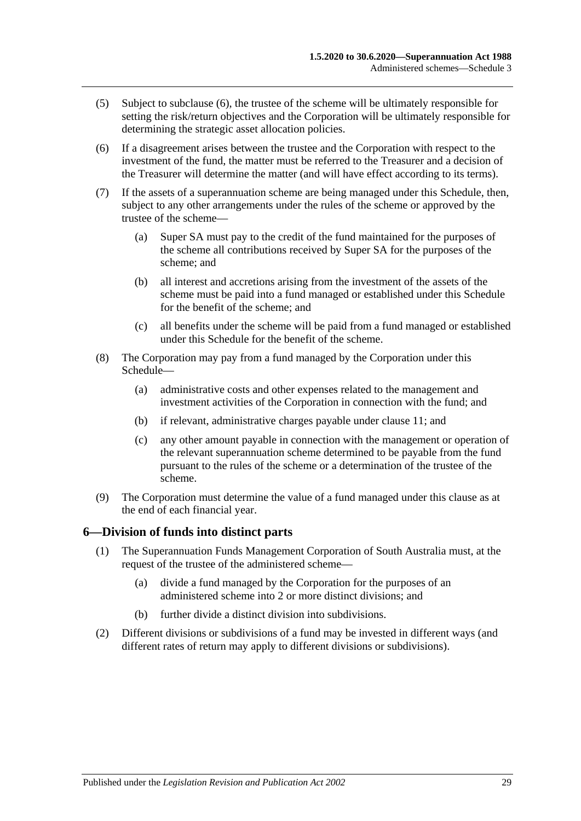- (5) Subject to [subclause](#page-136-0) (6), the trustee of the scheme will be ultimately responsible for setting the risk/return objectives and the Corporation will be ultimately responsible for determining the strategic asset allocation policies.
- <span id="page-136-0"></span>(6) If a disagreement arises between the trustee and the Corporation with respect to the investment of the fund, the matter must be referred to the Treasurer and a decision of the Treasurer will determine the matter (and will have effect according to its terms).
- (7) If the assets of a superannuation scheme are being managed under this Schedule, then, subject to any other arrangements under the rules of the scheme or approved by the trustee of the scheme—
	- (a) Super SA must pay to the credit of the fund maintained for the purposes of the scheme all contributions received by Super SA for the purposes of the scheme; and
	- (b) all interest and accretions arising from the investment of the assets of the scheme must be paid into a fund managed or established under this Schedule for the benefit of the scheme; and
	- (c) all benefits under the scheme will be paid from a fund managed or established under this Schedule for the benefit of the scheme.
- (8) The Corporation may pay from a fund managed by the Corporation under this Schedule—
	- (a) administrative costs and other expenses related to the management and investment activities of the Corporation in connection with the fund; and
	- (b) if relevant, administrative charges payable under [clause](#page-138-0) 11; and
	- (c) any other amount payable in connection with the management or operation of the relevant superannuation scheme determined to be payable from the fund pursuant to the rules of the scheme or a determination of the trustee of the scheme.
- (9) The Corporation must determine the value of a fund managed under this clause as at the end of each financial year.

### **6—Division of funds into distinct parts**

- (1) The Superannuation Funds Management Corporation of South Australia must, at the request of the trustee of the administered scheme—
	- (a) divide a fund managed by the Corporation for the purposes of an administered scheme into 2 or more distinct divisions; and
	- (b) further divide a distinct division into subdivisions.
- (2) Different divisions or subdivisions of a fund may be invested in different ways (and different rates of return may apply to different divisions or subdivisions).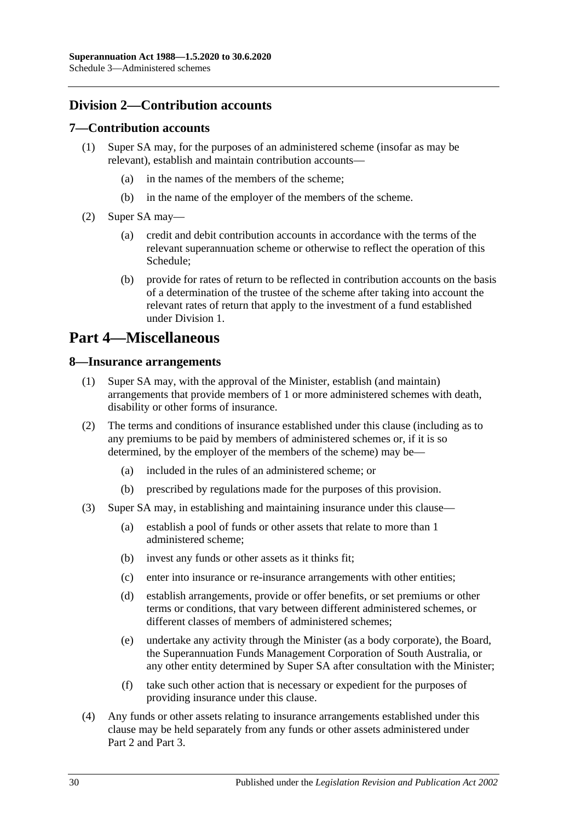## **Division 2—Contribution accounts**

### **7—Contribution accounts**

- (1) Super SA may, for the purposes of an administered scheme (insofar as may be relevant), establish and maintain contribution accounts—
	- (a) in the names of the members of the scheme;
	- (b) in the name of the employer of the members of the scheme.
- (2) Super SA may—
	- (a) credit and debit contribution accounts in accordance with the terms of the relevant superannuation scheme or otherwise to reflect the operation of this Schedule;
	- (b) provide for rates of return to be reflected in contribution accounts on the basis of a determination of the trustee of the scheme after taking into account the relevant rates of return that apply to the investment of a fund established under Division 1.

## **Part 4—Miscellaneous**

### **8—Insurance arrangements**

- (1) Super SA may, with the approval of the Minister, establish (and maintain) arrangements that provide members of 1 or more administered schemes with death, disability or other forms of insurance.
- (2) The terms and conditions of insurance established under this clause (including as to any premiums to be paid by members of administered schemes or, if it is so determined, by the employer of the members of the scheme) may be—
	- (a) included in the rules of an administered scheme; or
	- (b) prescribed by regulations made for the purposes of this provision.
- (3) Super SA may, in establishing and maintaining insurance under this clause—
	- (a) establish a pool of funds or other assets that relate to more than 1 administered scheme;
	- (b) invest any funds or other assets as it thinks fit;
	- (c) enter into insurance or re-insurance arrangements with other entities;
	- (d) establish arrangements, provide or offer benefits, or set premiums or other terms or conditions, that vary between different administered schemes, or different classes of members of administered schemes;
	- (e) undertake any activity through the Minister (as a body corporate), the Board, the Superannuation Funds Management Corporation of South Australia, or any other entity determined by Super SA after consultation with the Minister;
	- (f) take such other action that is necessary or expedient for the purposes of providing insurance under this clause.
- (4) Any funds or other assets relating to insurance arrangements established under this clause may be held separately from any funds or other assets administered under Part 2 and Part 3.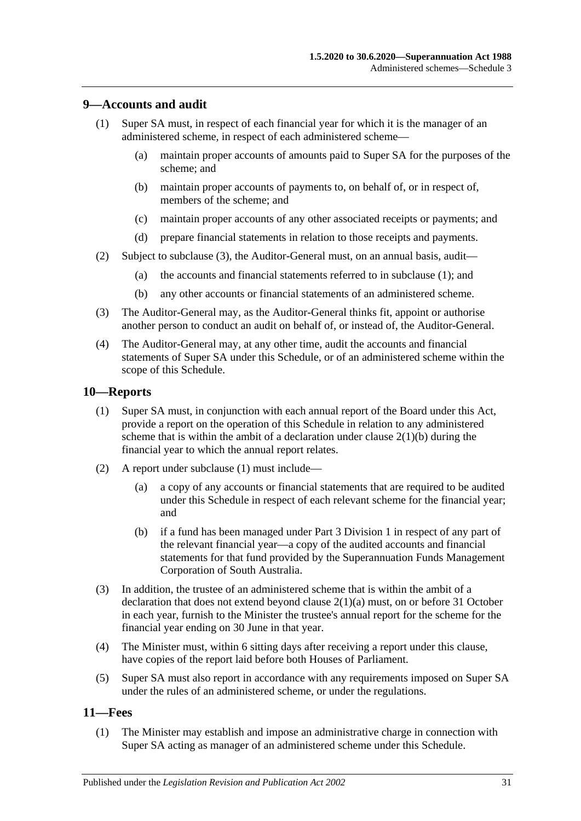### <span id="page-138-2"></span>**9—Accounts and audit**

- (1) Super SA must, in respect of each financial year for which it is the manager of an administered scheme, in respect of each administered scheme—
	- (a) maintain proper accounts of amounts paid to Super SA for the purposes of the scheme; and
	- (b) maintain proper accounts of payments to, on behalf of, or in respect of, members of the scheme; and
	- (c) maintain proper accounts of any other associated receipts or payments; and
	- (d) prepare financial statements in relation to those receipts and payments.
- (2) Subject to [subclause](#page-138-1) (3), the Auditor-General must, on an annual basis, audit—
	- (a) the accounts and financial statements referred to in [subclause](#page-138-2) (1); and
	- (b) any other accounts or financial statements of an administered scheme.
- <span id="page-138-1"></span>(3) The Auditor-General may, as the Auditor-General thinks fit, appoint or authorise another person to conduct an audit on behalf of, or instead of, the Auditor-General.
- (4) The Auditor-General may, at any other time, audit the accounts and financial statements of Super SA under this Schedule, or of an administered scheme within the scope of this Schedule.

### <span id="page-138-3"></span>**10—Reports**

- (1) Super SA must, in conjunction with each annual report of the Board under this Act, provide a report on the operation of this Schedule in relation to any administered scheme that is within the ambit of a declaration under clause  $2(1)(b)$  during the financial year to which the annual report relates.
- (2) A report under [subclause](#page-138-3) (1) must include—
	- (a) a copy of any accounts or financial statements that are required to be audited under this Schedule in respect of each relevant scheme for the financial year; and
	- (b) if a fund has been managed under Part 3 Division 1 in respect of any part of the relevant financial year—a copy of the audited accounts and financial statements for that fund provided by the Superannuation Funds Management Corporation of South Australia.
- (3) In addition, the trustee of an administered scheme that is within the ambit of a declaration that does not extend beyond clause [2\(1\)\(a\)](#page-133-5) must, on or before 31 October in each year, furnish to the Minister the trustee's annual report for the scheme for the financial year ending on 30 June in that year.
- (4) The Minister must, within 6 sitting days after receiving a report under this clause, have copies of the report laid before both Houses of Parliament.
- (5) Super SA must also report in accordance with any requirements imposed on Super SA under the rules of an administered scheme, or under the regulations.

### <span id="page-138-4"></span><span id="page-138-0"></span>**11—Fees**

(1) The Minister may establish and impose an administrative charge in connection with Super SA acting as manager of an administered scheme under this Schedule.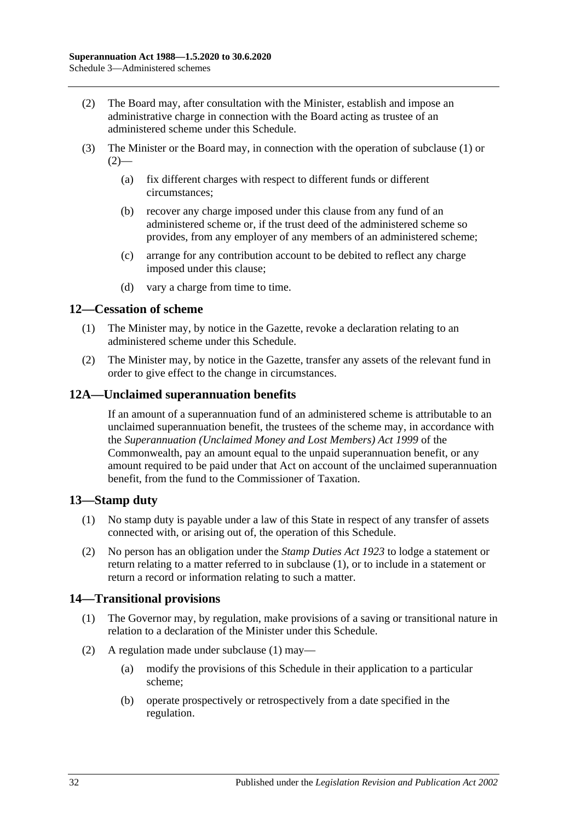- <span id="page-139-0"></span>(2) The Board may, after consultation with the Minister, establish and impose an administrative charge in connection with the Board acting as trustee of an administered scheme under this Schedule.
- (3) The Minister or the Board may, in connection with the operation of [subclause](#page-138-4) (1) or  $(2)$ —
	- (a) fix different charges with respect to different funds or different circumstances;
	- (b) recover any charge imposed under this clause from any fund of an administered scheme or, if the trust deed of the administered scheme so provides, from any employer of any members of an administered scheme;
	- (c) arrange for any contribution account to be debited to reflect any charge imposed under this clause;
	- (d) vary a charge from time to time.

### **12—Cessation of scheme**

- (1) The Minister may, by notice in the Gazette, revoke a declaration relating to an administered scheme under this Schedule.
- (2) The Minister may, by notice in the Gazette, transfer any assets of the relevant fund in order to give effect to the change in circumstances.

### **12A—Unclaimed superannuation benefits**

If an amount of a superannuation fund of an administered scheme is attributable to an unclaimed superannuation benefit, the trustees of the scheme may, in accordance with the *Superannuation (Unclaimed Money and Lost Members) Act 1999* of the Commonwealth, pay an amount equal to the unpaid superannuation benefit, or any amount required to be paid under that Act on account of the unclaimed superannuation benefit, from the fund to the Commissioner of Taxation.

## <span id="page-139-1"></span>**13—Stamp duty**

- (1) No stamp duty is payable under a law of this State in respect of any transfer of assets connected with, or arising out of, the operation of this Schedule.
- (2) No person has an obligation under the *[Stamp Duties Act](http://www.legislation.sa.gov.au/index.aspx?action=legref&type=act&legtitle=Stamp%20Duties%20Act%201923) 1923* to lodge a statement or return relating to a matter referred to in [subclause](#page-139-1) (1), or to include in a statement or return a record or information relating to such a matter.

### <span id="page-139-2"></span>**14—Transitional provisions**

- (1) The Governor may, by regulation, make provisions of a saving or transitional nature in relation to a declaration of the Minister under this Schedule.
- (2) A regulation made under [subclause](#page-139-2) (1) may—
	- (a) modify the provisions of this Schedule in their application to a particular scheme;
	- (b) operate prospectively or retrospectively from a date specified in the regulation.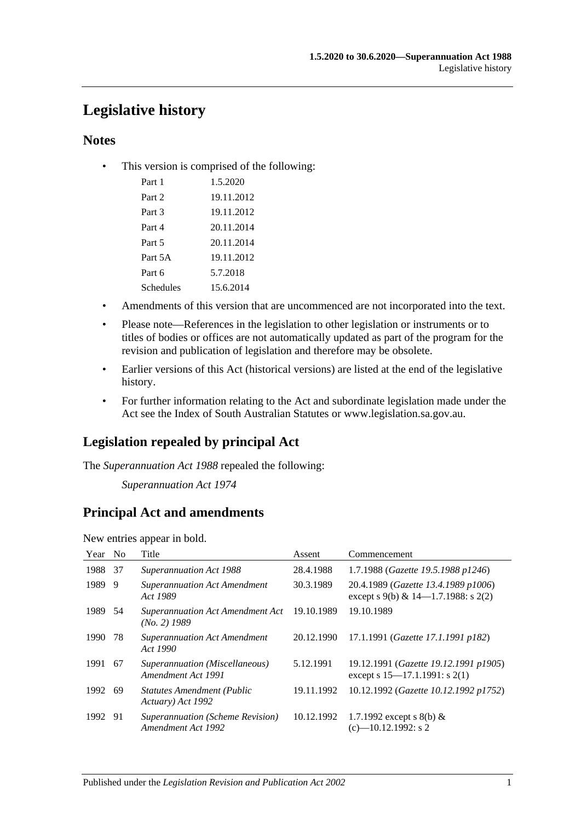# **Legislative history**

## **Notes**

• This version is comprised of the following:

| Part 1    | 1.5.2020   |
|-----------|------------|
|           |            |
| Part 2    | 19.11.2012 |
| Part 3    | 19.11.2012 |
| Part 4    | 20.11.2014 |
| Part 5    | 20.11.2014 |
| Part 5A   | 19.11.2012 |
| Part 6    | 5.7.2018   |
| Schedules | 15.6.2014  |

- Amendments of this version that are uncommenced are not incorporated into the text.
- Please note—References in the legislation to other legislation or instruments or to titles of bodies or offices are not automatically updated as part of the program for the revision and publication of legislation and therefore may be obsolete.
- Earlier versions of this Act (historical versions) are listed at the end of the legislative history.
- For further information relating to the Act and subordinate legislation made under the Act see the Index of South Australian Statutes or www.legislation.sa.gov.au.

## **Legislation repealed by principal Act**

The *Superannuation Act 1988* repealed the following:

*Superannuation Act 1974*

## **Principal Act and amendments**

New entries appear in bold.

| N <sub>0</sub> | Title                                                  | Assent     | Commencement                                                                |
|----------------|--------------------------------------------------------|------------|-----------------------------------------------------------------------------|
| 37             | Superannuation Act 1988                                | 28.4.1988  | 1.7.1988 (Gazette 19.5.1988 p1246)                                          |
| 9              | <b>Superannuation Act Amendment</b><br>Act 1989        | 30.3.1989  | 20.4.1989 (Gazette 13.4.1989 p1006)<br>except s 9(b) & 14–1.7.1988: s 2(2)  |
| 54             | Superannuation Act Amendment Act<br>$(No. 2)$ 1989     | 19.10.1989 | 19.10.1989                                                                  |
| 78             | <b>Superannuation Act Amendment</b><br>Act 1990        | 20.12.1990 | 17.1.1991 (Gazette 17.1.1991 p182)                                          |
| 67             | Superannuation (Miscellaneous)<br>Amendment Act 1991   | 5.12.1991  | 19.12.1991 (Gazette 19.12.1991 p1905)<br>except s $15-17.1.1991$ : s $2(1)$ |
| -69            | <b>Statutes Amendment (Public</b><br>Actuary) Act 1992 | 19.11.1992 | 10.12.1992 (Gazette 10.12.1992 p1752)                                       |
| -91            | Superannuation (Scheme Revision)<br>Amendment Act 1992 | 10.12.1992 | 1.7.1992 except s 8(b) $&$<br>$(c)$ —10.12.1992: s 2                        |
|                |                                                        |            |                                                                             |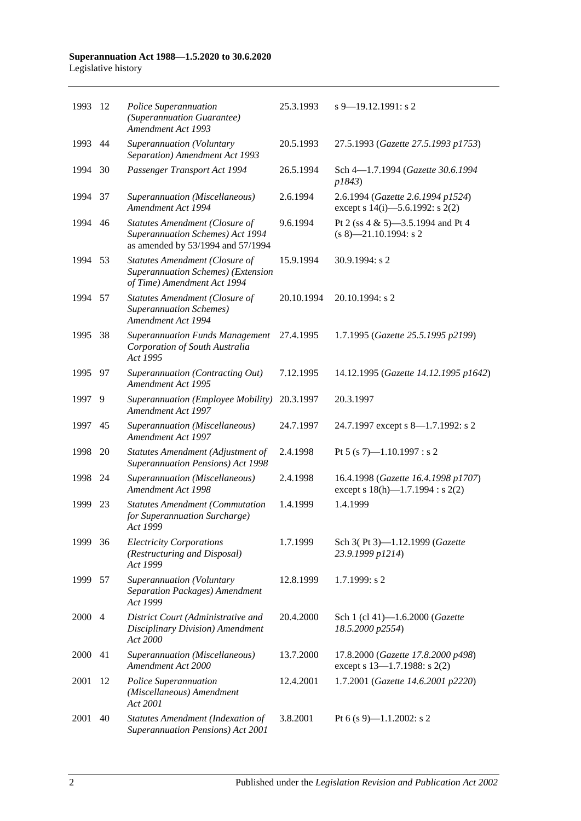#### **Superannuation Act 1988—1.5.2020 to 30.6.2020** Legislative history

| 1993 | -12            | Police Superannuation<br>(Superannuation Guarantee)<br><b>Amendment Act 1993</b>                           | 25.3.1993  | $s$ 9–19.12.1991: s 2                                                        |
|------|----------------|------------------------------------------------------------------------------------------------------------|------------|------------------------------------------------------------------------------|
| 1993 | 44             | Superannuation (Voluntary<br>Separation) Amendment Act 1993                                                | 20.5.1993  | 27.5.1993 (Gazette 27.5.1993 p1753)                                          |
| 1994 | 30             | Passenger Transport Act 1994                                                                               | 26.5.1994  | Sch 4-1.7.1994 (Gazette 30.6.1994<br>p1843)                                  |
| 1994 | 37             | Superannuation (Miscellaneous)<br>Amendment Act 1994                                                       | 2.6.1994   | 2.6.1994 (Gazette 2.6.1994 p1524)<br>except s $14(i)$ —5.6.1992: s $2(2)$    |
| 1994 | 46             | Statutes Amendment (Closure of<br>Superannuation Schemes) Act 1994<br>as amended by 53/1994 and 57/1994    | 9.6.1994   | Pt 2 (ss 4 & 5)-3.5.1994 and Pt 4<br>$(s 8)$ -21.10.1994: s 2                |
| 1994 | 53             | <b>Statutes Amendment (Closure of</b><br>Superannuation Schemes) (Extension<br>of Time) Amendment Act 1994 | 15.9.1994  | 30.9.1994: s 2                                                               |
| 1994 | 57             | Statutes Amendment (Closure of<br><b>Superannuation Schemes</b> )<br><b>Amendment Act 1994</b>             | 20.10.1994 | $20.10.1994$ : s 2                                                           |
| 1995 | 38             | <b>Superannuation Funds Management</b><br>Corporation of South Australia<br>Act 1995                       | 27.4.1995  | 1.7.1995 (Gazette 25.5.1995 p2199)                                           |
| 1995 | 97             | Superannuation (Contracting Out)<br>Amendment Act 1995                                                     | 7.12.1995  | 14.12.1995 (Gazette 14.12.1995 p1642)                                        |
| 1997 | 9              | Superannuation (Employee Mobility)<br>Amendment Act 1997                                                   | 20.3.1997  | 20.3.1997                                                                    |
| 1997 | 45             | Superannuation (Miscellaneous)<br>Amendment Act 1997                                                       | 24.7.1997  | 24.7.1997 except s 8—1.7.1992: s 2                                           |
| 1998 | 20             | Statutes Amendment (Adjustment of<br>Superannuation Pensions) Act 1998                                     | 2.4.1998   | Pt 5 (s 7)-1.10.1997 : s 2                                                   |
| 1998 | 24             | Superannuation (Miscellaneous)<br>Amendment Act 1998                                                       | 2.4.1998   | 16.4.1998 (Gazette 16.4.1998 p1707)<br>except s $18(h)$ —1.7.1994 : s $2(2)$ |
| 1999 | 23             | <b>Statutes Amendment (Commutation</b><br>for Superannuation Surcharge)<br>Act 1999                        | 1.4.1999   | 1.4.1999                                                                     |
| 1999 | 36             | <b>Electricity Corporations</b><br>(Restructuring and Disposal)<br>Act 1999                                | 1.7.1999   | Sch 3(Pt 3)-1.12.1999 (Gazette<br>23.9.1999 p1214)                           |
| 1999 | 57             | Superannuation (Voluntary<br>Separation Packages) Amendment<br>Act 1999                                    | 12.8.1999  | 1.7.1999: s2                                                                 |
| 2000 | $\overline{4}$ | District Court (Administrative and<br>Disciplinary Division) Amendment<br>Act 2000                         | 20.4.2000  | Sch 1 (cl 41)-1.6.2000 (Gazette<br>18.5.2000 p2554)                          |
| 2000 | 41             | Superannuation (Miscellaneous)<br>Amendment Act 2000                                                       | 13.7.2000  | 17.8.2000 (Gazette 17.8.2000 p498)<br>except s $13-1.7.1988$ : s $2(2)$      |
| 2001 | 12             | Police Superannuation<br>(Miscellaneous) Amendment<br>Act 2001                                             | 12.4.2001  | 1.7.2001 (Gazette 14.6.2001 p2220)                                           |
| 2001 | 40             | <b>Statutes Amendment (Indexation of</b><br>Superannuation Pensions) Act 2001                              | 3.8.2001   | Pt 6 (s 9)—1.1.2002: s 2                                                     |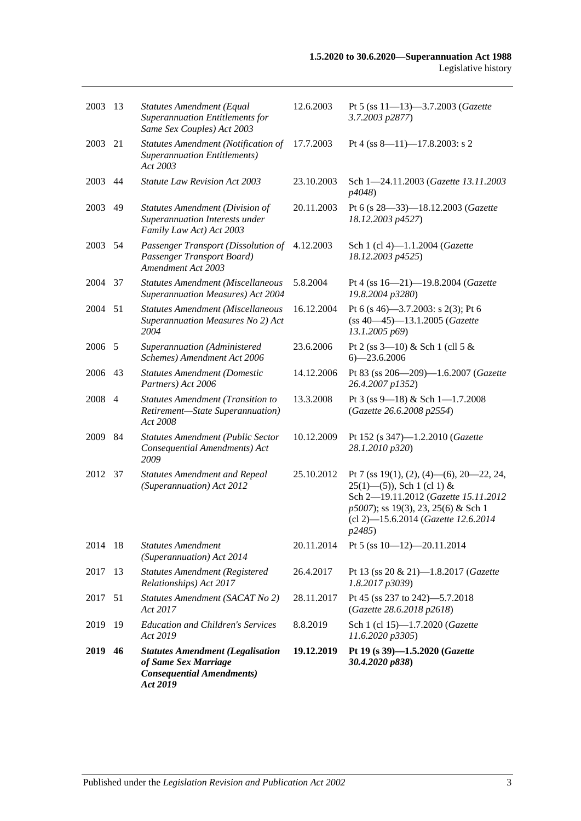| 2019    | 46             | <b>Statutes Amendment (Legalisation</b><br>of Same Sex Marriage<br><b>Consequential Amendments</b> )<br>Act 2019 | 19.12.2019 | Pt 19 (s 39)-1.5.2020 (Gazette<br>30.4.2020 p838)                                                                                                                                                         |
|---------|----------------|------------------------------------------------------------------------------------------------------------------|------------|-----------------------------------------------------------------------------------------------------------------------------------------------------------------------------------------------------------|
| 2019    | 19             | <b>Education and Children's Services</b><br>Act 2019                                                             | 8.8.2019   | Sch 1 (cl 15)-1.7.2020 (Gazette<br>11.6.2020 p3305)                                                                                                                                                       |
| 2017    | 51             | Statutes Amendment (SACAT No 2)<br>Act 2017                                                                      | 28.11.2017 | Pt 45 (ss 237 to 242)-5.7.2018<br>(Gazette 28.6.2018 p2618)                                                                                                                                               |
| 2017    | 13             | <b>Statutes Amendment (Registered</b><br>Relationships) Act 2017                                                 | 26.4.2017  | Pt 13 (ss 20 & 21)-1.8.2017 (Gazette<br>1.8.2017 p3039)                                                                                                                                                   |
| 2014    | 18             | <b>Statutes Amendment</b><br>(Superannuation) Act 2014                                                           | 20.11.2014 | Pt 5 (ss $10-12$ )-20.11.2014                                                                                                                                                                             |
| 2012    | 37             | <b>Statutes Amendment and Repeal</b><br>(Superannuation) Act 2012                                                | 25.10.2012 | Pt 7 (ss 19(1), (2), (4)—(6), 20—22, 24,<br>$25(1)$ —(5)), Sch 1 (cl 1) &<br>Sch 2-19.11.2012 (Gazette 15.11.2012<br>p5007); ss 19(3), 23, 25(6) & Sch 1<br>(cl 2)-15.6.2014 (Gazette 12.6.2014<br>p2485) |
| 2009    | 84             | <b>Statutes Amendment (Public Sector</b><br>Consequential Amendments) Act<br>2009                                | 10.12.2009 | Pt 152 (s 347)-1.2.2010 (Gazette<br>28.1.2010 p320)                                                                                                                                                       |
| 2008    | $\overline{4}$ | <b>Statutes Amendment (Transition to</b><br>Retirement-State Superannuation)<br>Act 2008                         | 13.3.2008  | Pt 3 (ss 9-18) & Sch 1-1.7.2008<br>(Gazette 26.6.2008 p2554)                                                                                                                                              |
| 2006    | 43             | <b>Statutes Amendment (Domestic</b><br>Partners) Act 2006                                                        | 14.12.2006 | Pt 83 (ss 206-209)-1.6.2007 (Gazette<br>26.4.2007 p1352)                                                                                                                                                  |
| 2006    | -5             | Superannuation (Administered<br>Schemes) Amendment Act 2006                                                      | 23.6.2006  | Pt 2 (ss $3-10$ ) & Sch 1 (cll 5 &<br>$6 - 23.6.2006$                                                                                                                                                     |
| 2004    | 51             | <b>Statutes Amendment (Miscellaneous</b><br>Superannuation Measures No 2) Act<br>2004                            | 16.12.2004 | Pt 6 (s 46)–3.7.2003: s 2(3); Pt 6<br>$(ss 40-45) - 13.1.2005$ (Gazette<br>13.1.2005 p69)                                                                                                                 |
| 2004    | 37             | <b>Statutes Amendment (Miscellaneous</b><br><b>Superannuation Measures) Act 2004</b>                             | 5.8.2004   | Pt 4 (ss 16-21)-19.8.2004 (Gazette<br>19.8.2004 p3280)                                                                                                                                                    |
| 2003 54 |                | Passenger Transport (Dissolution of<br>Passenger Transport Board)<br>Amendment Act 2003                          | 4.12.2003  | Sch 1 (cl 4)-1.1.2004 (Gazette<br>18.12.2003 p4525)                                                                                                                                                       |
| 2003    | 49             | Statutes Amendment (Division of<br>Superannuation Interests under<br>Family Law Act) Act 2003                    | 20.11.2003 | Pt 6 (s 28–33)–18.12.2003 (Gazette<br>18.12.2003 p4527)                                                                                                                                                   |
| 2003    | 44             | <b>Statute Law Revision Act 2003</b>                                                                             | 23.10.2003 | Sch 1-24.11.2003 (Gazette 13.11.2003<br>p4048)                                                                                                                                                            |
| 2003    | 21             | <b>Statutes Amendment (Notification of</b><br><b>Superannuation Entitlements)</b><br>Act 2003                    | 17.7.2003  | Pt 4 (ss 8-11)-17.8.2003: s 2                                                                                                                                                                             |
| 2003    | 13             | Statutes Amendment (Equal<br>Superannuation Entitlements for<br>Same Sex Couples) Act 2003                       | 12.6.2003  | Pt 5 (ss 11-13)-3.7.2003 (Gazette<br>3.7.2003 p2877)                                                                                                                                                      |
|         |                |                                                                                                                  |            |                                                                                                                                                                                                           |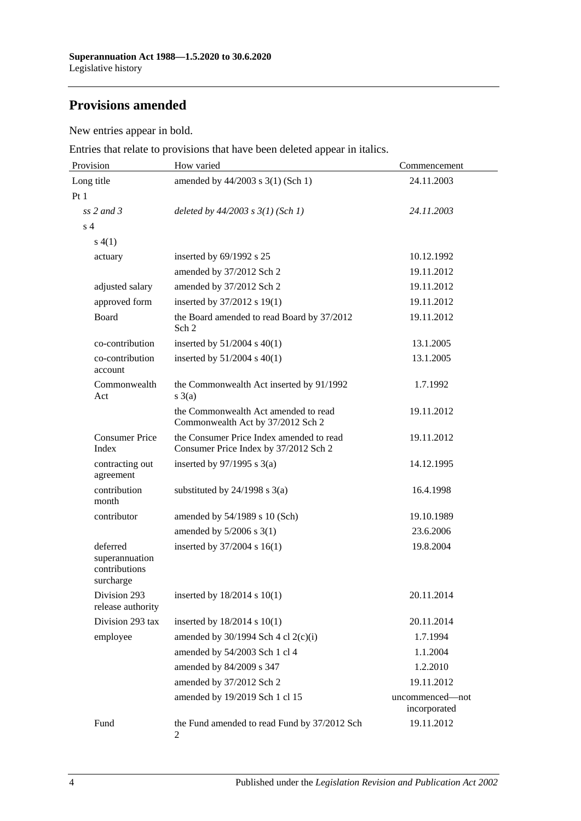## **Provisions amended**

New entries appear in bold.

Entries that relate to provisions that have been deleted appear in italics.

| Provision                                                | How varied                                                                        | Commencement                    |  |
|----------------------------------------------------------|-----------------------------------------------------------------------------------|---------------------------------|--|
| Long title                                               | amended by 44/2003 s 3(1) (Sch 1)                                                 | 24.11.2003                      |  |
| Pt1                                                      |                                                                                   |                                 |  |
| $ss$ 2 and 3                                             | deleted by $44/2003$ s $3(1)$ (Sch 1)                                             | 24.11.2003                      |  |
| s <sub>4</sub>                                           |                                                                                   |                                 |  |
| s(4(1))                                                  |                                                                                   |                                 |  |
| actuary                                                  | inserted by 69/1992 s 25                                                          | 10.12.1992                      |  |
|                                                          | amended by 37/2012 Sch 2                                                          | 19.11.2012                      |  |
| adjusted salary                                          | amended by 37/2012 Sch 2                                                          | 19.11.2012                      |  |
| approved form                                            | inserted by 37/2012 s 19(1)                                                       | 19.11.2012                      |  |
| Board                                                    | the Board amended to read Board by 37/2012<br>Sch 2                               | 19.11.2012                      |  |
| co-contribution                                          | inserted by $51/2004$ s $40(1)$                                                   | 13.1.2005                       |  |
| co-contribution<br>account                               | inserted by $51/2004$ s $40(1)$                                                   | 13.1.2005                       |  |
| Commonwealth<br>Act                                      | the Commonwealth Act inserted by 91/1992<br>$s \; 3(a)$                           | 1.7.1992                        |  |
|                                                          | the Commonwealth Act amended to read<br>Commonwealth Act by 37/2012 Sch 2         | 19.11.2012                      |  |
| <b>Consumer Price</b><br>Index                           | the Consumer Price Index amended to read<br>Consumer Price Index by 37/2012 Sch 2 | 19.11.2012                      |  |
| contracting out<br>agreement                             | inserted by $97/1995$ s 3(a)                                                      | 14.12.1995                      |  |
| contribution<br>month                                    | substituted by $24/1998$ s $3(a)$                                                 | 16.4.1998                       |  |
| contributor                                              | amended by 54/1989 s 10 (Sch)                                                     | 19.10.1989                      |  |
|                                                          | amended by $5/2006$ s $3(1)$                                                      | 23.6.2006                       |  |
| deferred<br>superannuation<br>contributions<br>surcharge | inserted by 37/2004 s 16(1)                                                       | 19.8.2004                       |  |
| Division 293<br>release authority                        | inserted by 18/2014 s 10(1)                                                       | 20.11.2014                      |  |
| Division 293 tax                                         | inserted by 18/2014 s 10(1)                                                       | 20.11.2014                      |  |
| employee                                                 | amended by $30/1994$ Sch 4 cl $2(c)(i)$                                           | 1.7.1994                        |  |
|                                                          | amended by 54/2003 Sch 1 cl 4                                                     | 1.1.2004                        |  |
|                                                          | amended by 84/2009 s 347                                                          | 1.2.2010                        |  |
|                                                          | amended by 37/2012 Sch 2                                                          | 19.11.2012                      |  |
|                                                          | amended by 19/2019 Sch 1 cl 15                                                    | uncommenced-not<br>incorporated |  |
| Fund                                                     | the Fund amended to read Fund by 37/2012 Sch<br>2                                 | 19.11.2012                      |  |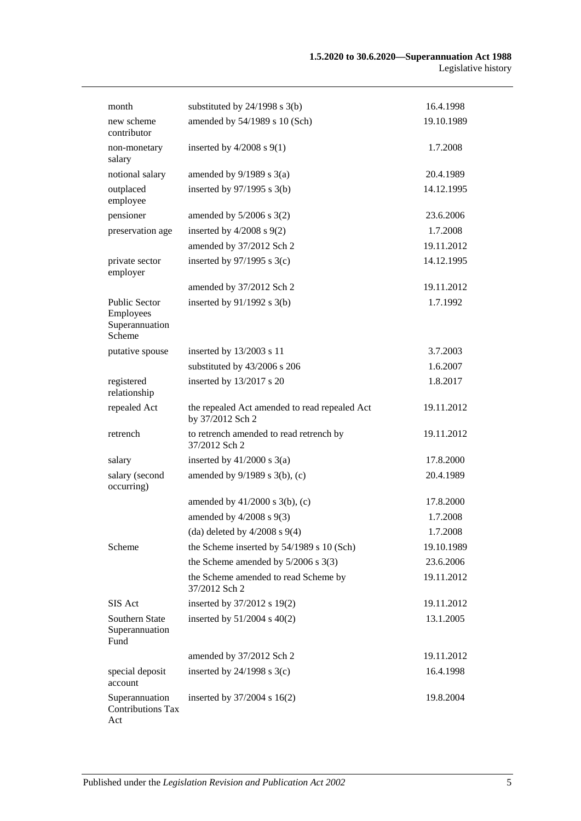| month                                                         | substituted by $24/1998$ s $3(b)$                                 | 16.4.1998  |
|---------------------------------------------------------------|-------------------------------------------------------------------|------------|
| new scheme<br>contributor                                     | amended by 54/1989 s 10 (Sch)                                     | 19.10.1989 |
| non-monetary<br>salary                                        | inserted by $4/2008$ s $9(1)$                                     | 1.7.2008   |
| notional salary                                               | amended by $9/1989$ s $3(a)$                                      | 20.4.1989  |
| outplaced<br>employee                                         | inserted by $97/1995$ s 3(b)                                      | 14.12.1995 |
| pensioner                                                     | amended by $5/2006$ s $3(2)$                                      | 23.6.2006  |
| preservation age                                              | inserted by $4/2008$ s $9(2)$                                     | 1.7.2008   |
|                                                               | amended by 37/2012 Sch 2                                          | 19.11.2012 |
| private sector<br>employer                                    | inserted by $97/1995$ s 3(c)                                      | 14.12.1995 |
|                                                               | amended by 37/2012 Sch 2                                          | 19.11.2012 |
| <b>Public Sector</b><br>Employees<br>Superannuation<br>Scheme | inserted by $91/1992$ s $3(b)$                                    | 1.7.1992   |
| putative spouse                                               | inserted by 13/2003 s 11                                          | 3.7.2003   |
|                                                               | substituted by 43/2006 s 206                                      | 1.6.2007   |
| registered<br>relationship                                    | inserted by 13/2017 s 20                                          | 1.8.2017   |
| repealed Act                                                  | the repealed Act amended to read repealed Act<br>by 37/2012 Sch 2 | 19.11.2012 |
| retrench                                                      | to retrench amended to read retrench by<br>37/2012 Sch 2          | 19.11.2012 |
| salary                                                        | inserted by $41/2000$ s $3(a)$                                    | 17.8.2000  |
| salary (second<br>occurring)                                  | amended by 9/1989 s 3(b), (c)                                     | 20.4.1989  |
|                                                               | amended by $41/2000$ s $3(b)$ , (c)                               | 17.8.2000  |
|                                                               | amended by $4/2008$ s $9(3)$                                      | 1.7.2008   |
|                                                               | (da) deleted by $4/2008$ s $9(4)$                                 | 1.7.2008   |
| Scheme                                                        | the Scheme inserted by 54/1989 s 10 (Sch)                         | 19.10.1989 |
|                                                               | the Scheme amended by $5/2006$ s 3(3)                             | 23.6.2006  |
|                                                               | the Scheme amended to read Scheme by<br>37/2012 Sch 2             | 19.11.2012 |
| SIS Act                                                       | inserted by 37/2012 s 19(2)                                       | 19.11.2012 |
| Southern State<br>Superannuation<br>Fund                      | inserted by $51/2004$ s $40(2)$                                   | 13.1.2005  |
|                                                               | amended by 37/2012 Sch 2                                          | 19.11.2012 |
| special deposit<br>account                                    | inserted by $24/1998$ s $3(c)$                                    | 16.4.1998  |
| Superannuation<br><b>Contributions Tax</b><br>Act             | inserted by $37/2004$ s 16(2)                                     | 19.8.2004  |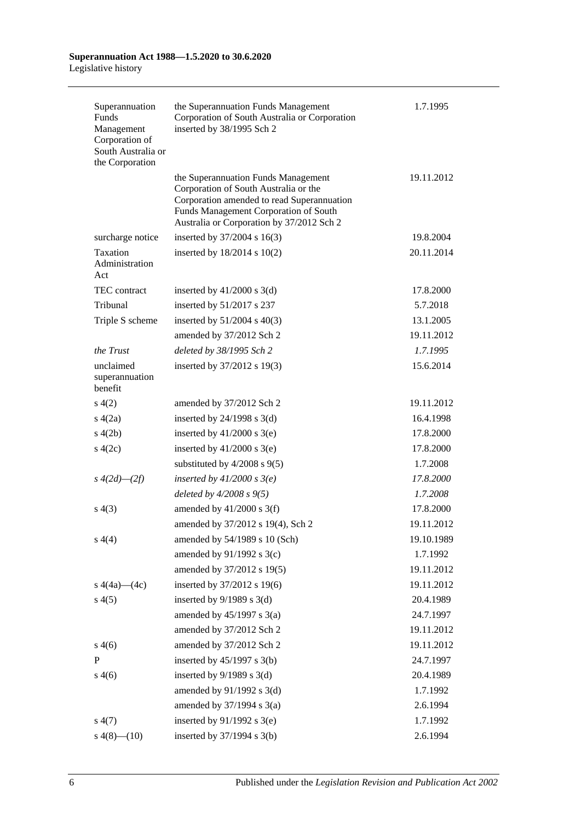| Superannuation<br>Funds<br>Management<br>Corporation of<br>South Australia or<br>the Corporation | the Superannuation Funds Management<br>Corporation of South Australia or Corporation<br>inserted by 38/1995 Sch 2                                                                                                | 1.7.1995   |
|--------------------------------------------------------------------------------------------------|------------------------------------------------------------------------------------------------------------------------------------------------------------------------------------------------------------------|------------|
|                                                                                                  | the Superannuation Funds Management<br>Corporation of South Australia or the<br>Corporation amended to read Superannuation<br>Funds Management Corporation of South<br>Australia or Corporation by 37/2012 Sch 2 | 19.11.2012 |
| surcharge notice                                                                                 | inserted by 37/2004 s 16(3)                                                                                                                                                                                      | 19.8.2004  |
| Taxation<br>Administration<br>Act                                                                | inserted by $18/2014$ s $10(2)$                                                                                                                                                                                  | 20.11.2014 |
| <b>TEC</b> contract                                                                              | inserted by $41/2000$ s $3(d)$                                                                                                                                                                                   | 17.8.2000  |
| Tribunal                                                                                         | inserted by 51/2017 s 237                                                                                                                                                                                        | 5.7.2018   |
| Triple S scheme                                                                                  | inserted by $51/2004$ s $40(3)$                                                                                                                                                                                  | 13.1.2005  |
|                                                                                                  | amended by 37/2012 Sch 2                                                                                                                                                                                         | 19.11.2012 |
| the Trust                                                                                        | deleted by 38/1995 Sch 2                                                                                                                                                                                         | 1.7.1995   |
| unclaimed<br>superannuation<br>benefit                                                           | inserted by 37/2012 s 19(3)                                                                                                                                                                                      | 15.6.2014  |
| s(4(2)                                                                                           | amended by 37/2012 Sch 2                                                                                                                                                                                         | 19.11.2012 |
| s(4(2a))                                                                                         | inserted by $24/1998$ s $3(d)$                                                                                                                                                                                   | 16.4.1998  |
| s(4(2b))                                                                                         | inserted by $41/2000$ s 3(e)                                                                                                                                                                                     | 17.8.2000  |
| $\frac{4(2c)}{2}$                                                                                | inserted by $41/2000$ s $3(e)$                                                                                                                                                                                   | 17.8.2000  |
|                                                                                                  | substituted by $4/2008$ s $9(5)$                                                                                                                                                                                 | 1.7.2008   |
| $s\;4(2d)$ — $(2f)$                                                                              | inserted by $41/2000$ s $3(e)$                                                                                                                                                                                   | 17.8.2000  |
|                                                                                                  | deleted by $4/2008 s 9(5)$                                                                                                                                                                                       | 1.7.2008   |
| s(4(3))                                                                                          | amended by $41/2000$ s 3(f)                                                                                                                                                                                      | 17.8.2000  |
|                                                                                                  | amended by 37/2012 s 19(4), Sch 2                                                                                                                                                                                | 19.11.2012 |
| s(4)                                                                                             | amended by 54/1989 s 10 (Sch)                                                                                                                                                                                    | 19.10.1989 |
|                                                                                                  | amended by 91/1992 s 3(c)                                                                                                                                                                                        | 1.7.1992   |
|                                                                                                  | amended by 37/2012 s 19(5)                                                                                                                                                                                       | 19.11.2012 |
| s $4(4a)$ (4c)                                                                                   | inserted by 37/2012 s 19(6)                                                                                                                                                                                      | 19.11.2012 |
| s(4(5)                                                                                           | inserted by $9/1989$ s $3(d)$                                                                                                                                                                                    | 20.4.1989  |
|                                                                                                  | amended by $45/1997$ s 3(a)                                                                                                                                                                                      | 24.7.1997  |
|                                                                                                  | amended by 37/2012 Sch 2                                                                                                                                                                                         | 19.11.2012 |
| s(4(6)                                                                                           | amended by 37/2012 Sch 2                                                                                                                                                                                         | 19.11.2012 |
| $\mathbf P$                                                                                      | inserted by $45/1997$ s 3(b)                                                                                                                                                                                     | 24.7.1997  |
| s(4(6)                                                                                           | inserted by $9/1989$ s $3(d)$                                                                                                                                                                                    | 20.4.1989  |
|                                                                                                  | amended by $91/1992$ s 3(d)                                                                                                                                                                                      | 1.7.1992   |
|                                                                                                  | amended by $37/1994$ s $3(a)$                                                                                                                                                                                    | 2.6.1994   |
| s(4(7))                                                                                          | inserted by $91/1992$ s 3(e)                                                                                                                                                                                     | 1.7.1992   |
| $s\ 4(8)$ (10)                                                                                   | inserted by 37/1994 s 3(b)                                                                                                                                                                                       | 2.6.1994   |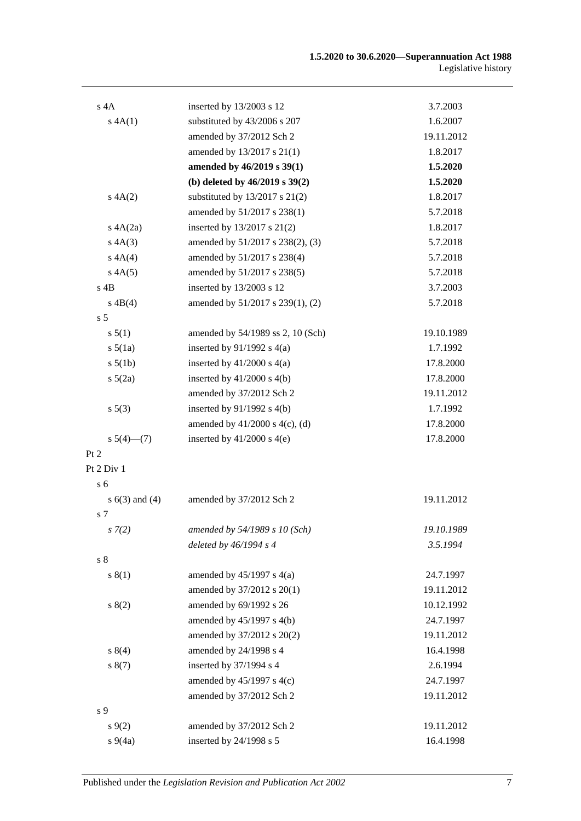| $s$ 4A             | inserted by 13/2003 s 12            | 3.7.2003   |
|--------------------|-------------------------------------|------------|
| s 4A(1)            | substituted by 43/2006 s 207        | 1.6.2007   |
|                    | amended by 37/2012 Sch 2            | 19.11.2012 |
|                    | amended by 13/2017 s 21(1)          | 1.8.2017   |
|                    | amended by 46/2019 s 39(1)          | 1.5.2020   |
|                    | (b) deleted by $46/2019$ s $39(2)$  | 1.5.2020   |
| A(A(2)             | substituted by $13/2017$ s $21(2)$  | 1.8.2017   |
|                    | amended by 51/2017 s 238(1)         | 5.7.2018   |
| A(A(2a)            | inserted by 13/2017 s 21(2)         | 1.8.2017   |
| s 4A(3)            | amended by 51/2017 s 238(2), (3)    | 5.7.2018   |
| s 4A(4)            | amended by 51/2017 s 238(4)         | 5.7.2018   |
| s 4A(5)            | amended by 51/2017 s 238(5)         | 5.7.2018   |
| $s$ 4B             | inserted by 13/2003 s 12            | 3.7.2003   |
| $s \, 4B(4)$       | amended by 51/2017 s 239(1), (2)    | 5.7.2018   |
| s <sub>5</sub>     |                                     |            |
| s 5(1)             | amended by 54/1989 ss 2, 10 (Sch)   | 19.10.1989 |
| $s\ 5(1a)$         | inserted by $91/1992$ s $4(a)$      | 1.7.1992   |
| $s\ 5(1b)$         | inserted by $41/2000$ s $4(a)$      | 17.8.2000  |
| $s\ 5(2a)$         | inserted by $41/2000$ s $4(b)$      | 17.8.2000  |
|                    | amended by 37/2012 Sch 2            | 19.11.2012 |
| s 5(3)             | inserted by $91/1992$ s 4(b)        | 1.7.1992   |
|                    | amended by $41/2000$ s $4(c)$ , (d) | 17.8.2000  |
| $s\ 5(4)$ (7)      | inserted by $41/2000$ s $4(e)$      | 17.8.2000  |
| Pt 2               |                                     |            |
| Pt 2 Div 1         |                                     |            |
| s <sub>6</sub>     |                                     |            |
| s $6(3)$ and $(4)$ | amended by 37/2012 Sch 2            | 19.11.2012 |
| s 7                |                                     |            |
| s(7(2))            | amended by $54/1989$ s 10 (Sch)     | 19.10.1989 |
|                    | deleted by $46/1994 s 4$            | 3.5.1994   |
| s <sub>8</sub>     |                                     |            |
| s(1)               | amended by $45/1997$ s $4(a)$       | 24.7.1997  |
|                    | amended by 37/2012 s 20(1)          | 19.11.2012 |
| s(2)               | amended by 69/1992 s 26             | 10.12.1992 |
|                    | amended by 45/1997 s 4(b)           | 24.7.1997  |
|                    | amended by 37/2012 s 20(2)          | 19.11.2012 |
| s 8(4)             | amended by 24/1998 s 4              | 16.4.1998  |
| s(7)               | inserted by 37/1994 s 4             | 2.6.1994   |
|                    | amended by $45/1997$ s $4(c)$       | 24.7.1997  |
|                    | amended by 37/2012 Sch 2            | 19.11.2012 |
| s 9                |                                     |            |
| s(9(2)             | amended by 37/2012 Sch 2            | 19.11.2012 |
| $s\ 9(4a)$         | inserted by 24/1998 s 5             | 16.4.1998  |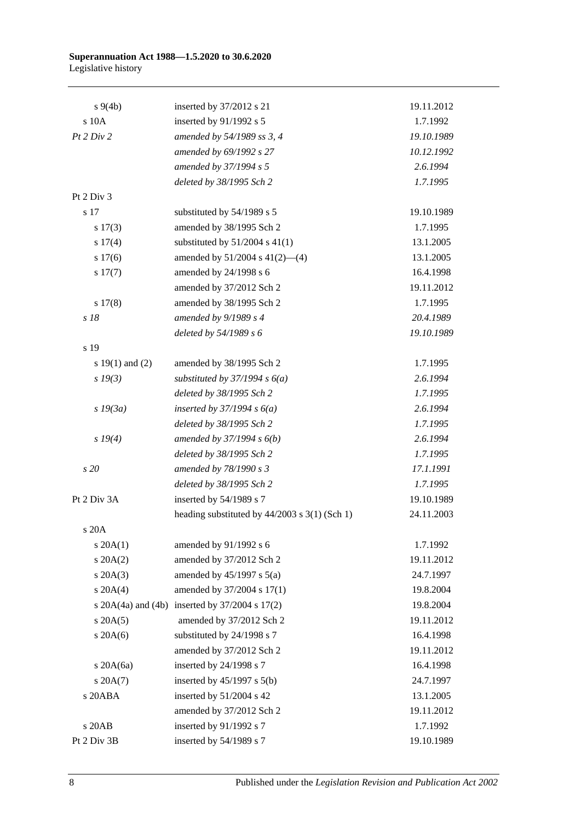| $s \, 9(4b)$        | inserted by 37/2012 s 21                        | 19.11.2012 |
|---------------------|-------------------------------------------------|------------|
| s 10A               | inserted by 91/1992 s 5                         | 1.7.1992   |
| Pt 2 Div 2          | amended by 54/1989 ss 3, 4                      | 19.10.1989 |
|                     | amended by 69/1992 s 27                         | 10.12.1992 |
|                     | amended by 37/1994 s 5                          | 2.6.1994   |
|                     | deleted by 38/1995 Sch 2                        | 1.7.1995   |
| Pt 2 Div 3          |                                                 |            |
| s 17                | substituted by 54/1989 s 5                      | 19.10.1989 |
| s 17(3)             | amended by 38/1995 Sch 2                        | 1.7.1995   |
| s 17(4)             | substituted by $51/2004$ s $41(1)$              | 13.1.2005  |
| s 17(6)             | amended by 51/2004 s 41(2)-(4)                  | 13.1.2005  |
| $s\ 17(7)$          | amended by 24/1998 s 6                          | 16.4.1998  |
|                     | amended by 37/2012 Sch 2                        | 19.11.2012 |
| s 17(8)             | amended by 38/1995 Sch 2                        | 1.7.1995   |
| s 18                | amended by 9/1989 s 4                           | 20.4.1989  |
|                     | deleted by 54/1989 s 6                          | 19.10.1989 |
| s 19                |                                                 |            |
| s $19(1)$ and $(2)$ | amended by 38/1995 Sch 2                        | 1.7.1995   |
| $s\,19(3)$          | substituted by $37/1994 s 6(a)$                 | 2.6.1994   |
|                     | deleted by 38/1995 Sch 2                        | 1.7.1995   |
| $s$ 19 $(3a)$       | inserted by $37/1994 s 6(a)$                    | 2.6.1994   |
|                     | deleted by 38/1995 Sch 2                        | 1.7.1995   |
| $s \, 19(4)$        | amended by $37/1994 s 6(b)$                     | 2.6.1994   |
|                     | deleted by 38/1995 Sch 2                        | 1.7.1995   |
| s 20                | amended by 78/1990 s 3                          | 17.1.1991  |
|                     | deleted by 38/1995 Sch 2                        | 1.7.1995   |
| Pt 2 Div 3A         | inserted by 54/1989 s 7                         | 19.10.1989 |
|                     | heading substituted by $44/2003$ s 3(1) (Sch 1) | 24.11.2003 |
| s 20A               |                                                 |            |
| $s \, 20A(1)$       | amended by 91/1992 s 6                          | 1.7.1992   |
| $s \, 20A(2)$       | amended by 37/2012 Sch 2                        | 19.11.2012 |
| $s$ 20A $(3)$       | amended by $45/1997$ s $5(a)$                   | 24.7.1997  |
| $s \ 20A(4)$        | amended by 37/2004 s 17(1)                      | 19.8.2004  |
|                     | s 20A(4a) and (4b) inserted by 37/2004 s 17(2)  | 19.8.2004  |
| $s \, 20A(5)$       | amended by 37/2012 Sch 2                        | 19.11.2012 |
| $s$ 20A(6)          | substituted by 24/1998 s 7                      | 16.4.1998  |
|                     | amended by 37/2012 Sch 2                        | 19.11.2012 |
| s $20A(6a)$         | inserted by 24/1998 s 7                         | 16.4.1998  |
| $s \, 20A(7)$       | inserted by $45/1997$ s $5(b)$                  | 24.7.1997  |
| s 20ABA             | inserted by 51/2004 s 42                        | 13.1.2005  |
|                     | amended by 37/2012 Sch 2                        | 19.11.2012 |
| s 20AB              | inserted by 91/1992 s 7                         | 1.7.1992   |
| Pt 2 Div 3B         | inserted by 54/1989 s 7                         | 19.10.1989 |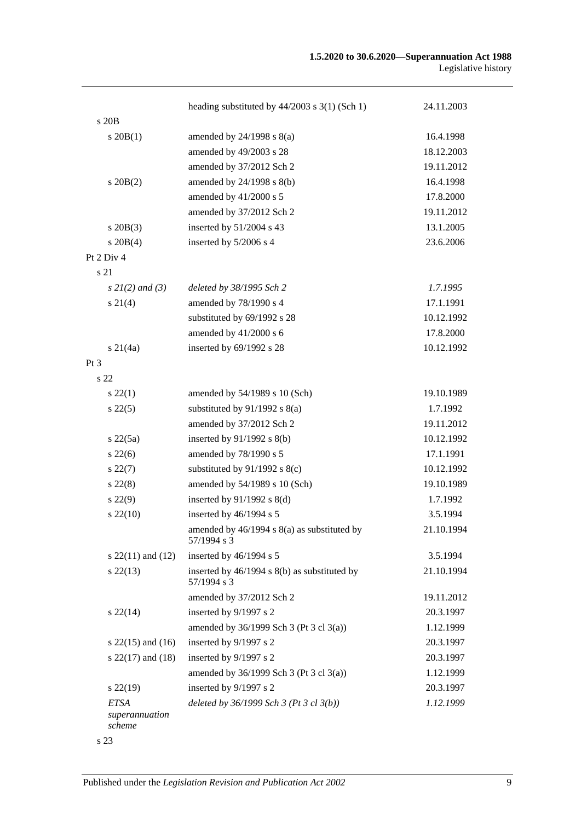|                                         | heading substituted by $44/2003$ s $3(1)$ (Sch 1)              | 24.11.2003 |
|-----------------------------------------|----------------------------------------------------------------|------------|
| s 20B                                   |                                                                |            |
| $s \, 20B(1)$                           | amended by $24/1998$ s $8(a)$                                  | 16.4.1998  |
|                                         | amended by 49/2003 s 28                                        | 18.12.2003 |
|                                         | amended by 37/2012 Sch 2                                       | 19.11.2012 |
| $s \, 20B(2)$                           | amended by 24/1998 s 8(b)                                      | 16.4.1998  |
|                                         | amended by 41/2000 s 5                                         | 17.8.2000  |
|                                         | amended by 37/2012 Sch 2                                       | 19.11.2012 |
| $s$ 20B $(3)$                           | inserted by 51/2004 s 43                                       | 13.1.2005  |
| $s \ 20B(4)$                            | inserted by 5/2006 s 4                                         | 23.6.2006  |
| Pt 2 Div 4                              |                                                                |            |
| s 21                                    |                                                                |            |
| $s \, 2I(2)$ and (3)                    | deleted by 38/1995 Sch 2                                       | 1.7.1995   |
| $s \, 21(4)$                            | amended by 78/1990 s 4                                         | 17.1.1991  |
|                                         | substituted by 69/1992 s 28                                    | 10.12.1992 |
|                                         | amended by 41/2000 s 6                                         | 17.8.2000  |
| $s \, 21(4a)$                           | inserted by 69/1992 s 28                                       | 10.12.1992 |
| Pt <sub>3</sub>                         |                                                                |            |
| s <sub>22</sub>                         |                                                                |            |
| $s\,22(1)$                              | amended by 54/1989 s 10 (Sch)                                  | 19.10.1989 |
| $s\,22(5)$                              | substituted by $91/1992$ s $8(a)$                              | 1.7.1992   |
|                                         | amended by 37/2012 Sch 2                                       | 19.11.2012 |
| $s\,22(5a)$                             | inserted by 91/1992 s 8(b)                                     | 10.12.1992 |
| $s\,22(6)$                              | amended by 78/1990 s 5                                         | 17.1.1991  |
| $s\,22(7)$                              | substituted by $91/1992$ s $8(c)$                              | 10.12.1992 |
| $s\,22(8)$                              | amended by 54/1989 s 10 (Sch)                                  | 19.10.1989 |
| $s\,22(9)$                              | inserted by $91/1992$ s $8(d)$                                 | 1.7.1992   |
| $s\,22(10)$                             | inserted by 46/1994 s 5                                        | 3.5.1994   |
|                                         | amended by $46/1994$ s $8(a)$ as substituted by<br>57/1994 s 3 | 21.10.1994 |
| s $22(11)$ and $(12)$                   | inserted by 46/1994 s 5                                        | 3.5.1994   |
| $s\,22(13)$                             | inserted by 46/1994 s 8(b) as substituted by<br>57/1994 s 3    | 21.10.1994 |
|                                         | amended by 37/2012 Sch 2                                       | 19.11.2012 |
| $s\,22(14)$                             | inserted by 9/1997 s 2                                         | 20.3.1997  |
|                                         | amended by 36/1999 Sch 3 (Pt 3 cl 3(a))                        | 1.12.1999  |
| s $22(15)$ and $(16)$                   | inserted by 9/1997 s 2                                         | 20.3.1997  |
| s $22(17)$ and $(18)$                   | inserted by 9/1997 s 2                                         | 20.3.1997  |
|                                         | amended by 36/1999 Sch 3 (Pt 3 cl 3(a))                        | 1.12.1999  |
| $s\,22(19)$                             | inserted by 9/1997 s 2                                         | 20.3.1997  |
| <b>ETSA</b><br>superannuation<br>scheme | deleted by $36/1999$ Sch 3 (Pt 3 cl $3(b)$ )                   | 1.12.1999  |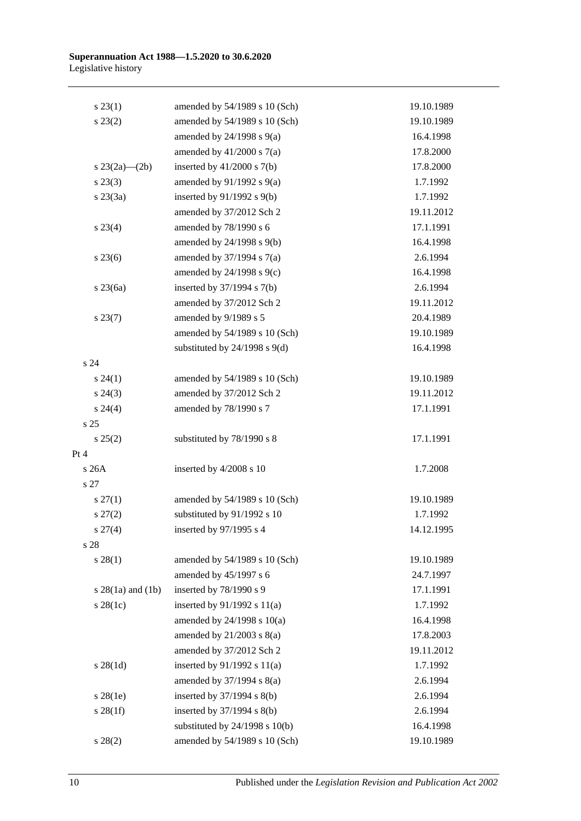| $s\,23(1)$          | amended by 54/1989 s 10 (Sch)      | 19.10.1989 |
|---------------------|------------------------------------|------------|
| $s\,23(2)$          | amended by 54/1989 s 10 (Sch)      | 19.10.1989 |
|                     | amended by $24/1998$ s $9(a)$      | 16.4.1998  |
|                     | amended by $41/2000$ s $7(a)$      | 17.8.2000  |
| s $23(2a)$ — $(2b)$ | inserted by $41/2000$ s $7(b)$     | 17.8.2000  |
| $s\,23(3)$          | amended by $91/1992$ s $9(a)$      | 1.7.1992   |
| $s \; 23(3a)$       | inserted by $91/1992$ s $9(b)$     | 1.7.1992   |
|                     | amended by 37/2012 Sch 2           | 19.11.2012 |
| $s\,23(4)$          | amended by 78/1990 s 6             | 17.1.1991  |
|                     | amended by 24/1998 s 9(b)          | 16.4.1998  |
| $s\,23(6)$          | amended by $37/1994$ s $7(a)$      | 2.6.1994   |
|                     | amended by 24/1998 s 9(c)          | 16.4.1998  |
| $s$ 23 $(6a)$       | inserted by $37/1994$ s $7(b)$     | 2.6.1994   |
|                     | amended by 37/2012 Sch 2           | 19.11.2012 |
| s 23(7)             | amended by 9/1989 s 5              | 20.4.1989  |
|                     | amended by 54/1989 s 10 (Sch)      | 19.10.1989 |
|                     | substituted by $24/1998$ s $9(d)$  | 16.4.1998  |
| s 24                |                                    |            |
| s 24(1)             | amended by 54/1989 s 10 (Sch)      | 19.10.1989 |
| $s\,24(3)$          | amended by 37/2012 Sch 2           | 19.11.2012 |
| $s\,24(4)$          | amended by 78/1990 s 7             | 17.1.1991  |
| s <sub>25</sub>     |                                    |            |
| s 25(2)             | substituted by 78/1990 s 8         | 17.1.1991  |
| Pt 4                |                                    |            |
| s 26A               | inserted by 4/2008 s 10            | 1.7.2008   |
| s 27                |                                    |            |
| $s \, 27(1)$        | amended by 54/1989 s 10 (Sch)      | 19.10.1989 |
| $s\,27(2)$          | substituted by 91/1992 s 10        | 1.7.1992   |
| $s\,27(4)$          | inserted by 97/1995 s 4            | 14.12.1995 |
| s 28                |                                    |            |
| s 28(1)             | amended by 54/1989 s 10 (Sch)      | 19.10.1989 |
|                     | amended by 45/1997 s 6             | 24.7.1997  |
| $s$ 28(1a) and (1b) | inserted by 78/1990 s 9            | 17.1.1991  |
| $s$ 28(1c)          | inserted by $91/1992$ s $11(a)$    | 1.7.1992   |
|                     | amended by $24/1998$ s $10(a)$     | 16.4.1998  |
|                     | amended by $21/2003$ s $8(a)$      | 17.8.2003  |
|                     | amended by 37/2012 Sch 2           | 19.11.2012 |
| $s \, 28(1d)$       | inserted by $91/1992$ s $11(a)$    | 1.7.1992   |
|                     | amended by 37/1994 s 8(a)          | 2.6.1994   |
| $s$ 28(1e)          | inserted by 37/1994 s 8(b)         | 2.6.1994   |
| $s \, 28(1f)$       | inserted by 37/1994 s 8(b)         | 2.6.1994   |
|                     | substituted by $24/1998$ s $10(b)$ | 16.4.1998  |
| $s\ 28(2)$          | amended by 54/1989 s 10 (Sch)      | 19.10.1989 |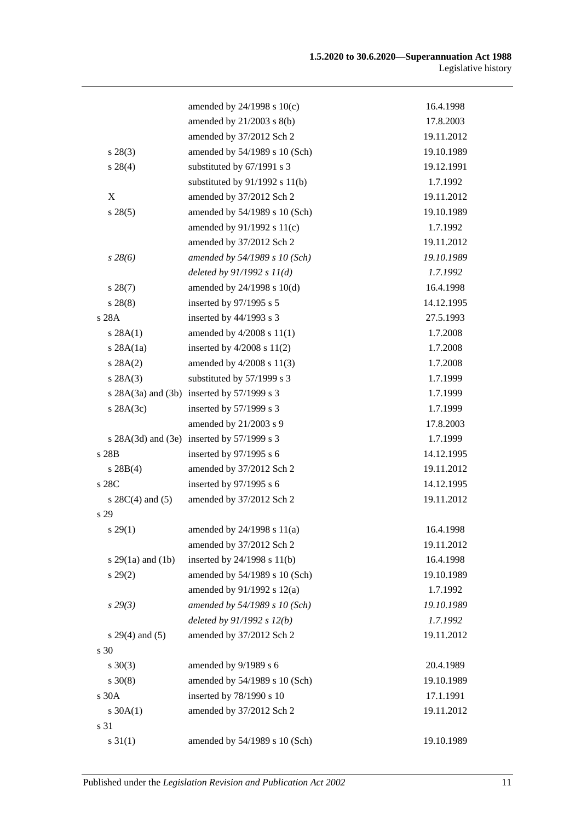|                       | amended by 24/1998 s 10(c)                 | 16.4.1998  |
|-----------------------|--------------------------------------------|------------|
|                       | amended by 21/2003 s 8(b)                  | 17.8.2003  |
|                       | amended by 37/2012 Sch 2                   | 19.11.2012 |
| $s\,28(3)$            | amended by 54/1989 s 10 (Sch)              | 19.10.1989 |
| $s\,28(4)$            | substituted by 67/1991 s 3                 | 19.12.1991 |
|                       | substituted by $91/1992$ s $11(b)$         | 1.7.1992   |
| X                     | amended by 37/2012 Sch 2                   | 19.11.2012 |
| s 28(5)               | amended by 54/1989 s 10 (Sch)              | 19.10.1989 |
|                       | amended by 91/1992 s 11(c)                 | 1.7.1992   |
|                       | amended by 37/2012 Sch 2                   | 19.11.2012 |
| $s\,28(6)$            | amended by 54/1989 s 10 (Sch)              | 19.10.1989 |
|                       | deleted by $91/1992 s 11(d)$               | 1.7.1992   |
| $s\,28(7)$            | amended by $24/1998$ s $10(d)$             | 16.4.1998  |
| $s\,28(8)$            | inserted by 97/1995 s 5                    | 14.12.1995 |
| s 28A                 | inserted by 44/1993 s 3                    | 27.5.1993  |
| s 28A(1)              | amended by $4/2008$ s $11(1)$              | 1.7.2008   |
| $s$ 28A $(1a)$        | inserted by $4/2008$ s $11(2)$             | 1.7.2008   |
| s 28A(2)              | amended by 4/2008 s 11(3)                  | 1.7.2008   |
| s 28A(3)              | substituted by 57/1999 s 3                 | 1.7.1999   |
|                       | s 28A(3a) and (3b) inserted by 57/1999 s 3 | 1.7.1999   |
| $s$ 28A $(3c)$        | inserted by 57/1999 s 3                    | 1.7.1999   |
|                       | amended by 21/2003 s 9                     | 17.8.2003  |
|                       | s 28A(3d) and (3e) inserted by 57/1999 s 3 | 1.7.1999   |
| s 28B                 | inserted by 97/1995 s 6                    | 14.12.1995 |
| $s \, 28B(4)$         | amended by 37/2012 Sch 2                   | 19.11.2012 |
| s 28C                 | inserted by 97/1995 s 6                    | 14.12.1995 |
| s $28C(4)$ and $(5)$  | amended by 37/2012 Sch 2                   | 19.11.2012 |
| s 29                  |                                            |            |
| s 29(1)               | amended by $24/1998$ s $11(a)$             | 16.4.1998  |
|                       | amended by 37/2012 Sch 2                   | 19.11.2012 |
| s $29(1a)$ and $(1b)$ | inserted by 24/1998 s 11(b)                | 16.4.1998  |
| $s\,29(2)$            | amended by 54/1989 s 10 (Sch)              | 19.10.1989 |
|                       | amended by 91/1992 s 12(a)                 | 1.7.1992   |
| $s\,29(3)$            | amended by 54/1989 s 10 (Sch)              | 19.10.1989 |
|                       | deleted by 91/1992 s 12(b)                 | 1.7.1992   |
| $s 29(4)$ and (5)     | amended by 37/2012 Sch 2                   | 19.11.2012 |
| s 30                  |                                            |            |
| $s \ 30(3)$           | amended by 9/1989 s 6                      | 20.4.1989  |
| $s \ 30(8)$           | amended by 54/1989 s 10 (Sch)              | 19.10.1989 |
| s 30A                 | inserted by 78/1990 s 10                   | 17.1.1991  |
| $s \, 30A(1)$         | amended by 37/2012 Sch 2                   | 19.11.2012 |
| s 31                  |                                            |            |
| $s \, 31(1)$          | amended by 54/1989 s 10 (Sch)              | 19.10.1989 |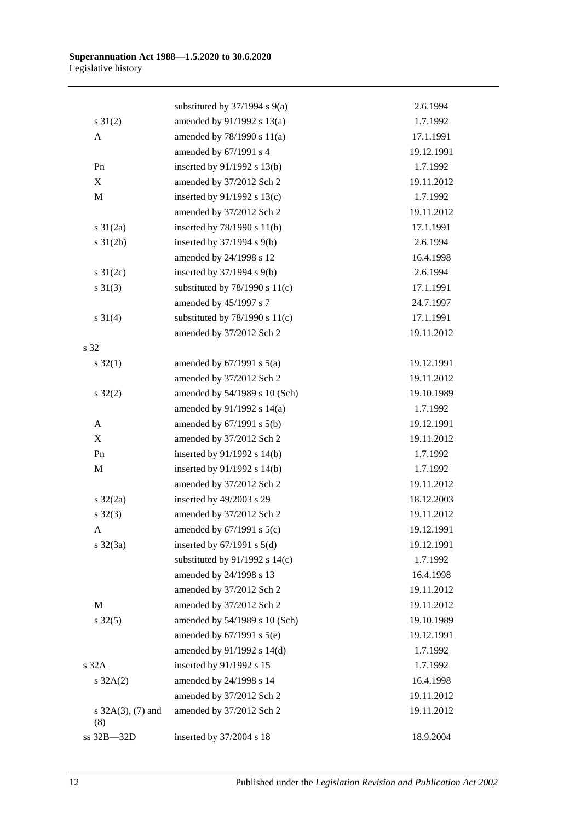|                             | substituted by $37/1994$ s $9(a)$  | 2.6.1994   |
|-----------------------------|------------------------------------|------------|
| $s \, 31(2)$                | amended by 91/1992 s 13(a)         | 1.7.1992   |
| A                           | amended by 78/1990 s 11(a)         | 17.1.1991  |
|                             | amended by 67/1991 s 4             | 19.12.1991 |
| Pn                          | inserted by 91/1992 s 13(b)        | 1.7.1992   |
| X                           | amended by 37/2012 Sch 2           | 19.11.2012 |
| $\mathbf M$                 | inserted by $91/1992$ s $13(c)$    | 1.7.1992   |
|                             | amended by 37/2012 Sch 2           | 19.11.2012 |
| s $31(2a)$                  | inserted by 78/1990 s 11(b)        | 17.1.1991  |
| $s \, 31(2b)$               | inserted by $37/1994$ s $9(b)$     | 2.6.1994   |
|                             | amended by 24/1998 s 12            | 16.4.1998  |
| s $31(2c)$                  | inserted by $37/1994$ s $9(b)$     | 2.6.1994   |
| $s \ 31(3)$                 | substituted by $78/1990$ s $11(c)$ | 17.1.1991  |
|                             | amended by 45/1997 s 7             | 24.7.1997  |
| $s \ 31(4)$                 | substituted by $78/1990$ s $11(c)$ | 17.1.1991  |
|                             | amended by 37/2012 Sch 2           | 19.11.2012 |
| s 32                        |                                    |            |
| $s \, 32(1)$                | amended by $67/1991$ s $5(a)$      | 19.12.1991 |
|                             | amended by 37/2012 Sch 2           | 19.11.2012 |
| $s \, 32(2)$                | amended by 54/1989 s 10 (Sch)      | 19.10.1989 |
|                             | amended by 91/1992 s 14(a)         | 1.7.1992   |
| A                           | amended by $67/1991$ s $5(b)$      | 19.12.1991 |
| X                           | amended by 37/2012 Sch 2           | 19.11.2012 |
| Pn                          | inserted by $91/1992$ s $14(b)$    | 1.7.1992   |
| $\mathbf M$                 | inserted by $91/1992$ s $14(b)$    | 1.7.1992   |
|                             | amended by 37/2012 Sch 2           | 19.11.2012 |
| $s \frac{32}{2a}$           | inserted by 49/2003 s 29           | 18.12.2003 |
| $s \, 32(3)$                | amended by 37/2012 Sch 2           | 19.11.2012 |
| A                           | amended by $67/1991$ s $5(c)$      | 19.12.1991 |
| $s \frac{32}{3a}$           | inserted by $67/1991$ s $5(d)$     | 19.12.1991 |
|                             | substituted by $91/1992$ s $14(c)$ | 1.7.1992   |
|                             | amended by 24/1998 s 13            | 16.4.1998  |
|                             | amended by 37/2012 Sch 2           | 19.11.2012 |
| $\mathbf M$                 | amended by 37/2012 Sch 2           | 19.11.2012 |
| $s \, 32(5)$                | amended by 54/1989 s 10 (Sch)      | 19.10.1989 |
|                             | amended by $67/1991$ s $5(e)$      | 19.12.1991 |
|                             | amended by $91/1992$ s $14(d)$     | 1.7.1992   |
| $s$ 32 $A$                  | inserted by 91/1992 s 15           | 1.7.1992   |
| $s \, 32A(2)$               | amended by 24/1998 s 14            | 16.4.1998  |
|                             | amended by 37/2012 Sch 2           | 19.11.2012 |
| s $32A(3)$ , (7) and<br>(8) | amended by 37/2012 Sch 2           | 19.11.2012 |
| ss 32B-32D                  | inserted by 37/2004 s 18           | 18.9.2004  |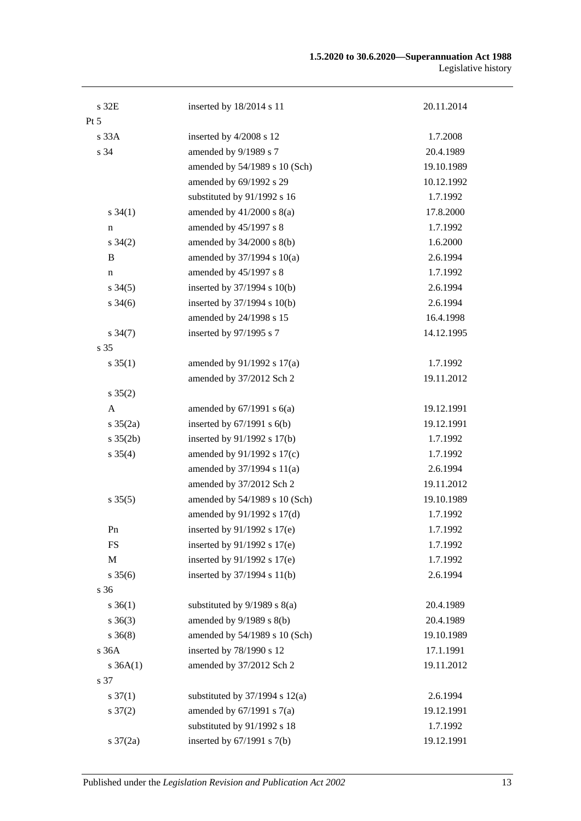#### **1.5.2020 to 30.6.2020—Superannuation Act 1988** Legislative history

| s 32E                | inserted by 18/2014 s 11           | 20.11.2014 |
|----------------------|------------------------------------|------------|
| $Pt\,5$              |                                    |            |
| s 33A                | inserted by 4/2008 s 12            | 1.7.2008   |
| s 34                 | amended by 9/1989 s 7              | 20.4.1989  |
|                      | amended by 54/1989 s 10 (Sch)      | 19.10.1989 |
|                      | amended by 69/1992 s 29            | 10.12.1992 |
|                      | substituted by 91/1992 s 16        | 1.7.1992   |
| $s \, 34(1)$         | amended by $41/2000$ s $8(a)$      | 17.8.2000  |
| n                    | amended by 45/1997 s 8             | 1.7.1992   |
| $s \; 34(2)$         | amended by 34/2000 s 8(b)          | 1.6.2000   |
| B                    | amended by 37/1994 s 10(a)         | 2.6.1994   |
| n                    | amended by 45/1997 s 8             | 1.7.1992   |
| $s \; 34(5)$         | inserted by 37/1994 s 10(b)        | 2.6.1994   |
| $s \frac{34(6)}{2}$  | inserted by 37/1994 s 10(b)        | 2.6.1994   |
|                      | amended by 24/1998 s 15            | 16.4.1998  |
| $s \, 34(7)$         | inserted by 97/1995 s 7            | 14.12.1995 |
| s 35                 |                                    |            |
| $s \, 35(1)$         | amended by $91/1992$ s $17(a)$     | 1.7.1992   |
|                      | amended by 37/2012 Sch 2           | 19.11.2012 |
| $s \, 35(2)$         |                                    |            |
| A                    | amended by $67/1991$ s $6(a)$      | 19.12.1991 |
| $s \frac{35(2a)}{2}$ | inserted by $67/1991$ s $6(b)$     | 19.12.1991 |
| $s \, 35(2b)$        | inserted by 91/1992 s 17(b)        | 1.7.1992   |
| $s \; 35(4)$         | amended by 91/1992 s 17(c)         | 1.7.1992   |
|                      | amended by 37/1994 s 11(a)         | 2.6.1994   |
|                      | amended by 37/2012 Sch 2           | 19.11.2012 |
| $s \, 35(5)$         | amended by 54/1989 s 10 (Sch)      | 19.10.1989 |
|                      | amended by 91/1992 s 17(d)         | 1.7.1992   |
| Pn                   | inserted by $91/1992$ s $17(e)$    | 1.7.1992   |
| FS                   | inserted by 91/1992 s 17(e)        | 1.7.1992   |
| M                    | inserted by 91/1992 s 17(e)        | 1.7.1992   |
| $s \, 35(6)$         | inserted by 37/1994 s 11(b)        | 2.6.1994   |
| s 36                 |                                    |            |
| $s \; 36(1)$         | substituted by $9/1989$ s $8(a)$   | 20.4.1989  |
| $s \; 36(3)$         | amended by 9/1989 s 8(b)           | 20.4.1989  |
| $s \; 36(8)$         | amended by 54/1989 s 10 (Sch)      | 19.10.1989 |
| s 36A                | inserted by 78/1990 s 12           | 17.1.1991  |
| $s \, 36A(1)$        | amended by 37/2012 Sch 2           | 19.11.2012 |
| s 37                 |                                    |            |
| $s \frac{37(1)}{2}$  | substituted by $37/1994$ s $12(a)$ | 2.6.1994   |
| $s \frac{37(2)}{2}$  | amended by $67/1991$ s $7(a)$      | 19.12.1991 |
|                      | substituted by 91/1992 s 18        | 1.7.1992   |
| $s \frac{37}{2a}$    | inserted by $67/1991$ s $7(b)$     | 19.12.1991 |
|                      |                                    |            |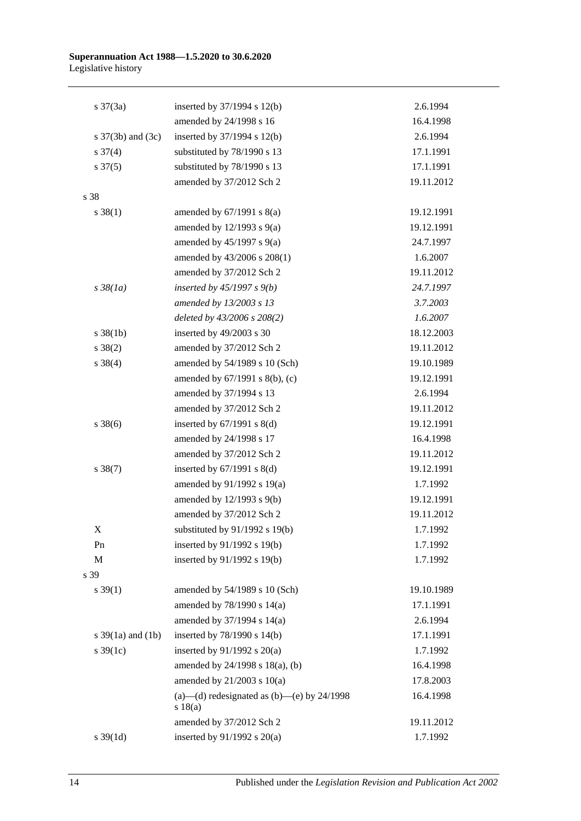| $s \frac{37(3a)}{2}$  | inserted by 37/1994 s 12(b)                              | 2.6.1994   |
|-----------------------|----------------------------------------------------------|------------|
|                       | amended by 24/1998 s 16                                  | 16.4.1998  |
| s $37(3b)$ and $(3c)$ | inserted by 37/1994 s 12(b)                              | 2.6.1994   |
| $s \frac{37(4)}{2}$   | substituted by 78/1990 s 13                              | 17.1.1991  |
| $s \frac{37(5)}{2}$   | substituted by 78/1990 s 13                              | 17.1.1991  |
|                       | amended by 37/2012 Sch 2                                 | 19.11.2012 |
| s 38                  |                                                          |            |
| $s \, 38(1)$          | amended by $67/1991$ s $8(a)$                            | 19.12.1991 |
|                       | amended by $12/1993$ s $9(a)$                            | 19.12.1991 |
|                       | amended by $45/1997$ s $9(a)$                            | 24.7.1997  |
|                       | amended by 43/2006 s 208(1)                              | 1.6.2007   |
|                       | amended by 37/2012 Sch 2                                 | 19.11.2012 |
| $s \frac{38}{1a}$     | inserted by $45/1997 s 9(b)$                             | 24.7.1997  |
|                       | amended by 13/2003 s 13                                  | 3.7.2003   |
|                       | deleted by 43/2006 s 208(2)                              | 1.6.2007   |
| $s \, 38(1b)$         | inserted by 49/2003 s 30                                 | 18.12.2003 |
| $s \ 38(2)$           | amended by 37/2012 Sch 2                                 | 19.11.2012 |
| $s \ 38(4)$           | amended by 54/1989 s 10 (Sch)                            | 19.10.1989 |
|                       | amended by 67/1991 s 8(b), (c)                           | 19.12.1991 |
|                       | amended by 37/1994 s 13                                  | 2.6.1994   |
|                       | amended by 37/2012 Sch 2                                 | 19.11.2012 |
| $s \, 38(6)$          | inserted by $67/1991$ s $8(d)$                           | 19.12.1991 |
|                       | amended by 24/1998 s 17                                  | 16.4.1998  |
|                       | amended by 37/2012 Sch 2                                 | 19.11.2012 |
| $s \ 38(7)$           | inserted by $67/1991$ s $8(d)$                           | 19.12.1991 |
|                       | amended by $91/1992$ s $19(a)$                           | 1.7.1992   |
|                       | amended by 12/1993 s 9(b)                                | 19.12.1991 |
|                       | amended by 37/2012 Sch 2                                 | 19.11.2012 |
| X                     | substituted by 91/1992 s 19(b)                           | 1.7.1992   |
| Pn                    | inserted by 91/1992 s 19(b)                              | 1.7.1992   |
| M                     | inserted by 91/1992 s 19(b)                              | 1.7.1992   |
| s 39                  |                                                          |            |
| $s \, 39(1)$          | amended by 54/1989 s 10 (Sch)                            | 19.10.1989 |
|                       | amended by 78/1990 s 14(a)                               | 17.1.1991  |
|                       | amended by 37/1994 s 14(a)                               | 2.6.1994   |
| s $39(1a)$ and $(1b)$ | inserted by 78/1990 s 14(b)                              | 17.1.1991  |
| s $39(1c)$            | inserted by 91/1992 s 20(a)                              | 1.7.1992   |
|                       | amended by 24/1998 s 18(a), (b)                          | 16.4.1998  |
|                       | amended by $21/2003$ s $10(a)$                           | 17.8.2003  |
|                       | (a)—(d) redesignated as $(b)$ —(e) by 24/1998<br>s 18(a) | 16.4.1998  |
|                       | amended by 37/2012 Sch 2                                 | 19.11.2012 |
| $s \, 39(1d)$         | inserted by 91/1992 s 20(a)                              | 1.7.1992   |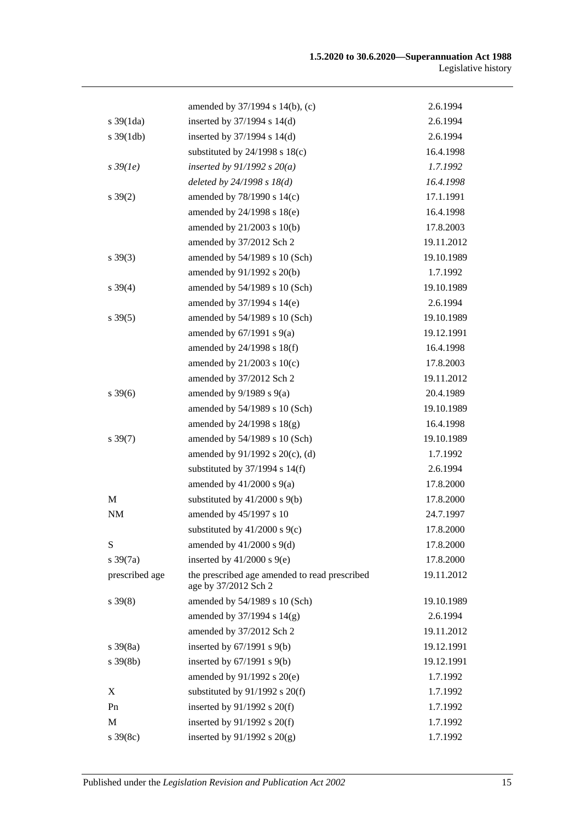|                       | amended by 37/1994 s 14(b), (c)                                       | 2.6.1994   |
|-----------------------|-----------------------------------------------------------------------|------------|
| $s \frac{39(1da)}{2}$ | inserted by 37/1994 s 14(d)                                           | 2.6.1994   |
| $s \frac{39(1db)}{2}$ | inserted by $37/1994$ s $14(d)$                                       | 2.6.1994   |
|                       | substituted by $24/1998$ s $18(c)$                                    | 16.4.1998  |
| $s\,39(1e)$           | inserted by $91/1992$ s $20(a)$                                       | 1.7.1992   |
|                       | deleted by $24/1998 s 18(d)$                                          | 16.4.1998  |
| $s \, 39(2)$          | amended by 78/1990 s 14(c)                                            | 17.1.1991  |
|                       | amended by 24/1998 s 18(e)                                            | 16.4.1998  |
|                       | amended by 21/2003 s 10(b)                                            | 17.8.2003  |
|                       | amended by 37/2012 Sch 2                                              | 19.11.2012 |
| $s \, 39(3)$          | amended by 54/1989 s 10 (Sch)                                         | 19.10.1989 |
|                       | amended by 91/1992 s 20(b)                                            | 1.7.1992   |
| $s \, 39(4)$          | amended by 54/1989 s 10 (Sch)                                         | 19.10.1989 |
|                       | amended by 37/1994 s 14(e)                                            | 2.6.1994   |
| $s \, 39(5)$          | amended by 54/1989 s 10 (Sch)                                         | 19.10.1989 |
|                       | amended by $67/1991$ s $9(a)$                                         | 19.12.1991 |
|                       | amended by 24/1998 s 18(f)                                            | 16.4.1998  |
|                       | amended by 21/2003 s 10(c)                                            | 17.8.2003  |
|                       | amended by 37/2012 Sch 2                                              | 19.11.2012 |
| $s \, 39(6)$          | amended by $9/1989$ s $9(a)$                                          | 20.4.1989  |
|                       | amended by 54/1989 s 10 (Sch)                                         | 19.10.1989 |
|                       | amended by $24/1998$ s $18(g)$                                        | 16.4.1998  |
| $s \, 39(7)$          | amended by 54/1989 s 10 (Sch)                                         | 19.10.1989 |
|                       | amended by 91/1992 s 20(c), (d)                                       | 1.7.1992   |
|                       | substituted by $37/1994$ s $14(f)$                                    | 2.6.1994   |
|                       | amended by $41/2000$ s $9(a)$                                         | 17.8.2000  |
| M                     | substituted by $41/2000$ s $9(b)$                                     | 17.8.2000  |
| NM                    | amended by 45/1997 s 10                                               | 24.7.1997  |
|                       | substituted by 41/2000 s 9(c)                                         | 17.8.2000  |
| S                     | amended by $41/2000$ s $9(d)$                                         | 17.8.2000  |
| $s \frac{39(7a)}{2}$  | inserted by $41/2000$ s $9(e)$                                        | 17.8.2000  |
| prescribed age        | the prescribed age amended to read prescribed<br>age by 37/2012 Sch 2 | 19.11.2012 |
| $s \, 39(8)$          | amended by 54/1989 s 10 (Sch)                                         | 19.10.1989 |
|                       | amended by 37/1994 s 14(g)                                            | 2.6.1994   |
|                       | amended by 37/2012 Sch 2                                              | 19.11.2012 |
| $s \frac{39(8a)}{2}$  | inserted by $67/1991$ s $9(b)$                                        | 19.12.1991 |
| $s \, 39(8b)$         | inserted by $67/1991$ s $9(b)$                                        | 19.12.1991 |
|                       | amended by 91/1992 s 20(e)                                            | 1.7.1992   |
| X                     | substituted by $91/1992$ s $20(f)$                                    | 1.7.1992   |
| Pn                    | inserted by $91/1992$ s $20(f)$                                       | 1.7.1992   |
| M                     | inserted by $91/1992$ s $20(f)$                                       | 1.7.1992   |
| $s \, 39(8c)$         | inserted by $91/1992$ s $20(g)$                                       | 1.7.1992   |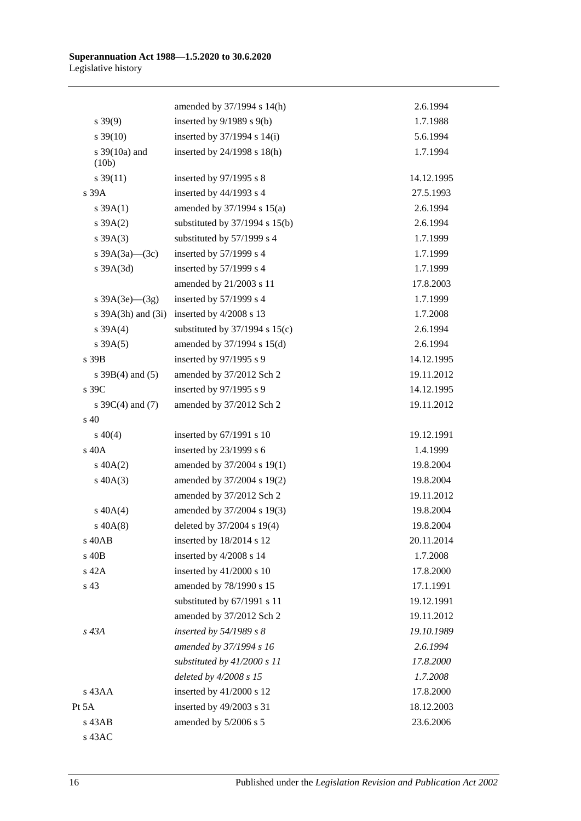|                          | amended by 37/1994 s 14(h)         | 2.6.1994   |
|--------------------------|------------------------------------|------------|
| $s\,39(9)$               | inserted by $9/1989$ s $9(b)$      | 1.7.1988   |
| $s \frac{39(10)}{2}$     | inserted by $37/1994$ s $14(i)$    | 5.6.1994   |
| s $39(10a)$ and<br>(10b) | inserted by 24/1998 s 18(h)        | 1.7.1994   |
| $s \, 39(11)$            | inserted by 97/1995 s 8            | 14.12.1995 |
| s 39A                    | inserted by 44/1993 s 4            | 27.5.1993  |
| $s \, 39A(1)$            | amended by 37/1994 s 15(a)         | 2.6.1994   |
| $s \, 39A(2)$            | substituted by $37/1994$ s $15(b)$ | 2.6.1994   |
| $s \, 39A(3)$            | substituted by 57/1999 s 4         | 1.7.1999   |
| s $39A(3a)$ (3c)         | inserted by 57/1999 s 4            | 1.7.1999   |
| s 39A(3d)                | inserted by 57/1999 s 4            | 1.7.1999   |
|                          | amended by 21/2003 s 11            | 17.8.2003  |
| s $39A(3e)$ (3g)         | inserted by $57/1999$ s 4          | 1.7.1999   |
| s $39A(3h)$ and $(3i)$   | inserted by 4/2008 s 13            | 1.7.2008   |
| $s \, 39A(4)$            | substituted by $37/1994$ s $15(c)$ | 2.6.1994   |
| $s \, 39A(5)$            | amended by 37/1994 s 15(d)         | 2.6.1994   |
| s 39B                    | inserted by 97/1995 s 9            | 14.12.1995 |
| s $39B(4)$ and $(5)$     | amended by 37/2012 Sch 2           | 19.11.2012 |
| s 39C                    | inserted by 97/1995 s 9            | 14.12.1995 |
| s $39C(4)$ and (7)       | amended by 37/2012 Sch 2           | 19.11.2012 |
| s 40                     |                                    |            |
| $s\ 40(4)$               | inserted by 67/1991 s 10           | 19.12.1991 |
| $s$ 40 $A$               | inserted by 23/1999 s 6            | 1.4.1999   |
| $s\ 40A(2)$              | amended by 37/2004 s 19(1)         | 19.8.2004  |
| $s\ 40A(3)$              | amended by 37/2004 s 19(2)         | 19.8.2004  |
|                          | amended by 37/2012 Sch 2           | 19.11.2012 |
| $s\ 40A(4)$              | amended by 37/2004 s 19(3)         | 19.8.2004  |
| $s\ 40A(8)$              | deleted by 37/2004 s 19(4)         | 19.8.2004  |
| s 40AB                   | inserted by 18/2014 s 12           | 20.11.2014 |
| s 40B                    | inserted by 4/2008 s 14            | 1.7.2008   |
| s 42A                    | inserted by $41/2000$ s 10         | 17.8.2000  |
| s 43                     | amended by 78/1990 s 15            | 17.1.1991  |
|                          | substituted by 67/1991 s 11        | 19.12.1991 |
|                          | amended by 37/2012 Sch 2           | 19.11.2012 |
| s 43A                    | inserted by $54/1989 s 8$          | 19.10.1989 |
|                          | amended by 37/1994 s 16            | 2.6.1994   |
|                          | substituted by $41/2000 s 11$      | 17.8.2000  |
|                          | deleted by 4/2008 s 15             | 1.7.2008   |
| s 43AA                   | inserted by $41/2000$ s 12         | 17.8.2000  |
| Pt 5A                    | inserted by 49/2003 s 31           | 18.12.2003 |
| s 43AB                   | amended by 5/2006 s 5              | 23.6.2006  |
| s 43AC                   |                                    |            |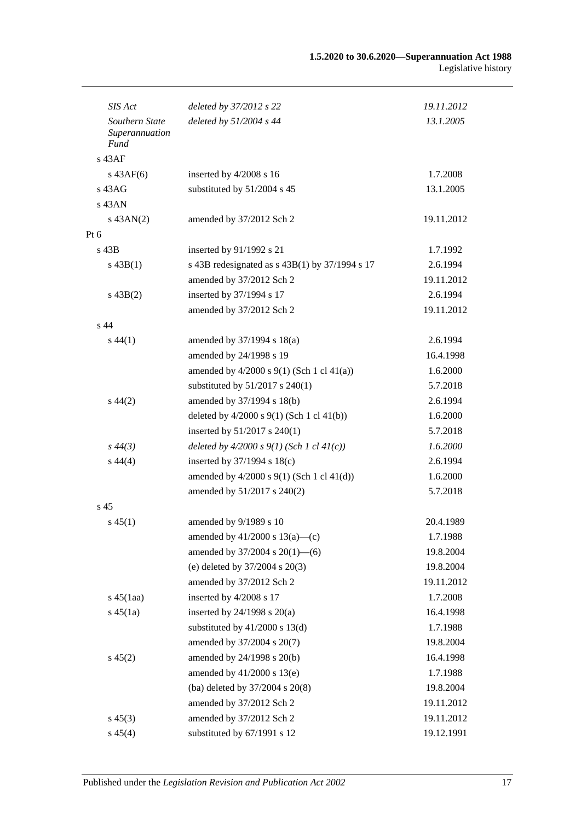| SIS Act                                  | deleted by 37/2012 s 22                          | 19.11.2012 |
|------------------------------------------|--------------------------------------------------|------------|
| Southern State<br>Superannuation<br>Fund | deleted by $51/2004$ s 44                        | 13.1.2005  |
| $s$ 43AF                                 |                                                  |            |
| $s$ 43AF(6)                              | inserted by 4/2008 s 16                          | 1.7.2008   |
| $s\,43AG$                                | substituted by 51/2004 s 45                      | 13.1.2005  |
| $s$ 43AN                                 |                                                  |            |
| $s$ 43AN(2)                              | amended by 37/2012 Sch 2                         | 19.11.2012 |
| Pt 6                                     |                                                  |            |
| s 43B                                    | inserted by 91/1992 s 21                         | 1.7.1992   |
| $s\,43B(1)$                              | s 43B redesignated as $s$ 43B(1) by 37/1994 s 17 | 2.6.1994   |
|                                          | amended by 37/2012 Sch 2                         | 19.11.2012 |
| $s\,43B(2)$                              | inserted by 37/1994 s 17                         | 2.6.1994   |
|                                          | amended by 37/2012 Sch 2                         | 19.11.2012 |
| s <sub>44</sub>                          |                                                  |            |
| $s\,44(1)$                               | amended by $37/1994$ s $18(a)$                   | 2.6.1994   |
|                                          | amended by 24/1998 s 19                          | 16.4.1998  |
|                                          | amended by $4/2000$ s $9(1)$ (Sch 1 cl $41(a)$ ) | 1.6.2000   |
|                                          | substituted by 51/2017 s 240(1)                  | 5.7.2018   |
| $s\,44(2)$                               | amended by 37/1994 s 18(b)                       | 2.6.1994   |
|                                          | deleted by $4/2000$ s $9(1)$ (Sch 1 cl $41(b)$ ) | 1.6.2000   |
|                                          | inserted by 51/2017 s 240(1)                     | 5.7.2018   |
| $s\,44(3)$                               | deleted by $4/2000 s 9(1)$ (Sch 1 cl $41(c)$ )   | 1.6.2000   |
| $s\,44(4)$                               | inserted by $37/1994$ s $18(c)$                  | 2.6.1994   |
|                                          | amended by $4/2000$ s $9(1)$ (Sch 1 cl $41(d)$ ) | 1.6.2000   |
|                                          | amended by 51/2017 s 240(2)                      | 5.7.2018   |
| s <sub>45</sub>                          |                                                  |            |
| $s\,45(1)$                               | amended by 9/1989 s 10                           | 20.4.1989  |
|                                          | amended by $41/2000$ s $13(a)$ —(c)              | 1.7.1988   |
|                                          | amended by $37/2004$ s $20(1)$ —(6)              | 19.8.2004  |
|                                          | (e) deleted by $37/2004$ s $20(3)$               | 19.8.2004  |
|                                          | amended by 37/2012 Sch 2                         | 19.11.2012 |
| $s\,45(1aa)$                             | inserted by 4/2008 s 17                          | 1.7.2008   |
| $s\,45(1a)$                              | inserted by $24/1998$ s $20(a)$                  | 16.4.1998  |
|                                          | substituted by $41/2000$ s $13(d)$               | 1.7.1988   |
|                                          | amended by 37/2004 s 20(7)                       | 19.8.2004  |
| $s\,45(2)$                               | amended by 24/1998 s 20(b)                       | 16.4.1998  |
|                                          | amended by $41/2000$ s $13(e)$                   | 1.7.1988   |
|                                          | (ba) deleted by 37/2004 s 20(8)                  | 19.8.2004  |
|                                          | amended by 37/2012 Sch 2                         | 19.11.2012 |
| $s\,45(3)$                               | amended by 37/2012 Sch 2                         | 19.11.2012 |
| $s\,45(4)$                               | substituted by 67/1991 s 12                      | 19.12.1991 |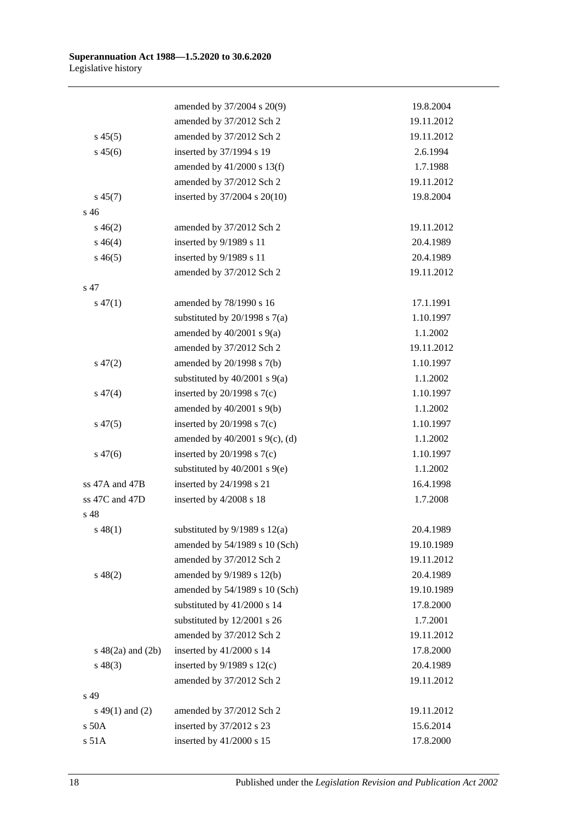|                        | amended by 37/2004 s 20(9)          | 19.8.2004  |
|------------------------|-------------------------------------|------------|
|                        | amended by 37/2012 Sch 2            | 19.11.2012 |
| $s\,45(5)$             | amended by 37/2012 Sch 2            | 19.11.2012 |
| $s\,45(6)$             | inserted by 37/1994 s 19            | 2.6.1994   |
|                        | amended by 41/2000 s 13(f)          | 1.7.1988   |
|                        | amended by 37/2012 Sch 2            | 19.11.2012 |
| $s\,45(7)$             | inserted by 37/2004 s 20(10)        | 19.8.2004  |
| s <sub>46</sub>        |                                     |            |
| $s\,46(2)$             | amended by 37/2012 Sch 2            | 19.11.2012 |
| $s\,46(4)$             | inserted by 9/1989 s 11             | 20.4.1989  |
| $s\,46(5)$             | inserted by 9/1989 s 11             | 20.4.1989  |
|                        | amended by 37/2012 Sch 2            | 19.11.2012 |
| s 47                   |                                     |            |
| $s\,47(1)$             | amended by 78/1990 s 16             | 17.1.1991  |
|                        | substituted by $20/1998$ s $7(a)$   | 1.10.1997  |
|                        | amended by $40/2001$ s $9(a)$       | 1.1.2002   |
|                        | amended by 37/2012 Sch 2            | 19.11.2012 |
| $s\,47(2)$             | amended by 20/1998 s 7(b)           | 1.10.1997  |
|                        | substituted by $40/2001$ s $9(a)$   | 1.1.2002   |
| $s\,47(4)$             | inserted by $20/1998$ s $7(c)$      | 1.10.1997  |
|                        | amended by $40/2001$ s $9(b)$       | 1.1.2002   |
| $s\,47(5)$             | inserted by $20/1998$ s $7(c)$      | 1.10.1997  |
|                        | amended by $40/2001$ s $9(c)$ , (d) | 1.1.2002   |
| $s\,47(6)$             | inserted by $20/1998$ s $7(c)$      | 1.10.1997  |
|                        | substituted by $40/2001$ s $9(e)$   | 1.1.2002   |
| ss 47A and 47B         | inserted by 24/1998 s 21            | 16.4.1998  |
| ss 47C and 47D         | inserted by 4/2008 s 18             | 1.7.2008   |
| s 48                   |                                     |            |
| $s\,48(1)$             | substituted by $9/1989$ s $12(a)$   | 20.4.1989  |
|                        | amended by 54/1989 s 10 (Sch)       | 19.10.1989 |
|                        | amended by 37/2012 Sch 2            | 19.11.2012 |
| $s\ 48(2)$             | amended by 9/1989 s 12(b)           | 20.4.1989  |
|                        | amended by 54/1989 s 10 (Sch)       | 19.10.1989 |
|                        | substituted by 41/2000 s 14         | 17.8.2000  |
|                        | substituted by 12/2001 s 26         | 1.7.2001   |
|                        | amended by 37/2012 Sch 2            | 19.11.2012 |
| $s\ 48(2a)$ and $(2b)$ | inserted by 41/2000 s 14            | 17.8.2000  |
| $s\,48(3)$             | inserted by $9/1989$ s $12(c)$      | 20.4.1989  |
|                        | amended by 37/2012 Sch 2            | 19.11.2012 |
| s 49                   |                                     |            |
| s 49(1) and (2)        | amended by 37/2012 Sch 2            | 19.11.2012 |
| s 50A                  | inserted by 37/2012 s 23            | 15.6.2014  |
| s 51A                  | inserted by 41/2000 s 15            | 17.8.2000  |
|                        |                                     |            |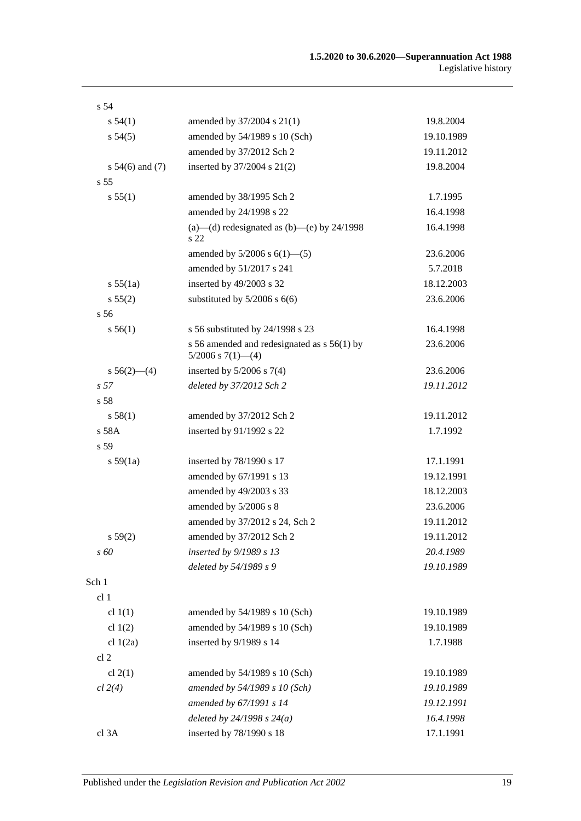| s 54                |                                                                          |            |
|---------------------|--------------------------------------------------------------------------|------------|
| s 54(1)             | amended by 37/2004 s 21(1)                                               | 19.8.2004  |
| s 54(5)             | amended by 54/1989 s 10 (Sch)                                            | 19.10.1989 |
|                     | amended by 37/2012 Sch 2                                                 | 19.11.2012 |
| s $54(6)$ and $(7)$ | inserted by $37/2004$ s $21(2)$                                          | 19.8.2004  |
| s <sub>55</sub>     |                                                                          |            |
| s 55(1)             | amended by 38/1995 Sch 2                                                 | 1.7.1995   |
|                     | amended by 24/1998 s 22                                                  | 16.4.1998  |
|                     | (a)—(d) redesignated as (b)—(e) by $24/1998$<br>s 22                     | 16.4.1998  |
|                     | amended by $5/2006$ s $6(1)$ — $(5)$                                     | 23.6.2006  |
|                     | amended by 51/2017 s 241                                                 | 5.7.2018   |
| s 55(1a)            | inserted by 49/2003 s 32                                                 | 18.12.2003 |
| s 55(2)             | substituted by $5/2006$ s $6(6)$                                         | 23.6.2006  |
| s <sub>56</sub>     |                                                                          |            |
| s 56(1)             | s 56 substituted by 24/1998 s 23                                         | 16.4.1998  |
|                     | s 56 amended and redesignated as $s$ 56(1) by<br>$5/2006$ s $7(1)$ - (4) | 23.6.2006  |
| $s 56(2)$ - (4)     | inserted by $5/2006$ s $7(4)$                                            | 23.6.2006  |
| s <sub>57</sub>     | deleted by 37/2012 Sch 2                                                 | 19.11.2012 |
| s 58                |                                                                          |            |
| s 58(1)             | amended by 37/2012 Sch 2                                                 | 19.11.2012 |
| s 58A               | inserted by 91/1992 s 22                                                 | 1.7.1992   |
| s 59                |                                                                          |            |
| s 59(1a)            | inserted by 78/1990 s 17                                                 | 17.1.1991  |
|                     | amended by 67/1991 s 13                                                  | 19.12.1991 |
|                     | amended by 49/2003 s 33                                                  | 18.12.2003 |
|                     | amended by 5/2006 s 8                                                    | 23.6.2006  |
|                     | amended by 37/2012 s 24, Sch 2                                           | 19.11.2012 |
| s 59(2)             | amended by 37/2012 Sch 2                                                 | 19.11.2012 |
| s 60                | inserted by 9/1989 s 13                                                  | 20.4.1989  |
|                     | deleted by 54/1989 s 9                                                   | 19.10.1989 |
| Sch 1               |                                                                          |            |
| cl <sub>1</sub>     |                                                                          |            |
| cl $1(1)$           | amended by 54/1989 s 10 (Sch)                                            | 19.10.1989 |
| cl $1(2)$           | amended by 54/1989 s 10 (Sch)                                            | 19.10.1989 |
| cl $1(2a)$          | inserted by 9/1989 s 14                                                  | 1.7.1988   |
| cl <sub>2</sub>     |                                                                          |            |
| cl $2(1)$           | amended by 54/1989 s 10 (Sch)                                            | 19.10.1989 |
| cl 2(4)             | amended by 54/1989 s 10 (Sch)                                            | 19.10.1989 |
|                     | amended by 67/1991 s 14                                                  | 19.12.1991 |
|                     | deleted by $24/1998 s 24(a)$                                             | 16.4.1998  |
| cl 3A               | inserted by 78/1990 s 18                                                 | 17.1.1991  |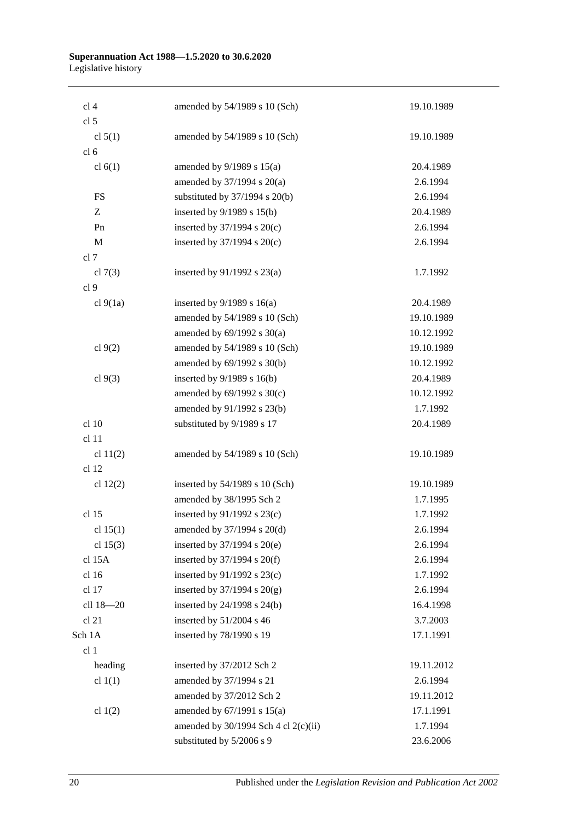| cl 4            | amended by 54/1989 s 10 (Sch)          | 19.10.1989 |
|-----------------|----------------------------------------|------------|
| cl <sub>5</sub> |                                        |            |
| cl $5(1)$       | amended by 54/1989 s 10 (Sch)          | 19.10.1989 |
| cl <sub>6</sub> |                                        |            |
| cl $6(1)$       | amended by $9/1989$ s $15(a)$          | 20.4.1989  |
|                 | amended by $37/1994$ s $20(a)$         | 2.6.1994   |
| <b>FS</b>       | substituted by $37/1994$ s $20(b)$     | 2.6.1994   |
| Z               | inserted by $9/1989$ s $15(b)$         | 20.4.1989  |
| Pn              | inserted by $37/1994$ s $20(c)$        | 2.6.1994   |
| M               | inserted by $37/1994$ s $20(c)$        | 2.6.1994   |
| cl 7            |                                        |            |
| cl $7(3)$       | inserted by $91/1992$ s $23(a)$        | 1.7.1992   |
| cl 9            |                                        |            |
| cl 9(1a)        | inserted by $9/1989$ s 16(a)           | 20.4.1989  |
|                 | amended by 54/1989 s 10 (Sch)          | 19.10.1989 |
|                 | amended by $69/1992$ s $30(a)$         | 10.12.1992 |
| cl 9(2)         | amended by 54/1989 s 10 (Sch)          | 19.10.1989 |
|                 | amended by 69/1992 s 30(b)             | 10.12.1992 |
| cl $9(3)$       | inserted by $9/1989$ s $16(b)$         | 20.4.1989  |
|                 | amended by $69/1992$ s $30(c)$         | 10.12.1992 |
|                 | amended by 91/1992 s 23(b)             | 1.7.1992   |
| cl 10           | substituted by 9/1989 s 17             | 20.4.1989  |
| cl 11           |                                        |            |
| cl $11(2)$      | amended by 54/1989 s 10 (Sch)          | 19.10.1989 |
| cl 12           |                                        |            |
| cl $12(2)$      | inserted by $54/1989$ s 10 (Sch)       | 19.10.1989 |
|                 | amended by 38/1995 Sch 2               | 1.7.1995   |
| cl 15           | inserted by $91/1992$ s $23(c)$        | 1.7.1992   |
| cl $15(1)$      | amended by 37/1994 s 20(d)             | 2.6.1994   |
| cl $15(3)$      | inserted by $37/1994$ s $20(e)$        | 2.6.1994   |
| cl 15A          | inserted by $37/1994$ s $20(f)$        | 2.6.1994   |
| cl 16           | inserted by 91/1992 s 23(c)            | 1.7.1992   |
| cl 17           | inserted by $37/1994$ s $20(g)$        | 2.6.1994   |
| cll 18-20       | inserted by 24/1998 s 24(b)            | 16.4.1998  |
| cl 21           | inserted by 51/2004 s 46               | 3.7.2003   |
| Sch 1A          | inserted by 78/1990 s 19               | 17.1.1991  |
| cl 1            |                                        |            |
| heading         | inserted by 37/2012 Sch 2              | 19.11.2012 |
| cl $1(1)$       | amended by 37/1994 s 21                | 2.6.1994   |
|                 | amended by 37/2012 Sch 2               | 19.11.2012 |
| cl $1(2)$       | amended by $67/1991$ s $15(a)$         | 17.1.1991  |
|                 | amended by $30/1994$ Sch 4 cl 2(c)(ii) | 1.7.1994   |
|                 | substituted by 5/2006 s 9              | 23.6.2006  |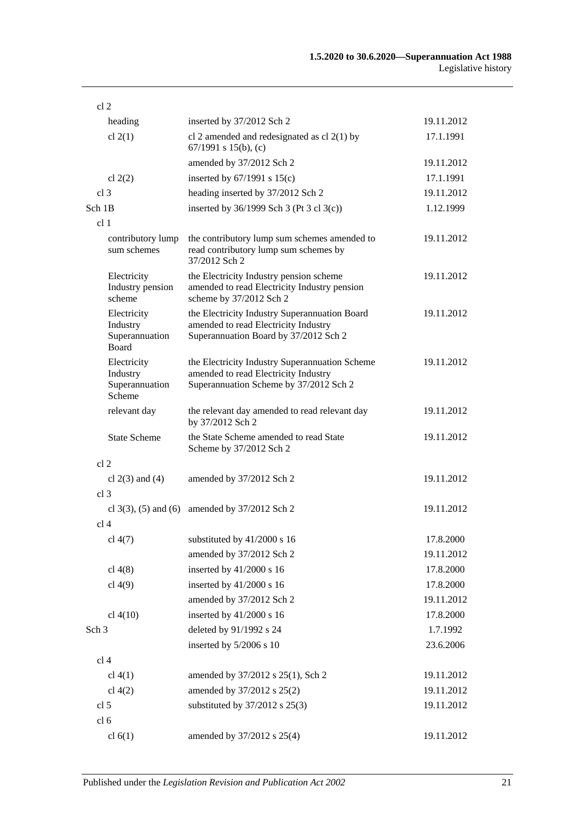| cl <sub>2</sub>                                           |                                                                                                                                  |            |
|-----------------------------------------------------------|----------------------------------------------------------------------------------------------------------------------------------|------------|
| heading                                                   | inserted by 37/2012 Sch 2                                                                                                        | 19.11.2012 |
| cl $2(1)$                                                 | cl 2 amended and redesignated as cl $2(1)$ by<br>67/1991 s 15(b), (c)                                                            | 17.1.1991  |
|                                                           | amended by 37/2012 Sch 2                                                                                                         | 19.11.2012 |
| cl $2(2)$                                                 | inserted by $67/1991$ s $15(c)$                                                                                                  | 17.1.1991  |
| cl <sub>3</sub>                                           | heading inserted by 37/2012 Sch 2                                                                                                | 19.11.2012 |
| Sch 1B                                                    | inserted by $36/1999$ Sch 3 (Pt 3 cl 3(c))                                                                                       | 1.12.1999  |
| cl <sub>1</sub>                                           |                                                                                                                                  |            |
| contributory lump<br>sum schemes                          | the contributory lump sum schemes amended to<br>read contributory lump sum schemes by<br>37/2012 Sch 2                           | 19.11.2012 |
| Electricity<br>Industry pension<br>scheme                 | the Electricity Industry pension scheme<br>amended to read Electricity Industry pension<br>scheme by 37/2012 Sch 2               | 19.11.2012 |
| Electricity<br>Industry<br>Superannuation<br><b>Board</b> | the Electricity Industry Superannuation Board<br>amended to read Electricity Industry<br>Superannuation Board by 37/2012 Sch 2   | 19.11.2012 |
| Electricity<br>Industry<br>Superannuation<br>Scheme       | the Electricity Industry Superannuation Scheme<br>amended to read Electricity Industry<br>Superannuation Scheme by 37/2012 Sch 2 | 19.11.2012 |
| relevant day                                              | the relevant day amended to read relevant day<br>by 37/2012 Sch 2                                                                | 19.11.2012 |
| <b>State Scheme</b>                                       | the State Scheme amended to read State<br>Scheme by 37/2012 Sch 2                                                                | 19.11.2012 |
| cl <sub>2</sub>                                           |                                                                                                                                  |            |
| cl $2(3)$ and $(4)$                                       | amended by 37/2012 Sch 2                                                                                                         | 19.11.2012 |
| cl <sub>3</sub>                                           |                                                                                                                                  |            |
| cl $3(3)$ , $(5)$ and $(6)$                               | amended by 37/2012 Sch 2                                                                                                         | 19.11.2012 |
| cl <sub>4</sub>                                           |                                                                                                                                  |            |
| cl $4(7)$                                                 | substituted by 41/2000 s 16                                                                                                      | 17.8.2000  |
|                                                           | amended by 37/2012 Sch 2                                                                                                         | 19.11.2012 |
| cl $4(8)$                                                 | inserted by 41/2000 s 16                                                                                                         | 17.8.2000  |
| cl $4(9)$                                                 | inserted by 41/2000 s 16                                                                                                         | 17.8.2000  |
|                                                           | amended by 37/2012 Sch 2                                                                                                         | 19.11.2012 |
| cl $4(10)$                                                | inserted by 41/2000 s 16                                                                                                         | 17.8.2000  |
| Sch <sub>3</sub>                                          | deleted by 91/1992 s 24                                                                                                          | 1.7.1992   |
|                                                           | inserted by 5/2006 s 10                                                                                                          | 23.6.2006  |
| cl <sub>4</sub>                                           |                                                                                                                                  |            |
| cl $4(1)$                                                 | amended by 37/2012 s 25(1), Sch 2                                                                                                | 19.11.2012 |
| cl $4(2)$                                                 | amended by 37/2012 s 25(2)                                                                                                       | 19.11.2012 |
| cl <sub>5</sub>                                           | substituted by 37/2012 s 25(3)                                                                                                   | 19.11.2012 |
| cl <sub>6</sub>                                           |                                                                                                                                  |            |
| cl 6(1)                                                   | amended by 37/2012 s 25(4)                                                                                                       | 19.11.2012 |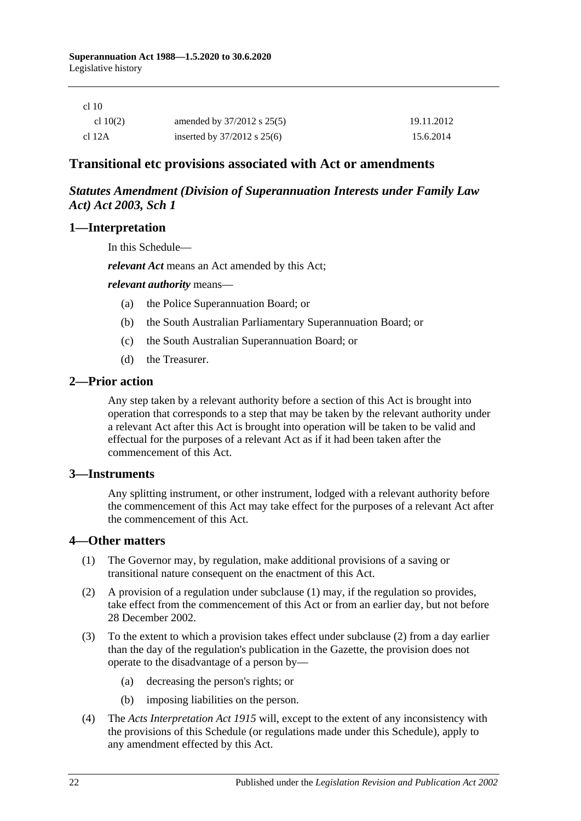| cl 10 |
|-------|
|-------|

| cl $10(2)$ | amended by $37/2012$ s $25(5)$  | 19.11.2012 |
|------------|---------------------------------|------------|
| cl 12A     | inserted by $37/2012$ s $25(6)$ | 15.6.2014  |

# **Transitional etc provisions associated with Act or amendments**

## *Statutes Amendment (Division of Superannuation Interests under Family Law Act) Act 2003, Sch 1*

### **1—Interpretation**

In this Schedule—

*relevant Act* means an Act amended by this Act;

*relevant authority* means—

- (a) the Police Superannuation Board; or
- (b) the South Australian Parliamentary Superannuation Board; or
- (c) the South Australian Superannuation Board; or
- (d) the Treasurer.

### **2—Prior action**

Any step taken by a relevant authority before a section of this Act is brought into operation that corresponds to a step that may be taken by the relevant authority under a relevant Act after this Act is brought into operation will be taken to be valid and effectual for the purposes of a relevant Act as if it had been taken after the commencement of this Act.

### **3—Instruments**

Any splitting instrument, or other instrument, lodged with a relevant authority before the commencement of this Act may take effect for the purposes of a relevant Act after the commencement of this Act.

### **4—Other matters**

- (1) The Governor may, by regulation, make additional provisions of a saving or transitional nature consequent on the enactment of this Act.
- (2) A provision of a regulation under subclause (1) may, if the regulation so provides, take effect from the commencement of this Act or from an earlier day, but not before 28 December 2002.
- (3) To the extent to which a provision takes effect under subclause (2) from a day earlier than the day of the regulation's publication in the Gazette, the provision does not operate to the disadvantage of a person by—
	- (a) decreasing the person's rights; or
	- (b) imposing liabilities on the person.
- (4) The *[Acts Interpretation Act](http://www.legislation.sa.gov.au/index.aspx?action=legref&type=act&legtitle=Acts%20Interpretation%20Act%201915) 1915* will, except to the extent of any inconsistency with the provisions of this Schedule (or regulations made under this Schedule), apply to any amendment effected by this Act.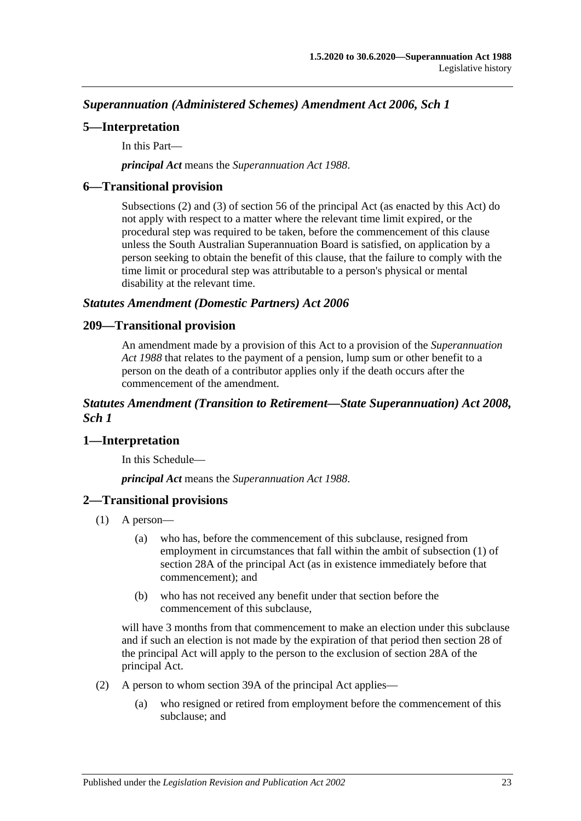*Superannuation (Administered Schemes) Amendment Act 2006, Sch 1*

## **5—Interpretation**

In this Part—

*principal Act* means the *[Superannuation Act](http://www.legislation.sa.gov.au/index.aspx?action=legref&type=act&legtitle=Superannuation%20Act%201988) 1988*.

## **6—Transitional provision**

Subsections (2) and (3) of section 56 of the principal Act (as enacted by this Act) do not apply with respect to a matter where the relevant time limit expired, or the procedural step was required to be taken, before the commencement of this clause unless the South Australian Superannuation Board is satisfied, on application by a person seeking to obtain the benefit of this clause, that the failure to comply with the time limit or procedural step was attributable to a person's physical or mental disability at the relevant time.

### *Statutes Amendment (Domestic Partners) Act 2006*

### **209—Transitional provision**

An amendment made by a provision of this Act to a provision of the *[Superannuation](http://www.legislation.sa.gov.au/index.aspx?action=legref&type=act&legtitle=Superannuation%20Act%201988)  Act [1988](http://www.legislation.sa.gov.au/index.aspx?action=legref&type=act&legtitle=Superannuation%20Act%201988)* that relates to the payment of a pension, lump sum or other benefit to a person on the death of a contributor applies only if the death occurs after the commencement of the amendment.

### *Statutes Amendment (Transition to Retirement—State Superannuation) Act 2008, Sch 1*

## **1—Interpretation**

In this Schedule—

*principal Act* means the *[Superannuation Act](http://www.legislation.sa.gov.au/index.aspx?action=legref&type=act&legtitle=Superannuation%20Act%201988) 1988*.

## **2—Transitional provisions**

- (1) A person—
	- (a) who has, before the commencement of this subclause, resigned from employment in circumstances that fall within the ambit of subsection (1) of section 28A of the principal Act (as in existence immediately before that commencement); and
	- (b) who has not received any benefit under that section before the commencement of this subclause,

will have 3 months from that commencement to make an election under this subclause and if such an election is not made by the expiration of that period then section 28 of the principal Act will apply to the person to the exclusion of section 28A of the principal Act.

- (2) A person to whom section 39A of the principal Act applies—
	- (a) who resigned or retired from employment before the commencement of this subclause; and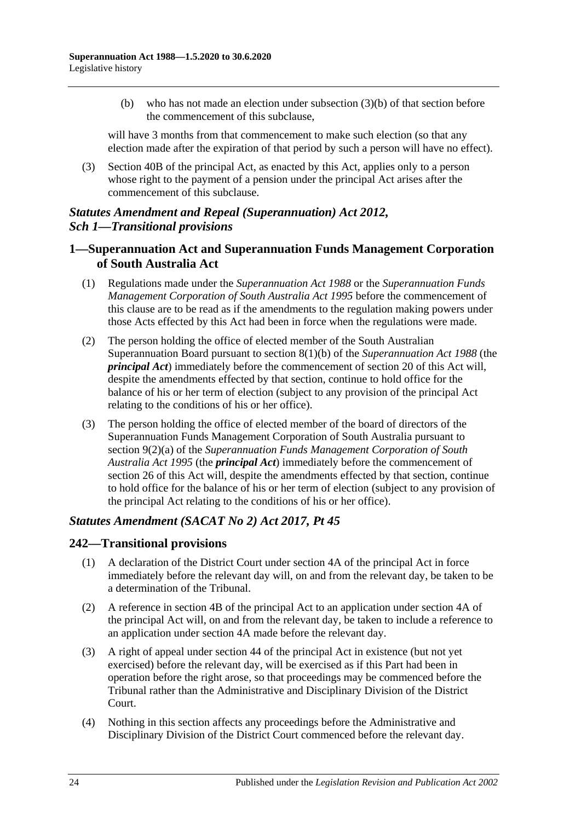(b) who has not made an election under subsection (3)(b) of that section before the commencement of this subclause,

will have 3 months from that commencement to make such election (so that any election made after the expiration of that period by such a person will have no effect).

(3) Section 40B of the principal Act, as enacted by this Act, applies only to a person whose right to the payment of a pension under the principal Act arises after the commencement of this subclause.

## *Statutes Amendment and Repeal (Superannuation) Act 2012, Sch 1—Transitional provisions*

### **1—Superannuation Act and Superannuation Funds Management Corporation of South Australia Act**

- (1) Regulations made under the *[Superannuation Act](http://www.legislation.sa.gov.au/index.aspx?action=legref&type=act&legtitle=Superannuation%20Act%201988) 1988* or the *[Superannuation Funds](http://www.legislation.sa.gov.au/index.aspx?action=legref&type=act&legtitle=Superannuation%20Funds%20Management%20Corporation%20of%20South%20Australia%20Act%201995)  [Management Corporation of South Australia Act](http://www.legislation.sa.gov.au/index.aspx?action=legref&type=act&legtitle=Superannuation%20Funds%20Management%20Corporation%20of%20South%20Australia%20Act%201995) 1995* before the commencement of this clause are to be read as if the amendments to the regulation making powers under those Acts effected by this Act had been in force when the regulations were made.
- (2) The person holding the office of elected member of the South Australian Superannuation Board pursuant to section 8(1)(b) of the *[Superannuation Act](http://www.legislation.sa.gov.au/index.aspx?action=legref&type=act&legtitle=Superannuation%20Act%201988) 1988* (the *principal Act*) immediately before the commencement of section 20 of this Act will, despite the amendments effected by that section, continue to hold office for the balance of his or her term of election (subject to any provision of the principal Act relating to the conditions of his or her office).
- (3) The person holding the office of elected member of the board of directors of the Superannuation Funds Management Corporation of South Australia pursuant to section 9(2)(a) of the *[Superannuation Funds Management Corporation of South](http://www.legislation.sa.gov.au/index.aspx?action=legref&type=act&legtitle=Superannuation%20Funds%20Management%20Corporation%20of%20South%20Australia%20Act%201995)  [Australia Act](http://www.legislation.sa.gov.au/index.aspx?action=legref&type=act&legtitle=Superannuation%20Funds%20Management%20Corporation%20of%20South%20Australia%20Act%201995) 1995* (the *principal Act*) immediately before the commencement of section 26 of this Act will, despite the amendments effected by that section, continue to hold office for the balance of his or her term of election (subject to any provision of the principal Act relating to the conditions of his or her office).

### *Statutes Amendment (SACAT No 2) Act 2017, Pt 45*

### **242—Transitional provisions**

- (1) A declaration of the District Court under section 4A of the principal Act in force immediately before the relevant day will, on and from the relevant day, be taken to be a determination of the Tribunal.
- (2) A reference in section 4B of the principal Act to an application under section 4A of the principal Act will, on and from the relevant day, be taken to include a reference to an application under section 4A made before the relevant day.
- (3) A right of appeal under section 44 of the principal Act in existence (but not yet exercised) before the relevant day, will be exercised as if this Part had been in operation before the right arose, so that proceedings may be commenced before the Tribunal rather than the Administrative and Disciplinary Division of the District Court.
- (4) Nothing in this section affects any proceedings before the Administrative and Disciplinary Division of the District Court commenced before the relevant day.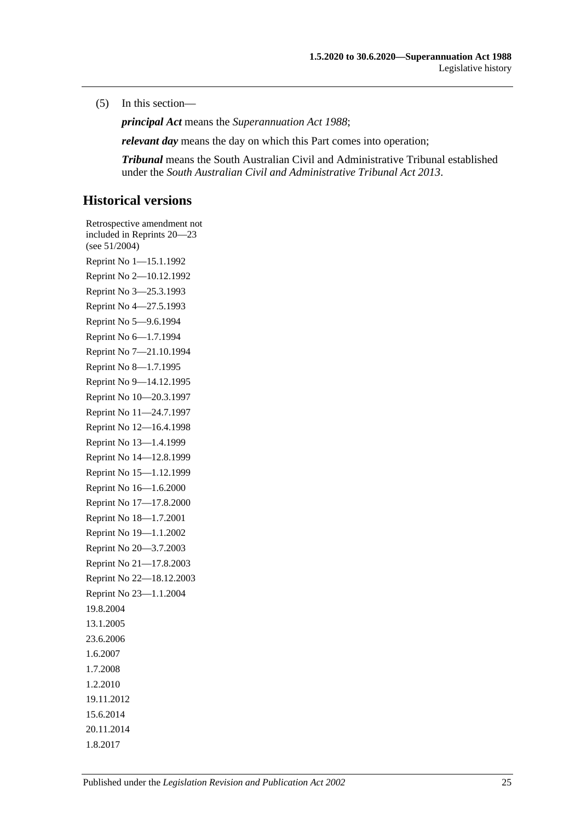#### (5) In this section—

*principal Act* means the *[Superannuation Act](http://www.legislation.sa.gov.au/index.aspx?action=legref&type=act&legtitle=Superannuation%20Act%201988) 1988*;

*relevant day* means the day on which this Part comes into operation;

*Tribunal* means the South Australian Civil and Administrative Tribunal established under the *[South Australian Civil and Administrative Tribunal Act](http://www.legislation.sa.gov.au/index.aspx?action=legref&type=act&legtitle=South%20Australian%20Civil%20and%20Administrative%20Tribunal%20Act%202013) 2013*.

## **Historical versions**

Retrospective amendment not included in Reprints 20—23 (see 51/2004) Reprint No 1—15.1.1992 Reprint No 2—10.12.1992 Reprint No 3—25.3.1993 Reprint No 4—27.5.1993 Reprint No 5—9.6.1994 Reprint No 6—1.7.1994 Reprint No 7—21.10.1994 Reprint No 8—1.7.1995 Reprint No 9—14.12.1995 Reprint No 10—20.3.1997 Reprint No 11—24.7.1997 Reprint No 12—16.4.1998 Reprint No 13—1.4.1999 Reprint No 14—12.8.1999 Reprint No 15—1.12.1999 Reprint No 16—1.6.2000 Reprint No 17—17.8.2000 Reprint No 18—1.7.2001 Reprint No 19—1.1.2002 Reprint No 20—3.7.2003 Reprint No 21—17.8.2003 Reprint No 22—18.12.2003 Reprint No 23—1.1.2004 19.8.2004 13.1.2005 23.6.2006 1.6.2007 1.7.2008 1.2.2010 19.11.2012 15.6.2014 20.11.2014 1.8.2017